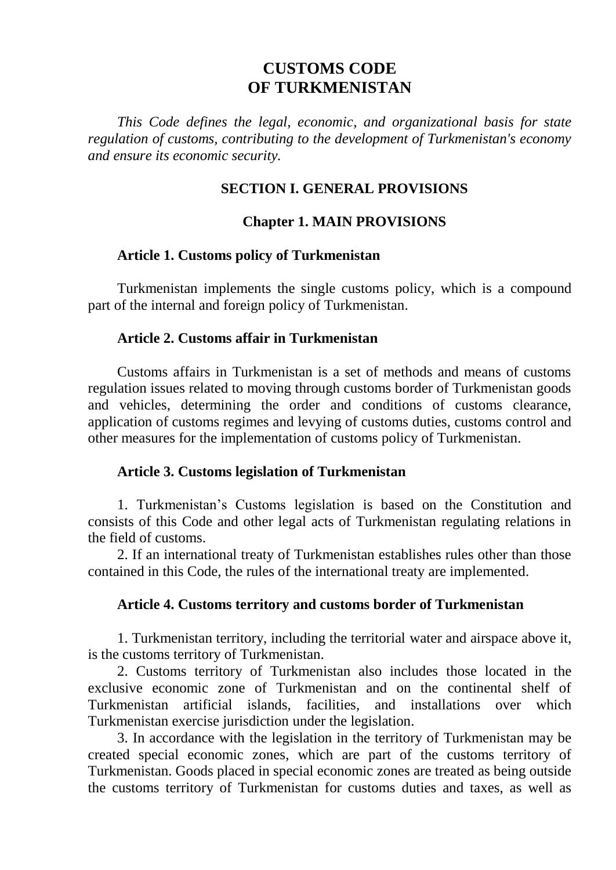# **CUSTOMS CODE OF TURKMENISTAN**

*This Code defines the legal, economic, and organizational basis for state regulation of customs, contributing to the development of Turkmenistan's economy and ensure its economic security.* 

## **SECTION I. GENERAL PROVISIONS**

## **Chapter 1. MAIN PROVISIONS**

### **Article 1. Customs policy of Turkmenistan**

Turkmenistan implements the single customs policy, which is a compound part of the internal and foreign policy of Turkmenistan.

#### **Article 2. Customs affair in Turkmenistan**

Customs affairs in Turkmenistan is a set of methods and means of customs regulation issues related to moving through customs border of Turkmenistan goods and vehicles, determining the order and conditions of customs clearance, application of customs regimes and levying of customs duties, customs control and other measures for the implementation of customs policy of Turkmenistan.

### **Article 3. Customs legislation of Turkmenistan**

1. Turkmenistan's Customs legislation is based on the Constitution and consists of this Code and other legal acts of Turkmenistan regulating relations in the field of customs.

2. If an international treaty of Turkmenistan establishes rules other than those contained in this Code, the rules of the international treaty are implemented.

### **Article 4. Customs territory and customs border of Turkmenistan**

1. Turkmenistan territory, including the territorial water and airspace above it, is the customs territory of Turkmenistan.

2. Customs territory of Turkmenistan also includes those located in the exclusive economic zone of Turkmenistan and on the continental shelf of Turkmenistan artificial islands, facilities, and installations over which Turkmenistan exercise jurisdiction under the legislation.

3. In accordance with the legislation in the territory of Turkmenistan may be created special economic zones, which are part of the customs territory of Turkmenistan. Goods placed in special economic zones are treated as being outside the customs territory of Turkmenistan for customs duties and taxes, as well as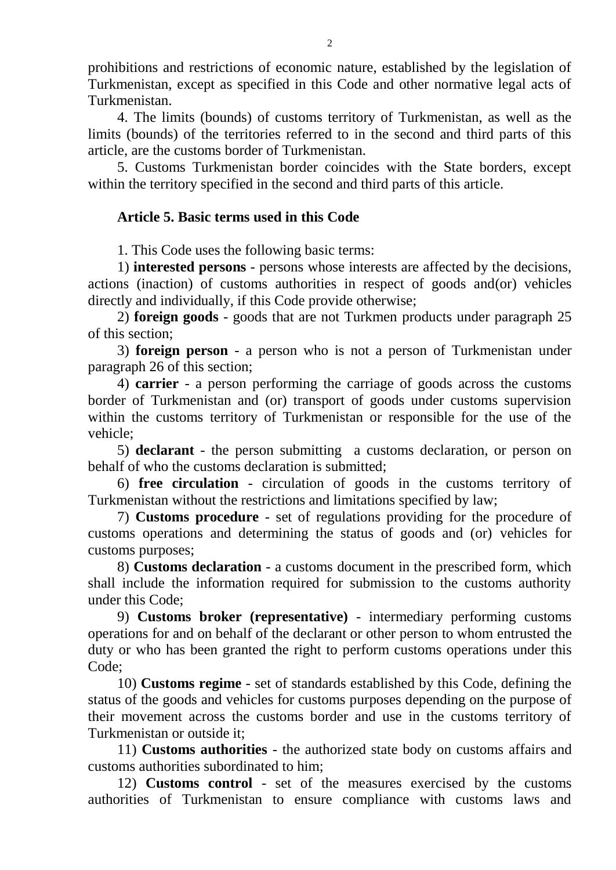prohibitions and restrictions of economic nature, established by the legislation of Turkmenistan, except as specified in this Code and other normative legal acts of Turkmenistan.

4. The limits (bounds) of customs territory of Turkmenistan, as well as the limits (bounds) of the territories referred to in the second and third parts of this article, are the customs border of Turkmenistan.

5. Customs Turkmenistan border coincides with the State borders, except within the territory specified in the second and third parts of this article.

# **Article 5. Basic terms used in this Code**

1. This Code uses the following basic terms:

1) **interested persons** - persons whose interests are affected by the decisions, actions (inaction) of customs authorities in respect of goods and(or) vehicles directly and individually, if this Code provide otherwise;

2) **foreign goods** - goods that are not Turkmen products under paragraph 25 of this section;

3) **foreign person** - a person who is not a person of Turkmenistan under paragraph 26 of this section;

4) **carrier** - a person performing the carriage of goods across the customs border of Turkmenistan and (or) transport of goods under customs supervision within the customs territory of Turkmenistan or responsible for the use of the vehicle;

5) **declarant** - the person submitting a customs declaration, or person on behalf of who the customs declaration is submitted;

6) **free circulation** - circulation of goods in the customs territory of Turkmenistan without the restrictions and limitations specified by law;

7) **Customs procedure** - set of regulations providing for the procedure of customs operations and determining the status of goods and (or) vehicles for customs purposes;

8) **Customs declaration** - a customs document in the prescribed form, which shall include the information required for submission to the customs authority under this Code;

9) **Customs broker (representative)** - intermediary performing customs operations for and on behalf of the declarant or other person to whom entrusted the duty or who has been granted the right to perform customs operations under this Code;

10) **Customs regime** - set of standards established by this Code, defining the status of the goods and vehicles for customs purposes depending on the purpose of their movement across the customs border and use in the customs territory of Turkmenistan or outside it;

11) **Customs authorities** - the authorized state body on customs affairs and customs authorities subordinated to him;

12) **Customs control** - set of the measures exercised by the customs authorities of Turkmenistan to ensure compliance with customs laws and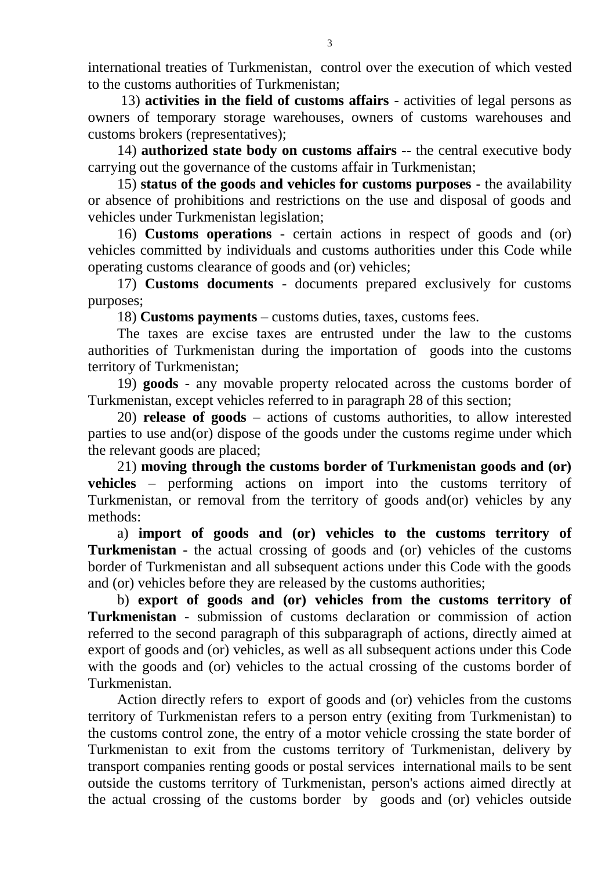international treaties of Turkmenistan, control over the execution of which vested to the customs authorities of Turkmenistan;

13) **activities in the field of customs affairs** - activities of legal persons as owners of temporary storage warehouses, owners of customs warehouses and customs brokers (representatives);

14) **authorized state body on customs affairs -**- the central executive body carrying out the governance of the customs affair in Turkmenistan;

15) **status of the goods and vehicles for customs purposes** - the availability or absence of prohibitions and restrictions on the use and disposal of goods and vehicles under Turkmenistan legislation;

16) **Customs operations** - certain actions in respect of goods and (or) vehicles committed by individuals and customs authorities under this Code while operating customs clearance of goods and (or) vehicles;

17) **Customs documents** - documents prepared exclusively for customs purposes;

18) **Customs payments** – customs duties, taxes, customs fees.

The taxes are excise taxes are entrusted under the law to the customs authorities of Turkmenistan during the importation of goods into the customs territory of Turkmenistan;

19) **goods** - any movable property relocated across the customs border of Turkmenistan, except vehicles referred to in paragraph 28 of this section;

20) **release of goods** – actions of customs authorities, to allow interested parties to use and(or) dispose of the goods under the customs regime under which the relevant goods are placed;

21) **moving through the customs border of Turkmenistan goods and (or) vehicles** – performing actions on import into the customs territory of Turkmenistan, or removal from the territory of goods and(or) vehicles by any methods:

a) **import of goods and (or) vehicles to the customs territory of Turkmenistan** - the actual crossing of goods and (or) vehicles of the customs border of Turkmenistan and all subsequent actions under this Code with the goods and (or) vehicles before they are released by the customs authorities;

b) **export of goods and (or) vehicles from the customs territory of Turkmenistan** - submission of customs declaration or commission of action referred to the second paragraph of this subparagraph of actions, directly aimed at export of goods and (or) vehicles, as well as all subsequent actions under this Code with the goods and (or) vehicles to the actual crossing of the customs border of Turkmenistan.

Action directly refers to export of goods and (or) vehicles from the customs territory of Turkmenistan refers to a person entry (exiting from Turkmenistan) to the customs control zone, the entry of a motor vehicle crossing the state border of Turkmenistan to exit from the customs territory of Turkmenistan, delivery by transport companies renting goods or postal services international mails to be sent outside the customs territory of Turkmenistan, person's actions aimed directly at the actual crossing of the customs border by goods and (or) vehicles outside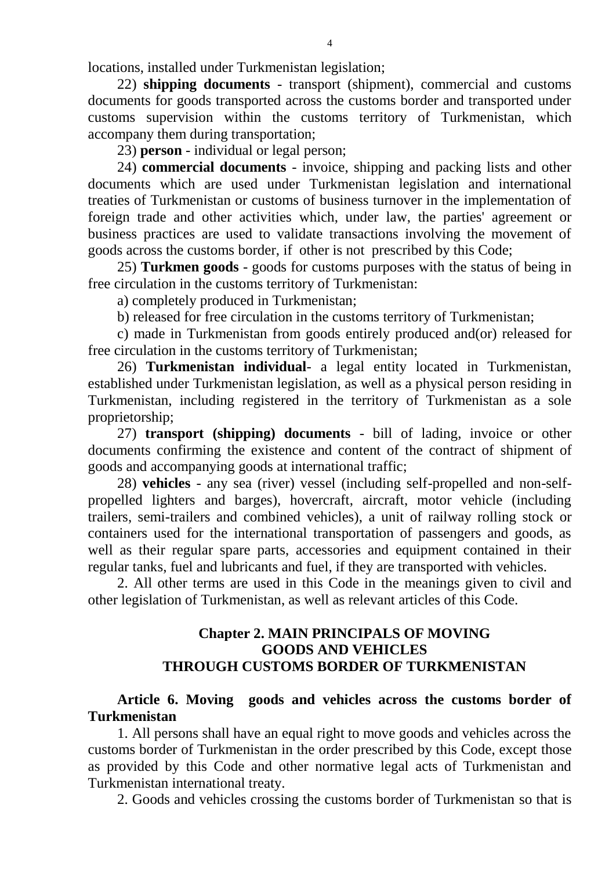locations, installed under Turkmenistan legislation;

22) **shipping documents** - transport (shipment), commercial and customs documents for goods transported across the customs border and transported under customs supervision within the customs territory of Turkmenistan, which accompany them during transportation;

23) **person** - individual or legal person;

24) **commercial documents** - invoice, shipping and packing lists and other documents which are used under Turkmenistan legislation and international treaties of Turkmenistan or customs of business turnover in the implementation of foreign trade and other activities which, under law, the parties' agreement or business practices are used to validate transactions involving the movement of goods across the customs border, if other is not prescribed by this Code;

25) **Turkmen goods** - goods for customs purposes with the status of being in free circulation in the customs territory of Turkmenistan:

a) completely produced in Turkmenistan;

b) released for free circulation in the customs territory of Turkmenistan;

c) made in Turkmenistan from goods entirely produced and(or) released for free circulation in the customs territory of Turkmenistan;

26) **Turkmenistan individual**- a legal entity located in Turkmenistan, established under Turkmenistan legislation, as well as a physical person residing in Turkmenistan, including registered in the territory of Turkmenistan as a sole proprietorship;

27) **transport (shipping) documents** - bill of lading, invoice or other documents confirming the existence and content of the contract of shipment of goods and accompanying goods at international traffic;

28) **vehicles** - any sea (river) vessel (including self-propelled and non-selfpropelled lighters and barges), hovercraft, aircraft, motor vehicle (including trailers, semi-trailers and combined vehicles), a unit of railway rolling stock or containers used for the international transportation of passengers and goods, as well as their regular spare parts, accessories and equipment contained in their regular tanks, fuel and lubricants and fuel, if they are transported with vehicles.

2. All other terms are used in this Code in the meanings given to civil and other legislation of Turkmenistan, as well as relevant articles of this Code.

# **Chapter 2. MAIN PRINCIPALS OF MOVING GOODS AND VEHICLES THROUGH CUSTOMS BORDER OF TURKMENISTAN**

**Article 6. Moving goods and vehicles across the customs border of Turkmenistan** 

1. All persons shall have an equal right to move goods and vehicles across the customs border of Turkmenistan in the order prescribed by this Code, except those as provided by this Code and other normative legal acts of Turkmenistan and Turkmenistan international treaty.

2. Goods and vehicles crossing the customs border of Turkmenistan so that is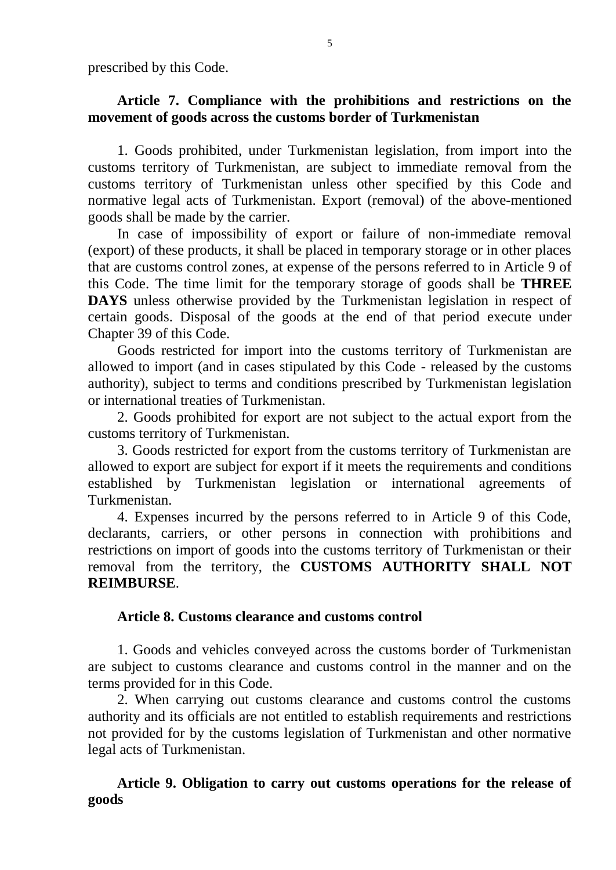prescribed by this Code.

# **Article 7. Compliance with the prohibitions and restrictions on the movement of goods across the customs border of Turkmenistan**

1. Goods prohibited, under Turkmenistan legislation, from import into the customs territory of Turkmenistan, are subject to immediate removal from the customs territory of Turkmenistan unless other specified by this Code and normative legal acts of Turkmenistan. Export (removal) of the above-mentioned goods shall be made by the carrier.

In case of impossibility of export or failure of non-immediate removal (export) of these products, it shall be placed in temporary storage or in other places that are customs control zones, at expense of the persons referred to in Article 9 of this Code. The time limit for the temporary storage of goods shall be **THREE DAYS** unless otherwise provided by the Turkmenistan legislation in respect of certain goods. Disposal of the goods at the end of that period execute under Chapter 39 of this Code.

Goods restricted for import into the customs territory of Turkmenistan are allowed to import (and in cases stipulated by this Code - released by the customs authority), subject to terms and conditions prescribed by Turkmenistan legislation or international treaties of Turkmenistan.

2. Goods prohibited for export are not subject to the actual export from the customs territory of Turkmenistan.

3. Goods restricted for export from the customs territory of Turkmenistan are allowed to export are subject for export if it meets the requirements and conditions established by Turkmenistan legislation or international agreements of Turkmenistan.

4. Expenses incurred by the persons referred to in Article 9 of this Code, declarants, carriers, or other persons in connection with prohibitions and restrictions on import of goods into the customs territory of Turkmenistan or their removal from the territory, the **CUSTOMS AUTHORITY SHALL NOT REIMBURSE**.

# **Article 8. Customs clearance and customs control**

1. Goods and vehicles conveyed across the customs border of Turkmenistan are subject to customs clearance and customs control in the manner and on the terms provided for in this Code.

2. When carrying out customs clearance and customs control the customs authority and its officials are not entitled to establish requirements and restrictions not provided for by the customs legislation of Turkmenistan and other normative legal acts of Turkmenistan.

**Article 9. Obligation to carry out customs operations for the release of goods**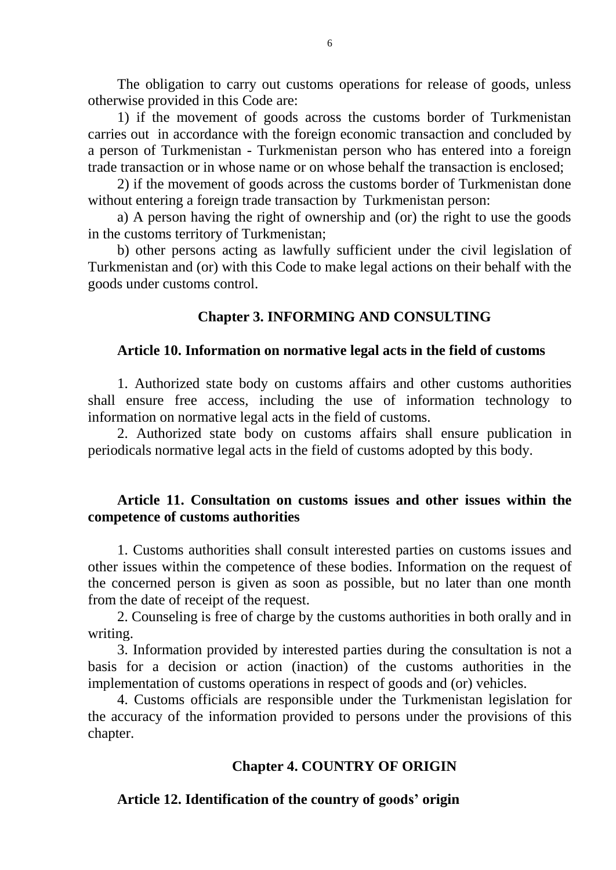The obligation to carry out customs operations for release of goods, unless otherwise provided in this Code are:

1) if the movement of goods across the customs border of Turkmenistan carries out in accordance with the foreign economic transaction and concluded by a person of Turkmenistan - Turkmenistan person who has entered into a foreign trade transaction or in whose name or on whose behalf the transaction is enclosed;

2) if the movement of goods across the customs border of Turkmenistan done without entering a foreign trade transaction by Turkmenistan person:

a) A person having the right of ownership and (or) the right to use the goods in the customs territory of Turkmenistan;

b) other persons acting as lawfully sufficient under the civil legislation of Turkmenistan and (or) with this Code to make legal actions on their behalf with the goods under customs control.

# **Chapter 3. INFORMING AND CONSULTING**

### **Article 10. Information on normative legal acts in the field of customs**

1. Authorized state body on customs affairs and other customs authorities shall ensure free access, including the use of information technology to information on normative legal acts in the field of customs.

2. Authorized state body on customs affairs shall ensure publication in periodicals normative legal acts in the field of customs adopted by this body.

# **Article 11. Consultation on customs issues and other issues within the competence of customs authorities**

1. Customs authorities shall consult interested parties on customs issues and other issues within the competence of these bodies. Information on the request of the concerned person is given as soon as possible, but no later than one month from the date of receipt of the request.

2. Counseling is free of charge by the customs authorities in both orally and in writing.

3. Information provided by interested parties during the consultation is not a basis for a decision or action (inaction) of the customs authorities in the implementation of customs operations in respect of goods and (or) vehicles.

4. Customs officials are responsible under the Turkmenistan legislation for the accuracy of the information provided to persons under the provisions of this chapter.

# **Chapter 4. COUNTRY OF ORIGIN**

# **Article 12. Identification of the country of goods' origin**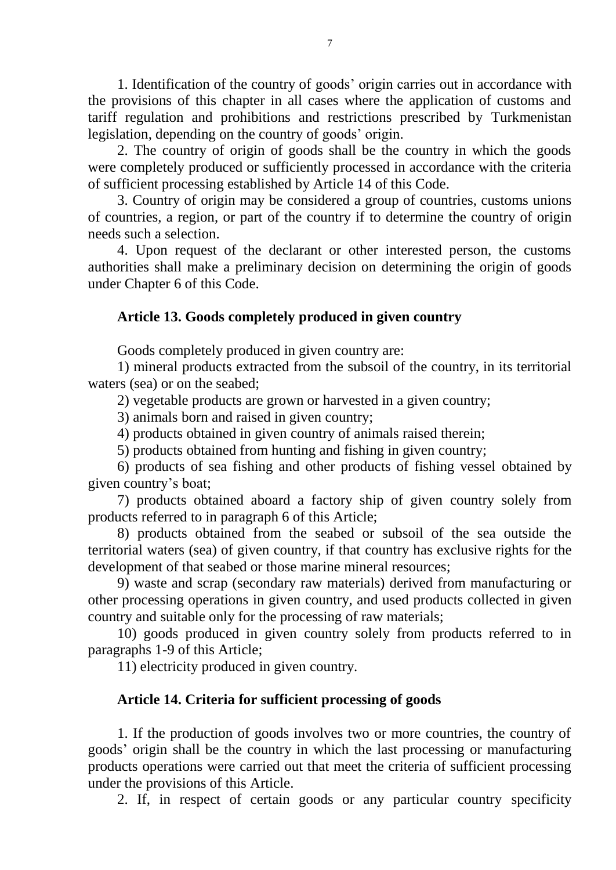1. Identification of the country of goods' origin carries out in accordance with the provisions of this chapter in all cases where the application of customs and tariff regulation and prohibitions and restrictions prescribed by Turkmenistan legislation, depending on the country of goods' origin.

2. The country of origin of goods shall be the country in which the goods were completely produced or sufficiently processed in accordance with the criteria of sufficient processing established by Article 14 of this Code.

3. Country of origin may be considered a group of countries, customs unions of countries, a region, or part of the country if to determine the country of origin needs such a selection.

4. Upon request of the declarant or other interested person, the customs authorities shall make a preliminary decision on determining the origin of goods under Chapter 6 of this Code.

## **Article 13. Goods completely produced in given country**

Goods completely produced in given country are:

1) mineral products extracted from the subsoil of the country, in its territorial waters (sea) or on the seabed;

2) vegetable products are grown or harvested in a given country;

3) animals born and raised in given country;

4) products obtained in given country of animals raised therein;

5) products obtained from hunting and fishing in given country;

6) products of sea fishing and other products of fishing vessel obtained by given country's boat;

7) products obtained aboard a factory ship of given country solely from products referred to in paragraph 6 of this Article;

8) products obtained from the seabed or subsoil of the sea outside the territorial waters (sea) of given country, if that country has exclusive rights for the development of that seabed or those marine mineral resources;

9) waste and scrap (secondary raw materials) derived from manufacturing or other processing operations in given country, and used products collected in given country and suitable only for the processing of raw materials;

10) goods produced in given country solely from products referred to in paragraphs 1-9 of this Article;

11) electricity produced in given country.

# **Article 14. Criteria for sufficient processing of goods**

1. If the production of goods involves two or more countries, the country of goods' origin shall be the country in which the last processing or manufacturing products operations were carried out that meet the criteria of sufficient processing under the provisions of this Article.

2. If, in respect of certain goods or any particular country specificity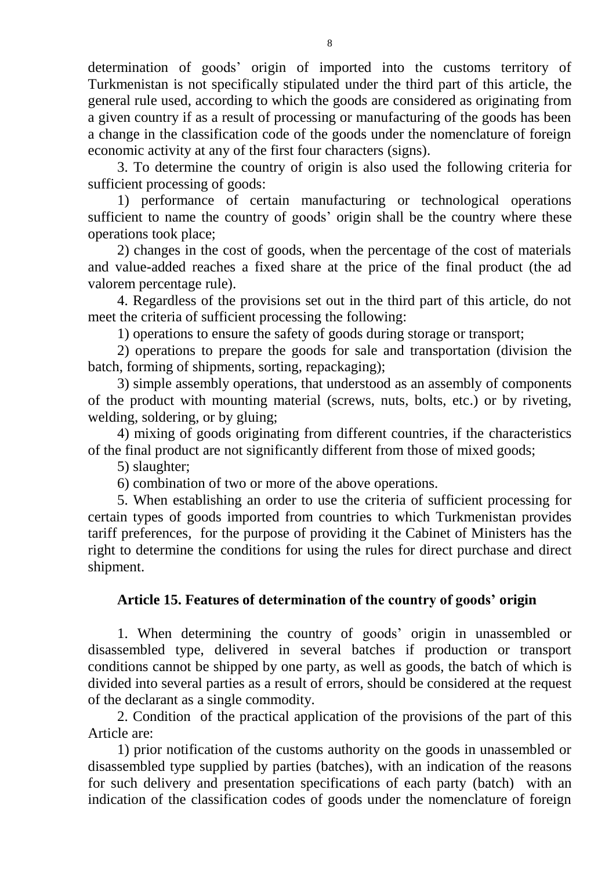determination of goods' origin of imported into the customs territory of Turkmenistan is not specifically stipulated under the third part of this article, the general rule used, according to which the goods are considered as originating from a given country if as a result of processing or manufacturing of the goods has been a change in the classification code of the goods under the nomenclature of foreign economic activity at any of the first four characters (signs).

3. To determine the country of origin is also used the following criteria for sufficient processing of goods:

1) performance of certain manufacturing or technological operations sufficient to name the country of goods' origin shall be the country where these operations took place;

2) changes in the cost of goods, when the percentage of the cost of materials and value-added reaches a fixed share at the price of the final product (the ad valorem percentage rule).

4. Regardless of the provisions set out in the third part of this article, do not meet the criteria of sufficient processing the following:

1) operations to ensure the safety of goods during storage or transport;

2) operations to prepare the goods for sale and transportation (division the batch, forming of shipments, sorting, repackaging);

3) simple assembly operations, that understood as an assembly of components of the product with mounting material (screws, nuts, bolts, etc.) or by riveting, welding, soldering, or by gluing;

4) mixing of goods originating from different countries, if the characteristics of the final product are not significantly different from those of mixed goods;

5) slaughter;

6) combination of two or more of the above operations.

5. When establishing an order to use the criteria of sufficient processing for certain types of goods imported from countries to which Turkmenistan provides tariff preferences, for the purpose of providing it the Cabinet of Ministers has the right to determine the conditions for using the rules for direct purchase and direct shipment.

# **Article 15. Features of determination of the country of goods' origin**

1. When determining the country of goods' origin in unassembled or disassembled type, delivered in several batches if production or transport conditions cannot be shipped by one party, as well as goods, the batch of which is divided into several parties as a result of errors, should be considered at the request of the declarant as a single commodity.

2. Condition of the practical application of the provisions of the part of this Article are:

1) prior notification of the customs authority on the goods in unassembled or disassembled type supplied by parties (batches), with an indication of the reasons for such delivery and presentation specifications of each party (batch) with an indication of the classification codes of goods under the nomenclature of foreign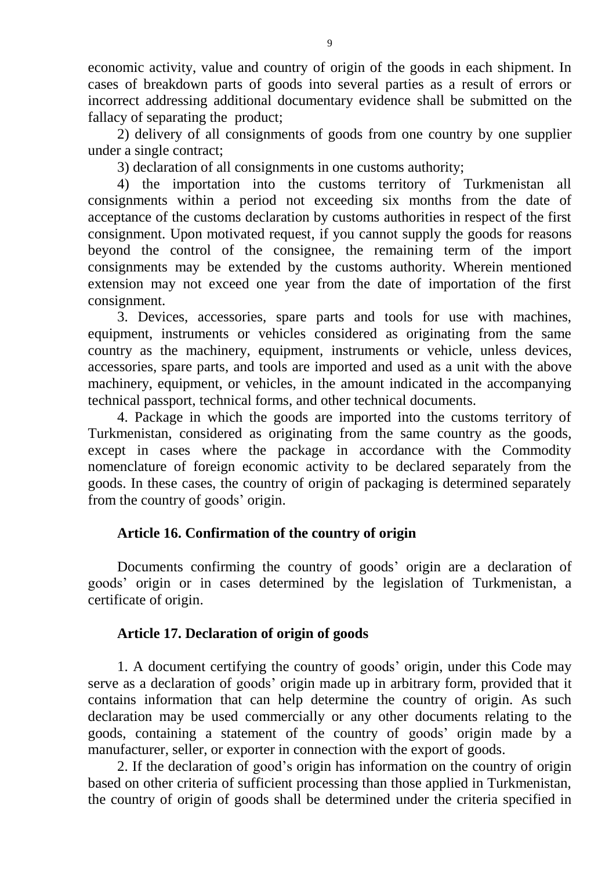economic activity, value and country of origin of the goods in each shipment. In cases of breakdown parts of goods into several parties as a result of errors or incorrect addressing additional documentary evidence shall be submitted on the fallacy of separating the product;

2) delivery of all consignments of goods from one country by one supplier under a single contract;

3) declaration of all consignments in one customs authority;

4) the importation into the customs territory of Turkmenistan all consignments within a period not exceeding six months from the date of acceptance of the customs declaration by customs authorities in respect of the first consignment. Upon motivated request, if you cannot supply the goods for reasons beyond the control of the consignee, the remaining term of the import consignments may be extended by the customs authority. Wherein mentioned extension may not exceed one year from the date of importation of the first consignment.

3. Devices, accessories, spare parts and tools for use with machines, equipment, instruments or vehicles considered as originating from the same country as the machinery, equipment, instruments or vehicle, unless devices, accessories, spare parts, and tools are imported and used as a unit with the above machinery, equipment, or vehicles, in the amount indicated in the accompanying technical passport, technical forms, and other technical documents.

4. Package in which the goods are imported into the customs territory of Turkmenistan, considered as originating from the same country as the goods, except in cases where the package in accordance with the Commodity nomenclature of foreign economic activity to be declared separately from the goods. In these cases, the country of origin of packaging is determined separately from the country of goods' origin.

# **Article 16. Confirmation of the country of origin**

Documents confirming the country of goods' origin are a declaration of goods' origin or in cases determined by the legislation of Turkmenistan, a certificate of origin.

# **Article 17. Declaration of origin of goods**

1. A document certifying the country of goods' origin, under this Code may serve as a declaration of goods' origin made up in arbitrary form, provided that it contains information that can help determine the country of origin. As such declaration may be used commercially or any other documents relating to the goods, containing a statement of the country of goods' origin made by a manufacturer, seller, or exporter in connection with the export of goods.

2. If the declaration of good's origin has information on the country of origin based on other criteria of sufficient processing than those applied in Turkmenistan, the country of origin of goods shall be determined under the criteria specified in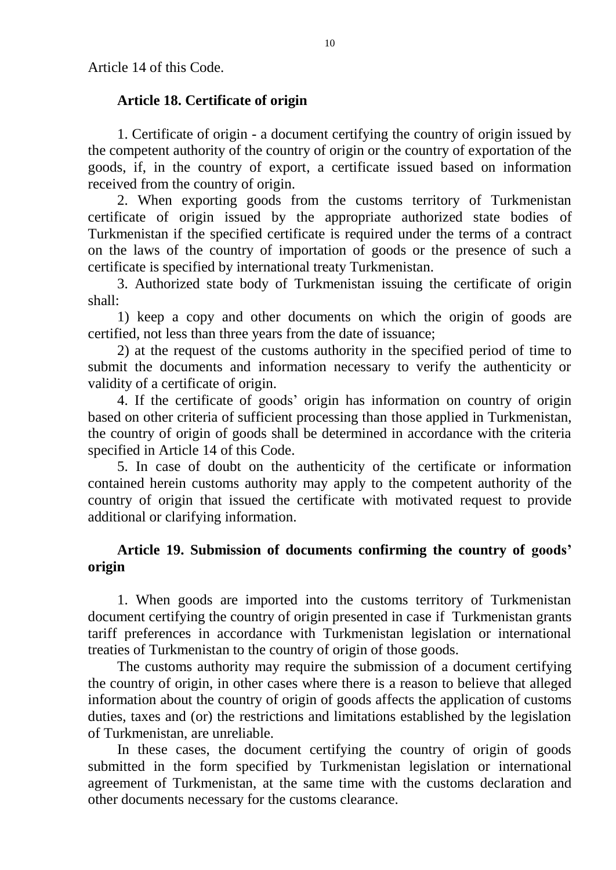Article 14 of this Code.

# **Article 18. Certificate of origin**

1. Certificate of origin - a document certifying the country of origin issued by the competent authority of the country of origin or the country of exportation of the goods, if, in the country of export, a certificate issued based on information received from the country of origin.

2. When exporting goods from the customs territory of Turkmenistan certificate of origin issued by the appropriate authorized state bodies of Turkmenistan if the specified certificate is required under the terms of a contract on the laws of the country of importation of goods or the presence of such a certificate is specified by international treaty Turkmenistan.

3. Authorized state body of Turkmenistan issuing the certificate of origin shall:

1) keep a copy and other documents on which the origin of goods are certified, not less than three years from the date of issuance;

2) at the request of the customs authority in the specified period of time to submit the documents and information necessary to verify the authenticity or validity of a certificate of origin.

4. If the certificate of goods' origin has information on country of origin based on other criteria of sufficient processing than those applied in Turkmenistan, the country of origin of goods shall be determined in accordance with the criteria specified in Article 14 of this Code.

5. In case of doubt on the authenticity of the certificate or information contained herein customs authority may apply to the competent authority of the country of origin that issued the certificate with motivated request to provide additional or clarifying information.

# **Article 19. Submission of documents confirming the country of goods' origin**

1. When goods are imported into the customs territory of Turkmenistan document certifying the country of origin presented in case if Turkmenistan grants tariff preferences in accordance with Turkmenistan legislation or international treaties of Turkmenistan to the country of origin of those goods.

The customs authority may require the submission of a document certifying the country of origin, in other cases where there is a reason to believe that alleged information about the country of origin of goods affects the application of customs duties, taxes and (or) the restrictions and limitations established by the legislation of Turkmenistan, are unreliable.

In these cases, the document certifying the country of origin of goods submitted in the form specified by Turkmenistan legislation or international agreement of Turkmenistan, at the same time with the customs declaration and other documents necessary for the customs clearance.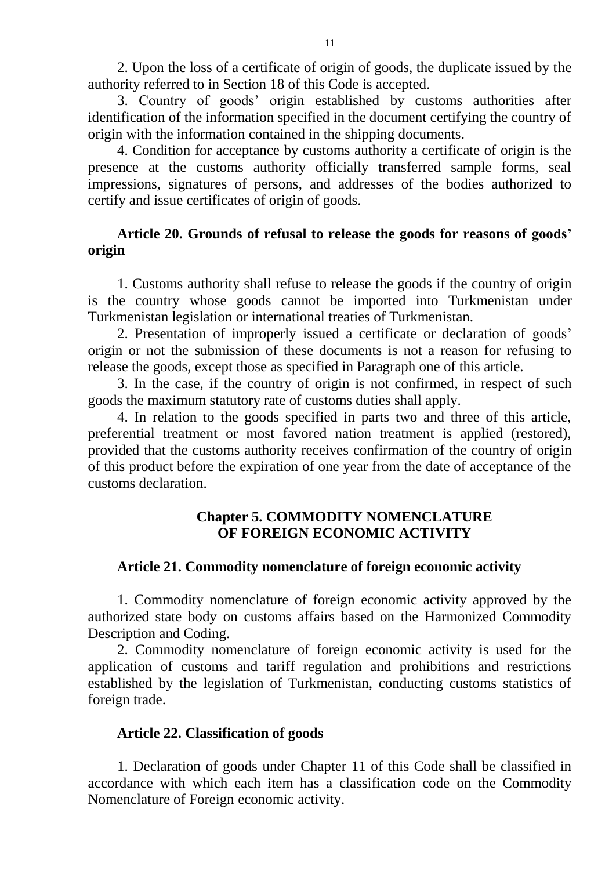2. Upon the loss of a certificate of origin of goods, the duplicate issued by the authority referred to in Section 18 of this Code is accepted.

3. Country of goods' origin established by customs authorities after identification of the information specified in the document certifying the country of origin with the information contained in the shipping documents.

4. Condition for acceptance by customs authority a certificate of origin is the presence at the customs authority officially transferred sample forms, seal impressions, signatures of persons, and addresses of the bodies authorized to certify and issue certificates of origin of goods.

## **Article 20. Grounds of refusal to release the goods for reasons of goods' origin**

1. Customs authority shall refuse to release the goods if the country of origin is the country whose goods cannot be imported into Turkmenistan under Turkmenistan legislation or international treaties of Turkmenistan.

2. Presentation of improperly issued a certificate or declaration of goods' origin or not the submission of these documents is not a reason for refusing to release the goods, except those as specified in Paragraph one of this article.

3. In the case, if the country of origin is not confirmed, in respect of such goods the maximum statutory rate of customs duties shall apply.

4. In relation to the goods specified in parts two and three of this article, preferential treatment or most favored nation treatment is applied (restored), provided that the customs authority receives confirmation of the country of origin of this product before the expiration of one year from the date of acceptance of the customs declaration.

# **Chapter 5. COMMODITY NOMENCLATURE OF FOREIGN ECONOMIC ACTIVITY**

# **Article 21. Commodity nomenclature of foreign economic activity**

1. Commodity nomenclature of foreign economic activity approved by the authorized state body on customs affairs based on the Harmonized Commodity Description and Coding.

2. Commodity nomenclature of foreign economic activity is used for the application of customs and tariff regulation and prohibitions and restrictions established by the legislation of Turkmenistan, conducting customs statistics of foreign trade.

### **Article 22. Classification of goods**

1. Declaration of goods under Chapter 11 of this Code shall be classified in accordance with which each item has a classification code on the Commodity Nomenclature of Foreign economic activity.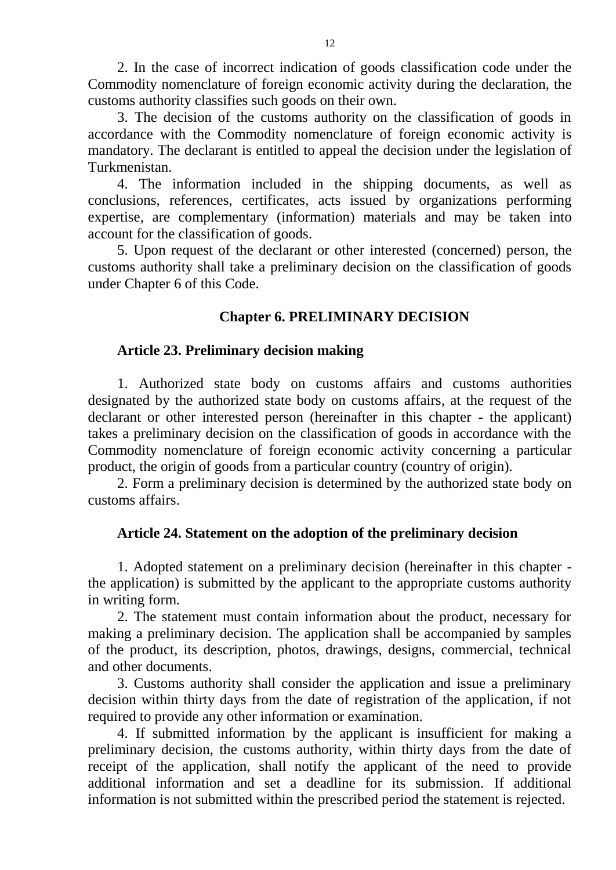2. In the case of incorrect indication of goods classification code under the Commodity nomenclature of foreign economic activity during the declaration, the customs authority classifies such goods on their own.

3. The decision of the customs authority on the classification of goods in accordance with the Commodity nomenclature of foreign economic activity is mandatory. The declarant is entitled to appeal the decision under the legislation of Turkmenistan.

4. The information included in the shipping documents, as well as conclusions, references, certificates, acts issued by organizations performing expertise, are complementary (information) materials and may be taken into account for the classification of goods.

5. Upon request of the declarant or other interested (concerned) person, the customs authority shall take a preliminary decision on the classification of goods under Chapter 6 of this Code.

# **Chapter 6. PRELIMINARY DECISION**

### **Article 23. Preliminary decision making**

1. Authorized state body on customs affairs and customs authorities designated by the authorized state body on customs affairs, at the request of the declarant or other interested person (hereinafter in this chapter - the applicant) takes a preliminary decision on the classification of goods in accordance with the Commodity nomenclature of foreign economic activity concerning a particular product, the origin of goods from a particular country (country of origin).

2. Form a preliminary decision is determined by the authorized state body on customs affairs.

# **Article 24. Statement on the adoption of the preliminary decision**

1. Adopted statement on a preliminary decision (hereinafter in this chapter the application) is submitted by the applicant to the appropriate customs authority in writing form.

2. The statement must contain information about the product, necessary for making a preliminary decision. The application shall be accompanied by samples of the product, its description, photos, drawings, designs, commercial, technical and other documents.

3. Customs authority shall consider the application and issue a preliminary decision within thirty days from the date of registration of the application, if not required to provide any other information or examination.

4. If submitted information by the applicant is insufficient for making a preliminary decision, the customs authority, within thirty days from the date of receipt of the application, shall notify the applicant of the need to provide additional information and set a deadline for its submission. If additional information is not submitted within the prescribed period the statement is rejected.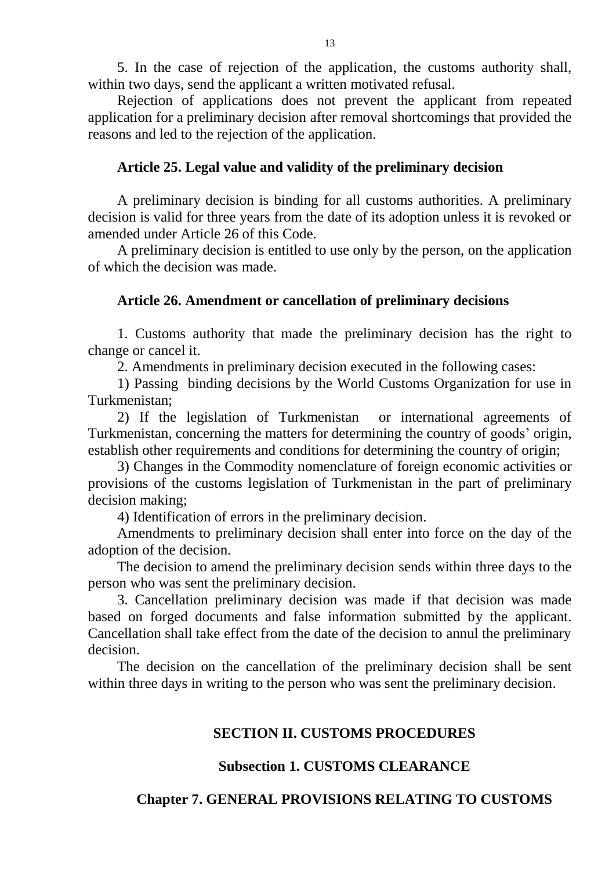5. In the case of rejection of the application, the customs authority shall, within two days, send the applicant a written motivated refusal.

Rejection of applications does not prevent the applicant from repeated application for a preliminary decision after removal shortcomings that provided the reasons and led to the rejection of the application.

#### **Article 25. Legal value and validity of the preliminary decision**

A preliminary decision is binding for all customs authorities. A preliminary decision is valid for three years from the date of its adoption unless it is revoked or amended under Article 26 of this Code.

A preliminary decision is entitled to use only by the person, on the application of which the decision was made.

#### **Article 26. Amendment or cancellation of preliminary decisions**

1. Customs authority that made the preliminary decision has the right to change or cancel it.

2. Amendments in preliminary decision executed in the following cases:

1) Passing binding decisions by the World Customs Organization for use in Turkmenistan;

2) If the legislation of Turkmenistan or international agreements of Turkmenistan, concerning the matters for determining the country of goods' origin, establish other requirements and conditions for determining the country of origin;

3) Changes in the Commodity nomenclature of foreign economic activities or provisions of the customs legislation of Turkmenistan in the part of preliminary decision making;

4) Identification of errors in the preliminary decision.

Amendments to preliminary decision shall enter into force on the day of the adoption of the decision.

The decision to amend the preliminary decision sends within three days to the person who was sent the preliminary decision.

3. Cancellation preliminary decision was made if that decision was made based on forged documents and false information submitted by the applicant. Cancellation shall take effect from the date of the decision to annul the preliminary decision.

The decision on the cancellation of the preliminary decision shall be sent within three days in writing to the person who was sent the preliminary decision.

#### **SECTION II. CUSTOMS PROCEDURES**

#### **Subsection 1. CUSTOMS CLEARANCE**

#### **Chapter 7. GENERAL PROVISIONS RELATING TO CUSTOMS**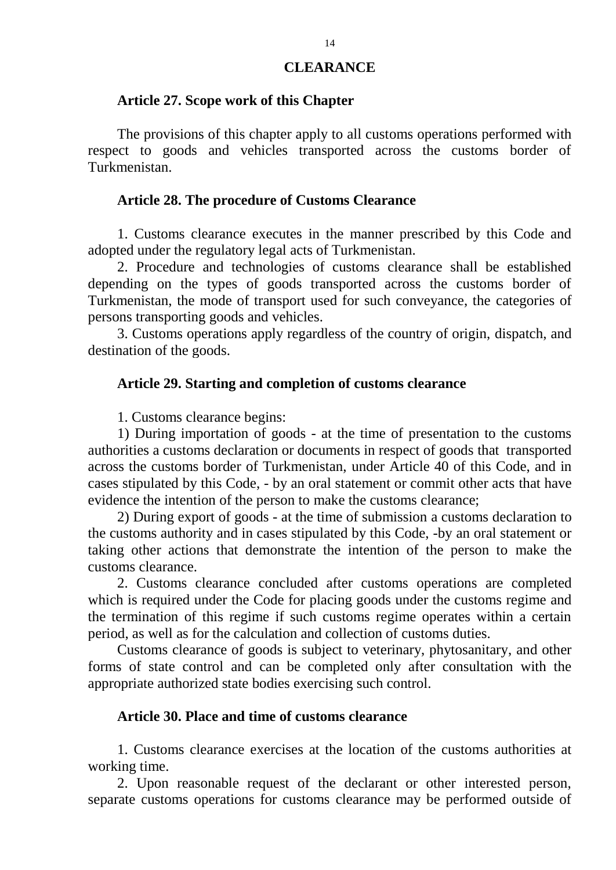#### **CLEARANCE**

#### **Article 27. Scope work of this Chapter**

The provisions of this chapter apply to all customs operations performed with respect to goods and vehicles transported across the customs border of Turkmenistan.

#### **Article 28. The procedure of Customs Clearance**

1. Customs clearance executes in the manner prescribed by this Code and adopted under the regulatory legal acts of Turkmenistan.

2. Procedure and technologies of customs clearance shall be established depending on the types of goods transported across the customs border of Turkmenistan, the mode of transport used for such conveyance, the categories of persons transporting goods and vehicles.

3. Customs operations apply regardless of the country of origin, dispatch, and destination of the goods.

#### **Article 29. Starting and completion of customs clearance**

1. Customs clearance begins:

1) During importation of goods - at the time of presentation to the customs authorities a customs declaration or documents in respect of goods that transported across the customs border of Turkmenistan, under Article 40 of this Code, and in cases stipulated by this Code, - by an oral statement or commit other acts that have evidence the intention of the person to make the customs clearance;

2) During export of goods - at the time of submission a customs declaration to the customs authority and in cases stipulated by this Code, -by an oral statement or taking other actions that demonstrate the intention of the person to make the customs clearance.

2. Customs clearance concluded after customs operations are completed which is required under the Code for placing goods under the customs regime and the termination of this regime if such customs regime operates within a certain period, as well as for the calculation and collection of customs duties.

Customs clearance of goods is subject to veterinary, phytosanitary, and other forms of state control and can be completed only after consultation with the appropriate authorized state bodies exercising such control.

#### **Article 30. Place and time of customs clearance**

1. Customs clearance exercises at the location of the customs authorities at working time.

2. Upon reasonable request of the declarant or other interested person, separate customs operations for customs clearance may be performed outside of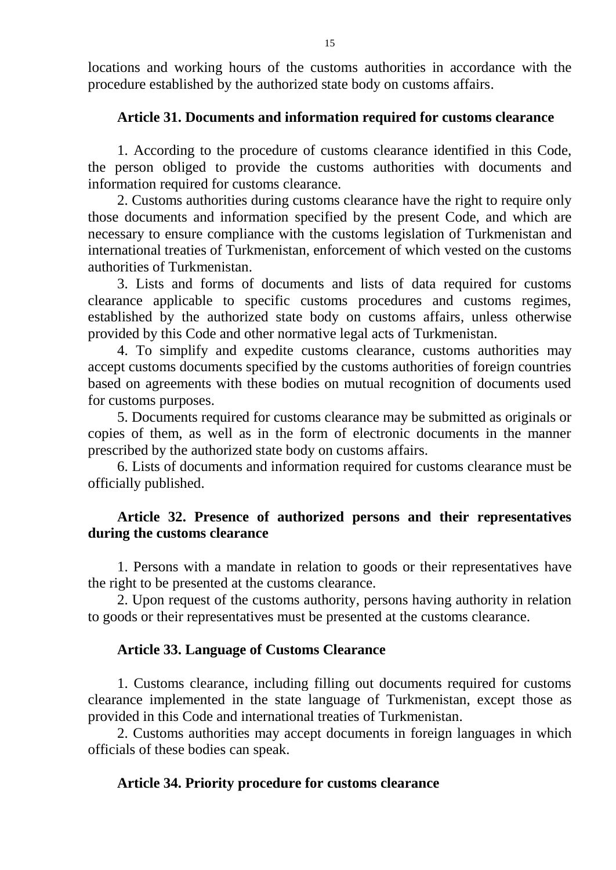locations and working hours of the customs authorities in accordance with the procedure established by the authorized state body on customs affairs.

## **Article 31. Documents and information required for customs clearance**

1. According to the procedure of customs clearance identified in this Code, the person obliged to provide the customs authorities with documents and information required for customs clearance.

2. Customs authorities during customs clearance have the right to require only those documents and information specified by the present Code, and which are necessary to ensure compliance with the customs legislation of Turkmenistan and international treaties of Turkmenistan, enforcement of which vested on the customs authorities of Turkmenistan.

3. Lists and forms of documents and lists of data required for customs clearance applicable to specific customs procedures and customs regimes, established by the authorized state body on customs affairs, unless otherwise provided by this Code and other normative legal acts of Turkmenistan.

4. To simplify and expedite customs clearance, customs authorities may accept customs documents specified by the customs authorities of foreign countries based on agreements with these bodies on mutual recognition of documents used for customs purposes.

5. Documents required for customs clearance may be submitted as originals or copies of them, as well as in the form of electronic documents in the manner prescribed by the authorized state body on customs affairs.

6. Lists of documents and information required for customs clearance must be officially published.

# **Article 32. Presence of authorized persons and their representatives during the customs clearance**

1. Persons with a mandate in relation to goods or their representatives have the right to be presented at the customs clearance.

2. Upon request of the customs authority, persons having authority in relation to goods or their representatives must be presented at the customs clearance.

### **Article 33. Language of Customs Clearance**

1. Customs clearance, including filling out documents required for customs clearance implemented in the state language of Turkmenistan, except those as provided in this Code and international treaties of Turkmenistan.

2. Customs authorities may accept documents in foreign languages in which officials of these bodies can speak.

### **Article 34. Priority procedure for customs clearance**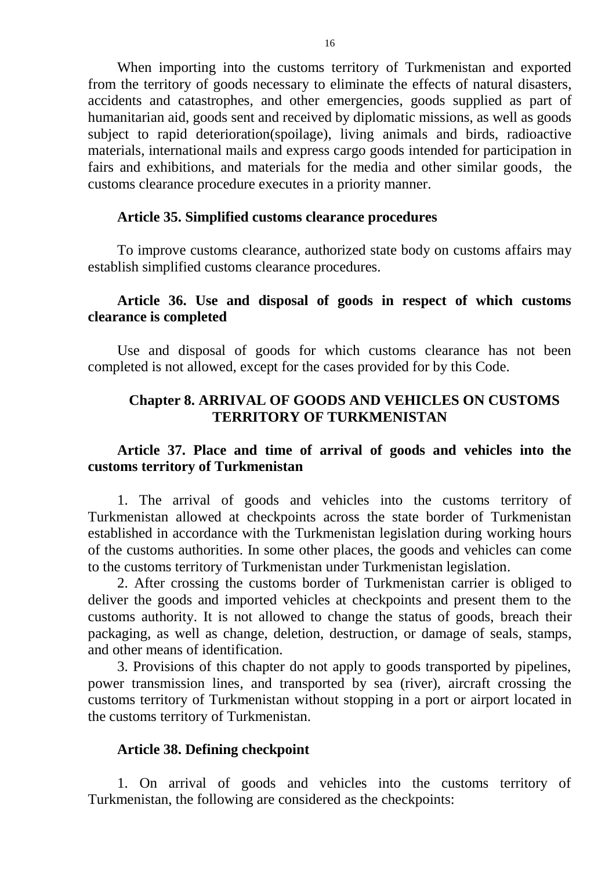When importing into the customs territory of Turkmenistan and exported from the territory of goods necessary to eliminate the effects of natural disasters, accidents and catastrophes, and other emergencies, goods supplied as part of humanitarian aid, goods sent and received by diplomatic missions, as well as goods subject to rapid deterioration(spoilage), living animals and birds, radioactive materials, international mails and express cargo goods intended for participation in fairs and exhibitions, and materials for the media and other similar goods, the customs clearance procedure executes in a priority manner.

#### **Article 35. Simplified customs clearance procedures**

To improve customs clearance, authorized state body on customs affairs may establish simplified customs clearance procedures.

## **Article 36. Use and disposal of goods in respect of which customs clearance is completed**

Use and disposal of goods for which customs clearance has not been completed is not allowed, except for the cases provided for by this Code.

## **Chapter 8. ARRIVAL OF GOODS AND VEHICLES ON CUSTOMS TERRITORY OF TURKMENISTAN**

## **Article 37. Place and time of arrival of goods and vehicles into the customs territory of Turkmenistan**

1. The arrival of goods and vehicles into the customs territory of Turkmenistan allowed at checkpoints across the state border of Turkmenistan established in accordance with the Turkmenistan legislation during working hours of the customs authorities. In some other places, the goods and vehicles can come to the customs territory of Turkmenistan under Turkmenistan legislation.

2. After crossing the customs border of Turkmenistan carrier is obliged to deliver the goods and imported vehicles at checkpoints and present them to the customs authority. It is not allowed to change the status of goods, breach their packaging, as well as change, deletion, destruction, or damage of seals, stamps, and other means of identification.

3. Provisions of this chapter do not apply to goods transported by pipelines, power transmission lines, and transported by sea (river), aircraft crossing the customs territory of Turkmenistan without stopping in a port or airport located in the customs territory of Turkmenistan.

#### **Article 38. Defining checkpoint**

1. On arrival of goods and vehicles into the customs territory of Turkmenistan, the following are considered as the checkpoints: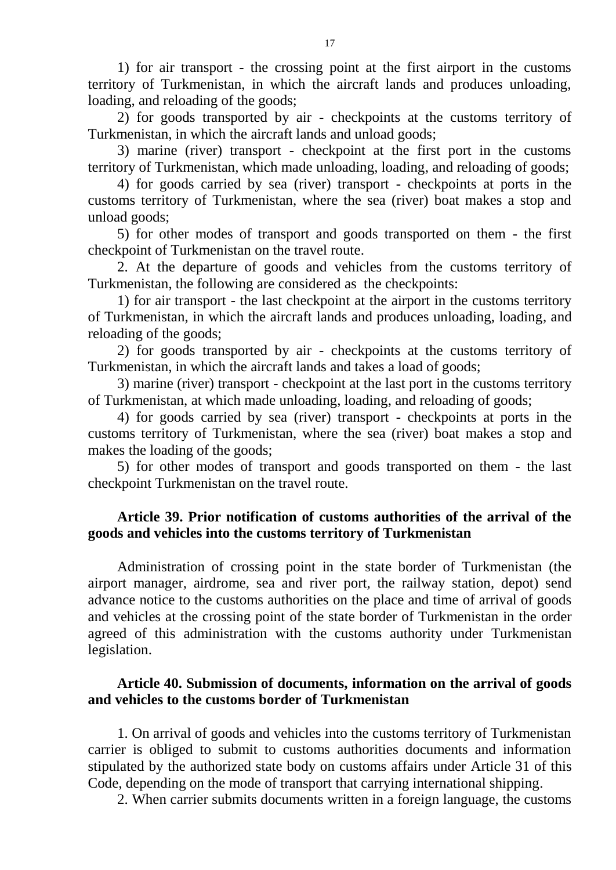1) for air transport - the crossing point at the first airport in the customs territory of Turkmenistan, in which the aircraft lands and produces unloading, loading, and reloading of the goods;

2) for goods transported by air - checkpoints at the customs territory of Turkmenistan, in which the aircraft lands and unload goods;

3) marine (river) transport - checkpoint at the first port in the customs territory of Turkmenistan, which made unloading, loading, and reloading of goods;

4) for goods carried by sea (river) transport - checkpoints at ports in the customs territory of Turkmenistan, where the sea (river) boat makes a stop and unload goods;

5) for other modes of transport and goods transported on them - the first checkpoint of Turkmenistan on the travel route.

2. At the departure of goods and vehicles from the customs territory of Turkmenistan, the following are considered as the checkpoints:

1) for air transport - the last checkpoint at the airport in the customs territory of Turkmenistan, in which the aircraft lands and produces unloading, loading, and reloading of the goods;

2) for goods transported by air - checkpoints at the customs territory of Turkmenistan, in which the aircraft lands and takes a load of goods;

3) marine (river) transport - checkpoint at the last port in the customs territory of Turkmenistan, at which made unloading, loading, and reloading of goods;

4) for goods carried by sea (river) transport - checkpoints at ports in the customs territory of Turkmenistan, where the sea (river) boat makes a stop and makes the loading of the goods;

5) for other modes of transport and goods transported on them - the last checkpoint Turkmenistan on the travel route.

# **Article 39. Prior notification of customs authorities of the arrival of the goods and vehicles into the customs territory of Turkmenistan**

Administration of crossing point in the state border of Turkmenistan (the airport manager, airdrome, sea and river port, the railway station, depot) send advance notice to the customs authorities on the place and time of arrival of goods and vehicles at the crossing point of the state border of Turkmenistan in the order agreed of this administration with the customs authority under Turkmenistan legislation.

# **Article 40. Submission of documents, information on the arrival of goods and vehicles to the customs border of Turkmenistan**

1. On arrival of goods and vehicles into the customs territory of Turkmenistan carrier is obliged to submit to customs authorities documents and information stipulated by the authorized state body on customs affairs under Article 31 of this Code, depending on the mode of transport that carrying international shipping.

2. When carrier submits documents written in a foreign language, the customs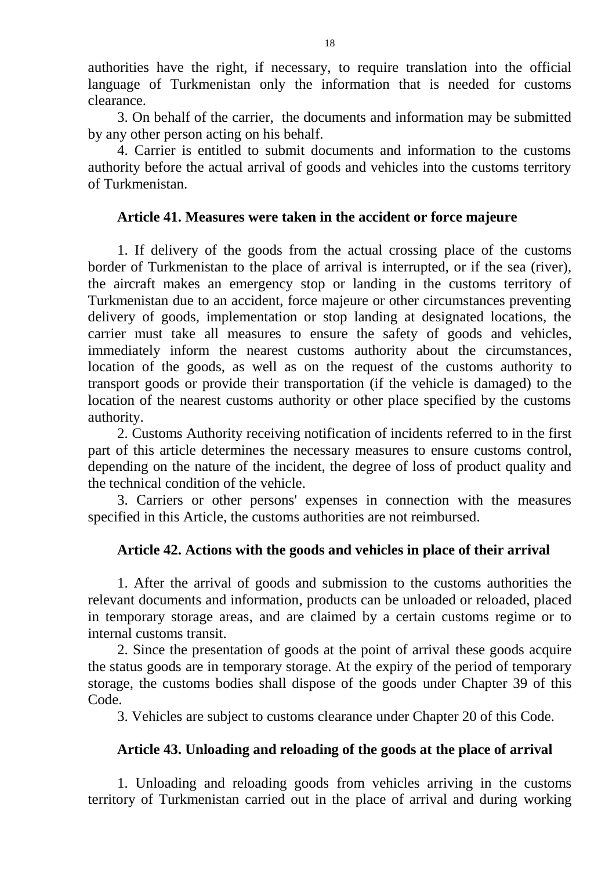authorities have the right, if necessary, to require translation into the official language of Turkmenistan only the information that is needed for customs clearance.

3. On behalf of the carrier, the documents and information may be submitted by any other person acting on his behalf.

4. Carrier is entitled to submit documents and information to the customs authority before the actual arrival of goods and vehicles into the customs territory of Turkmenistan.

# **Article 41. Measures were taken in the accident or force majeure**

1. If delivery of the goods from the actual crossing place of the customs border of Turkmenistan to the place of arrival is interrupted, or if the sea (river), the aircraft makes an emergency stop or landing in the customs territory of Turkmenistan due to an accident, force majeure or other circumstances preventing delivery of goods, implementation or stop landing at designated locations, the carrier must take all measures to ensure the safety of goods and vehicles, immediately inform the nearest customs authority about the circumstances, location of the goods, as well as on the request of the customs authority to transport goods or provide their transportation (if the vehicle is damaged) to the location of the nearest customs authority or other place specified by the customs authority.

2. Customs Authority receiving notification of incidents referred to in the first part of this article determines the necessary measures to ensure customs control, depending on the nature of the incident, the degree of loss of product quality and the technical condition of the vehicle.

3. Carriers or other persons' expenses in connection with the measures specified in this Article, the customs authorities are not reimbursed.

# **Article 42. Actions with the goods and vehicles in place of their arrival**

1. After the arrival of goods and submission to the customs authorities the relevant documents and information, products can be unloaded or reloaded, placed in temporary storage areas, and are claimed by a certain customs regime or to internal customs transit.

2. Since the presentation of goods at the point of arrival these goods acquire the status goods are in temporary storage. At the expiry of the period of temporary storage, the customs bodies shall dispose of the goods under Chapter 39 of this Code.

3. Vehicles are subject to customs clearance under Chapter 20 of this Code.

# **Article 43. Unloading and reloading of the goods at the place of arrival**

1. Unloading and reloading goods from vehicles arriving in the customs territory of Turkmenistan carried out in the place of arrival and during working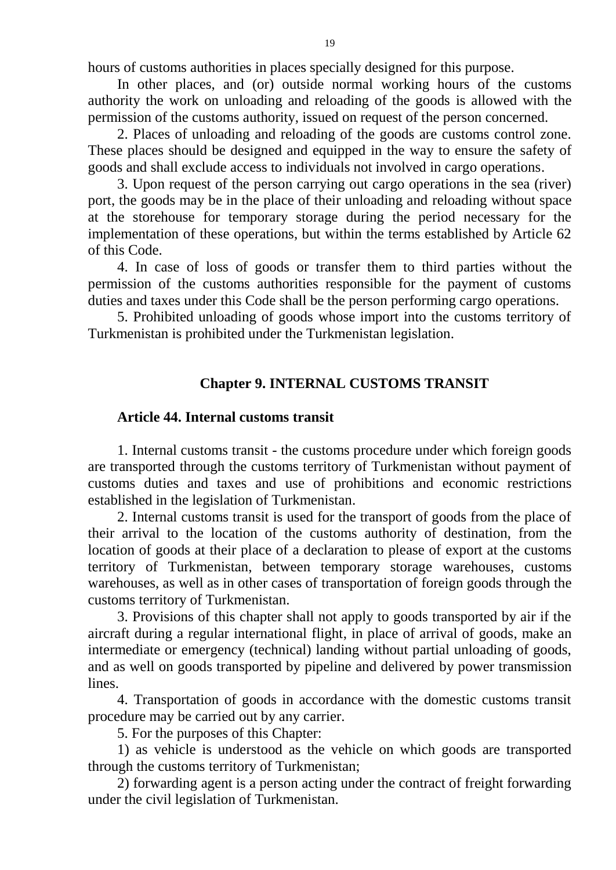hours of customs authorities in places specially designed for this purpose.

In other places, and (or) outside normal working hours of the customs authority the work on unloading and reloading of the goods is allowed with the permission of the customs authority, issued on request of the person concerned.

2. Places of unloading and reloading of the goods are customs control zone. These places should be designed and equipped in the way to ensure the safety of goods and shall exclude access to individuals not involved in cargo operations.

3. Upon request of the person carrying out cargo operations in the sea (river) port, the goods may be in the place of their unloading and reloading without space at the storehouse for temporary storage during the period necessary for the implementation of these operations, but within the terms established by Article 62 of this Code.

4. In case of loss of goods or transfer them to third parties without the permission of the customs authorities responsible for the payment of customs duties and taxes under this Code shall be the person performing cargo operations.

5. Prohibited unloading of goods whose import into the customs territory of Turkmenistan is prohibited under the Turkmenistan legislation.

### **Chapter 9. INTERNAL CUSTOMS TRANSIT**

#### **Article 44. Internal customs transit**

1. Internal customs transit - the customs procedure under which foreign goods are transported through the customs territory of Turkmenistan without payment of customs duties and taxes and use of prohibitions and economic restrictions established in the legislation of Turkmenistan.

2. Internal customs transit is used for the transport of goods from the place of their arrival to the location of the customs authority of destination, from the location of goods at their place of a declaration to please of export at the customs territory of Turkmenistan, between temporary storage warehouses, customs warehouses, as well as in other cases of transportation of foreign goods through the customs territory of Turkmenistan.

3. Provisions of this chapter shall not apply to goods transported by air if the aircraft during a regular international flight, in place of arrival of goods, make an intermediate or emergency (technical) landing without partial unloading of goods, and as well on goods transported by pipeline and delivered by power transmission lines.

4. Transportation of goods in accordance with the domestic customs transit procedure may be carried out by any carrier.

5. For the purposes of this Chapter:

1) as vehicle is understood as the vehicle on which goods are transported through the customs territory of Turkmenistan;

2) forwarding agent is a person acting under the contract of freight forwarding under the civil legislation of Turkmenistan.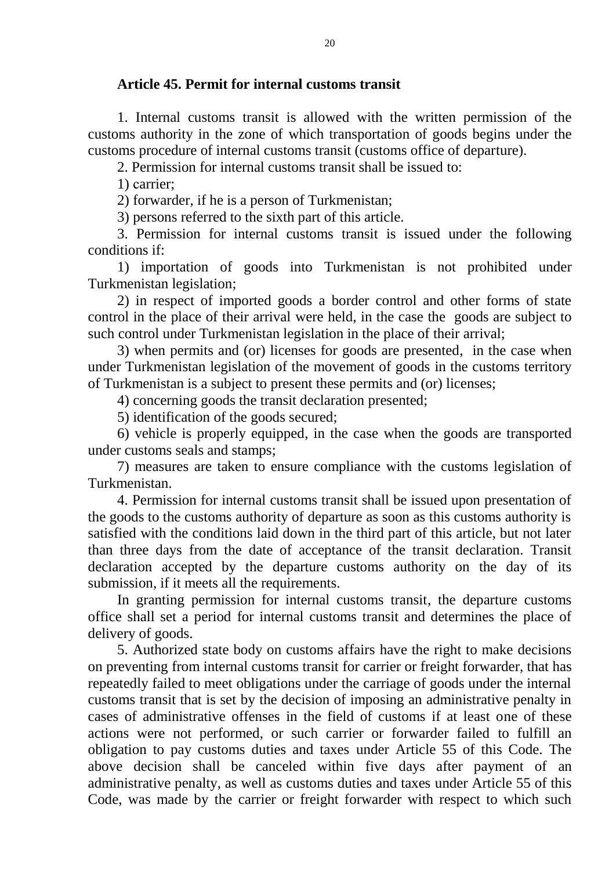## **Article 45. Permit for internal customs transit**

1. Internal customs transit is allowed with the written permission of the customs authority in the zone of which transportation of goods begins under the customs procedure of internal customs transit (customs office of departure).

2. Permission for internal customs transit shall be issued to:

1) сarrier;

2) forwarder, if he is a person of Turkmenistan;

3) persons referred to the sixth part of this article.

3. Permission for internal customs transit is issued under the following conditions if:

1) importation of goods into Turkmenistan is not prohibited under Turkmenistan legislation;

2) in respect of imported goods a border control and other forms of state control in the place of their arrival were held, in the case the goods are subject to such control under Turkmenistan legislation in the place of their arrival;

3) when permits and (or) licenses for goods are presented, in the case when under Turkmenistan legislation of the movement of goods in the customs territory of Turkmenistan is a subject to present these permits and (or) licenses;

4) concerning goods the transit declaration presented;

5) identification of the goods secured;

6) vehicle is properly equipped, in the case when the goods are transported under customs seals and stamps;

7) measures are taken to ensure compliance with the customs legislation of Turkmenistan.

4. Permission for internal customs transit shall be issued upon presentation of the goods to the customs authority of departure as soon as this customs authority is satisfied with the conditions laid down in the third part of this article, but not later than three days from the date of acceptance of the transit declaration. Transit declaration accepted by the departure customs authority on the day of its submission, if it meets all the requirements.

In granting permission for internal customs transit, the departure customs office shall set a period for internal customs transit and determines the place of delivery of goods.

5. Authorized state body on customs affairs have the right to make decisions on preventing from internal customs transit for carrier or freight forwarder, that has repeatedly failed to meet obligations under the carriage of goods under the internal customs transit that is set by the decision of imposing an administrative penalty in cases of administrative offenses in the field of customs if at least one of these actions were not performed, or such carrier or forwarder failed to fulfill an obligation to pay customs duties and taxes under Article 55 of this Code. The above decision shall be canceled within five days after payment of an administrative penalty, as well as customs duties and taxes under Article 55 of this Code, was made by the carrier or freight forwarder with respect to which such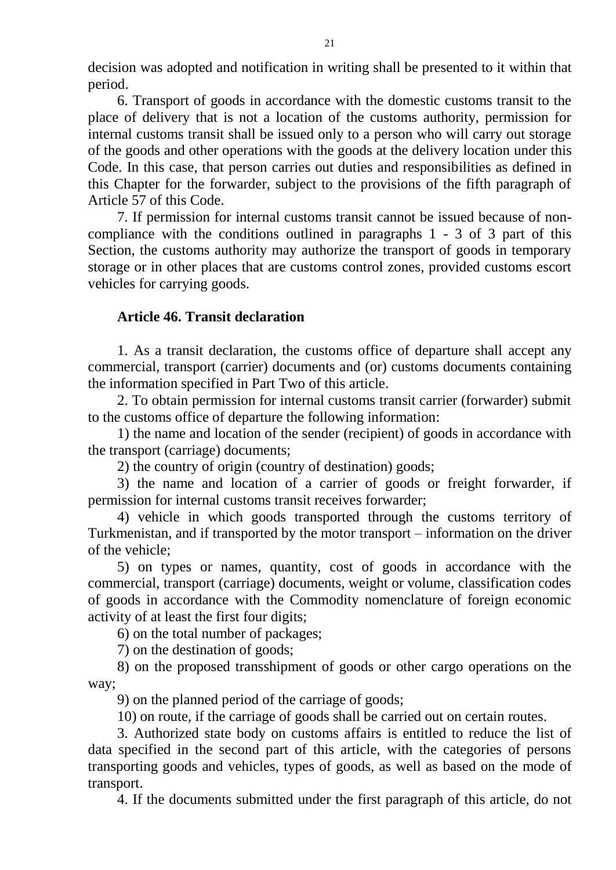decision was adopted and notification in writing shall be presented to it within that period.

6. Transport of goods in accordance with the domestic customs transit to the place of delivery that is not a location of the customs authority, permission for internal customs transit shall be issued only to a person who will carry out storage of the goods and other operations with the goods at the delivery location under this Code. In this case, that person carries out duties and responsibilities as defined in this Chapter for the forwarder, subject to the provisions of the fifth paragraph of Article 57 of this Code.

7. If permission for internal customs transit cannot be issued because of noncompliance with the conditions outlined in paragraphs 1 - 3 of 3 part of this Section, the customs authority may authorize the transport of goods in temporary storage or in other places that are customs control zones, provided customs escort vehicles for carrying goods.

## **Article 46. Transit declaration**

1. As a transit declaration, the customs office of departure shall accept any commercial, transport (carrier) documents and (or) customs documents containing the information specified in Part Two of this article.

2. To obtain permission for internal customs transit carrier (forwarder) submit to the customs office of departure the following information:

1) the name and location of the sender (recipient) of goods in accordance with the transport (carriage) documents;

2) the country of origin (country of destination) goods;

3) the name and location of a carrier of goods or freight forwarder, if permission for internal customs transit receives forwarder;

4) vehicle in which goods transported through the customs territory of Turkmenistan, and if transported by the motor transport – information on the driver of the vehicle;

5) on types or names, quantity, cost of goods in accordance with the commercial, transport (carriage) documents, weight or volume, classification codes of goods in accordance with the Commodity nomenclature of foreign economic activity of at least the first four digits;

6) on the total number of packages;

7) on the destination of goods;

8) on the proposed transshipment of goods or other cargo operations on the way;

9) on the planned period of the carriage of goods;

10) on route, if the carriage of goods shall be carried out on certain routes.

3. Authorized state body on customs affairs is entitled to reduce the list of data specified in the second part of this article, with the categories of persons transporting goods and vehicles, types of goods, as well as based on the mode of transport.

4. If the documents submitted under the first paragraph of this article, do not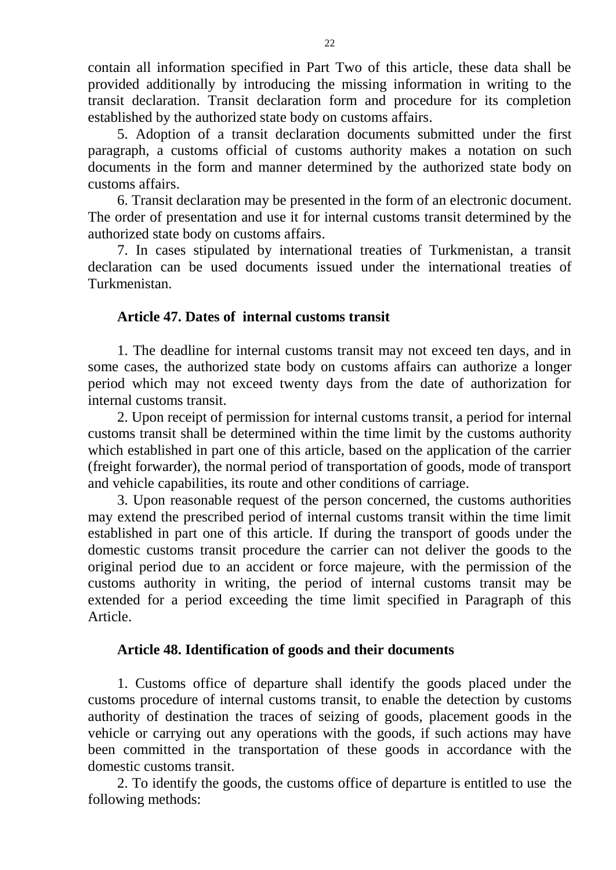contain all information specified in Part Two of this article, these data shall be provided additionally by introducing the missing information in writing to the transit declaration. Transit declaration form and procedure for its completion established by the authorized state body on customs affairs.

5. Adoption of a transit declaration documents submitted under the first paragraph, a customs official of customs authority makes a notation on such documents in the form and manner determined by the authorized state body on customs affairs.

6. Transit declaration may be presented in the form of an electronic document. The order of presentation and use it for internal customs transit determined by the authorized state body on customs affairs.

7. In cases stipulated by international treaties of Turkmenistan, a transit declaration can be used documents issued under the international treaties of Turkmenistan.

## **Article 47. Dates of internal customs transit**

1. The deadline for internal customs transit may not exceed ten days, and in some cases, the authorized state body on customs affairs can authorize a longer period which may not exceed twenty days from the date of authorization for internal customs transit.

2. Upon receipt of permission for internal customs transit, a period for internal customs transit shall be determined within the time limit by the customs authority which established in part one of this article, based on the application of the carrier (freight forwarder), the normal period of transportation of goods, mode of transport and vehicle capabilities, its route and other conditions of carriage.

3. Upon reasonable request of the person concerned, the customs authorities may extend the prescribed period of internal customs transit within the time limit established in part one of this article. If during the transport of goods under the domestic customs transit procedure the carrier can not deliver the goods to the original period due to an accident or force majeure, with the permission of the customs authority in writing, the period of internal customs transit may be extended for a period exceeding the time limit specified in Paragraph of this Article.

### **Article 48. Identification of goods and their documents**

1. Customs office of departure shall identify the goods placed under the customs procedure of internal customs transit, to enable the detection by customs authority of destination the traces of seizing of goods, placement goods in the vehicle or carrying out any operations with the goods, if such actions may have been committed in the transportation of these goods in accordance with the domestic customs transit.

2. To identify the goods, the customs office of departure is entitled to use the following methods: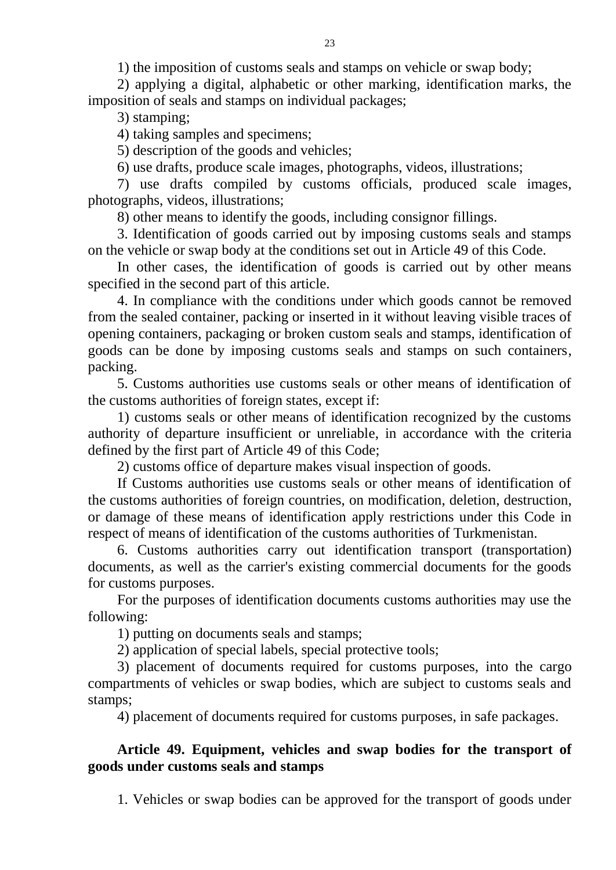1) the imposition of customs seals and stamps on vehicle or swap body;

2) applying a digital, alphabetic or other marking, identification marks, the imposition of seals and stamps on individual packages;

3) stamping;

4) taking samples and specimens;

5) description of the goods and vehicles;

6) use drafts, produce scale images, photographs, videos, illustrations;

7) use drafts compiled by customs officials, produced scale images, photographs, videos, illustrations;

8) other means to identify the goods, including consignor fillings.

3. Identification of goods carried out by imposing customs seals and stamps on the vehicle or swap body at the conditions set out in Article 49 of this Code.

In other cases, the identification of goods is carried out by other means specified in the second part of this article.

4. In compliance with the conditions under which goods cannot be removed from the sealed container, packing or inserted in it without leaving visible traces of opening containers, packaging or broken custom seals and stamps, identification of goods can be done by imposing customs seals and stamps on such containers, packing.

5. Customs authorities use customs seals or other means of identification of the customs authorities of foreign states, except if:

1) customs seals or other means of identification recognized by the customs authority of departure insufficient or unreliable, in accordance with the criteria defined by the first part of Article 49 of this Code;

2) customs office of departure makes visual inspection of goods.

If Customs authorities use customs seals or other means of identification of the customs authorities of foreign countries, on modification, deletion, destruction, or damage of these means of identification apply restrictions under this Code in respect of means of identification of the customs authorities of Turkmenistan.

6. Customs authorities carry out identification transport (transportation) documents, as well as the carrier's existing commercial documents for the goods for customs purposes.

For the purposes of identification documents customs authorities may use the following:

1) putting on documents seals and stamps;

2) application of special labels, special protective tools;

3) placement of documents required for customs purposes, into the cargo compartments of vehicles or swap bodies, which are subject to customs seals and stamps;

4) placement of documents required for customs purposes, in safe packages.

## **Article 49. Equipment, vehicles and swap bodies for the transport of goods under customs seals and stamps**

1. Vehicles or swap bodies can be approved for the transport of goods under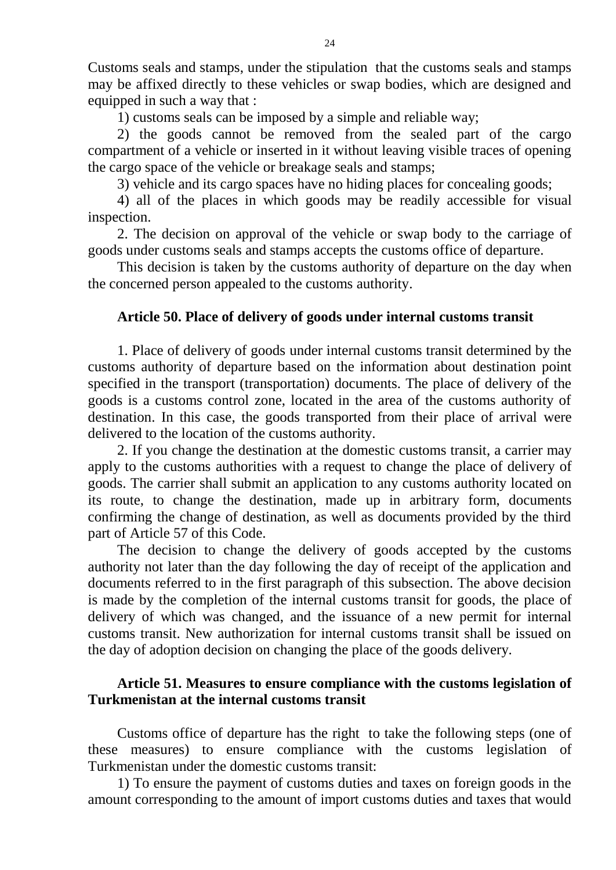Customs seals and stamps, under the stipulation that the customs seals and stamps may be affixed directly to these vehicles or swap bodies, which are designed and equipped in such a way that :

1) customs seals can be imposed by a simple and reliable way;

2) the goods cannot be removed from the sealed part of the cargo compartment of a vehicle or inserted in it without leaving visible traces of opening the cargo space of the vehicle or breakage seals and stamps;

3) vehicle and its cargo spaces have no hiding places for concealing goods;

4) all of the places in which goods may be readily accessible for visual inspection.

2. The decision on approval of the vehicle or swap body to the carriage of goods under customs seals and stamps accepts the customs office of departure.

This decision is taken by the customs authority of departure on the day when the concerned person appealed to the customs authority.

#### **Article 50. Place of delivery of goods under internal customs transit**

1. Place of delivery of goods under internal customs transit determined by the customs authority of departure based on the information about destination point specified in the transport (transportation) documents. The place of delivery of the goods is a customs control zone, located in the area of the customs authority of destination. In this case, the goods transported from their place of arrival were delivered to the location of the customs authority.

2. If you change the destination at the domestic customs transit, a carrier may apply to the customs authorities with a request to change the place of delivery of goods. The carrier shall submit an application to any customs authority located on its route, to change the destination, made up in arbitrary form, documents confirming the change of destination, as well as documents provided by the third part of Article 57 of this Code.

The decision to change the delivery of goods accepted by the customs authority not later than the day following the day of receipt of the application and documents referred to in the first paragraph of this subsection. The above decision is made by the completion of the internal customs transit for goods, the place of delivery of which was changed, and the issuance of a new permit for internal customs transit. New authorization for internal customs transit shall be issued on the day of adoption decision on changing the place of the goods delivery.

### **Article 51. Measures to ensure compliance with the customs legislation of Turkmenistan at the internal customs transit**

Customs office of departure has the right to take the following steps (one of these measures) to ensure compliance with the customs legislation of Turkmenistan under the domestic customs transit:

1) To ensure the payment of customs duties and taxes on foreign goods in the amount corresponding to the amount of import customs duties and taxes that would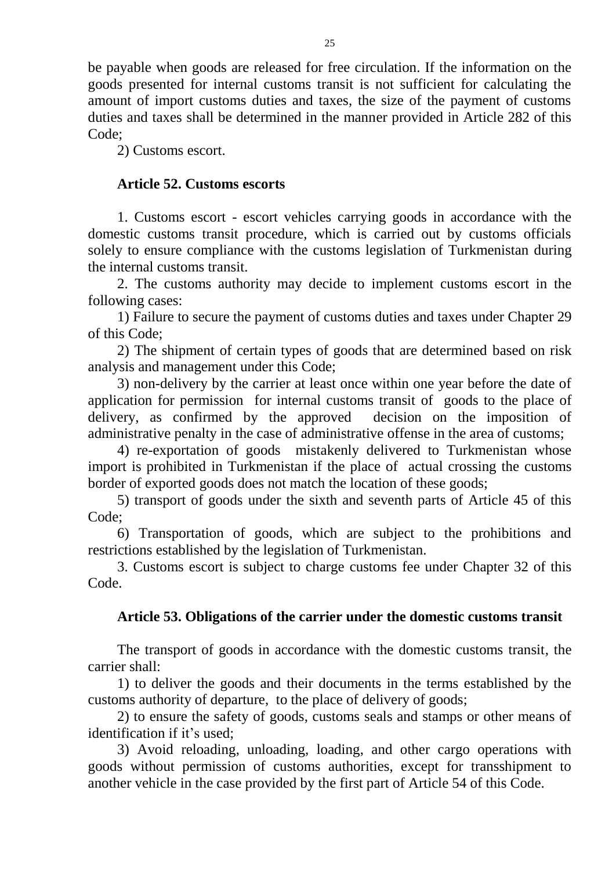be payable when goods are released for free circulation. If the information on the goods presented for internal customs transit is not sufficient for calculating the amount of import customs duties and taxes, the size of the payment of customs duties and taxes shall be determined in the manner provided in Article 282 of this Code;

2) Customs escort.

# **Article 52. Customs escorts**

1. Customs escort - escort vehicles carrying goods in accordance with the domestic customs transit procedure, which is carried out by customs officials solely to ensure compliance with the customs legislation of Turkmenistan during the internal customs transit.

2. The customs authority may decide to implement customs escort in the following cases:

1) Failure to secure the payment of customs duties and taxes under Chapter 29 of this Code;

2) The shipment of certain types of goods that are determined based on risk analysis and management under this Code;

3) non-delivery by the carrier at least once within one year before the date of application for permission for internal customs transit of goods to the place of delivery, as confirmed by the approved decision on the imposition of administrative penalty in the case of administrative offense in the area of customs;

4) re-exportation of goods mistakenly delivered to Turkmenistan whose import is prohibited in Turkmenistan if the place of actual crossing the customs border of exported goods does not match the location of these goods;

5) transport of goods under the sixth and seventh parts of Article 45 of this Code;

6) Transportation of goods, which are subject to the prohibitions and restrictions established by the legislation of Turkmenistan.

3. Customs escort is subject to charge customs fee under Chapter 32 of this Code.

# **Article 53. Obligations of the carrier under the domestic customs transit**

The transport of goods in accordance with the domestic customs transit, the carrier shall:

1) to deliver the goods and their documents in the terms established by the customs authority of departure, to the place of delivery of goods;

2) to ensure the safety of goods, customs seals and stamps or other means of identification if it's used;

3) Avoid reloading, unloading, loading, and other cargo operations with goods without permission of customs authorities, except for transshipment to another vehicle in the case provided by the first part of Article 54 of this Code.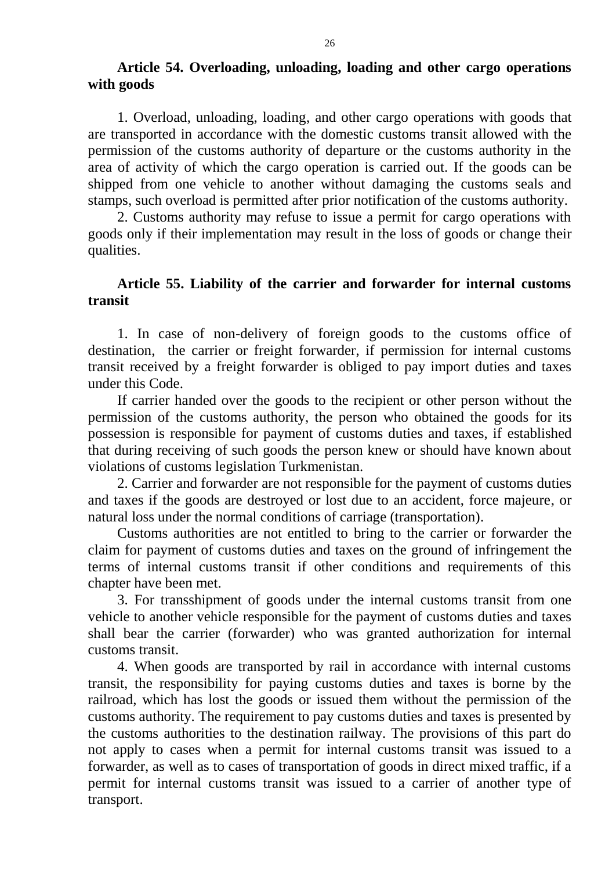## **Article 54. Overloading, unloading, loading and other cargo operations with goods**

1. Overload, unloading, loading, and other cargo operations with goods that are transported in accordance with the domestic customs transit allowed with the permission of the customs authority of departure or the customs authority in the area of activity of which the cargo operation is carried out. If the goods can be shipped from one vehicle to another without damaging the customs seals and stamps, such overload is permitted after prior notification of the customs authority.

2. Customs authority may refuse to issue a permit for cargo operations with goods only if their implementation may result in the loss of goods or change their qualities.

## **Article 55. Liability of the carrier and forwarder for internal customs transit**

1. In case of non-delivery of foreign goods to the customs office of destination, the carrier or freight forwarder, if permission for internal customs transit received by a freight forwarder is obliged to pay import duties and taxes under this Code.

If carrier handed over the goods to the recipient or other person without the permission of the customs authority, the person who obtained the goods for its possession is responsible for payment of customs duties and taxes, if established that during receiving of such goods the person knew or should have known about violations of customs legislation Turkmenistan.

2. Carrier and forwarder are not responsible for the payment of customs duties and taxes if the goods are destroyed or lost due to an accident, force majeure, or natural loss under the normal conditions of carriage (transportation).

Customs authorities are not entitled to bring to the carrier or forwarder the claim for payment of customs duties and taxes on the ground of infringement the terms of internal customs transit if other conditions and requirements of this chapter have been met.

3. For transshipment of goods under the internal customs transit from one vehicle to another vehicle responsible for the payment of customs duties and taxes shall bear the carrier (forwarder) who was granted authorization for internal customs transit.

4. When goods are transported by rail in accordance with internal customs transit, the responsibility for paying customs duties and taxes is borne by the railroad, which has lost the goods or issued them without the permission of the customs authority. The requirement to pay customs duties and taxes is presented by the customs authorities to the destination railway. The provisions of this part do not apply to cases when a permit for internal customs transit was issued to a forwarder, as well as to cases of transportation of goods in direct mixed traffic, if a permit for internal customs transit was issued to a carrier of another type of transport.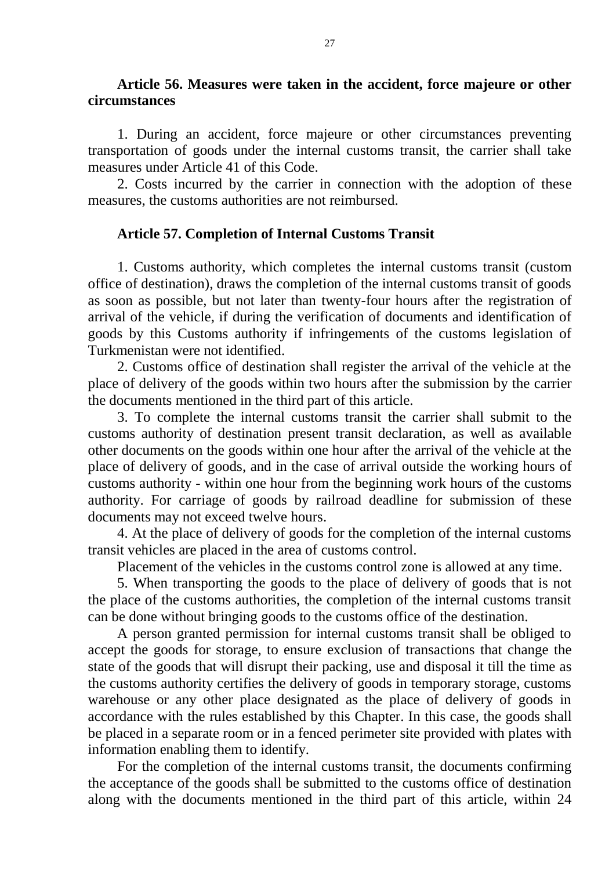#### **Article 56. Measures were taken in the accident, force majeure or other circumstances**

1. During an accident, force majeure or other circumstances preventing transportation of goods under the internal customs transit, the carrier shall take measures under Article 41 of this Code.

2. Costs incurred by the carrier in connection with the adoption of these measures, the customs authorities are not reimbursed.

## **Article 57. Completion of Internal Customs Transit**

1. Customs authority, which completes the internal customs transit (custom office of destination), draws the completion of the internal customs transit of goods as soon as possible, but not later than twenty-four hours after the registration of arrival of the vehicle, if during the verification of documents and identification of goods by this Customs authority if infringements of the customs legislation of Turkmenistan were not identified.

2. Customs office of destination shall register the arrival of the vehicle at the place of delivery of the goods within two hours after the submission by the carrier the documents mentioned in the third part of this article.

3. To complete the internal customs transit the carrier shall submit to the customs authority of destination present transit declaration, as well as available other documents on the goods within one hour after the arrival of the vehicle at the place of delivery of goods, and in the case of arrival outside the working hours of customs authority - within one hour from the beginning work hours of the customs authority. For carriage of goods by railroad deadline for submission of these documents may not exceed twelve hours.

4. At the place of delivery of goods for the completion of the internal customs transit vehicles are placed in the area of customs control.

Placement of the vehicles in the customs control zone is allowed at any time.

5. When transporting the goods to the place of delivery of goods that is not the place of the customs authorities, the completion of the internal customs transit can be done without bringing goods to the customs office of the destination.

A person granted permission for internal customs transit shall be obliged to accept the goods for storage, to ensure exclusion of transactions that change the state of the goods that will disrupt their packing, use and disposal it till the time as the customs authority certifies the delivery of goods in temporary storage, customs warehouse or any other place designated as the place of delivery of goods in accordance with the rules established by this Chapter. In this case, the goods shall be placed in a separate room or in a fenced perimeter site provided with plates with information enabling them to identify.

For the completion of the internal customs transit, the documents confirming the acceptance of the goods shall be submitted to the customs office of destination along with the documents mentioned in the third part of this article, within 24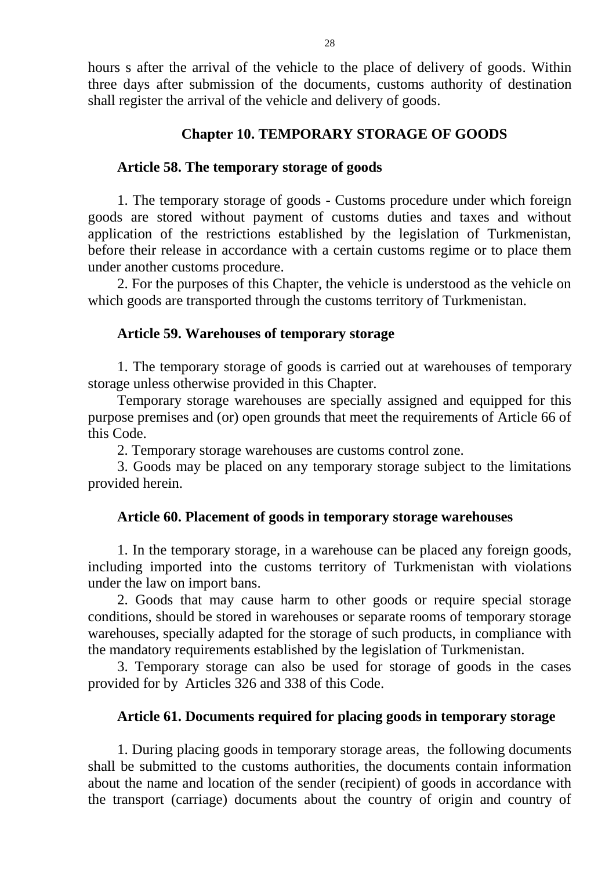hours s after the arrival of the vehicle to the place of delivery of goods. Within three days after submission of the documents, customs authority of destination shall register the arrival of the vehicle and delivery of goods.

## **Chapter 10. TEMPORARY STORAGE OF GOODS**

## **Article 58. The temporary storage of goods**

1. The temporary storage of goods - Customs procedure under which foreign goods are stored without payment of customs duties and taxes and without application of the restrictions established by the legislation of Turkmenistan, before their release in accordance with a certain customs regime or to place them under another customs procedure.

2. For the purposes of this Chapter, the vehicle is understood as the vehicle on which goods are transported through the customs territory of Turkmenistan.

### **Article 59. Warehouses of temporary storage**

1. The temporary storage of goods is carried out at warehouses of temporary storage unless otherwise provided in this Chapter.

Temporary storage warehouses are specially assigned and equipped for this purpose premises and (or) open grounds that meet the requirements of Article 66 of this Code.

2. Temporary storage warehouses are customs control zone.

3. Goods may be placed on any temporary storage subject to the limitations provided herein.

# **Article 60. Placement of goods in temporary storage warehouses**

1. In the temporary storage, in a warehouse can be placed any foreign goods, including imported into the customs territory of Turkmenistan with violations under the law on import bans.

2. Goods that may cause harm to other goods or require special storage conditions, should be stored in warehouses or separate rooms of temporary storage warehouses, specially adapted for the storage of such products, in compliance with the mandatory requirements established by the legislation of Turkmenistan.

3. Temporary storage can also be used for storage of goods in the cases provided for by Articles 326 and 338 of this Code.

# **Article 61. Documents required for placing goods in temporary storage**

1. During placing goods in temporary storage areas, the following documents shall be submitted to the customs authorities, the documents contain information about the name and location of the sender (recipient) of goods in accordance with the transport (carriage) documents about the country of origin and country of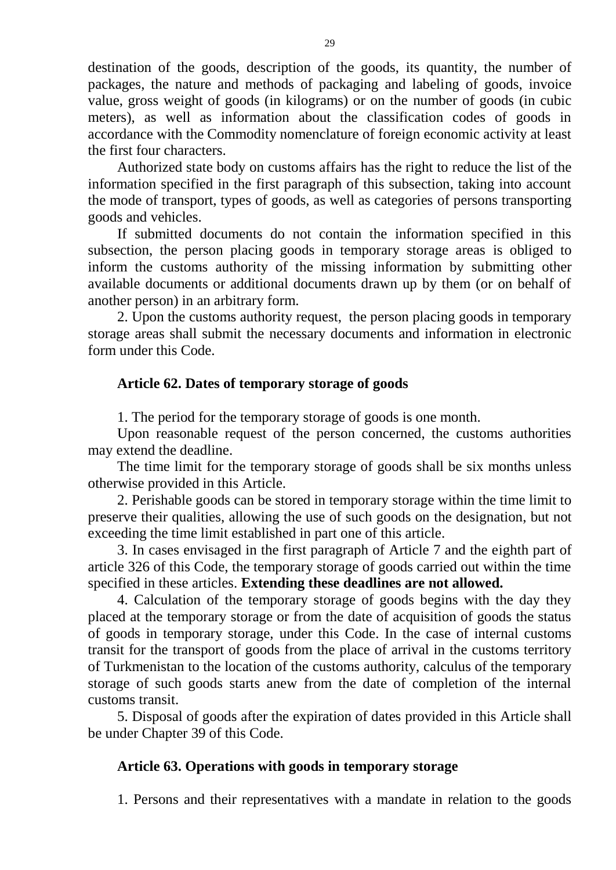destination of the goods, description of the goods, its quantity, the number of packages, the nature and methods of packaging and labeling of goods, invoice value, gross weight of goods (in kilograms) or on the number of goods (in cubic meters), as well as information about the classification codes of goods in accordance with the Commodity nomenclature of foreign economic activity at least the first four characters.

Authorized state body on customs affairs has the right to reduce the list of the information specified in the first paragraph of this subsection, taking into account the mode of transport, types of goods, as well as categories of persons transporting goods and vehicles.

If submitted documents do not contain the information specified in this subsection, the person placing goods in temporary storage areas is obliged to inform the customs authority of the missing information by submitting other available documents or additional documents drawn up by them (or on behalf of another person) in an arbitrary form.

2. Upon the customs authority request, the person placing goods in temporary storage areas shall submit the necessary documents and information in electronic form under this Code.

## **Article 62. Dates of temporary storage of goods**

1. The period for the temporary storage of goods is one month.

Upon reasonable request of the person concerned, the customs authorities may extend the deadline.

The time limit for the temporary storage of goods shall be six months unless otherwise provided in this Article.

2. Perishable goods can be stored in temporary storage within the time limit to preserve their qualities, allowing the use of such goods on the designation, but not exceeding the time limit established in part one of this article.

3. In cases envisaged in the first paragraph of Article 7 and the eighth part of article 326 of this Code, the temporary storage of goods carried out within the time specified in these articles. **Extending these deadlines are not allowed.** 

4. Calculation of the temporary storage of goods begins with the day they placed at the temporary storage or from the date of acquisition of goods the status of goods in temporary storage, under this Code. In the case of internal customs transit for the transport of goods from the place of arrival in the customs territory of Turkmenistan to the location of the customs authority, calculus of the temporary storage of such goods starts anew from the date of completion of the internal customs transit.

5. Disposal of goods after the expiration of dates provided in this Article shall be under Chapter 39 of this Code.

# **Article 63. Operations with goods in temporary storage**

1. Persons and their representatives with a mandate in relation to the goods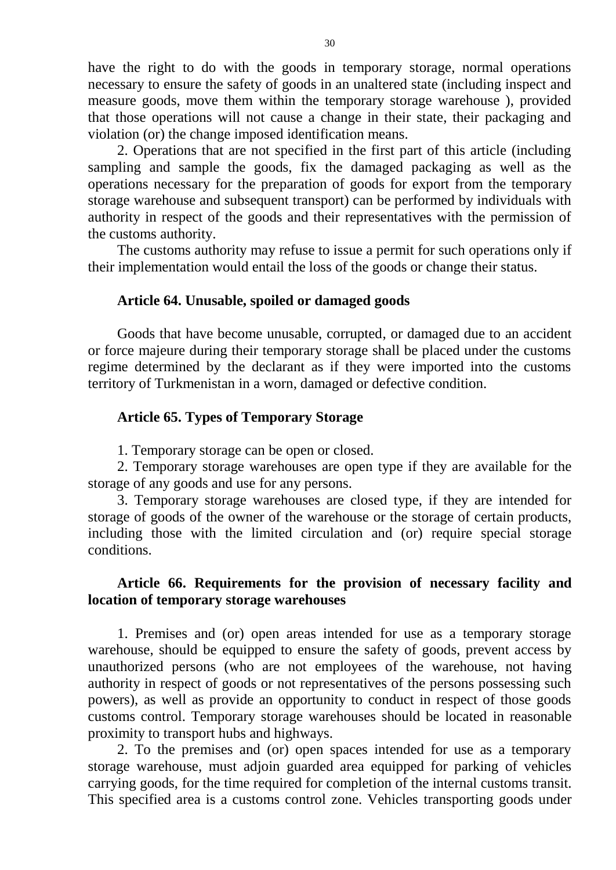have the right to do with the goods in temporary storage, normal operations necessary to ensure the safety of goods in an unaltered state (including inspect and measure goods, move them within the temporary storage warehouse ), provided that those operations will not cause a change in their state, their packaging and violation (or) the change imposed identification means.

2. Operations that are not specified in the first part of this article (including sampling and sample the goods, fix the damaged packaging as well as the operations necessary for the preparation of goods for export from the temporary storage warehouse and subsequent transport) can be performed by individuals with authority in respect of the goods and their representatives with the permission of the customs authority.

The customs authority may refuse to issue a permit for such operations only if their implementation would entail the loss of the goods or change their status.

#### **Article 64. Unusable, spoiled or damaged goods**

Goods that have become unusable, corrupted, or damaged due to an accident or force majeure during their temporary storage shall be placed under the customs regime determined by the declarant as if they were imported into the customs territory of Turkmenistan in a worn, damaged or defective condition.

### **Article 65. Types of Temporary Storage**

1. Temporary storage can be open or closed.

2. Temporary storage warehouses are open type if they are available for the storage of any goods and use for any persons.

3. Temporary storage warehouses are closed type, if they are intended for storage of goods of the owner of the warehouse or the storage of certain products, including those with the limited circulation and (or) require special storage conditions.

## **Article 66. Requirements for the provision of necessary facility and location of temporary storage warehouses**

1. Premises and (or) open areas intended for use as a temporary storage warehouse, should be equipped to ensure the safety of goods, prevent access by unauthorized persons (who are not employees of the warehouse, not having authority in respect of goods or not representatives of the persons possessing such powers), as well as provide an opportunity to conduct in respect of those goods customs control. Temporary storage warehouses should be located in reasonable proximity to transport hubs and highways.

2. To the premises and (or) open spaces intended for use as a temporary storage warehouse, must adjoin guarded area equipped for parking of vehicles carrying goods, for the time required for completion of the internal customs transit. This specified area is a customs control zone. Vehicles transporting goods under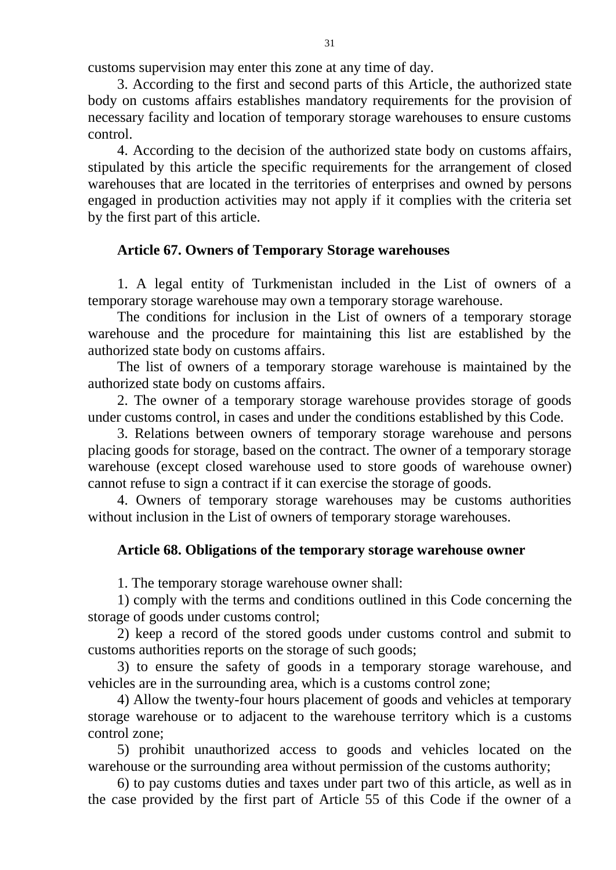customs supervision may enter this zone at any time of day.

3. According to the first and second parts of this Article, the authorized state body on customs affairs establishes mandatory requirements for the provision of necessary facility and location of temporary storage warehouses to ensure customs control.

4. According to the decision of the authorized state body on customs affairs, stipulated by this article the specific requirements for the arrangement of closed warehouses that are located in the territories of enterprises and owned by persons engaged in production activities may not apply if it complies with the criteria set by the first part of this article.

## **Article 67. Owners of Temporary Storage warehouses**

1. A legal entity of Turkmenistan included in the List of owners of a temporary storage warehouse may own a temporary storage warehouse.

The conditions for inclusion in the List of owners of a temporary storage warehouse and the procedure for maintaining this list are established by the authorized state body on customs affairs.

The list of owners of a temporary storage warehouse is maintained by the authorized state body on customs affairs.

2. The owner of a temporary storage warehouse provides storage of goods under customs control, in cases and under the conditions established by this Code.

3. Relations between owners of temporary storage warehouse and persons placing goods for storage, based on the contract. The owner of a temporary storage warehouse (except closed warehouse used to store goods of warehouse owner) cannot refuse to sign a contract if it can exercise the storage of goods.

4. Owners of temporary storage warehouses may be customs authorities without inclusion in the List of owners of temporary storage warehouses.

# **Article 68. Obligations of the temporary storage warehouse owner**

1. The temporary storage warehouse owner shall:

1) comply with the terms and conditions outlined in this Code concerning the storage of goods under customs control;

2) keep a record of the stored goods under customs control and submit to customs authorities reports on the storage of such goods;

3) to ensure the safety of goods in a temporary storage warehouse, and vehicles are in the surrounding area, which is a customs control zone;

4) Allow the twenty-four hours placement of goods and vehicles at temporary storage warehouse or to adjacent to the warehouse territory which is a customs control zone;

5) prohibit unauthorized access to goods and vehicles located on the warehouse or the surrounding area without permission of the customs authority;

6) to pay customs duties and taxes under part two of this article, as well as in the case provided by the first part of Article 55 of this Code if the owner of a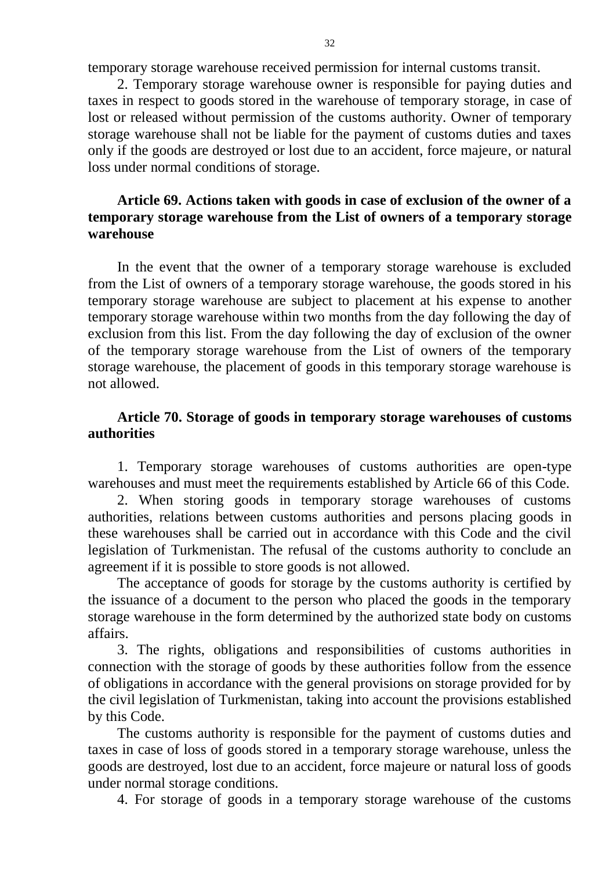temporary storage warehouse received permission for internal customs transit.

2. Temporary storage warehouse owner is responsible for paying duties and taxes in respect to goods stored in the warehouse of temporary storage, in case of lost or released without permission of the customs authority. Owner of temporary storage warehouse shall not be liable for the payment of customs duties and taxes only if the goods are destroyed or lost due to an accident, force majeure, or natural loss under normal conditions of storage.

## **Article 69. Actions taken with goods in case of exclusion of the owner of a temporary storage warehouse from the List of owners of a temporary storage warehouse**

In the event that the owner of a temporary storage warehouse is excluded from the List of owners of a temporary storage warehouse, the goods stored in his temporary storage warehouse are subject to placement at his expense to another temporary storage warehouse within two months from the day following the day of exclusion from this list. From the day following the day of exclusion of the owner of the temporary storage warehouse from the List of owners of the temporary storage warehouse, the placement of goods in this temporary storage warehouse is not allowed.

## **Article 70. Storage of goods in temporary storage warehouses of customs authorities**

1. Temporary storage warehouses of customs authorities are open-type warehouses and must meet the requirements established by Article 66 of this Code.

2. When storing goods in temporary storage warehouses of customs authorities, relations between customs authorities and persons placing goods in these warehouses shall be carried out in accordance with this Code and the civil legislation of Turkmenistan. The refusal of the customs authority to conclude an agreement if it is possible to store goods is not allowed.

The acceptance of goods for storage by the customs authority is certified by the issuance of a document to the person who placed the goods in the temporary storage warehouse in the form determined by the authorized state body on customs affairs.

3. The rights, obligations and responsibilities of customs authorities in connection with the storage of goods by these authorities follow from the essence of obligations in accordance with the general provisions on storage provided for by the civil legislation of Turkmenistan, taking into account the provisions established by this Code.

The customs authority is responsible for the payment of customs duties and taxes in case of loss of goods stored in a temporary storage warehouse, unless the goods are destroyed, lost due to an accident, force majeure or natural loss of goods under normal storage conditions.

4. For storage of goods in a temporary storage warehouse of the customs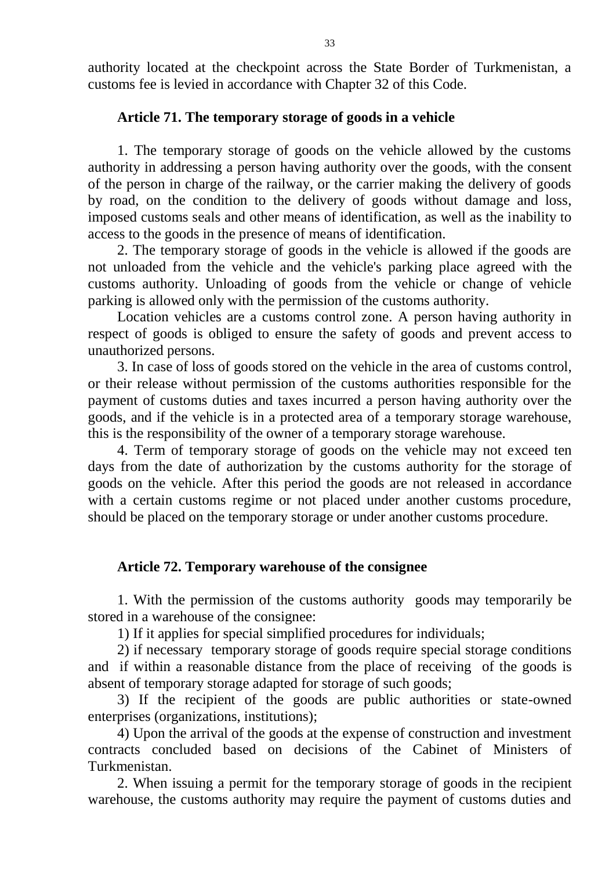authority located at the checkpoint across the State Border of Turkmenistan, a customs fee is levied in accordance with Chapter 32 of this Code.

#### **Article 71. The temporary storage of goods in a vehicle**

1. The temporary storage of goods on the vehicle allowed by the customs authority in addressing a person having authority over the goods, with the consent of the person in charge of the railway, or the carrier making the delivery of goods by road, on the condition to the delivery of goods without damage and loss, imposed customs seals and other means of identification, as well as the inability to access to the goods in the presence of means of identification.

2. The temporary storage of goods in the vehicle is allowed if the goods are not unloaded from the vehicle and the vehicle's parking place agreed with the customs authority. Unloading of goods from the vehicle or change of vehicle parking is allowed only with the permission of the customs authority.

Location vehicles are a customs control zone. A person having authority in respect of goods is obliged to ensure the safety of goods and prevent access to unauthorized persons.

3. In case of loss of goods stored on the vehicle in the area of customs control, or their release without permission of the customs authorities responsible for the payment of customs duties and taxes incurred a person having authority over the goods, and if the vehicle is in a protected area of a temporary storage warehouse, this is the responsibility of the owner of a temporary storage warehouse.

4. Term of temporary storage of goods on the vehicle may not exceed ten days from the date of authorization by the customs authority for the storage of goods on the vehicle. After this period the goods are not released in accordance with a certain customs regime or not placed under another customs procedure, should be placed on the temporary storage or under another customs procedure.

#### **Article 72. Temporary warehouse of the consignee**

1. With the permission of the customs authority goods may temporarily be stored in a warehouse of the consignee:

1) If it applies for special simplified procedures for individuals;

2) if necessary temporary storage of goods require special storage conditions and if within a reasonable distance from the place of receiving of the goods is absent of temporary storage adapted for storage of such goods;

3) If the recipient of the goods are public authorities or state-owned enterprises (organizations, institutions);

4) Upon the arrival of the goods at the expense of construction and investment contracts concluded based on decisions of the Cabinet of Ministers of Turkmenistan.

2. When issuing a permit for the temporary storage of goods in the recipient warehouse, the customs authority may require the payment of customs duties and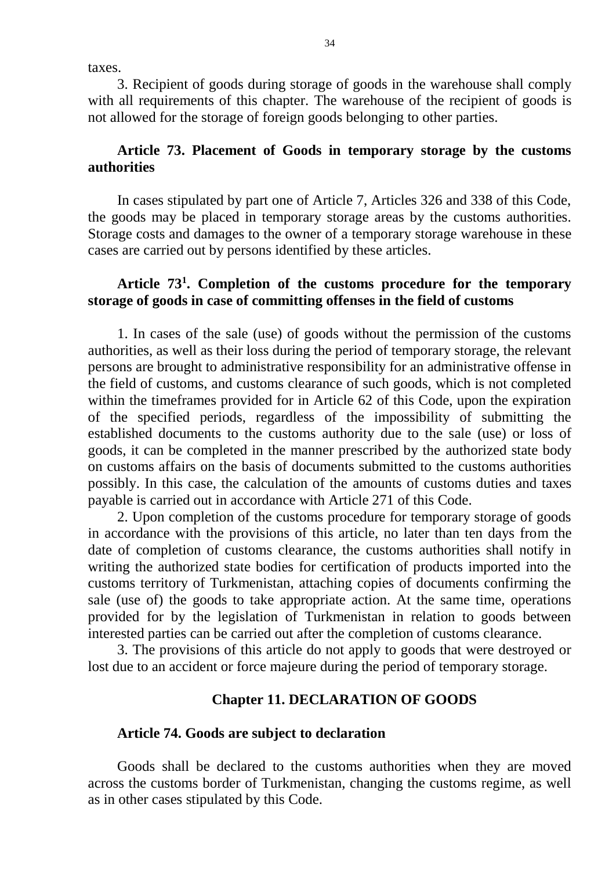taxes.

3. Recipient of goods during storage of goods in the warehouse shall comply with all requirements of this chapter. The warehouse of the recipient of goods is not allowed for the storage of foreign goods belonging to other parties.

## **Article 73. Placement of Goods in temporary storage by the customs authorities**

In cases stipulated by part one of Article 7, Articles 326 and 338 of this Code, the goods may be placed in temporary storage areas by the customs authorities. Storage costs and damages to the owner of a temporary storage warehouse in these cases are carried out by persons identified by these articles.

## **Article 73<sup>1</sup> . Completion of the customs procedure for the temporary storage of goods in case of committing offenses in the field of customs**

1. In cases of the sale (use) of goods without the permission of the customs authorities, as well as their loss during the period of temporary storage, the relevant persons are brought to administrative responsibility for an administrative offense in the field of customs, and customs clearance of such goods, which is not completed within the timeframes provided for in Article 62 of this Code, upon the expiration of the specified periods, regardless of the impossibility of submitting the established documents to the customs authority due to the sale (use) or loss of goods, it can be completed in the manner prescribed by the authorized state body on customs affairs on the basis of documents submitted to the customs authorities possibly. In this case, the calculation of the amounts of customs duties and taxes payable is carried out in accordance with Article 271 of this Code.

2. Upon completion of the customs procedure for temporary storage of goods in accordance with the provisions of this article, no later than ten days from the date of completion of customs clearance, the customs authorities shall notify in writing the authorized state bodies for certification of products imported into the customs territory of Turkmenistan, attaching copies of documents confirming the sale (use of) the goods to take appropriate action. At the same time, operations provided for by the legislation of Turkmenistan in relation to goods between interested parties can be carried out after the completion of customs clearance.

3. The provisions of this article do not apply to goods that were destroyed or lost due to an accident or force majeure during the period of temporary storage.

#### **Chapter 11. DECLARATION OF GOODS**

#### **Article 74. Goods are subject to declaration**

Goods shall be declared to the customs authorities when they are moved across the customs border of Turkmenistan, changing the customs regime, as well as in other cases stipulated by this Code.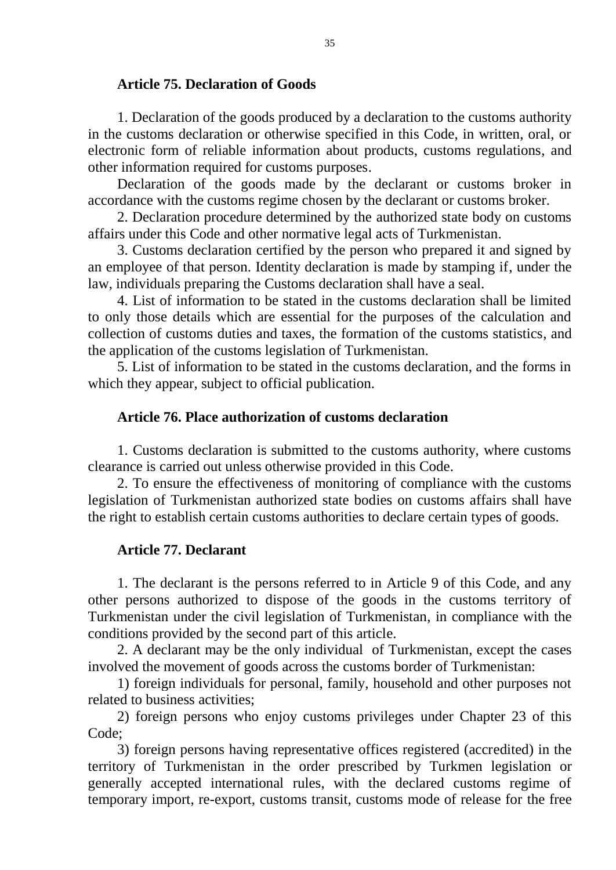#### **Article 75. Declaration of Goods**

1. Declaration of the goods produced by a declaration to the customs authority in the customs declaration or otherwise specified in this Code, in written, oral, or electronic form of reliable information about products, customs regulations, and other information required for customs purposes.

Declaration of the goods made by the declarant or customs broker in accordance with the customs regime chosen by the declarant or customs broker.

2. Declaration procedure determined by the authorized state body on customs affairs under this Code and other normative legal acts of Turkmenistan.

3. Customs declaration certified by the person who prepared it and signed by an employee of that person. Identity declaration is made by stamping if, under the law, individuals preparing the Customs declaration shall have a seal.

4. List of information to be stated in the customs declaration shall be limited to only those details which are essential for the purposes of the calculation and collection of customs duties and taxes, the formation of the customs statistics, and the application of the customs legislation of Turkmenistan.

5. List of information to be stated in the customs declaration, and the forms in which they appear, subject to official publication.

#### **Article 76. Place authorization of customs declaration**

1. Customs declaration is submitted to the customs authority, where customs clearance is carried out unless otherwise provided in this Code.

2. To ensure the effectiveness of monitoring of compliance with the customs legislation of Turkmenistan authorized state bodies on customs affairs shall have the right to establish certain customs authorities to declare certain types of goods.

### **Article 77. Declarant**

1. The declarant is the persons referred to in Article 9 of this Code, and any other persons authorized to dispose of the goods in the customs territory of Turkmenistan under the civil legislation of Turkmenistan, in compliance with the conditions provided by the second part of this article.

2. A declarant may be the only individual of Turkmenistan, except the cases involved the movement of goods across the customs border of Turkmenistan:

1) foreign individuals for personal, family, household and other purposes not related to business activities;

2) foreign persons who enjoy customs privileges under Chapter 23 of this Code;

3) foreign persons having representative offices registered (accredited) in the territory of Turkmenistan in the order prescribed by Turkmen legislation or generally accepted international rules, with the declared customs regime of temporary import, re-export, customs transit, customs mode of release for the free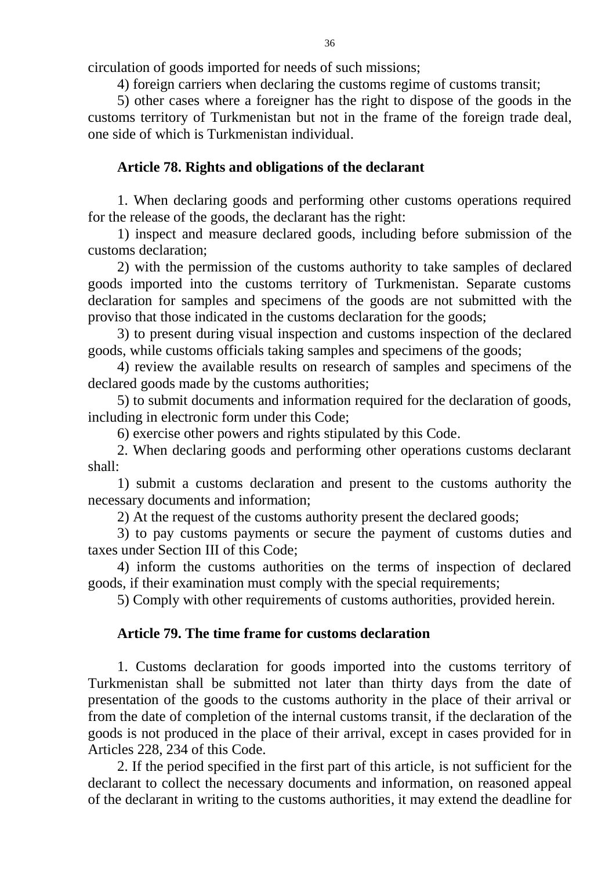circulation of goods imported for needs of such missions;

4) foreign carriers when declaring the customs regime of customs transit;

5) other cases where a foreigner has the right to dispose of the goods in the customs territory of Turkmenistan but not in the frame of the foreign trade deal, one side of which is Turkmenistan individual.

## **Article 78. Rights and obligations of the declarant**

1. When declaring goods and performing other customs operations required for the release of the goods, the declarant has the right:

1) inspect and measure declared goods, including before submission of the customs declaration;

2) with the permission of the customs authority to take samples of declared goods imported into the customs territory of Turkmenistan. Separate customs declaration for samples and specimens of the goods are not submitted with the proviso that those indicated in the customs declaration for the goods;

3) to present during visual inspection and customs inspection of the declared goods, while customs officials taking samples and specimens of the goods;

4) review the available results on research of samples and specimens of the declared goods made by the customs authorities;

5) to submit documents and information required for the declaration of goods, including in electronic form under this Code;

6) exercise other powers and rights stipulated by this Code.

2. When declaring goods and performing other operations customs declarant shall:

1) submit a customs declaration and present to the customs authority the necessary documents and information;

2) At the request of the customs authority present the declared goods;

3) to pay customs payments or secure the payment of customs duties and taxes under Section III of this Code;

4) inform the customs authorities on the terms of inspection of declared goods, if their examination must comply with the special requirements;

5) Comply with other requirements of customs authorities, provided herein.

# **Article 79. The time frame for customs declaration**

1. Customs declaration for goods imported into the customs territory of Turkmenistan shall be submitted not later than thirty days from the date of presentation of the goods to the customs authority in the place of their arrival or from the date of completion of the internal customs transit, if the declaration of the goods is not produced in the place of their arrival, except in cases provided for in Articles 228, 234 of this Code.

2. If the period specified in the first part of this article, is not sufficient for the declarant to collect the necessary documents and information, on reasoned appeal of the declarant in writing to the customs authorities, it may extend the deadline for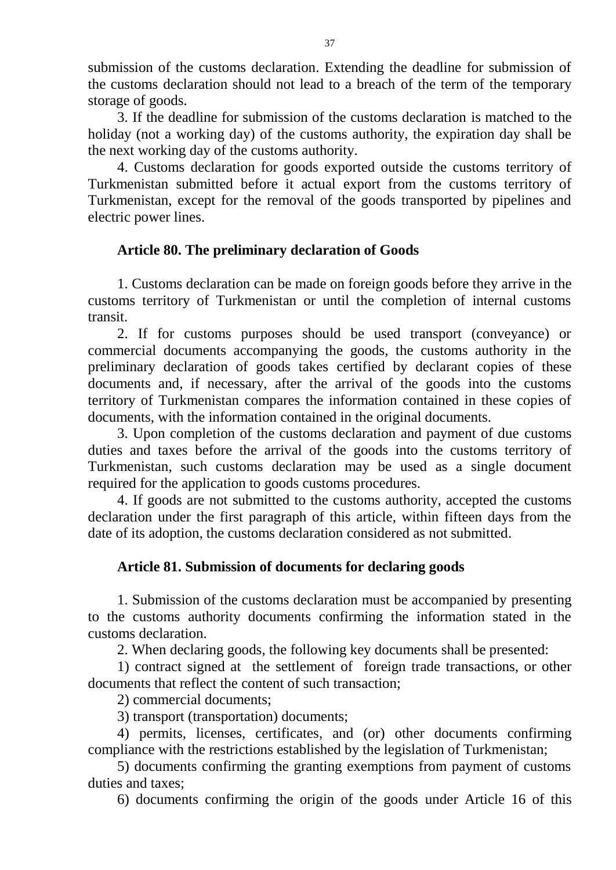submission of the customs declaration. Extending the deadline for submission of the customs declaration should not lead to a breach of the term of the temporary storage of goods.

3. If the deadline for submission of the customs declaration is matched to the holiday (not a working day) of the customs authority, the expiration day shall be the next working day of the customs authority.

4. Customs declaration for goods exported outside the customs territory of Turkmenistan submitted before it actual export from the customs territory of Turkmenistan, except for the removal of the goods transported by pipelines and electric power lines.

# **Article 80. The preliminary declaration of Goods**

1. Customs declaration can be made on foreign goods before they arrive in the customs territory of Turkmenistan or until the completion of internal customs transit.

2. If for customs purposes should be used transport (conveyance) or commercial documents accompanying the goods, the customs authority in the preliminary declaration of goods takes certified by declarant copies of these documents and, if necessary, after the arrival of the goods into the customs territory of Turkmenistan compares the information contained in these copies of documents, with the information contained in the original documents.

3. Upon completion of the customs declaration and payment of due customs duties and taxes before the arrival of the goods into the customs territory of Turkmenistan, such customs declaration may be used as a single document required for the application to goods customs procedures.

4. If goods are not submitted to the customs authority, accepted the customs declaration under the first paragraph of this article, within fifteen days from the date of its adoption, the customs declaration considered as not submitted.

### **Article 81. Submission of documents for declaring goods**

1. Submission of the customs declaration must be accompanied by presenting to the customs authority documents confirming the information stated in the customs declaration.

2. When declaring goods, the following key documents shall be presented:

1) contract signed at the settlement of foreign trade transactions, or other documents that reflect the content of such transaction;

2) commercial documents;

3) transport (transportation) documents;

4) permits, licenses, certificates, and (or) other documents confirming compliance with the restrictions established by the legislation of Turkmenistan;

5) documents confirming the granting exemptions from payment of customs duties and taxes;

6) documents confirming the origin of the goods under Article 16 of this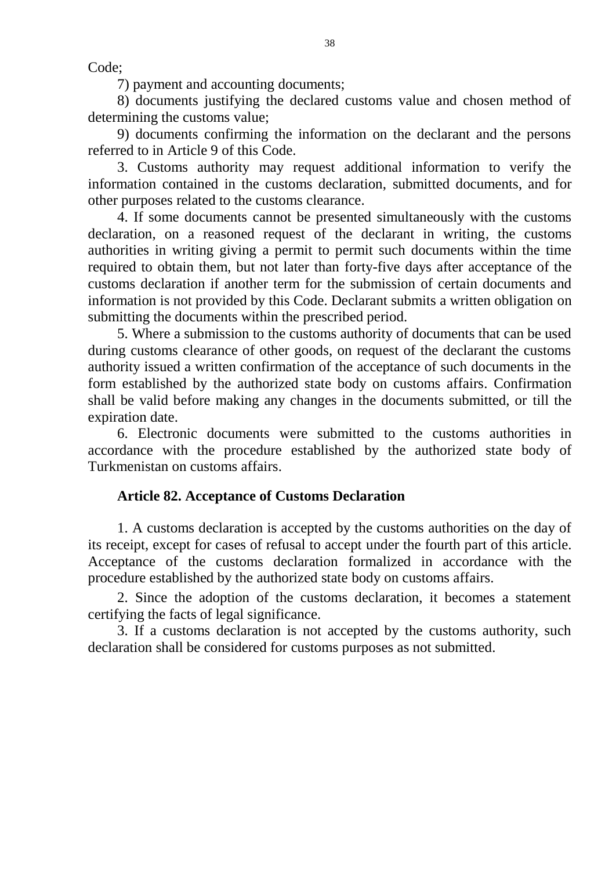Code;

7) payment and accounting documents;

8) documents justifying the declared customs value and chosen method of determining the customs value;

9) documents confirming the information on the declarant and the persons referred to in Article 9 of this Code.

3. Customs authority may request additional information to verify the information contained in the customs declaration, submitted documents, and for other purposes related to the customs clearance.

4. If some documents cannot be presented simultaneously with the customs declaration, on a reasoned request of the declarant in writing, the customs authorities in writing giving a permit to permit such documents within the time required to obtain them, but not later than forty-five days after acceptance of the customs declaration if another term for the submission of certain documents and information is not provided by this Code. Declarant submits a written obligation on submitting the documents within the prescribed period.

5. Where a submission to the customs authority of documents that can be used during customs clearance of other goods, on request of the declarant the customs authority issued a written confirmation of the acceptance of such documents in the form established by the authorized state body on customs affairs. Confirmation shall be valid before making any changes in the documents submitted, or till the expiration date.

6. Electronic documents were submitted to the customs authorities in accordance with the procedure established by the authorized state body of Turkmenistan on customs affairs.

### **Article 82. Acceptance of Customs Declaration**

1. A customs declaration is accepted by the customs authorities on the day of its receipt, except for cases of refusal to accept under the fourth part of this article. Acceptance of the customs declaration formalized in accordance with the procedure established by the authorized state body on customs affairs.

2. Since the adoption of the customs declaration, it becomes a statement certifying the facts of legal significance.

3. If a customs declaration is not accepted by the customs authority, such declaration shall be considered for customs purposes as not submitted.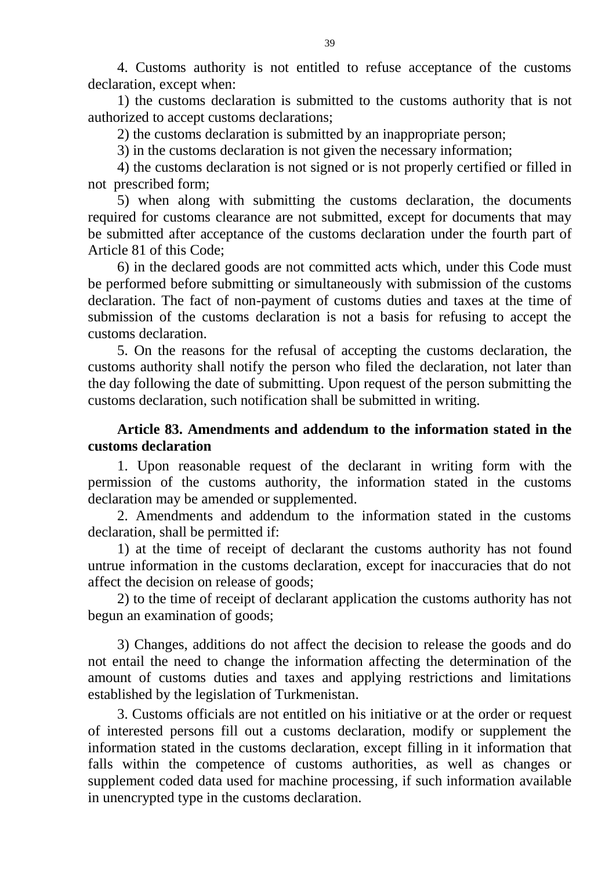4. Customs authority is not entitled to refuse acceptance of the customs declaration, except when:

1) the customs declaration is submitted to the customs authority that is not authorized to accept customs declarations;

2) the customs declaration is submitted by an inappropriate person;

3) in the customs declaration is not given the necessary information;

4) the customs declaration is not signed or is not properly certified or filled in not prescribed form;

5) when along with submitting the customs declaration, the documents required for customs clearance are not submitted, except for documents that may be submitted after acceptance of the customs declaration under the fourth part of Article 81 of this Code;

6) in the declared goods are not committed acts which, under this Code must be performed before submitting or simultaneously with submission of the customs declaration. The fact of non-payment of customs duties and taxes at the time of submission of the customs declaration is not a basis for refusing to accept the customs declaration.

5. On the reasons for the refusal of accepting the customs declaration, the customs authority shall notify the person who filed the declaration, not later than the day following the date of submitting. Upon request of the person submitting the customs declaration, such notification shall be submitted in writing.

# **Article 83. Amendments and addendum to the information stated in the customs declaration**

1. Upon reasonable request of the declarant in writing form with the permission of the customs authority, the information stated in the customs declaration may be amended or supplemented.

2. Amendments and addendum to the information stated in the customs declaration, shall be permitted if:

1) at the time of receipt of declarant the customs authority has not found untrue information in the customs declaration, except for inaccuracies that do not affect the decision on release of goods;

2) to the time of receipt of declarant application the customs authority has not begun an examination of goods;

3) Changes, additions do not affect the decision to release the goods and do not entail the need to change the information affecting the determination of the amount of customs duties and taxes and applying restrictions and limitations established by the legislation of Turkmenistan.

3. Customs officials are not entitled on his initiative or at the order or request of interested persons fill out a customs declaration, modify or supplement the information stated in the customs declaration, except filling in it information that falls within the competence of customs authorities, as well as changes or supplement coded data used for machine processing, if such information available in unencrypted type in the customs declaration.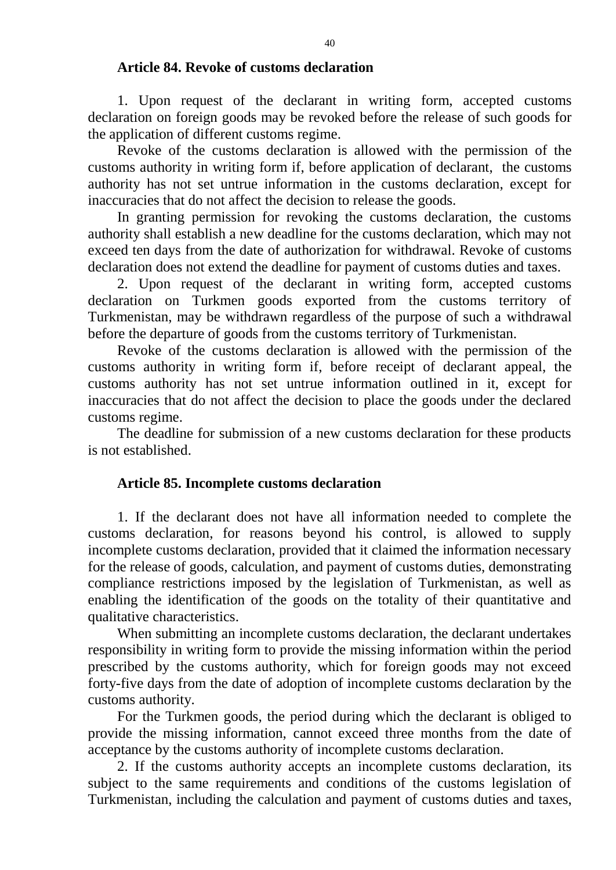#### **Article 84. Revoke of customs declaration**

1. Upon request of the declarant in writing form, accepted customs declaration on foreign goods may be revoked before the release of such goods for the application of different customs regime.

Revoke of the customs declaration is allowed with the permission of the customs authority in writing form if, before application of declarant, the customs authority has not set untrue information in the customs declaration, except for inaccuracies that do not affect the decision to release the goods.

In granting permission for revoking the customs declaration, the customs authority shall establish a new deadline for the customs declaration, which may not exceed ten days from the date of authorization for withdrawal. Revoke of customs declaration does not extend the deadline for payment of customs duties and taxes.

2. Upon request of the declarant in writing form, accepted customs declaration on Turkmen goods exported from the customs territory of Turkmenistan, may be withdrawn regardless of the purpose of such a withdrawal before the departure of goods from the customs territory of Turkmenistan.

Revoke of the customs declaration is allowed with the permission of the customs authority in writing form if, before receipt of declarant appeal, the customs authority has not set untrue information outlined in it, except for inaccuracies that do not affect the decision to place the goods under the declared customs regime.

The deadline for submission of a new customs declaration for these products is not established.

### **Article 85. Incomplete customs declaration**

1. If the declarant does not have all information needed to complete the customs declaration, for reasons beyond his control, is allowed to supply incomplete customs declaration, provided that it claimed the information necessary for the release of goods, calculation, and payment of customs duties, demonstrating compliance restrictions imposed by the legislation of Turkmenistan, as well as enabling the identification of the goods on the totality of their quantitative and qualitative characteristics.

When submitting an incomplete customs declaration, the declarant undertakes responsibility in writing form to provide the missing information within the period prescribed by the customs authority, which for foreign goods may not exceed forty-five days from the date of adoption of incomplete customs declaration by the customs authority.

For the Turkmen goods, the period during which the declarant is obliged to provide the missing information, cannot exceed three months from the date of acceptance by the customs authority of incomplete customs declaration.

2. If the customs authority accepts an incomplete customs declaration, its subject to the same requirements and conditions of the customs legislation of Turkmenistan, including the calculation and payment of customs duties and taxes,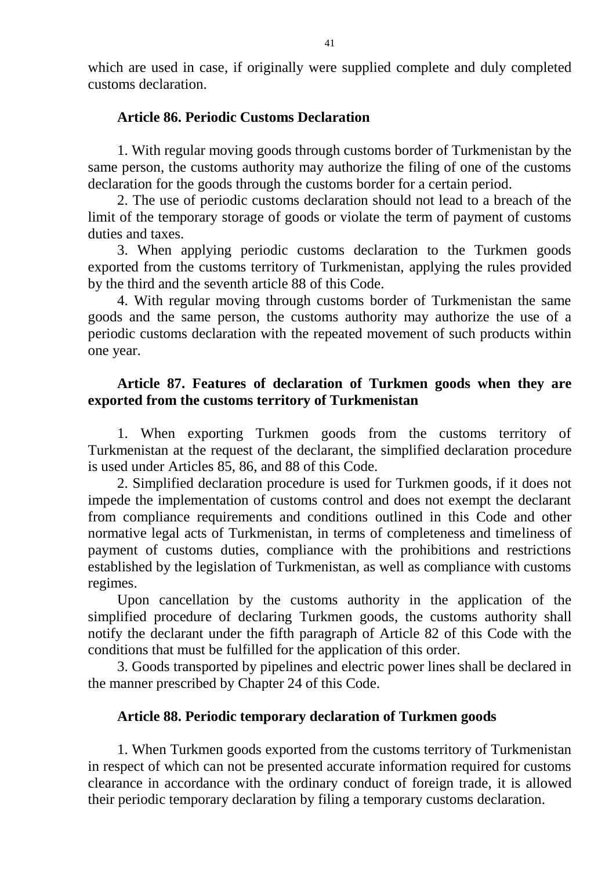which are used in case, if originally were supplied complete and duly completed customs declaration.

#### **Article 86. Periodic Customs Declaration**

1. With regular moving goods through customs border of Turkmenistan by the same person, the customs authority may authorize the filing of one of the customs declaration for the goods through the customs border for a certain period.

2. The use of periodic customs declaration should not lead to a breach of the limit of the temporary storage of goods or violate the term of payment of customs duties and taxes.

3. When applying periodic customs declaration to the Turkmen goods exported from the customs territory of Turkmenistan, applying the rules provided by the third and the seventh article 88 of this Code.

4. With regular moving through customs border of Turkmenistan the same goods and the same person, the customs authority may authorize the use of a periodic customs declaration with the repeated movement of such products within one year.

### **Article 87. Features of declaration of Turkmen goods when they are exported from the customs territory of Turkmenistan**

1. When exporting Turkmen goods from the customs territory of Turkmenistan at the request of the declarant, the simplified declaration procedure is used under Articles 85, 86, and 88 of this Code.

2. Simplified declaration procedure is used for Turkmen goods, if it does not impede the implementation of customs control and does not exempt the declarant from compliance requirements and conditions outlined in this Code and other normative legal acts of Turkmenistan, in terms of completeness and timeliness of payment of customs duties, compliance with the prohibitions and restrictions established by the legislation of Turkmenistan, as well as compliance with customs regimes.

Upon cancellation by the customs authority in the application of the simplified procedure of declaring Turkmen goods, the customs authority shall notify the declarant under the fifth paragraph of Article 82 of this Code with the conditions that must be fulfilled for the application of this order.

3. Goods transported by pipelines and electric power lines shall be declared in the manner prescribed by Chapter 24 of this Code.

### **Article 88. Periodic temporary declaration of Turkmen goods**

1. When Turkmen goods exported from the customs territory of Turkmenistan in respect of which can not be presented accurate information required for customs clearance in accordance with the ordinary conduct of foreign trade, it is allowed their periodic temporary declaration by filing a temporary customs declaration.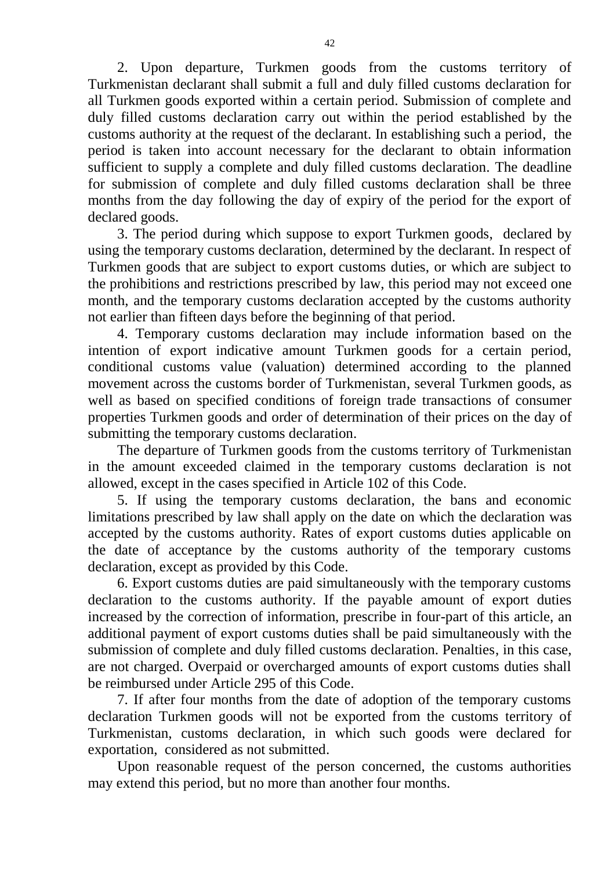2. Upon departure, Turkmen goods from the customs territory of Turkmenistan declarant shall submit a full and duly filled customs declaration for all Turkmen goods exported within a certain period. Submission of complete and duly filled customs declaration carry out within the period established by the customs authority at the request of the declarant. In establishing such a period, the period is taken into account necessary for the declarant to obtain information sufficient to supply a complete and duly filled customs declaration. The deadline for submission of complete and duly filled customs declaration shall be three months from the day following the day of expiry of the period for the export of declared goods.

3. The period during which suppose to export Turkmen goods, declared by using the temporary customs declaration, determined by the declarant. In respect of Turkmen goods that are subject to export customs duties, or which are subject to the prohibitions and restrictions prescribed by law, this period may not exceed one month, and the temporary customs declaration accepted by the customs authority not earlier than fifteen days before the beginning of that period.

4. Temporary customs declaration may include information based on the intention of export indicative amount Turkmen goods for a certain period, conditional customs value (valuation) determined according to the planned movement across the customs border of Turkmenistan, several Turkmen goods, as well as based on specified conditions of foreign trade transactions of consumer properties Turkmen goods and order of determination of their prices on the day of submitting the temporary customs declaration.

The departure of Turkmen goods from the customs territory of Turkmenistan in the amount exceeded claimed in the temporary customs declaration is not allowed, except in the cases specified in Article 102 of this Code.

5. If using the temporary customs declaration, the bans and economic limitations prescribed by law shall apply on the date on which the declaration was accepted by the customs authority. Rates of export customs duties applicable on the date of acceptance by the customs authority of the temporary customs declaration, except as provided by this Code.

6. Export customs duties are paid simultaneously with the temporary customs declaration to the customs authority. If the payable amount of export duties increased by the correction of information, prescribe in four-part of this article, an additional payment of export customs duties shall be paid simultaneously with the submission of complete and duly filled customs declaration. Penalties, in this case, are not charged. Overpaid or overcharged amounts of export customs duties shall be reimbursed under Article 295 of this Code.

7. If after four months from the date of adoption of the temporary customs declaration Turkmen goods will not be exported from the customs territory of Turkmenistan, customs declaration, in which such goods were declared for exportation, considered as not submitted.

Upon reasonable request of the person concerned, the customs authorities may extend this period, but no more than another four months.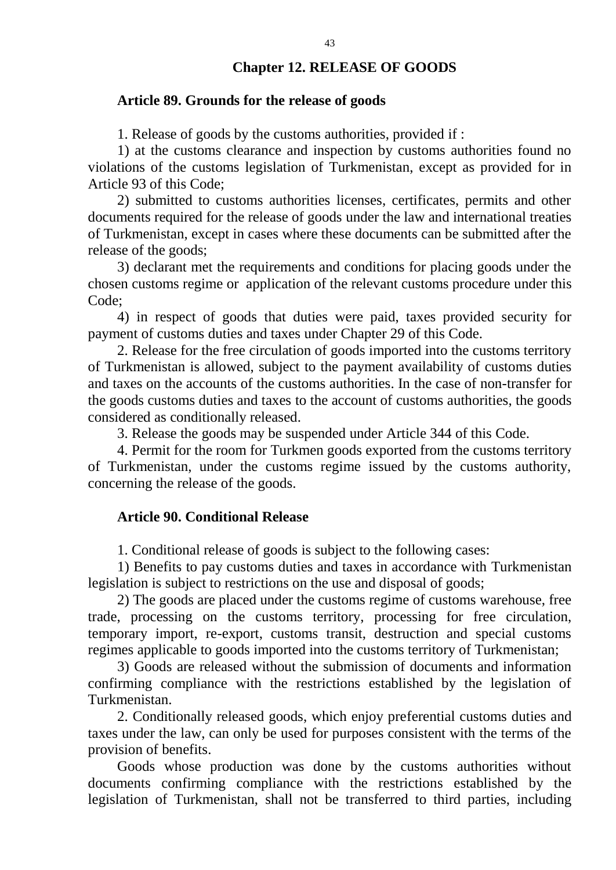#### **Chapter 12. RELEASE OF GOODS**

#### **Article 89. Grounds for the release of goods**

1. Release of goods by the customs authorities, provided if :

1) at the customs clearance and inspection by customs authorities found no violations of the customs legislation of Turkmenistan, except as provided for in Article 93 of this Code;

2) submitted to customs authorities licenses, certificates, permits and other documents required for the release of goods under the law and international treaties of Turkmenistan, except in cases where these documents can be submitted after the release of the goods;

3) declarant met the requirements and conditions for placing goods under the chosen customs regime or application of the relevant customs procedure under this Code;

4) in respect of goods that duties were paid, taxes provided security for payment of customs duties and taxes under Chapter 29 of this Code.

2. Release for the free circulation of goods imported into the customs territory of Turkmenistan is allowed, subject to the payment availability of customs duties and taxes on the accounts of the customs authorities. In the case of non-transfer for the goods customs duties and taxes to the account of customs authorities, the goods considered as conditionally released.

3. Release the goods may be suspended under Article 344 of this Code.

4. Permit for the room for Turkmen goods exported from the customs territory of Turkmenistan, under the customs regime issued by the customs authority, concerning the release of the goods.

### **Article 90. Conditional Release**

1. Conditional release of goods is subject to the following cases:

1) Benefits to pay customs duties and taxes in accordance with Turkmenistan legislation is subject to restrictions on the use and disposal of goods;

2) The goods are placed under the customs regime of customs warehouse, free trade, processing on the customs territory, processing for free circulation, temporary import, re-export, customs transit, destruction and special customs regimes applicable to goods imported into the customs territory of Turkmenistan;

3) Goods are released without the submission of documents and information confirming compliance with the restrictions established by the legislation of Turkmenistan.

2. Conditionally released goods, which enjoy preferential customs duties and taxes under the law, can only be used for purposes consistent with the terms of the provision of benefits.

Goods whose production was done by the customs authorities without documents confirming compliance with the restrictions established by the legislation of Turkmenistan, shall not be transferred to third parties, including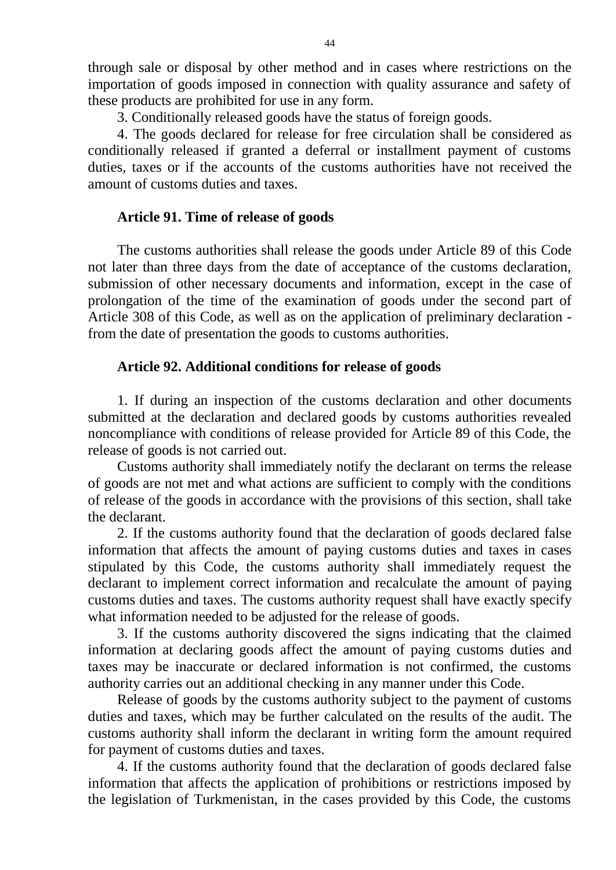through sale or disposal by other method and in cases where restrictions on the importation of goods imposed in connection with quality assurance and safety of these products are prohibited for use in any form.

3. Conditionally released goods have the status of foreign goods.

4. The goods declared for release for free circulation shall be considered as conditionally released if granted a deferral or installment payment of customs duties, taxes or if the accounts of the customs authorities have not received the amount of customs duties and taxes.

### **Article 91. Time of release of goods**

The customs authorities shall release the goods under Article 89 of this Code not later than three days from the date of acceptance of the customs declaration, submission of other necessary documents and information, except in the case of prolongation of the time of the examination of goods under the second part of Article 308 of this Code, as well as on the application of preliminary declaration from the date of presentation the goods to customs authorities.

### **Article 92. Additional conditions for release of goods**

1. If during an inspection of the customs declaration and other documents submitted at the declaration and declared goods by customs authorities revealed noncompliance with conditions of release provided for Article 89 of this Code, the release of goods is not carried out.

Customs authority shall immediately notify the declarant on terms the release of goods are not met and what actions are sufficient to comply with the conditions of release of the goods in accordance with the provisions of this section, shall take the declarant.

2. If the customs authority found that the declaration of goods declared false information that affects the amount of paying customs duties and taxes in cases stipulated by this Code, the customs authority shall immediately request the declarant to implement correct information and recalculate the amount of paying customs duties and taxes. The customs authority request shall have exactly specify what information needed to be adjusted for the release of goods.

3. If the customs authority discovered the signs indicating that the claimed information at declaring goods affect the amount of paying customs duties and taxes may be inaccurate or declared information is not confirmed, the customs authority carries out an additional checking in any manner under this Code.

Release of goods by the customs authority subject to the payment of customs duties and taxes, which may be further calculated on the results of the audit. The customs authority shall inform the declarant in writing form the amount required for payment of customs duties and taxes.

4. If the customs authority found that the declaration of goods declared false information that affects the application of prohibitions or restrictions imposed by the legislation of Turkmenistan, in the cases provided by this Code, the customs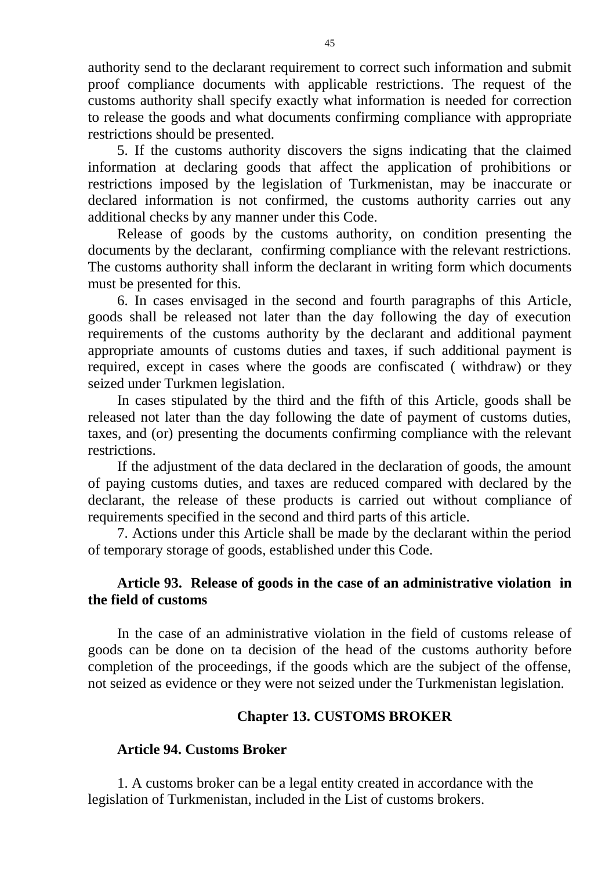authority send to the declarant requirement to correct such information and submit proof compliance documents with applicable restrictions. The request of the customs authority shall specify exactly what information is needed for correction to release the goods and what documents confirming compliance with appropriate restrictions should be presented.

5. If the customs authority discovers the signs indicating that the claimed information at declaring goods that affect the application of prohibitions or restrictions imposed by the legislation of Turkmenistan, may be inaccurate or declared information is not confirmed, the customs authority carries out any additional checks by any manner under this Code.

Release of goods by the customs authority, on condition presenting the documents by the declarant, confirming compliance with the relevant restrictions. The customs authority shall inform the declarant in writing form which documents must be presented for this.

6. In cases envisaged in the second and fourth paragraphs of this Article, goods shall be released not later than the day following the day of execution requirements of the customs authority by the declarant and additional payment appropriate amounts of customs duties and taxes, if such additional payment is required, except in cases where the goods are confiscated ( withdraw) or they seized under Turkmen legislation.

In cases stipulated by the third and the fifth of this Article, goods shall be released not later than the day following the date of payment of customs duties, taxes, and (or) presenting the documents confirming compliance with the relevant restrictions.

If the adjustment of the data declared in the declaration of goods, the amount of paying customs duties, and taxes are reduced compared with declared by the declarant, the release of these products is carried out without compliance of requirements specified in the second and third parts of this article.

7. Actions under this Article shall be made by the declarant within the period of temporary storage of goods, established under this Code.

# **Article 93. Release of goods in the case of an administrative violation in the field of customs**

In the case of an administrative violation in the field of customs release of goods can be done on ta decision of the head of the customs authority before completion of the proceedings, if the goods which are the subject of the offense, not seized as evidence or they were not seized under the Turkmenistan legislation.

# **Chapter 13. CUSTOMS BROKER**

### **Article 94. Customs Broker**

1. A customs broker can be a legal entity created in accordance with the legislation of Turkmenistan, included in the List of customs brokers.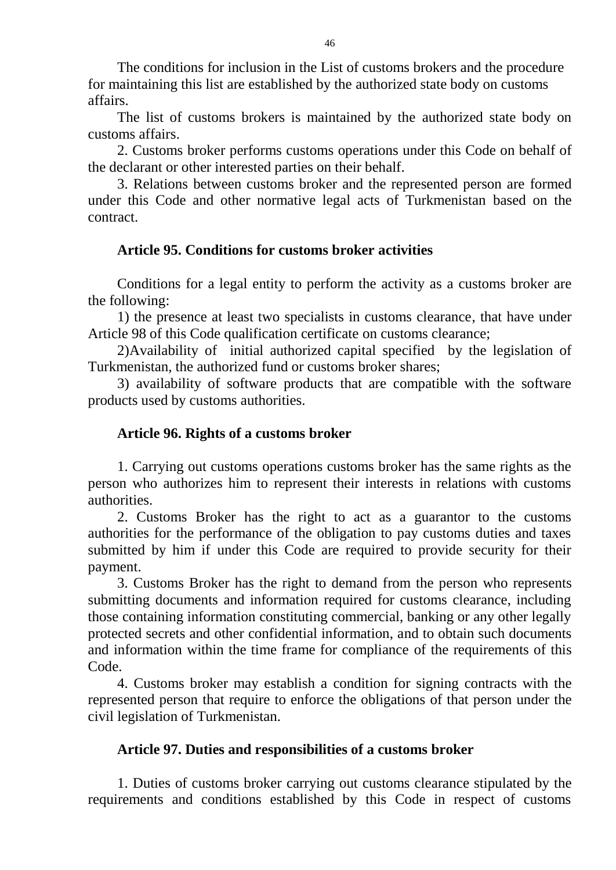The conditions for inclusion in the List of customs brokers and the procedure for maintaining this list are established by the authorized state body on customs affairs.

The list of customs brokers is maintained by the authorized state body on customs affairs.

2. Customs broker performs customs operations under this Code on behalf of the declarant or other interested parties on their behalf.

3. Relations between customs broker and the represented person are formed under this Code and other normative legal acts of Turkmenistan based on the contract.

# **Article 95. Conditions for customs broker activities**

Conditions for a legal entity to perform the activity as a customs broker are the following:

1) the presence at least two specialists in customs clearance, that have under Article 98 of this Code qualification certificate on customs clearance;

2)Availability of initial authorized capital specified by the legislation of Turkmenistan, the authorized fund or customs broker shares;

3) availability of software products that are compatible with the software products used by customs authorities.

## **Article 96. Rights of a customs broker**

1. Carrying out customs operations customs broker has the same rights as the person who authorizes him to represent their interests in relations with customs authorities.

2. Customs Broker has the right to act as a guarantor to the customs authorities for the performance of the obligation to pay customs duties and taxes submitted by him if under this Code are required to provide security for their payment.

3. Customs Broker has the right to demand from the person who represents submitting documents and information required for customs clearance, including those containing information constituting commercial, banking or any other legally protected secrets and other confidential information, and to obtain such documents and information within the time frame for compliance of the requirements of this Code.

4. Customs broker may establish a condition for signing contracts with the represented person that require to enforce the obligations of that person under the civil legislation of Turkmenistan.

### **Article 97. Duties and responsibilities of a customs broker**

1. Duties of customs broker carrying out customs clearance stipulated by the requirements and conditions established by this Code in respect of customs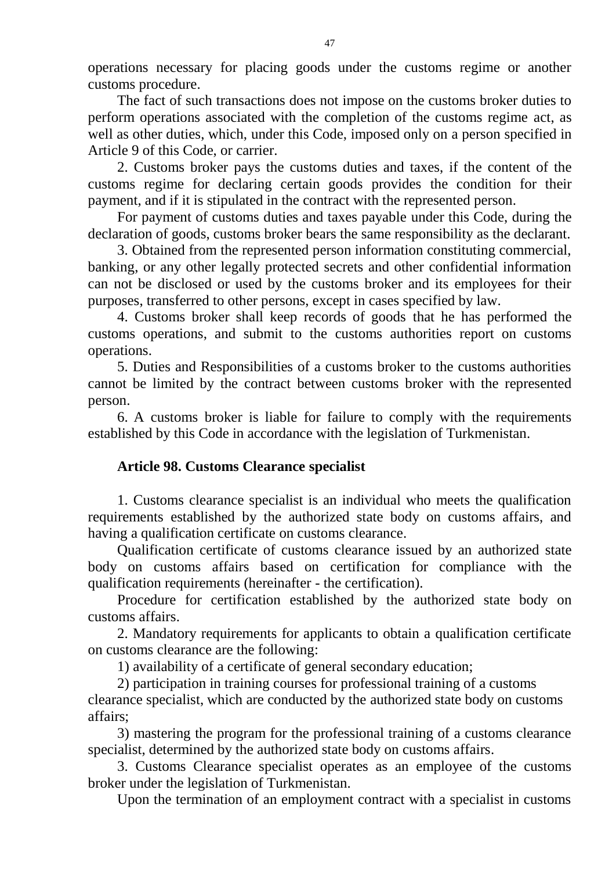operations necessary for placing goods under the customs regime or another customs procedure.

The fact of such transactions does not impose on the customs broker duties to perform operations associated with the completion of the customs regime act, as well as other duties, which, under this Code, imposed only on a person specified in Article 9 of this Code, or carrier.

2. Customs broker pays the customs duties and taxes, if the content of the customs regime for declaring certain goods provides the condition for their payment, and if it is stipulated in the contract with the represented person.

For payment of customs duties and taxes payable under this Code, during the declaration of goods, customs broker bears the same responsibility as the declarant.

3. Obtained from the represented person information constituting commercial, banking, or any other legally protected secrets and other confidential information can not be disclosed or used by the customs broker and its employees for their purposes, transferred to other persons, except in cases specified by law.

4. Customs broker shall keep records of goods that he has performed the customs operations, and submit to the customs authorities report on customs operations.

5. Duties and Responsibilities of a customs broker to the customs authorities cannot be limited by the contract between customs broker with the represented person.

6. A customs broker is liable for failure to comply with the requirements established by this Code in accordance with the legislation of Turkmenistan.

# **Article 98. Customs Clearance specialist**

1. Customs clearance specialist is an individual who meets the qualification requirements established by the authorized state body on customs affairs, and having a qualification certificate on customs clearance.

Qualification certificate of customs clearance issued by an authorized state body on customs affairs based on certification for compliance with the qualification requirements (hereinafter - the certification).

Procedure for certification established by the authorized state body on customs affairs.

2. Mandatory requirements for applicants to obtain a qualification certificate on customs clearance are the following:

1) availability of a certificate of general secondary education;

2) participation in training courses for professional training of a customs clearance specialist, which are conducted by the authorized state body on customs affairs;

3) mastering the program for the professional training of a customs clearance specialist, determined by the authorized state body on customs affairs.

3. Customs Clearance specialist operates as an employee of the customs broker under the legislation of Turkmenistan.

Upon the termination of an employment contract with a specialist in customs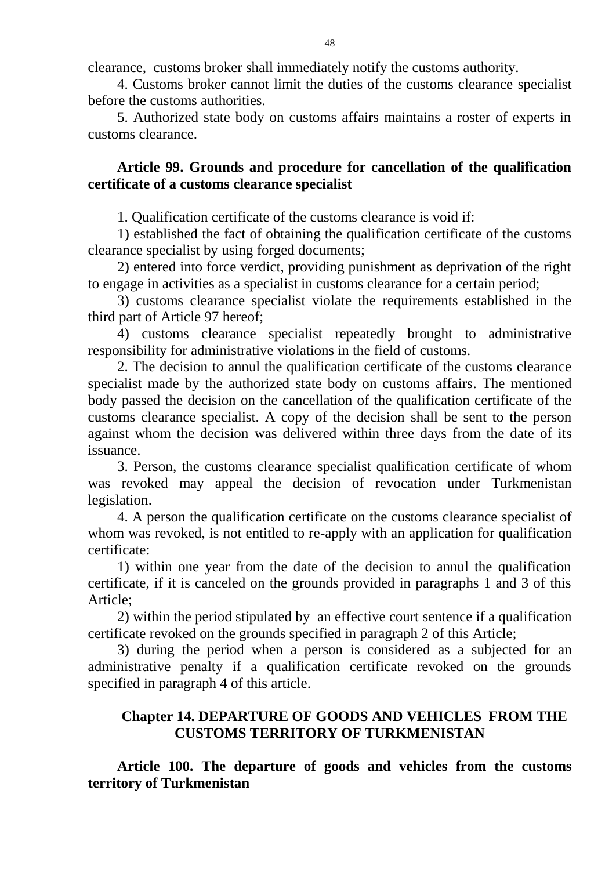clearance, customs broker shall immediately notify the customs authority.

4. Customs broker cannot limit the duties of the customs clearance specialist before the customs authorities.

5. Authorized state body on customs affairs maintains a roster of experts in customs clearance.

# **Article 99. Grounds and procedure for cancellation of the qualification certificate of a customs clearance specialist**

1. Qualification certificate of the customs clearance is void if:

1) established the fact of obtaining the qualification certificate of the customs clearance specialist by using forged documents;

2) entered into force verdict, providing punishment as deprivation of the right to engage in activities as a specialist in customs clearance for a certain period;

3) customs clearance specialist violate the requirements established in the third part of Article 97 hereof;

4) customs clearance specialist repeatedly brought to administrative responsibility for administrative violations in the field of customs.

2. The decision to annul the qualification certificate of the customs clearance specialist made by the authorized state body on customs affairs. The mentioned body passed the decision on the cancellation of the qualification certificate of the customs clearance specialist. A copy of the decision shall be sent to the person against whom the decision was delivered within three days from the date of its issuance.

3. Person, the customs clearance specialist qualification certificate of whom was revoked may appeal the decision of revocation under Turkmenistan legislation.

4. A person the qualification certificate on the customs clearance specialist of whom was revoked, is not entitled to re-apply with an application for qualification certificate:

1) within one year from the date of the decision to annul the qualification certificate, if it is canceled on the grounds provided in paragraphs 1 and 3 of this Article;

2) within the period stipulated by an effective court sentence if a qualification certificate revoked on the grounds specified in paragraph 2 of this Article;

3) during the period when a person is considered as a subjected for an administrative penalty if a qualification certificate revoked on the grounds specified in paragraph 4 of this article.

# **Chapter 14. DEPARTURE OF GOODS AND VEHICLES FROM THE CUSTOMS TERRITORY OF TURKMENISTAN**

**Article 100. The departure of goods and vehicles from the customs territory of Turkmenistan**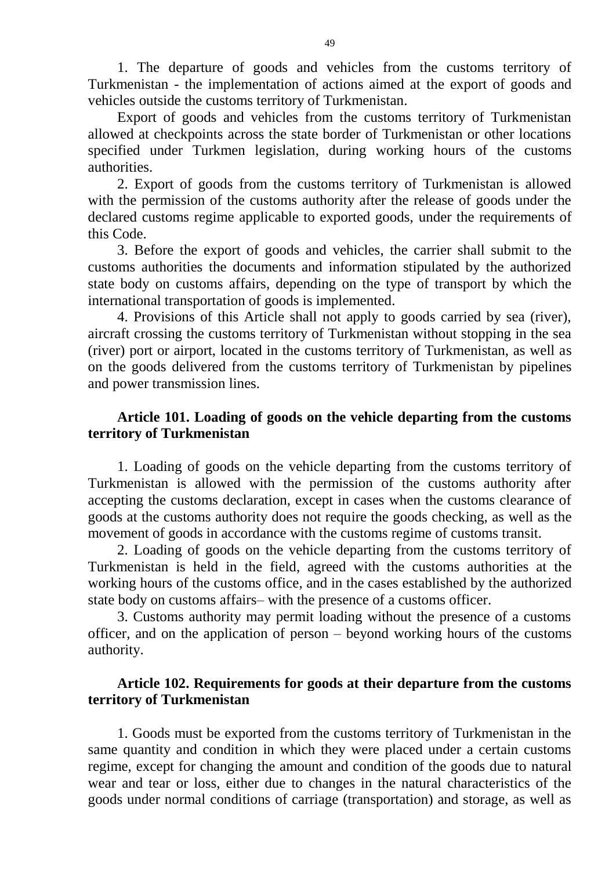1. The departure of goods and vehicles from the customs territory of Turkmenistan - the implementation of actions aimed at the export of goods and vehicles outside the customs territory of Turkmenistan.

Export of goods and vehicles from the customs territory of Turkmenistan allowed at checkpoints across the state border of Turkmenistan or other locations specified under Turkmen legislation, during working hours of the customs authorities.

2. Export of goods from the customs territory of Turkmenistan is allowed with the permission of the customs authority after the release of goods under the declared customs regime applicable to exported goods, under the requirements of this Code.

3. Before the export of goods and vehicles, the carrier shall submit to the customs authorities the documents and information stipulated by the authorized state body on customs affairs, depending on the type of transport by which the international transportation of goods is implemented.

4. Provisions of this Article shall not apply to goods carried by sea (river), aircraft crossing the customs territory of Turkmenistan without stopping in the sea (river) port or airport, located in the customs territory of Turkmenistan, as well as on the goods delivered from the customs territory of Turkmenistan by pipelines and power transmission lines.

## **Article 101. Loading of goods on the vehicle departing from the customs territory of Turkmenistan**

1. Loading of goods on the vehicle departing from the customs territory of Turkmenistan is allowed with the permission of the customs authority after accepting the customs declaration, except in cases when the customs clearance of goods at the customs authority does not require the goods checking, as well as the movement of goods in accordance with the customs regime of customs transit.

2. Loading of goods on the vehicle departing from the customs territory of Turkmenistan is held in the field, agreed with the customs authorities at the working hours of the customs office, and in the cases established by the authorized state body on customs affairs– with the presence of a customs officer.

3. Customs authority may permit loading without the presence of a customs officer, and on the application of person – beyond working hours of the customs authority.

### **Article 102. Requirements for goods at their departure from the customs territory of Turkmenistan**

1. Goods must be exported from the customs territory of Turkmenistan in the same quantity and condition in which they were placed under a certain customs regime, except for changing the amount and condition of the goods due to natural wear and tear or loss, either due to changes in the natural characteristics of the goods under normal conditions of carriage (transportation) and storage, as well as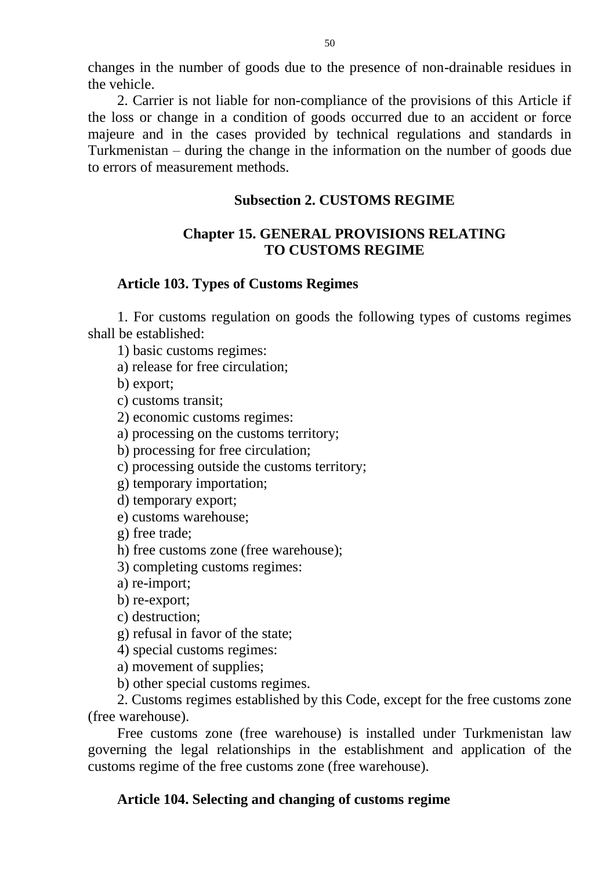changes in the number of goods due to the presence of non-drainable residues in the vehicle.

2. Carrier is not liable for non-compliance of the provisions of this Article if the loss or change in a condition of goods occurred due to an accident or force majeure and in the cases provided by technical regulations and standards in Turkmenistan – during the change in the information on the number of goods due to errors of measurement methods.

# **Subsection 2. CUSTOMS REGIME**

# **Chapter 15. GENERAL PROVISIONS RELATING TO CUSTOMS REGIME**

# **Article 103. Types of Customs Regimes**

1. For customs regulation on goods the following types of customs regimes shall be established:

1) basic customs regimes:

a) release for free circulation;

b) export;

c) customs transit;

2) economic customs regimes:

a) processing on the customs territory;

b) processing for free circulation;

c) processing outside the customs territory;

g) temporary importation;

d) temporary export;

e) customs warehouse;

g) free trade;

h) free customs zone (free warehouse);

3) completing customs regimes:

a) re-import;

b) re-export;

c) destruction;

g) refusal in favor of the state;

4) special customs regimes:

a) movement of supplies;

b) other special customs regimes.

2. Customs regimes established by this Code, except for the free customs zone (free warehouse).

Free customs zone (free warehouse) is installed under Turkmenistan law governing the legal relationships in the establishment and application of the customs regime of the free customs zone (free warehouse).

# **Article 104. Selecting and changing of customs regime**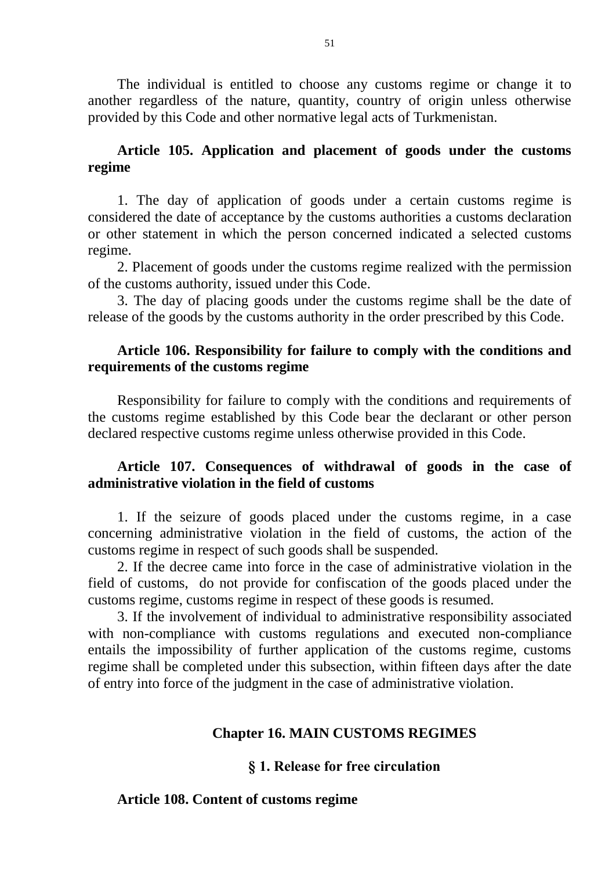The individual is entitled to choose any customs regime or change it to another regardless of the nature, quantity, country of origin unless otherwise provided by this Code and other normative legal acts of Turkmenistan.

## **Article 105. Application and placement of goods under the customs regime**

1. The day of application of goods under a certain customs regime is considered the date of acceptance by the customs authorities a customs declaration or other statement in which the person concerned indicated a selected customs regime.

2. Placement of goods under the customs regime realized with the permission of the customs authority, issued under this Code.

3. The day of placing goods under the customs regime shall be the date of release of the goods by the customs authority in the order prescribed by this Code.

# **Article 106. Responsibility for failure to comply with the conditions and requirements of the customs regime**

Responsibility for failure to comply with the conditions and requirements of the customs regime established by this Code bear the declarant or other person declared respective customs regime unless otherwise provided in this Code.

# **Article 107. Consequences of withdrawal of goods in the case of administrative violation in the field of customs**

1. If the seizure of goods placed under the customs regime, in a case concerning administrative violation in the field of customs, the action of the customs regime in respect of such goods shall be suspended.

2. If the decree came into force in the case of administrative violation in the field of customs, do not provide for confiscation of the goods placed under the customs regime, customs regime in respect of these goods is resumed.

3. If the involvement of individual to administrative responsibility associated with non-compliance with customs regulations and executed non-compliance entails the impossibility of further application of the customs regime, customs regime shall be completed under this subsection, within fifteen days after the date of entry into force of the judgment in the case of administrative violation.

# **Chapter 16. MAIN CUSTOMS REGIMES**

# **§ 1. Release for free circulation**

### **Article 108. Content of customs regime**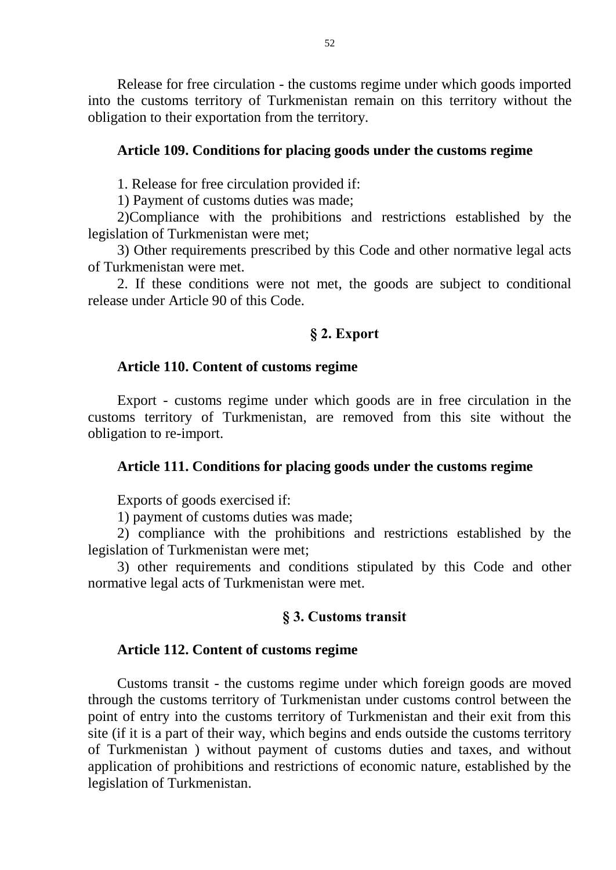Release for free circulation - the customs regime under which goods imported into the customs territory of Turkmenistan remain on this territory without the obligation to their exportation from the territory.

#### **Article 109. Conditions for placing goods under the customs regime**

1. Release for free circulation provided if:

1) Payment of customs duties was made;

2)Compliance with the prohibitions and restrictions established by the legislation of Turkmenistan were met;

3) Other requirements prescribed by this Code and other normative legal acts of Turkmenistan were met.

2. If these conditions were not met, the goods are subject to conditional release under Article 90 of this Code.

#### **§ 2. Export**

#### **Article 110. Content of customs regime**

Export - customs regime under which goods are in free circulation in the customs territory of Turkmenistan, are removed from this site without the obligation to re-import.

#### **Article 111. Conditions for placing goods under the customs regime**

Exports of goods exercised if:

1) payment of customs duties was made;

2) compliance with the prohibitions and restrictions established by the legislation of Turkmenistan were met;

3) other requirements and conditions stipulated by this Code and other normative legal acts of Turkmenistan were met.

#### **§ 3. Customs transit**

#### **Article 112. Content of customs regime**

Customs transit - the customs regime under which foreign goods are moved through the customs territory of Turkmenistan under customs control between the point of entry into the customs territory of Turkmenistan and their exit from this site (if it is a part of their way, which begins and ends outside the customs territory of Turkmenistan ) without payment of customs duties and taxes, and without application of prohibitions and restrictions of economic nature, established by the legislation of Turkmenistan.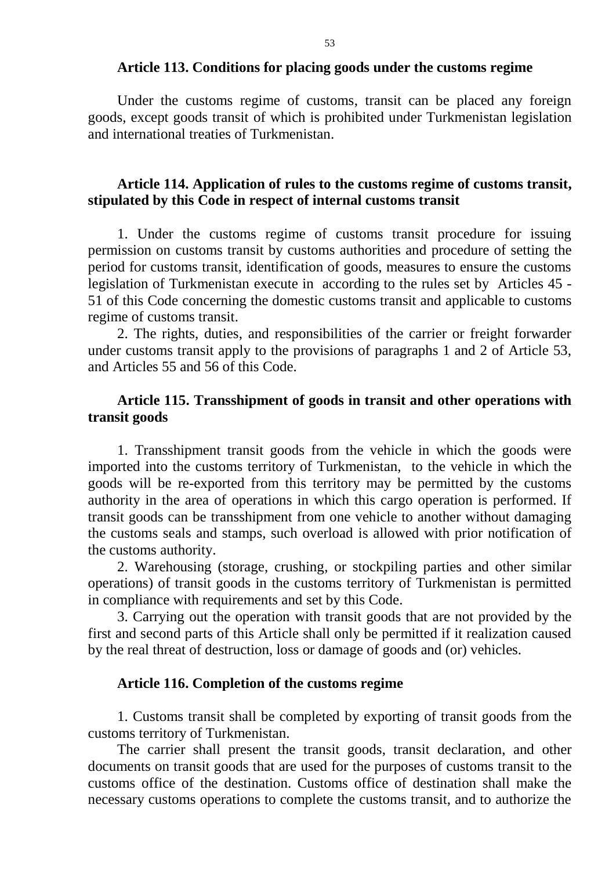#### **Article 113. Conditions for placing goods under the customs regime**

Under the customs regime of customs, transit can be placed any foreign goods, except goods transit of which is prohibited under Turkmenistan legislation and international treaties of Turkmenistan.

#### **Article 114. Application of rules to the customs regime of customs transit, stipulated by this Code in respect of internal customs transit**

1. Under the customs regime of customs transit procedure for issuing permission on customs transit by customs authorities and procedure of setting the period for customs transit, identification of goods, measures to ensure the customs legislation of Turkmenistan execute in according to the rules set by Articles 45 - 51 of this Code concerning the domestic customs transit and applicable to customs regime of customs transit.

2. The rights, duties, and responsibilities of the carrier or freight forwarder under customs transit apply to the provisions of paragraphs 1 and 2 of Article 53, and Articles 55 and 56 of this Code.

#### **Article 115. Transshipment of goods in transit and other operations with transit goods**

1. Transshipment transit goods from the vehicle in which the goods were imported into the customs territory of Turkmenistan, to the vehicle in which the goods will be re-exported from this territory may be permitted by the customs authority in the area of operations in which this cargo operation is performed. If transit goods can be transshipment from one vehicle to another without damaging the customs seals and stamps, such overload is allowed with prior notification of the customs authority.

2. Warehousing (storage, crushing, or stockpiling parties and other similar operations) of transit goods in the customs territory of Turkmenistan is permitted in compliance with requirements and set by this Code.

3. Carrying out the operation with transit goods that are not provided by the first and second parts of this Article shall only be permitted if it realization caused by the real threat of destruction, loss or damage of goods and (or) vehicles.

#### **Article 116. Completion of the customs regime**

1. Customs transit shall be completed by exporting of transit goods from the customs territory of Turkmenistan.

The carrier shall present the transit goods, transit declaration, and other documents on transit goods that are used for the purposes of customs transit to the customs office of the destination. Customs office of destination shall make the necessary customs operations to complete the customs transit, and to authorize the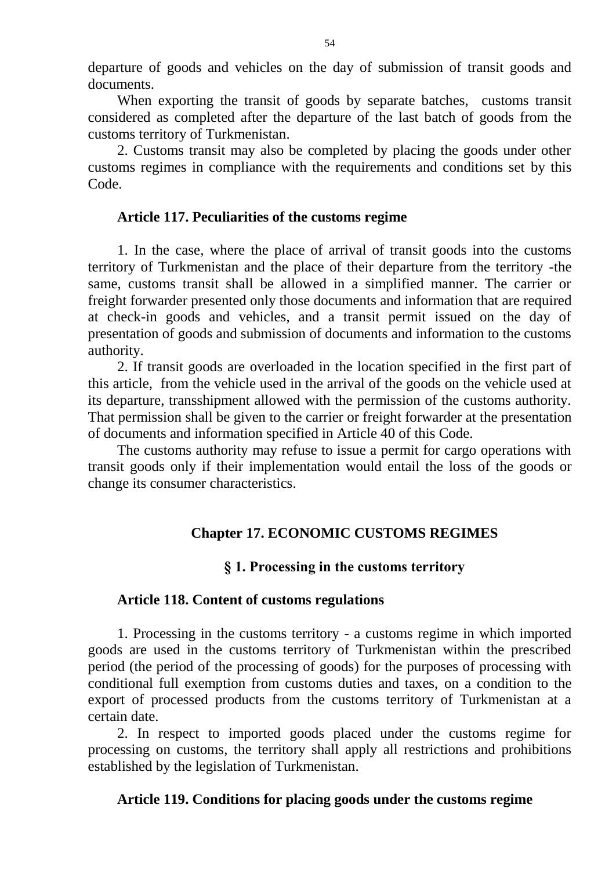departure of goods and vehicles on the day of submission of transit goods and documents.

When exporting the transit of goods by separate batches, customs transit considered as completed after the departure of the last batch of goods from the customs territory of Turkmenistan.

2. Customs transit may also be completed by placing the goods under other customs regimes in compliance with the requirements and conditions set by this Code.

### **Article 117. Peculiarities of the customs regime**

1. In the case, where the place of arrival of transit goods into the customs territory of Turkmenistan and the place of their departure from the territory -the same, customs transit shall be allowed in a simplified manner. The carrier or freight forwarder presented only those documents and information that are required at check-in goods and vehicles, and a transit permit issued on the day of presentation of goods and submission of documents and information to the customs authority.

2. If transit goods are overloaded in the location specified in the first part of this article, from the vehicle used in the arrival of the goods on the vehicle used at its departure, transshipment allowed with the permission of the customs authority. That permission shall be given to the carrier or freight forwarder at the presentation of documents and information specified in Article 40 of this Code.

The customs authority may refuse to issue a permit for cargo operations with transit goods only if their implementation would entail the loss of the goods or change its consumer characteristics.

### **Chapter 17. ECONOMIC CUSTOMS REGIMES**

### **§ 1. Processing in the customs territory**

### **Article 118. Content of customs regulations**

1. Processing in the customs territory - a customs regime in which imported goods are used in the customs territory of Turkmenistan within the prescribed period (the period of the processing of goods) for the purposes of processing with conditional full exemption from customs duties and taxes, on a condition to the export of processed products from the customs territory of Turkmenistan at a certain date.

2. In respect to imported goods placed under the customs regime for processing on customs, the territory shall apply all restrictions and prohibitions established by the legislation of Turkmenistan.

### **Article 119. Conditions for placing goods under the customs regime**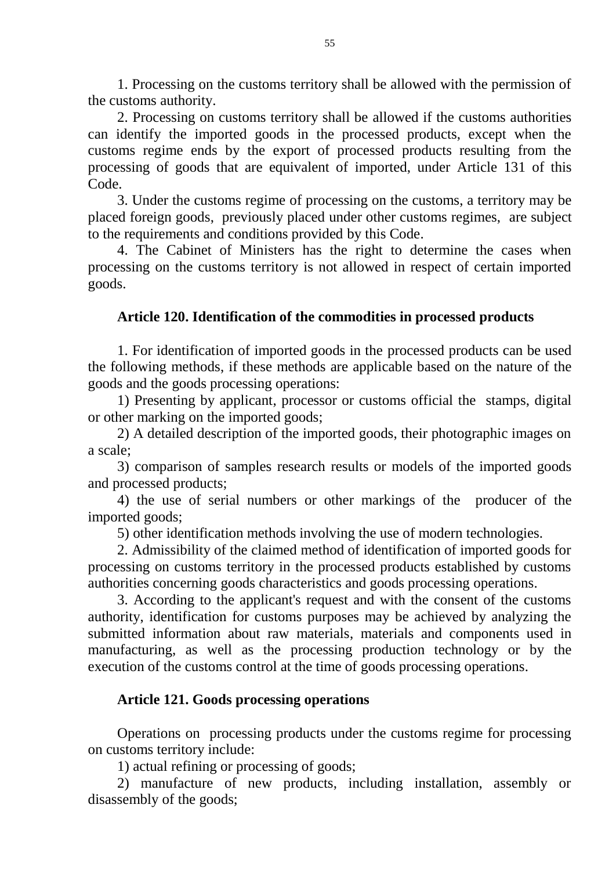1. Processing on the customs territory shall be allowed with the permission of the customs authority.

2. Processing on customs territory shall be allowed if the customs authorities can identify the imported goods in the processed products, except when the customs regime ends by the export of processed products resulting from the processing of goods that are equivalent of imported, under Article 131 of this Code.

3. Under the customs regime of processing on the customs, a territory may be placed foreign goods, previously placed under other customs regimes, are subject to the requirements and conditions provided by this Code.

4. The Cabinet of Ministers has the right to determine the cases when processing on the customs territory is not allowed in respect of certain imported goods.

### **Article 120. Identification of the commodities in processed products**

1. For identification of imported goods in the processed products can be used the following methods, if these methods are applicable based on the nature of the goods and the goods processing operations:

1) Presenting by applicant, processor or customs official the stamps, digital or other marking on the imported goods;

2) A detailed description of the imported goods, their photographic images on a scale;

3) comparison of samples research results or models of the imported goods and processed products;

4) the use of serial numbers or other markings of the producer of the imported goods;

5) other identification methods involving the use of modern technologies.

2. Admissibility of the claimed method of identification of imported goods for processing on customs territory in the processed products established by customs authorities concerning goods characteristics and goods processing operations.

3. According to the applicant's request and with the consent of the customs authority, identification for customs purposes may be achieved by analyzing the submitted information about raw materials, materials and components used in manufacturing, as well as the processing production technology or by the execution of the customs control at the time of goods processing operations.

### **Article 121. Goods processing operations**

Operations on processing products under the customs regime for processing on customs territory include:

1) actual refining or processing of goods;

2) manufacture of new products, including installation, assembly or disassembly of the goods;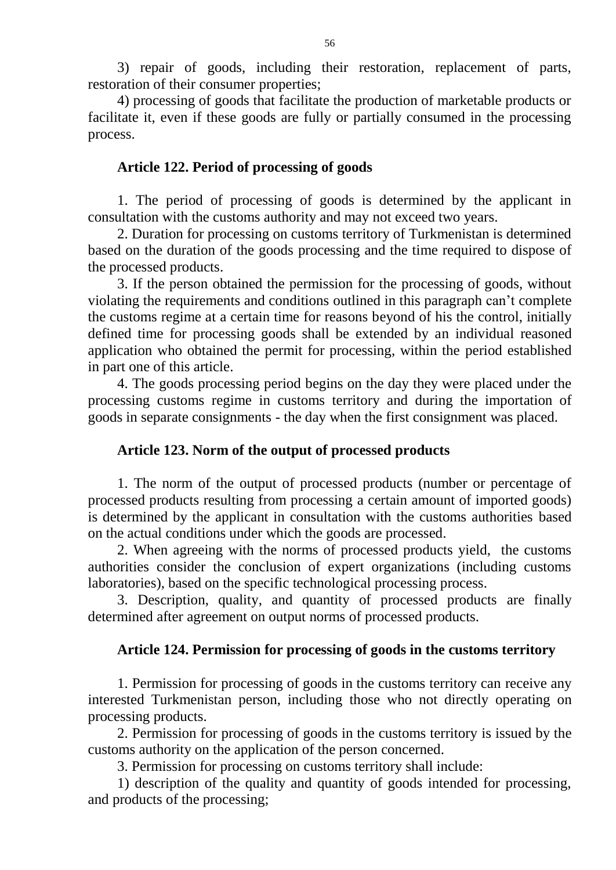3) repair of goods, including their restoration, replacement of parts, restoration of their consumer properties;

4) processing of goods that facilitate the production of marketable products or facilitate it, even if these goods are fully or partially consumed in the processing process.

#### **Article 122. Period of processing of goods**

1. The period of processing of goods is determined by the applicant in consultation with the customs authority and may not exceed two years.

2. Duration for processing on customs territory of Turkmenistan is determined based on the duration of the goods processing and the time required to dispose of the processed products.

3. If the person obtained the permission for the processing of goods, without violating the requirements and conditions outlined in this paragraph can't complete the customs regime at a certain time for reasons beyond of his the control, initially defined time for processing goods shall be extended by an individual reasoned application who obtained the permit for processing, within the period established in part one of this article.

4. The goods processing period begins on the day they were placed under the processing customs regime in customs territory and during the importation of goods in separate consignments - the day when the first consignment was placed.

#### **Article 123. Norm of the output of processed products**

1. The norm of the output of processed products (number or percentage of processed products resulting from processing a certain amount of imported goods) is determined by the applicant in consultation with the customs authorities based on the actual conditions under which the goods are processed.

2. When agreeing with the norms of processed products yield, the customs authorities consider the conclusion of expert organizations (including customs laboratories), based on the specific technological processing process.

3. Description, quality, and quantity of processed products are finally determined after agreement on output norms of processed products.

#### **Article 124. Permission for processing of goods in the customs territory**

1. Permission for processing of goods in the customs territory can receive any interested Turkmenistan person, including those who not directly operating on processing products.

2. Permission for processing of goods in the customs territory is issued by the customs authority on the application of the person concerned.

3. Permission for processing on customs territory shall include:

1) description of the quality and quantity of goods intended for processing, and products of the processing;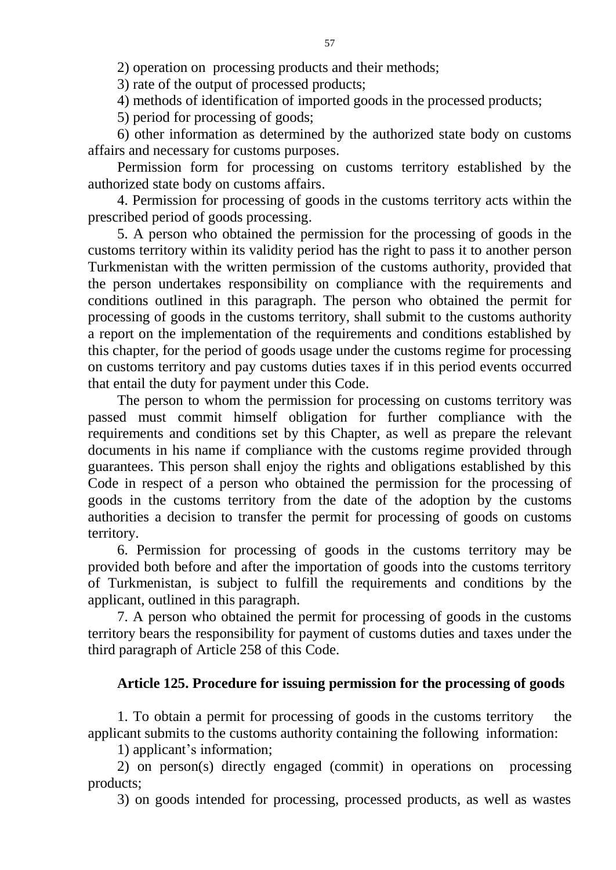2) operation on processing products and their methods;

3) rate of the output of processed products;

4) methods of identification of imported goods in the processed products;

5) period for processing of goods;

6) other information as determined by the authorized state body on customs affairs and necessary for customs purposes.

Permission form for processing on customs territory established by the authorized state body on customs affairs.

4. Permission for processing of goods in the customs territory acts within the prescribed period of goods processing.

5. A person who obtained the permission for the processing of goods in the customs territory within its validity period has the right to pass it to another person Turkmenistan with the written permission of the customs authority, provided that the person undertakes responsibility on compliance with the requirements and conditions outlined in this paragraph. The person who obtained the permit for processing of goods in the customs territory, shall submit to the customs authority a report on the implementation of the requirements and conditions established by this chapter, for the period of goods usage under the customs regime for processing on customs territory and pay customs duties taxes if in this period events occurred that entail the duty for payment under this Code.

The person to whom the permission for processing on customs territory was passed must commit himself obligation for further compliance with the requirements and conditions set by this Chapter, as well as prepare the relevant documents in his name if compliance with the customs regime provided through guarantees. This person shall enjoy the rights and obligations established by this Code in respect of a person who obtained the permission for the processing of goods in the customs territory from the date of the adoption by the customs authorities a decision to transfer the permit for processing of goods on customs territory.

6. Permission for processing of goods in the customs territory may be provided both before and after the importation of goods into the customs territory of Turkmenistan, is subject to fulfill the requirements and conditions by the applicant, outlined in this paragraph.

7. A person who obtained the permit for processing of goods in the customs territory bears the responsibility for payment of customs duties and taxes under the third paragraph of Article 258 of this Code.

# **Article 125. Procedure for issuing permission for the processing of goods**

1. To obtain a permit for processing of goods in the customs territory the applicant submits to the customs authority containing the following information:

1) applicant's information;

2) on person(s) directly engaged (commit) in operations on processing products;

3) on goods intended for processing, processed products, as well as wastes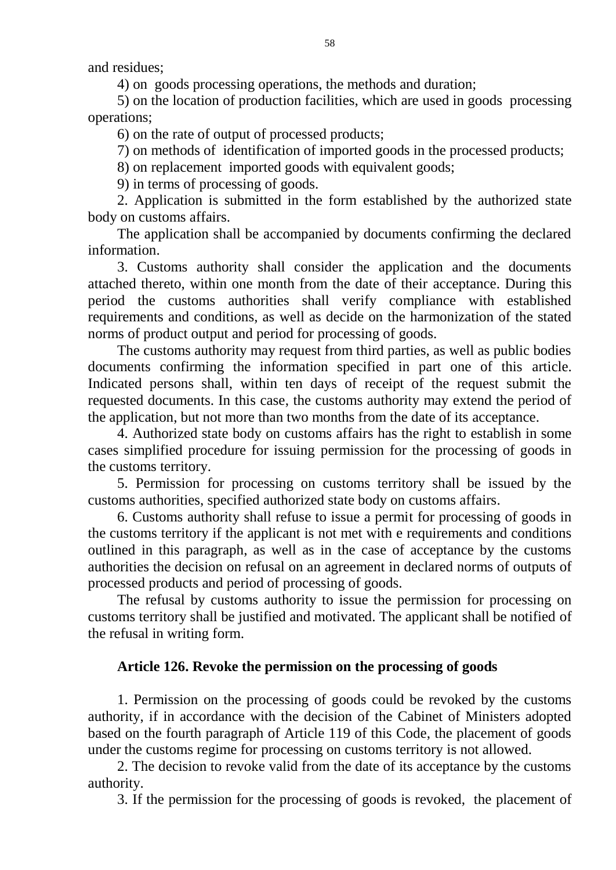and residues;

4) on goods processing operations, the methods and duration;

5) on the location of production facilities, which are used in goods processing operations;

6) on the rate of output of processed products;

7) on methods of identification of imported goods in the processed products;

8) on replacement imported goods with equivalent goods;

9) in terms of processing of goods.

2. Application is submitted in the form established by the authorized state body on customs affairs.

The application shall be accompanied by documents confirming the declared information.

3. Customs authority shall consider the application and the documents attached thereto, within one month from the date of their acceptance. During this period the customs authorities shall verify compliance with established requirements and conditions, as well as decide on the harmonization of the stated norms of product output and period for processing of goods.

The customs authority may request from third parties, as well as public bodies documents confirming the information specified in part one of this article. Indicated persons shall, within ten days of receipt of the request submit the requested documents. In this case, the customs authority may extend the period of the application, but not more than two months from the date of its acceptance.

4. Authorized state body on customs affairs has the right to establish in some cases simplified procedure for issuing permission for the processing of goods in the customs territory.

5. Permission for processing on customs territory shall be issued by the customs authorities, specified authorized state body on customs affairs.

6. Customs authority shall refuse to issue a permit for processing of goods in the customs territory if the applicant is not met with e requirements and conditions outlined in this paragraph, as well as in the case of acceptance by the customs authorities the decision on refusal on an agreement in declared norms of outputs of processed products and period of processing of goods.

The refusal by customs authority to issue the permission for processing on customs territory shall be justified and motivated. The applicant shall be notified of the refusal in writing form.

# **Article 126. Revoke the permission on the processing of goods**

1. Permission on the processing of goods could be revoked by the customs authority, if in accordance with the decision of the Cabinet of Ministers adopted based on the fourth paragraph of Article 119 of this Code, the placement of goods under the customs regime for processing on customs territory is not allowed.

2. The decision to revoke valid from the date of its acceptance by the customs authority.

3. If the permission for the processing of goods is revoked, the placement of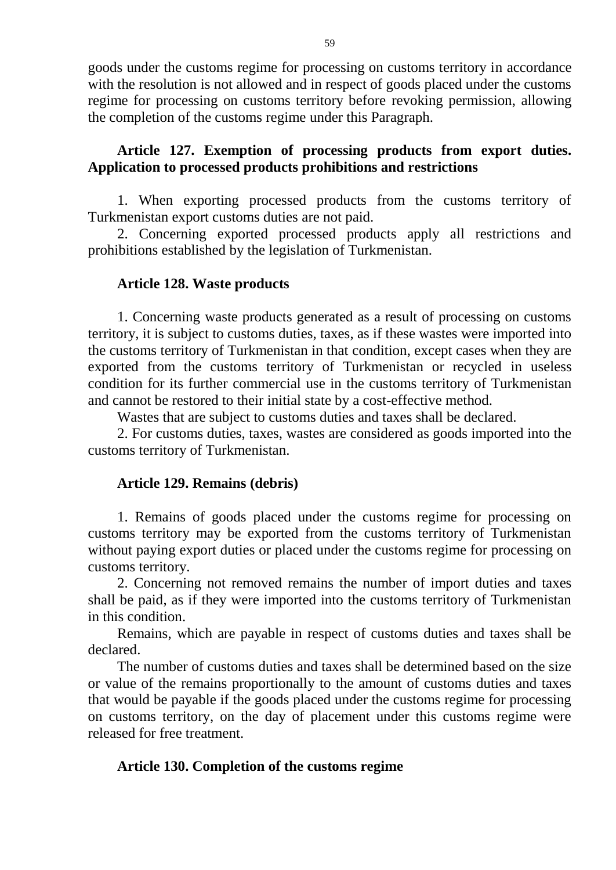goods under the customs regime for processing on customs territory in accordance with the resolution is not allowed and in respect of goods placed under the customs regime for processing on customs territory before revoking permission, allowing the completion of the customs regime under this Paragraph.

# **Article 127. Exemption of processing products from export duties. Application to processed products prohibitions and restrictions**

1. When exporting processed products from the customs territory of Turkmenistan export customs duties are not paid.

2. Concerning exported processed products apply all restrictions and prohibitions established by the legislation of Turkmenistan.

### **Article 128. Waste products**

1. Concerning waste products generated as a result of processing on customs territory, it is subject to customs duties, taxes, as if these wastes were imported into the customs territory of Turkmenistan in that condition, except cases when they are exported from the customs territory of Turkmenistan or recycled in useless condition for its further commercial use in the customs territory of Turkmenistan and cannot be restored to their initial state by a cost-effective method.

Wastes that are subject to customs duties and taxes shall be declared.

2. For customs duties, taxes, wastes are considered as goods imported into the customs territory of Turkmenistan.

### **Article 129. Remains (debris)**

1. Remains of goods placed under the customs regime for processing on customs territory may be exported from the customs territory of Turkmenistan without paying export duties or placed under the customs regime for processing on customs territory.

2. Concerning not removed remains the number of import duties and taxes shall be paid, as if they were imported into the customs territory of Turkmenistan in this condition.

Remains, which are payable in respect of customs duties and taxes shall be declared.

The number of customs duties and taxes shall be determined based on the size or value of the remains proportionally to the amount of customs duties and taxes that would be payable if the goods placed under the customs regime for processing on customs territory, on the day of placement under this customs regime were released for free treatment.

# **Article 130. Completion of the customs regime**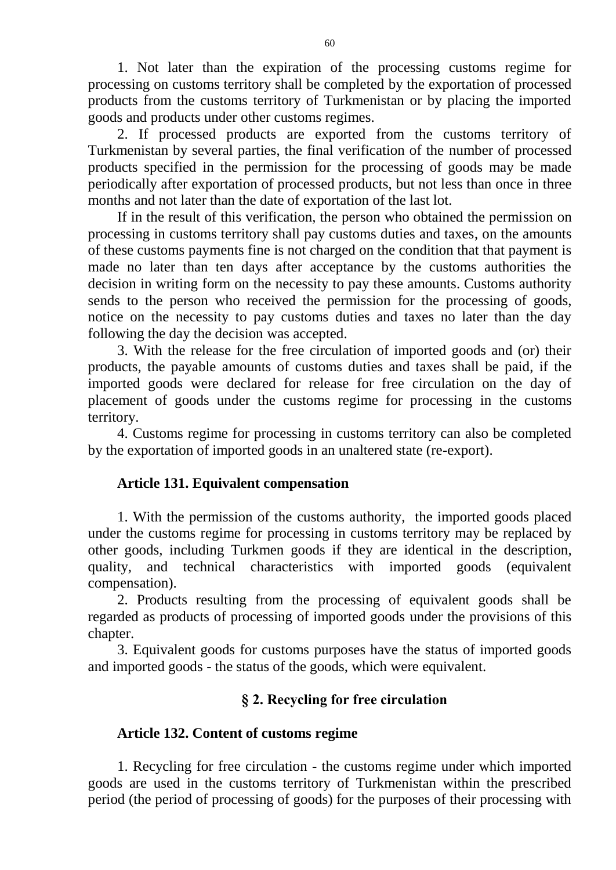1. Not later than the expiration of the processing customs regime for processing on customs territory shall be completed by the exportation of processed products from the customs territory of Turkmenistan or by placing the imported goods and products under other customs regimes.

2. If processed products are exported from the customs territory of Turkmenistan by several parties, the final verification of the number of processed products specified in the permission for the processing of goods may be made periodically after exportation of processed products, but not less than once in three months and not later than the date of exportation of the last lot.

If in the result of this verification, the person who obtained the permission on processing in customs territory shall pay customs duties and taxes, on the amounts of these customs payments fine is not charged on the condition that that payment is made no later than ten days after acceptance by the customs authorities the decision in writing form on the necessity to pay these amounts. Customs authority sends to the person who received the permission for the processing of goods, notice on the necessity to pay customs duties and taxes no later than the day following the day the decision was accepted.

3. With the release for the free circulation of imported goods and (or) their products, the payable amounts of customs duties and taxes shall be paid, if the imported goods were declared for release for free circulation on the day of placement of goods under the customs regime for processing in the customs territory.

4. Customs regime for processing in customs territory can also be completed by the exportation of imported goods in an unaltered state (re-export).

# **Article 131. Equivalent compensation**

1. With the permission of the customs authority, the imported goods placed under the customs regime for processing in customs territory may be replaced by other goods, including Turkmen goods if they are identical in the description, quality, and technical characteristics with imported goods (equivalent compensation).

2. Products resulting from the processing of equivalent goods shall be regarded as products of processing of imported goods under the provisions of this chapter.

3. Equivalent goods for customs purposes have the status of imported goods and imported goods - the status of the goods, which were equivalent.

# **§ 2. Recycling for free circulation**

# **Article 132. Content of customs regime**

1. Recycling for free circulation - the customs regime under which imported goods are used in the customs territory of Turkmenistan within the prescribed period (the period of processing of goods) for the purposes of their processing with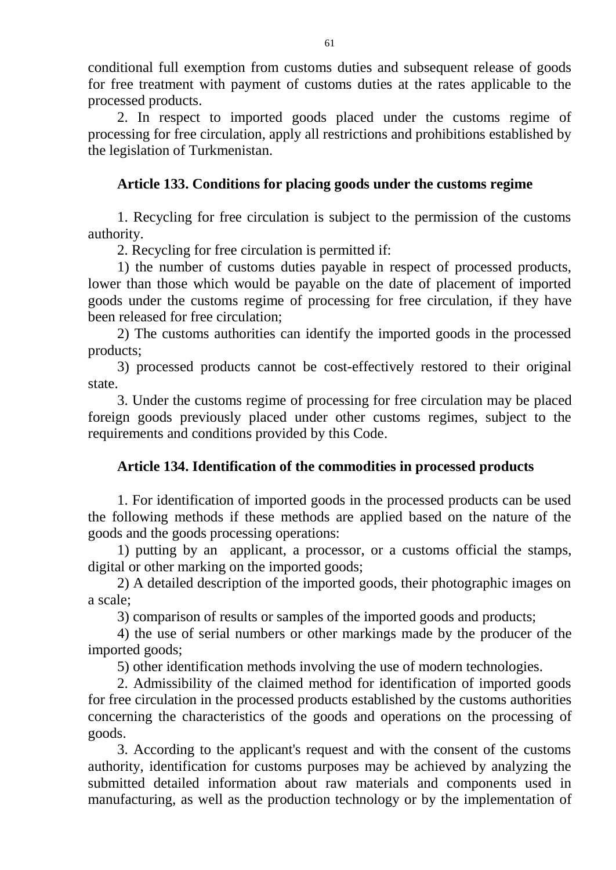conditional full exemption from customs duties and subsequent release of goods for free treatment with payment of customs duties at the rates applicable to the processed products.

2. In respect to imported goods placed under the customs regime of processing for free circulation, apply all restrictions and prohibitions established by the legislation of Turkmenistan.

# **Article 133. Conditions for placing goods under the customs regime**

1. Recycling for free circulation is subject to the permission of the customs authority.

2. Recycling for free circulation is permitted if:

1) the number of customs duties payable in respect of processed products, lower than those which would be payable on the date of placement of imported goods under the customs regime of processing for free circulation, if they have been released for free circulation;

2) The customs authorities can identify the imported goods in the processed products;

3) processed products cannot be cost-effectively restored to their original state.

3. Under the customs regime of processing for free circulation may be placed foreign goods previously placed under other customs regimes, subject to the requirements and conditions provided by this Code.

# **Article 134. Identification of the commodities in processed products**

1. For identification of imported goods in the processed products can be used the following methods if these methods are applied based on the nature of the goods and the goods processing operations:

1) putting by an applicant, a processor, or a customs official the stamps, digital or other marking on the imported goods;

2) A detailed description of the imported goods, their photographic images on a scale;

3) comparison of results or samples of the imported goods and products;

4) the use of serial numbers or other markings made by the producer of the imported goods;

5) other identification methods involving the use of modern technologies.

2. Admissibility of the claimed method for identification of imported goods for free circulation in the processed products established by the customs authorities concerning the characteristics of the goods and operations on the processing of goods.

3. According to the applicant's request and with the consent of the customs authority, identification for customs purposes may be achieved by analyzing the submitted detailed information about raw materials and components used in manufacturing, as well as the production technology or by the implementation of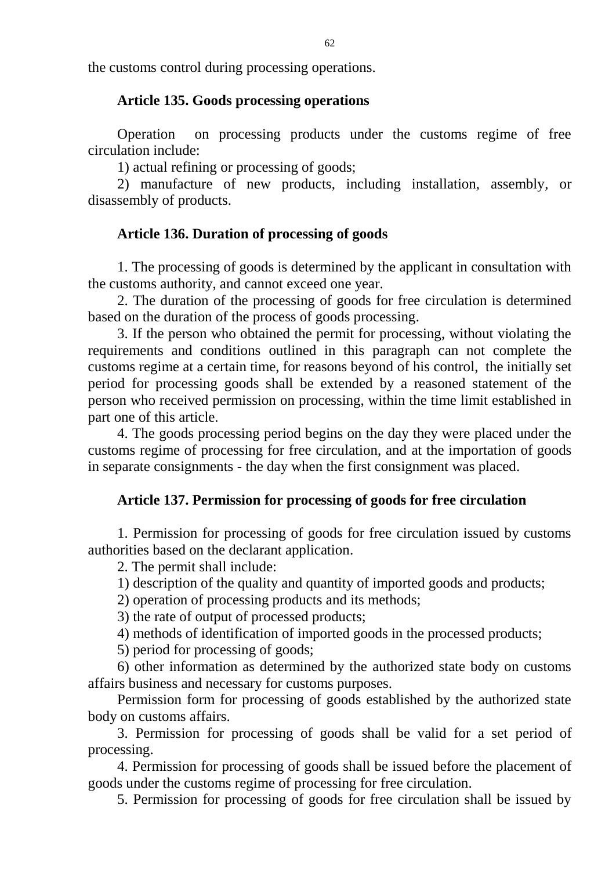the customs control during processing operations.

#### **Article 135. Goods processing operations**

Operation on processing products under the customs regime of free circulation include:

1) actual refining or processing of goods;

2) manufacture of new products, including installation, assembly, or disassembly of products.

### **Article 136. Duration of processing of goods**

1. The processing of goods is determined by the applicant in consultation with the customs authority, and cannot exceed one year.

2. The duration of the processing of goods for free circulation is determined based on the duration of the process of goods processing.

3. If the person who obtained the permit for processing, without violating the requirements and conditions outlined in this paragraph can not complete the customs regime at a certain time, for reasons beyond of his control, the initially set period for processing goods shall be extended by a reasoned statement of the person who received permission on processing, within the time limit established in part one of this article.

4. The goods processing period begins on the day they were placed under the customs regime of processing for free circulation, and at the importation of goods in separate consignments - the day when the first consignment was placed.

#### **Article 137. Permission for processing of goods for free circulation**

1. Permission for processing of goods for free circulation issued by customs authorities based on the declarant application.

2. The permit shall include:

1) description of the quality and quantity of imported goods and products;

2) operation of processing products and its methods;

3) the rate of output of processed products;

4) methods of identification of imported goods in the processed products;

5) period for processing of goods;

6) other information as determined by the authorized state body on customs affairs business and necessary for customs purposes.

Permission form for processing of goods established by the authorized state body on customs affairs.

3. Permission for processing of goods shall be valid for a set period of processing.

4. Permission for processing of goods shall be issued before the placement of goods under the customs regime of processing for free circulation.

5. Permission for processing of goods for free circulation shall be issued by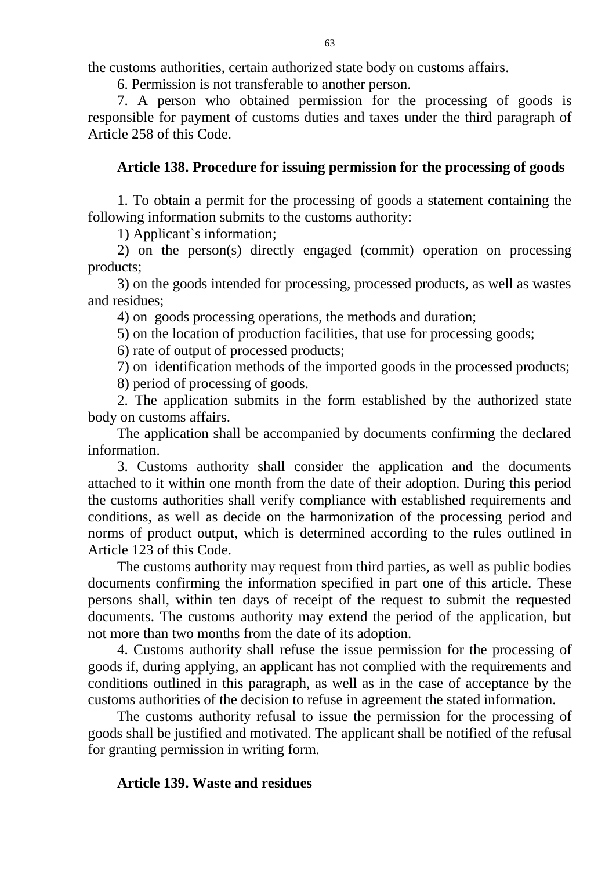the customs authorities, certain authorized state body on customs affairs.

6. Permission is not transferable to another person.

7. A person who obtained permission for the processing of goods is responsible for payment of customs duties and taxes under the third paragraph of Article 258 of this Code.

#### **Article 138. Procedure for issuing permission for the processing of goods**

1. To obtain a permit for the processing of goods a statement containing the following information submits to the customs authority:

1) Applicant`s information;

2) on the person(s) directly engaged (commit) operation on processing products;

3) on the goods intended for processing, processed products, as well as wastes and residues;

4) on goods processing operations, the methods and duration;

5) on the location of production facilities, that use for processing goods;

6) rate of output of processed products;

7) on identification methods of the imported goods in the processed products;

8) period of processing of goods.

2. The application submits in the form established by the authorized state body on customs affairs.

The application shall be accompanied by documents confirming the declared information.

3. Customs authority shall consider the application and the documents attached to it within one month from the date of their adoption. During this period the customs authorities shall verify compliance with established requirements and conditions, as well as decide on the harmonization of the processing period and norms of product output, which is determined according to the rules outlined in Article 123 of this Code.

The customs authority may request from third parties, as well as public bodies documents confirming the information specified in part one of this article. These persons shall, within ten days of receipt of the request to submit the requested documents. The customs authority may extend the period of the application, but not more than two months from the date of its adoption.

4. Customs authority shall refuse the issue permission for the processing of goods if, during applying, an applicant has not complied with the requirements and conditions outlined in this paragraph, as well as in the case of acceptance by the customs authorities of the decision to refuse in agreement the stated information.

The customs authority refusal to issue the permission for the processing of goods shall be justified and motivated. The applicant shall be notified of the refusal for granting permission in writing form.

#### **Article 139. Waste and residues**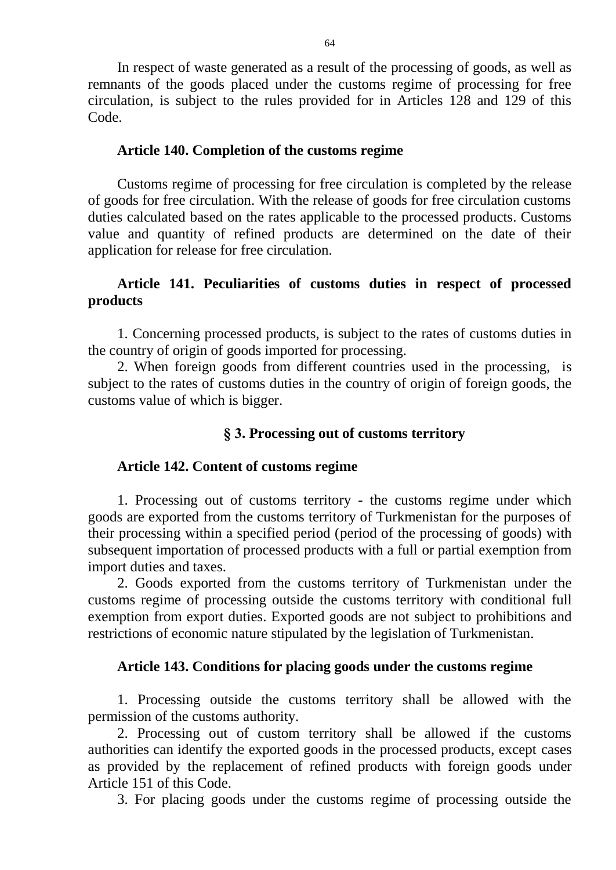In respect of waste generated as a result of the processing of goods, as well as remnants of the goods placed under the customs regime of processing for free circulation, is subject to the rules provided for in Articles 128 and 129 of this Code.

### **Article 140. Completion of the customs regime**

Customs regime of processing for free circulation is completed by the release of goods for free circulation. With the release of goods for free circulation customs duties calculated based on the rates applicable to the processed products. Customs value and quantity of refined products are determined on the date of their application for release for free circulation.

# **Article 141. Peculiarities of customs duties in respect of processed products**

1. Concerning processed products, is subject to the rates of customs duties in the country of origin of goods imported for processing.

2. When foreign goods from different countries used in the processing, is subject to the rates of customs duties in the country of origin of foreign goods, the customs value of which is bigger.

# **§ 3. Processing out of customs territory**

# **Article 142. Content of customs regime**

1. Processing out of customs territory - the customs regime under which goods are exported from the customs territory of Turkmenistan for the purposes of their processing within a specified period (period of the processing of goods) with subsequent importation of processed products with a full or partial exemption from import duties and taxes.

2. Goods exported from the customs territory of Turkmenistan under the customs regime of processing outside the customs territory with conditional full exemption from export duties. Exported goods are not subject to prohibitions and restrictions of economic nature stipulated by the legislation of Turkmenistan.

# **Article 143. Conditions for placing goods under the customs regime**

1. Processing outside the customs territory shall be allowed with the permission of the customs authority.

2. Processing out of custom territory shall be allowed if the customs authorities can identify the exported goods in the processed products, except cases as provided by the replacement of refined products with foreign goods under Article 151 of this Code.

3. For placing goods under the customs regime of processing outside the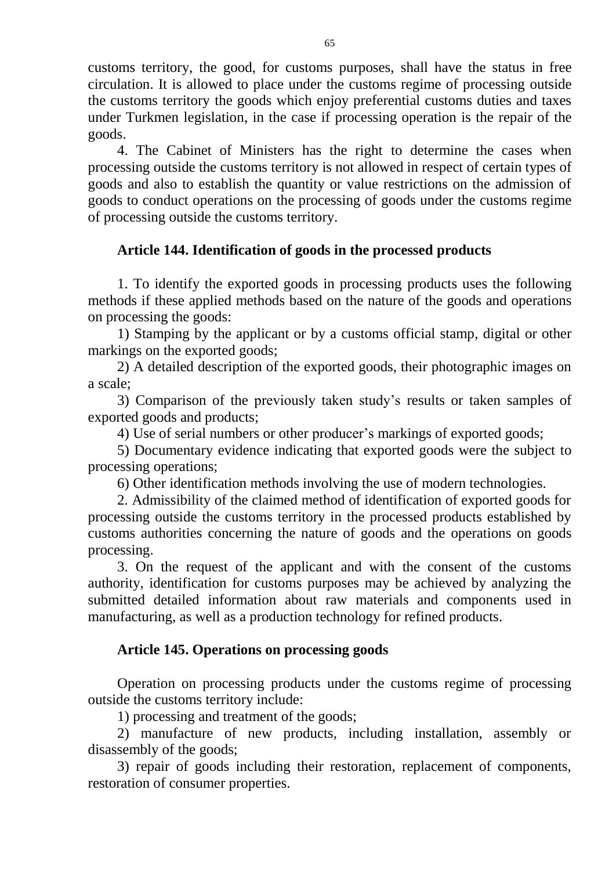customs territory, the good, for customs purposes, shall have the status in free circulation. It is allowed to place under the customs regime of processing outside the customs territory the goods which enjoy preferential customs duties and taxes under Turkmen legislation, in the case if processing operation is the repair of the goods.

4. The Cabinet of Ministers has the right to determine the cases when processing outside the customs territory is not allowed in respect of certain types of goods and also to establish the quantity or value restrictions on the admission of goods to conduct operations on the processing of goods under the customs regime of processing outside the customs territory.

# **Article 144. Identification of goods in the processed products**

1. To identify the exported goods in processing products uses the following methods if these applied methods based on the nature of the goods and operations on processing the goods:

1) Stamping by the applicant or by a customs official stamp, digital or other markings on the exported goods;

2) A detailed description of the exported goods, their photographic images on a scale;

3) Comparison of the previously taken study's results or taken samples of exported goods and products;

4) Use of serial numbers or other producer's markings of exported goods;

5) Documentary evidence indicating that exported goods were the subject to processing operations;

6) Other identification methods involving the use of modern technologies.

2. Admissibility of the claimed method of identification of exported goods for processing outside the customs territory in the processed products established by customs authorities concerning the nature of goods and the operations on goods processing.

3. On the request of the applicant and with the consent of the customs authority, identification for customs purposes may be achieved by analyzing the submitted detailed information about raw materials and components used in manufacturing, as well as a production technology for refined products.

# **Article 145. Operations on processing goods**

Operation on processing products under the customs regime of processing outside the customs territory include:

1) processing and treatment of the goods;

2) manufacture of new products, including installation, assembly or disassembly of the goods;

3) repair of goods including their restoration, replacement of components, restoration of consumer properties.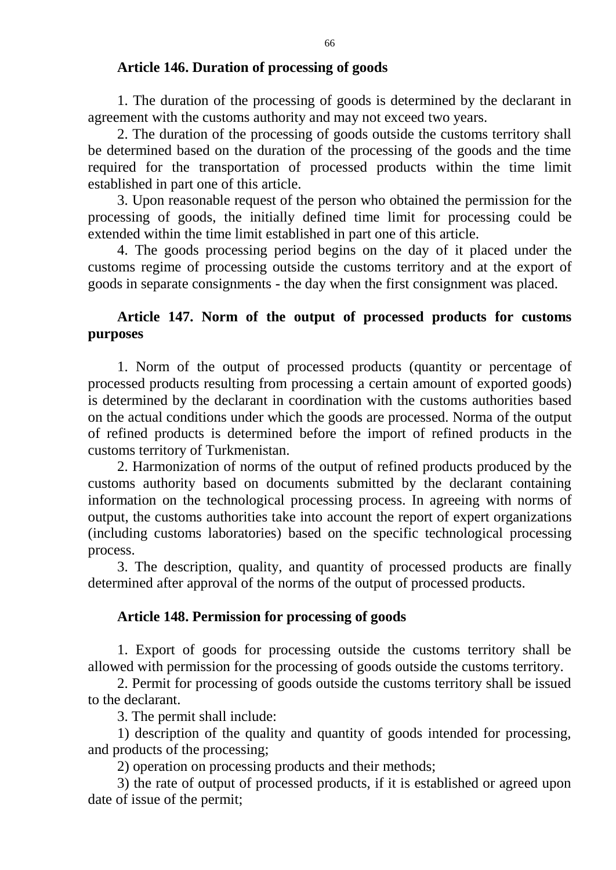#### **Article 146. Duration of processing of goods**

1. The duration of the processing of goods is determined by the declarant in agreement with the customs authority and may not exceed two years.

2. The duration of the processing of goods outside the customs territory shall be determined based on the duration of the processing of the goods and the time required for the transportation of processed products within the time limit established in part one of this article.

3. Upon reasonable request of the person who obtained the permission for the processing of goods, the initially defined time limit for processing could be extended within the time limit established in part one of this article.

4. The goods processing period begins on the day of it placed under the customs regime of processing outside the customs territory and at the export of goods in separate consignments - the day when the first consignment was placed.

## **Article 147. Norm of the output of processed products for customs purposes**

1. Norm of the output of processed products (quantity or percentage of processed products resulting from processing a certain amount of exported goods) is determined by the declarant in coordination with the customs authorities based on the actual conditions under which the goods are processed. Norma of the output of refined products is determined before the import of refined products in the customs territory of Turkmenistan.

2. Harmonization of norms of the output of refined products produced by the customs authority based on documents submitted by the declarant containing information on the technological processing process. In agreeing with norms of output, the customs authorities take into account the report of expert organizations (including customs laboratories) based on the specific technological processing process.

3. The description, quality, and quantity of processed products are finally determined after approval of the norms of the output of processed products.

### **Article 148. Permission for processing of goods**

1. Export of goods for processing outside the customs territory shall be allowed with permission for the processing of goods outside the customs territory.

2. Permit for processing of goods outside the customs territory shall be issued to the declarant.

3. The permit shall include:

1) description of the quality and quantity of goods intended for processing, and products of the processing;

2) operation on processing products and their methods;

3) the rate of output of processed products, if it is established or agreed upon date of issue of the permit;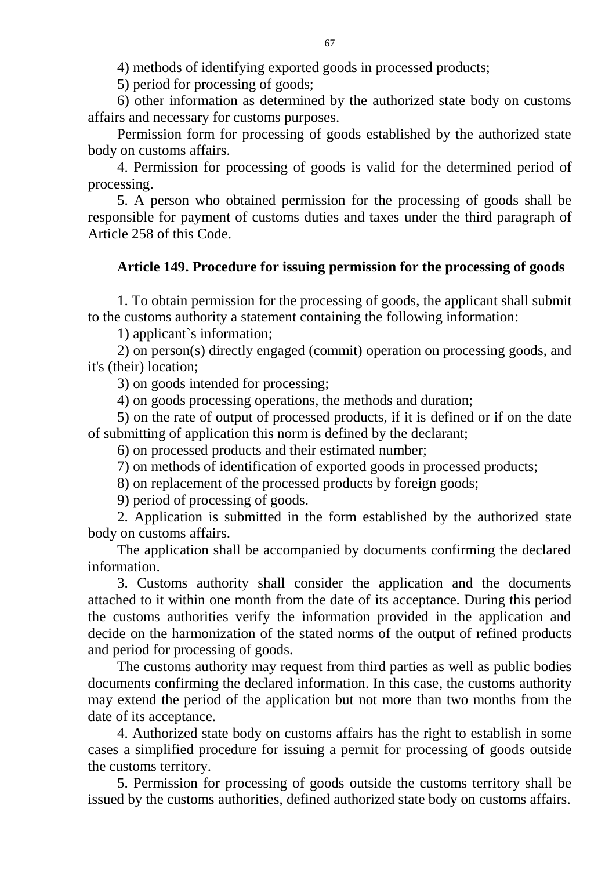4) methods of identifying exported goods in processed products;

5) period for processing of goods;

6) other information as determined by the authorized state body on customs affairs and necessary for customs purposes.

Permission form for processing of goods established by the authorized state body on customs affairs.

4. Permission for processing of goods is valid for the determined period of processing.

5. A person who obtained permission for the processing of goods shall be responsible for payment of customs duties and taxes under the third paragraph of Article 258 of this Code.

#### **Article 149. Procedure for issuing permission for the processing of goods**

1. To obtain permission for the processing of goods, the applicant shall submit to the customs authority a statement containing the following information:

1) applicant`s information;

2) on person(s) directly engaged (commit) operation on processing goods, and it's (their) location;

3) on goods intended for processing;

4) on goods processing operations, the methods and duration;

5) on the rate of output of processed products, if it is defined or if on the date of submitting of application this norm is defined by the declarant;

6) on processed products and their estimated number;

7) on methods of identification of exported goods in processed products;

8) on replacement of the processed products by foreign goods;

9) period of processing of goods.

2. Application is submitted in the form established by the authorized state body on customs affairs.

The application shall be accompanied by documents confirming the declared information.

3. Customs authority shall consider the application and the documents attached to it within one month from the date of its acceptance. During this period the customs authorities verify the information provided in the application and decide on the harmonization of the stated norms of the output of refined products and period for processing of goods.

The customs authority may request from third parties as well as public bodies documents confirming the declared information. In this case, the customs authority may extend the period of the application but not more than two months from the date of its acceptance.

4. Authorized state body on customs affairs has the right to establish in some cases a simplified procedure for issuing a permit for processing of goods outside the customs territory.

5. Permission for processing of goods outside the customs territory shall be issued by the customs authorities, defined authorized state body on customs affairs.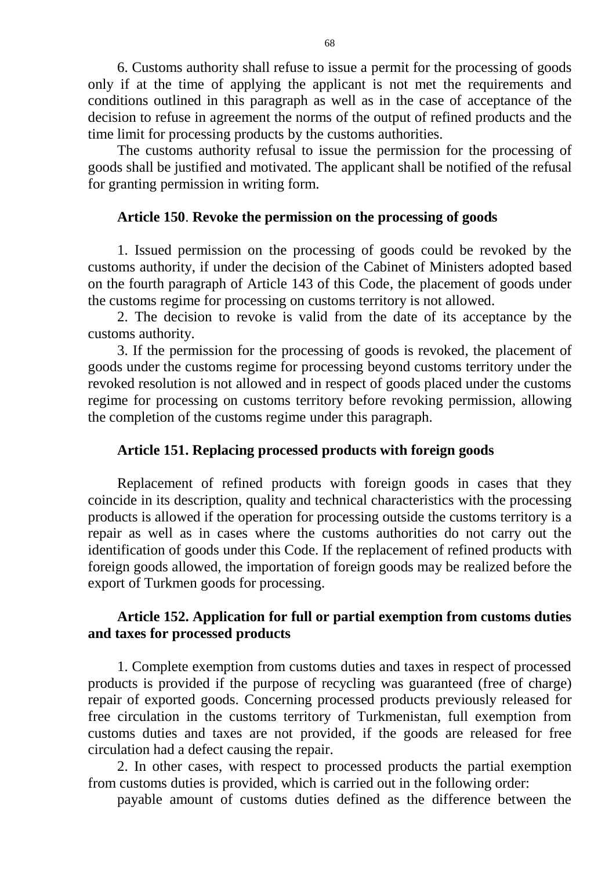6. Customs authority shall refuse to issue a permit for the processing of goods only if at the time of applying the applicant is not met the requirements and conditions outlined in this paragraph as well as in the case of acceptance of the decision to refuse in agreement the norms of the output of refined products and the time limit for processing products by the customs authorities.

The customs authority refusal to issue the permission for the processing of goods shall be justified and motivated. The applicant shall be notified of the refusal for granting permission in writing form.

#### **Article 150**. **Revoke the permission on the processing of goods**

1. Issued permission on the processing of goods could be revoked by the customs authority, if under the decision of the Cabinet of Ministers adopted based on the fourth paragraph of Article 143 of this Code, the placement of goods under the customs regime for processing on customs territory is not allowed.

2. The decision to revoke is valid from the date of its acceptance by the customs authority.

3. If the permission for the processing of goods is revoked, the placement of goods under the customs regime for processing beyond customs territory under the revoked resolution is not allowed and in respect of goods placed under the customs regime for processing on customs territory before revoking permission, allowing the completion of the customs regime under this paragraph.

#### **Article 151. Replacing processed products with foreign goods**

Replacement of refined products with foreign goods in cases that they coincide in its description, quality and technical characteristics with the processing products is allowed if the operation for processing outside the customs territory is a repair as well as in cases where the customs authorities do not carry out the identification of goods under this Code. If the replacement of refined products with foreign goods allowed, the importation of foreign goods may be realized before the export of Turkmen goods for processing.

### **Article 152. Application for full or partial exemption from customs duties and taxes for processed products**

1. Complete exemption from customs duties and taxes in respect of processed products is provided if the purpose of recycling was guaranteed (free of charge) repair of exported goods. Concerning processed products previously released for free circulation in the customs territory of Turkmenistan, full exemption from customs duties and taxes are not provided, if the goods are released for free circulation had a defect causing the repair.

2. In other cases, with respect to processed products the partial exemption from customs duties is provided, which is carried out in the following order:

payable amount of customs duties defined as the difference between the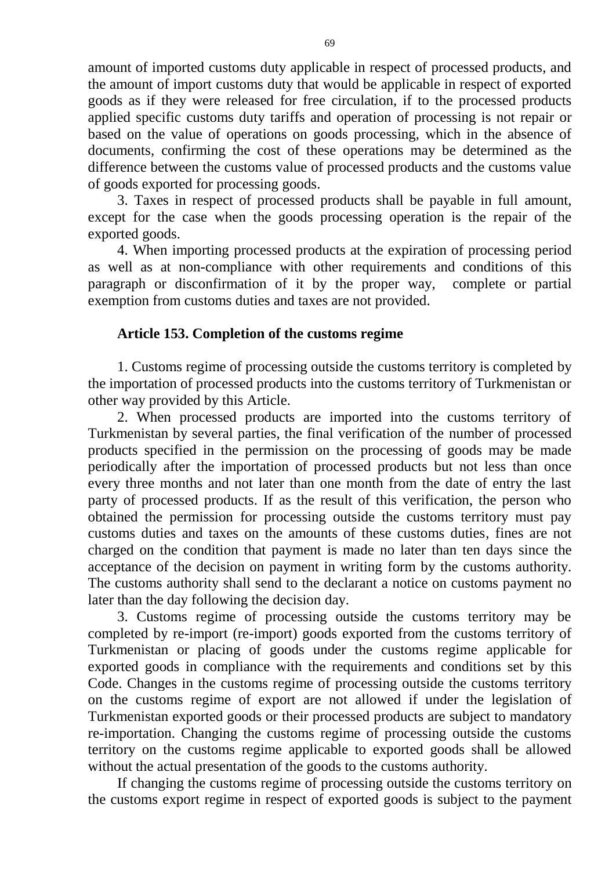amount of imported customs duty applicable in respect of processed products, and the amount of import customs duty that would be applicable in respect of exported goods as if they were released for free circulation, if to the processed products applied specific customs duty tariffs and operation of processing is not repair or based on the value of operations on goods processing, which in the absence of documents, confirming the cost of these operations may be determined as the difference between the customs value of processed products and the customs value of goods exported for processing goods.

3. Taxes in respect of processed products shall be payable in full amount, except for the case when the goods processing operation is the repair of the exported goods.

4. When importing processed products at the expiration of processing period as well as at non-compliance with other requirements and conditions of this paragraph or disconfirmation of it by the proper way, complete or partial exemption from customs duties and taxes are not provided.

#### **Article 153. Completion of the customs regime**

1. Customs regime of processing outside the customs territory is completed by the importation of processed products into the customs territory of Turkmenistan or other way provided by this Article.

2. When processed products are imported into the customs territory of Turkmenistan by several parties, the final verification of the number of processed products specified in the permission on the processing of goods may be made periodically after the importation of processed products but not less than once every three months and not later than one month from the date of entry the last party of processed products. If as the result of this verification, the person who obtained the permission for processing outside the customs territory must pay customs duties and taxes on the amounts of these customs duties, fines are not charged on the condition that payment is made no later than ten days since the acceptance of the decision on payment in writing form by the customs authority. The customs authority shall send to the declarant a notice on customs payment no later than the day following the decision day.

3. Customs regime of processing outside the customs territory may be completed by re-import (re-import) goods exported from the customs territory of Turkmenistan or placing of goods under the customs regime applicable for exported goods in compliance with the requirements and conditions set by this Code. Changes in the customs regime of processing outside the customs territory on the customs regime of export are not allowed if under the legislation of Turkmenistan exported goods or their processed products are subject to mandatory re-importation. Changing the customs regime of processing outside the customs territory on the customs regime applicable to exported goods shall be allowed without the actual presentation of the goods to the customs authority.

If changing the customs regime of processing outside the customs territory on the customs export regime in respect of exported goods is subject to the payment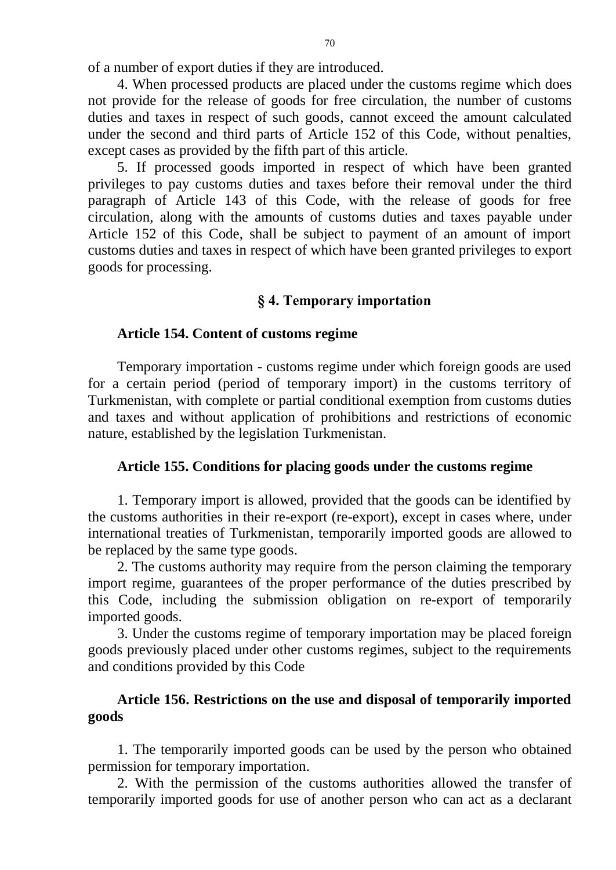of a number of export duties if they are introduced.

4. When processed products are placed under the customs regime which does not provide for the release of goods for free circulation, the number of customs duties and taxes in respect of such goods, cannot exceed the amount calculated under the second and third parts of Article 152 of this Code, without penalties, except cases as provided by the fifth part of this article.

5. If processed goods imported in respect of which have been granted privileges to pay customs duties and taxes before their removal under the third paragraph of Article 143 of this Code, with the release of goods for free circulation, along with the amounts of customs duties and taxes payable under Article 152 of this Code, shall be subject to payment of an amount of import customs duties and taxes in respect of which have been granted privileges to export goods for processing.

### **§ 4. Temporary importation**

#### **Article 154. Content of customs regime**

Temporary importation - customs regime under which foreign goods are used for a certain period (period of temporary import) in the customs territory of Turkmenistan, with complete or partial conditional exemption from customs duties and taxes and without application of prohibitions and restrictions of economic nature, established by the legislation Turkmenistan.

### **Article 155. Conditions for placing goods under the customs regime**

1. Temporary import is allowed, provided that the goods can be identified by the customs authorities in their re-export (re-export), except in cases where, under international treaties of Turkmenistan, temporarily imported goods are allowed to be replaced by the same type goods.

2. The customs authority may require from the person claiming the temporary import regime, guarantees of the proper performance of the duties prescribed by this Code, including the submission obligation on re-export of temporarily imported goods.

3. Under the customs regime of temporary importation may be placed foreign goods previously placed under other customs regimes, subject to the requirements and conditions provided by this Code

### **Article 156. Restrictions on the use and disposal of temporarily imported goods**

1. The temporarily imported goods can be used by the person who obtained permission for temporary importation.

2. With the permission of the customs authorities allowed the transfer of temporarily imported goods for use of another person who can act as a declarant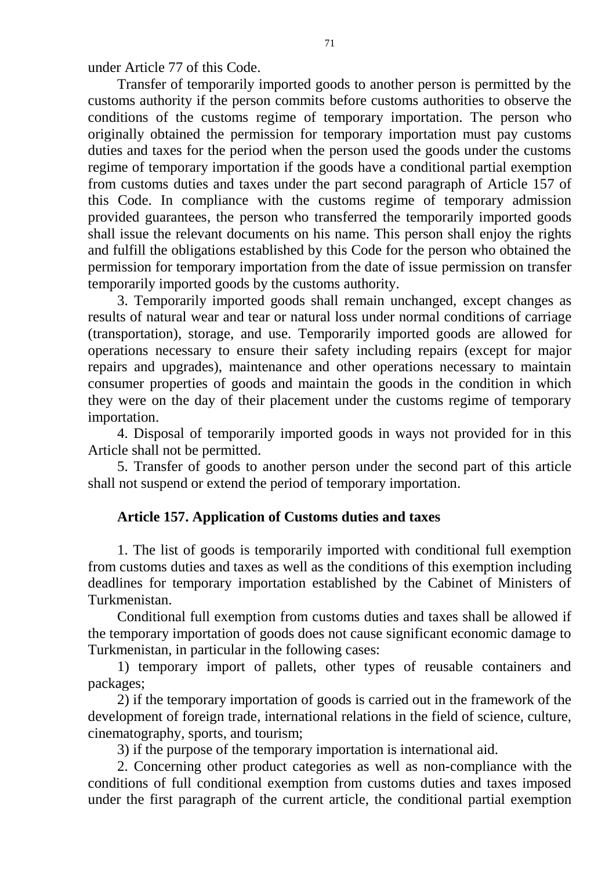under Article 77 of this Code.

Transfer of temporarily imported goods to another person is permitted by the customs authority if the person commits before customs authorities to observe the conditions of the customs regime of temporary importation. The person who originally obtained the permission for temporary importation must pay customs duties and taxes for the period when the person used the goods under the customs regime of temporary importation if the goods have a conditional partial exemption from customs duties and taxes under the part second paragraph of Article 157 of this Code. In compliance with the customs regime of temporary admission provided guarantees, the person who transferred the temporarily imported goods shall issue the relevant documents on his name. This person shall enjoy the rights and fulfill the obligations established by this Code for the person who obtained the permission for temporary importation from the date of issue permission on transfer temporarily imported goods by the customs authority.

3. Temporarily imported goods shall remain unchanged, except changes as results of natural wear and tear or natural loss under normal conditions of carriage (transportation), storage, and use. Temporarily imported goods are allowed for operations necessary to ensure their safety including repairs (except for major repairs and upgrades), maintenance and other operations necessary to maintain consumer properties of goods and maintain the goods in the condition in which they were on the day of their placement under the customs regime of temporary importation.

4. Disposal of temporarily imported goods in ways not provided for in this Article shall not be permitted.

5. Transfer of goods to another person under the second part of this article shall not suspend or extend the period of temporary importation.

### **Article 157. Application of Customs duties and taxes**

1. The list of goods is temporarily imported with conditional full exemption from customs duties and taxes as well as the conditions of this exemption including deadlines for temporary importation established by the Cabinet of Ministers of Turkmenistan.

Conditional full exemption from customs duties and taxes shall be allowed if the temporary importation of goods does not cause significant economic damage to Turkmenistan, in particular in the following cases:

1) temporary import of pallets, other types of reusable containers and packages;

2) if the temporary importation of goods is carried out in the framework of the development of foreign trade, international relations in the field of science, culture, cinematography, sports, and tourism;

3) if the purpose of the temporary importation is international aid.

2. Concerning other product categories as well as non-compliance with the conditions of full conditional exemption from customs duties and taxes imposed under the first paragraph of the current article, the conditional partial exemption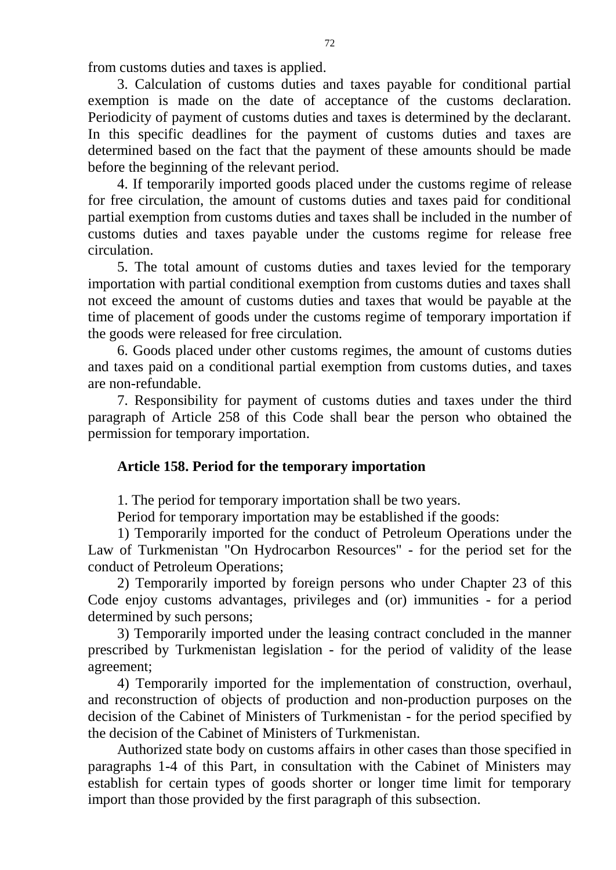from customs duties and taxes is applied.

3. Calculation of customs duties and taxes payable for conditional partial exemption is made on the date of acceptance of the customs declaration. Periodicity of payment of customs duties and taxes is determined by the declarant. In this specific deadlines for the payment of customs duties and taxes are determined based on the fact that the payment of these amounts should be made before the beginning of the relevant period.

4. If temporarily imported goods placed under the customs regime of release for free circulation, the amount of customs duties and taxes paid for conditional partial exemption from customs duties and taxes shall be included in the number of customs duties and taxes payable under the customs regime for release free circulation.

5. The total amount of customs duties and taxes levied for the temporary importation with partial conditional exemption from customs duties and taxes shall not exceed the amount of customs duties and taxes that would be payable at the time of placement of goods under the customs regime of temporary importation if the goods were released for free circulation.

6. Goods placed under other customs regimes, the amount of customs duties and taxes paid on a conditional partial exemption from customs duties, and taxes are non-refundable.

7. Responsibility for payment of customs duties and taxes under the third paragraph of Article 258 of this Code shall bear the person who obtained the permission for temporary importation.

### **Article 158. Period for the temporary importation**

1. The period for temporary importation shall be two years.

Period for temporary importation may be established if the goods:

1) Temporarily imported for the conduct of Petroleum Operations under the Law of Turkmenistan "On Hydrocarbon Resources" - for the period set for the conduct of Petroleum Operations;

2) Temporarily imported by foreign persons who under Chapter 23 of this Code enjoy customs advantages, privileges and (or) immunities - for a period determined by such persons;

3) Temporarily imported under the leasing contract concluded in the manner prescribed by Turkmenistan legislation - for the period of validity of the lease agreement;

4) Temporarily imported for the implementation of construction, overhaul, and reconstruction of objects of production and non-production purposes on the decision of the Cabinet of Ministers of Turkmenistan - for the period specified by the decision of the Cabinet of Ministers of Turkmenistan.

Authorized state body on customs affairs in other cases than those specified in paragraphs 1-4 of this Part, in consultation with the Cabinet of Ministers may establish for certain types of goods shorter or longer time limit for temporary import than those provided by the first paragraph of this subsection.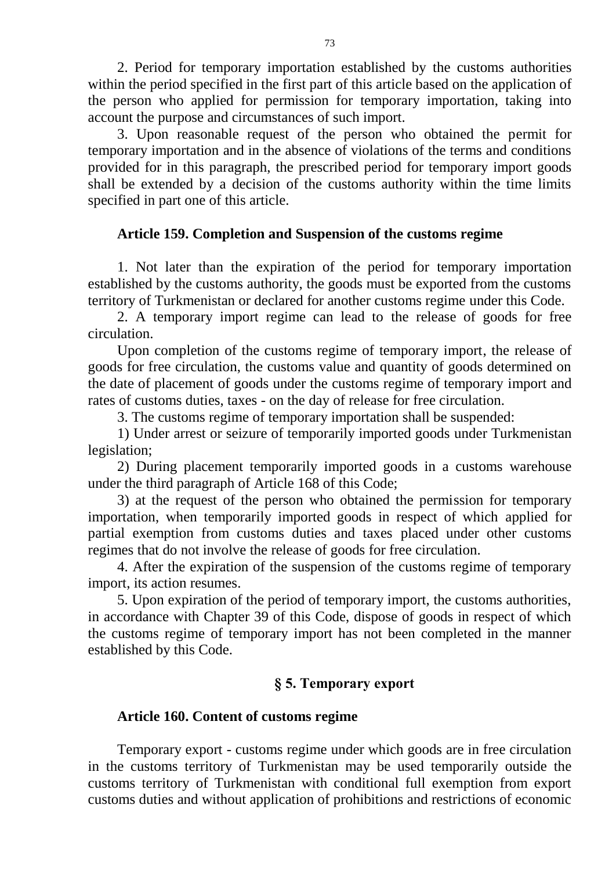2. Period for temporary importation established by the customs authorities within the period specified in the first part of this article based on the application of the person who applied for permission for temporary importation, taking into account the purpose and circumstances of such import.

3. Upon reasonable request of the person who obtained the permit for temporary importation and in the absence of violations of the terms and conditions provided for in this paragraph, the prescribed period for temporary import goods shall be extended by a decision of the customs authority within the time limits specified in part one of this article.

### **Article 159. Completion and Suspension of the customs regime**

1. Not later than the expiration of the period for temporary importation established by the customs authority, the goods must be exported from the customs territory of Turkmenistan or declared for another customs regime under this Code.

2. A temporary import regime can lead to the release of goods for free circulation.

Upon completion of the customs regime of temporary import, the release of goods for free circulation, the customs value and quantity of goods determined on the date of placement of goods under the customs regime of temporary import and rates of customs duties, taxes - on the day of release for free circulation.

3. The customs regime of temporary importation shall be suspended:

1) Under arrest or seizure of temporarily imported goods under Turkmenistan legislation;

2) During placement temporarily imported goods in a customs warehouse under the third paragraph of Article 168 of this Code;

3) at the request of the person who obtained the permission for temporary importation, when temporarily imported goods in respect of which applied for partial exemption from customs duties and taxes placed under other customs regimes that do not involve the release of goods for free circulation.

4. After the expiration of the suspension of the customs regime of temporary import, its action resumes.

5. Upon expiration of the period of temporary import, the customs authorities, in accordance with Chapter 39 of this Code, dispose of goods in respect of which the customs regime of temporary import has not been completed in the manner established by this Code.

# **§ 5. Temporary export**

### **Article 160. Content of customs regime**

Temporary export - customs regime under which goods are in free circulation in the customs territory of Turkmenistan may be used temporarily outside the customs territory of Turkmenistan with conditional full exemption from export customs duties and without application of prohibitions and restrictions of economic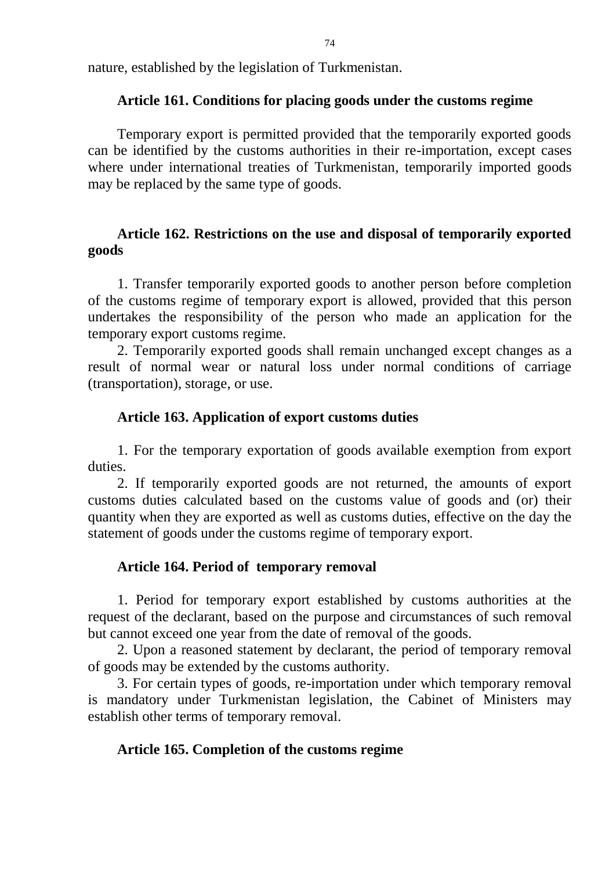nature, established by the legislation of Turkmenistan.

### **Article 161. Conditions for placing goods under the customs regime**

Temporary export is permitted provided that the temporarily exported goods can be identified by the customs authorities in their re-importation, except cases where under international treaties of Turkmenistan, temporarily imported goods may be replaced by the same type of goods.

# **Article 162. Restrictions on the use and disposal of temporarily exported goods**

1. Transfer temporarily exported goods to another person before completion of the customs regime of temporary export is allowed, provided that this person undertakes the responsibility of the person who made an application for the temporary export customs regime.

2. Temporarily exported goods shall remain unchanged except changes as a result of normal wear or natural loss under normal conditions of carriage (transportation), storage, or use.

# **Article 163. Application of export customs duties**

1. For the temporary exportation of goods available exemption from export duties.

2. If temporarily exported goods are not returned, the amounts of export customs duties calculated based on the customs value of goods and (or) their quantity when they are exported as well as customs duties, effective on the day the statement of goods under the customs regime of temporary export.

# **Article 164. Period of temporary removal**

1. Period for temporary export established by customs authorities at the request of the declarant, based on the purpose and circumstances of such removal but cannot exceed one year from the date of removal of the goods.

2. Upon a reasoned statement by declarant, the period of temporary removal of goods may be extended by the customs authority.

3. For certain types of goods, re-importation under which temporary removal is mandatory under Turkmenistan legislation, the Cabinet of Ministers may establish other terms of temporary removal.

# **Article 165. Completion of the customs regime**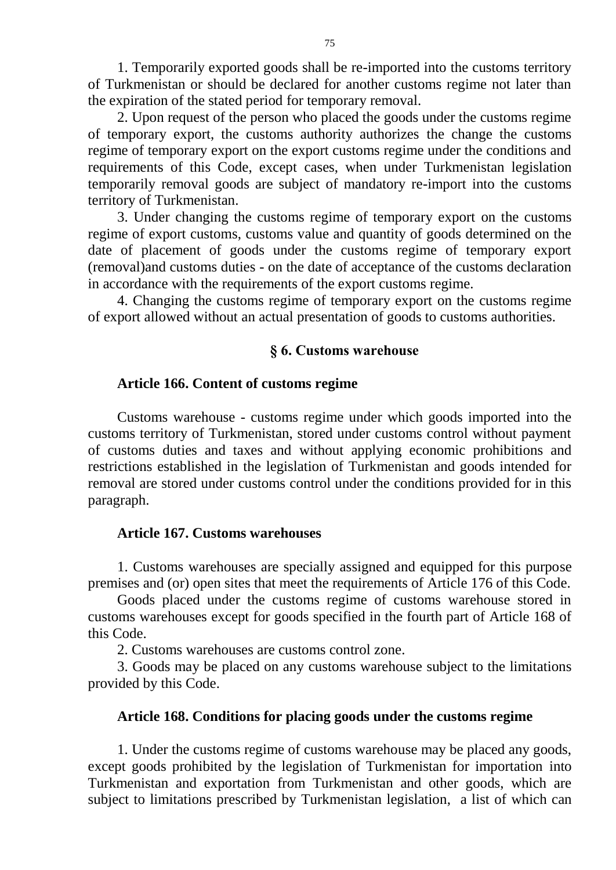1. Temporarily exported goods shall be re-imported into the customs territory of Turkmenistan or should be declared for another customs regime not later than the expiration of the stated period for temporary removal.

2. Upon request of the person who placed the goods under the customs regime of temporary export, the customs authority authorizes the change the customs regime of temporary export on the export customs regime under the conditions and requirements of this Code, except cases, when under Turkmenistan legislation temporarily removal goods are subject of mandatory re-import into the customs territory of Turkmenistan.

3. Under changing the customs regime of temporary export on the customs regime of export customs, customs value and quantity of goods determined on the date of placement of goods under the customs regime of temporary export (removal)and customs duties - on the date of acceptance of the customs declaration in accordance with the requirements of the export customs regime.

4. Changing the customs regime of temporary export on the customs regime of export allowed without an actual presentation of goods to customs authorities.

#### **§ 6. Customs warehouse**

#### **Article 166. Content of customs regime**

Customs warehouse - customs regime under which goods imported into the customs territory of Turkmenistan, stored under customs control without payment of customs duties and taxes and without applying economic prohibitions and restrictions established in the legislation of Turkmenistan and goods intended for removal are stored under customs control under the conditions provided for in this paragraph.

#### **Article 167. Customs warehouses**

1. Customs warehouses are specially assigned and equipped for this purpose premises and (or) open sites that meet the requirements of Article 176 of this Code.

Goods placed under the customs regime of customs warehouse stored in customs warehouses except for goods specified in the fourth part of Article 168 of this Code.

2. Customs warehouses are customs control zone.

3. Goods may be placed on any customs warehouse subject to the limitations provided by this Code.

#### **Article 168. Conditions for placing goods under the customs regime**

1. Under the customs regime of customs warehouse may be placed any goods, except goods prohibited by the legislation of Turkmenistan for importation into Turkmenistan and exportation from Turkmenistan and other goods, which are subject to limitations prescribed by Turkmenistan legislation, a list of which can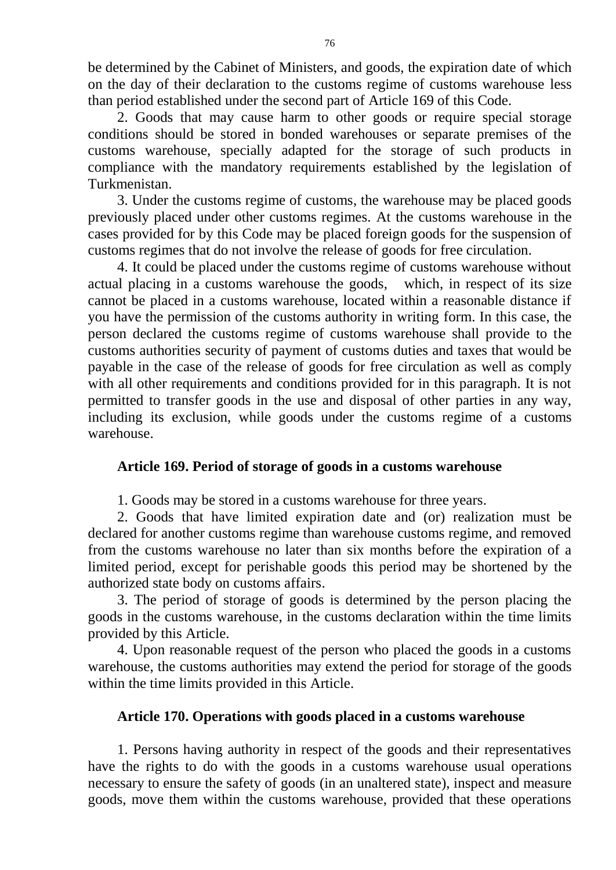be determined by the Cabinet of Ministers, and goods, the expiration date of which on the day of their declaration to the customs regime of customs warehouse less than period established under the second part of Article 169 of this Code.

2. Goods that may cause harm to other goods or require special storage conditions should be stored in bonded warehouses or separate premises of the customs warehouse, specially adapted for the storage of such products in compliance with the mandatory requirements established by the legislation of Turkmenistan.

3. Under the customs regime of customs, the warehouse may be placed goods previously placed under other customs regimes. At the customs warehouse in the cases provided for by this Code may be placed foreign goods for the suspension of customs regimes that do not involve the release of goods for free circulation.

4. It could be placed under the customs regime of customs warehouse without actual placing in a customs warehouse the goods, which, in respect of its size cannot be placed in a customs warehouse, located within a reasonable distance if you have the permission of the customs authority in writing form. In this case, the person declared the customs regime of customs warehouse shall provide to the customs authorities security of payment of customs duties and taxes that would be payable in the case of the release of goods for free circulation as well as comply with all other requirements and conditions provided for in this paragraph. It is not permitted to transfer goods in the use and disposal of other parties in any way, including its exclusion, while goods under the customs regime of a customs warehouse.

### **Article 169. Period of storage of goods in a customs warehouse**

1. Goods may be stored in a customs warehouse for three years.

2. Goods that have limited expiration date and (or) realization must be declared for another customs regime than warehouse customs regime, and removed from the customs warehouse no later than six months before the expiration of a limited period, except for perishable goods this period may be shortened by the authorized state body on customs affairs.

3. The period of storage of goods is determined by the person placing the goods in the customs warehouse, in the customs declaration within the time limits provided by this Article.

4. Upon reasonable request of the person who placed the goods in a customs warehouse, the customs authorities may extend the period for storage of the goods within the time limits provided in this Article.

#### **Article 170. Operations with goods placed in a customs warehouse**

1. Persons having authority in respect of the goods and their representatives have the rights to do with the goods in a customs warehouse usual operations necessary to ensure the safety of goods (in an unaltered state), inspect and measure goods, move them within the customs warehouse, provided that these operations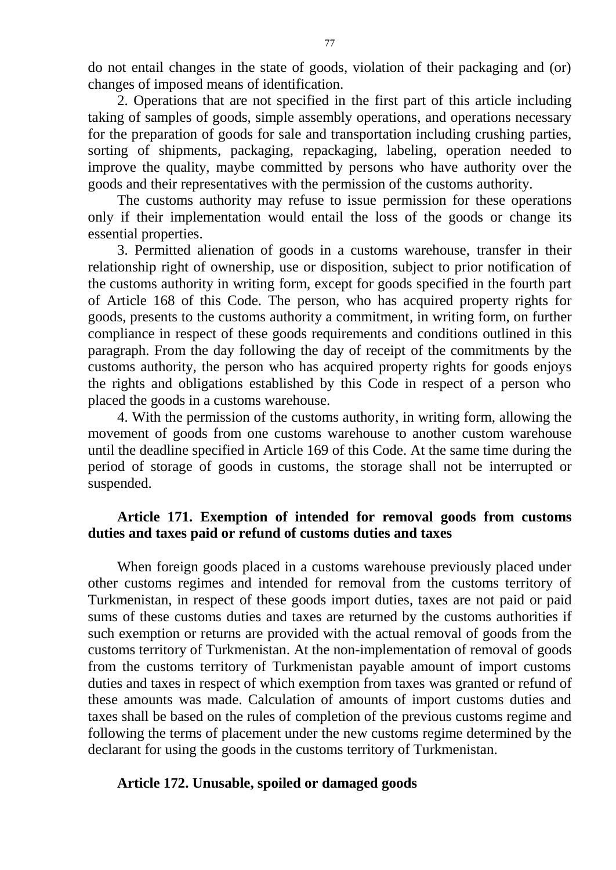do not entail changes in the state of goods, violation of their packaging and (or) changes of imposed means of identification.

2. Operations that are not specified in the first part of this article including taking of samples of goods, simple assembly operations, and operations necessary for the preparation of goods for sale and transportation including crushing parties, sorting of shipments, packaging, repackaging, labeling, operation needed to improve the quality, maybe committed by persons who have authority over the goods and their representatives with the permission of the customs authority.

The customs authority may refuse to issue permission for these operations only if their implementation would entail the loss of the goods or change its essential properties.

3. Permitted alienation of goods in a customs warehouse, transfer in their relationship right of ownership, use or disposition, subject to prior notification of the customs authority in writing form, except for goods specified in the fourth part of Article 168 of this Code. The person, who has acquired property rights for goods, presents to the customs authority a commitment, in writing form, on further compliance in respect of these goods requirements and conditions outlined in this paragraph. From the day following the day of receipt of the commitments by the customs authority, the person who has acquired property rights for goods enjoys the rights and obligations established by this Code in respect of a person who placed the goods in a customs warehouse.

4. With the permission of the customs authority, in writing form, allowing the movement of goods from one customs warehouse to another custom warehouse until the deadline specified in Article 169 of this Code. At the same time during the period of storage of goods in customs, the storage shall not be interrupted or suspended.

# **Article 171. Exemption of intended for removal goods from customs duties and taxes paid or refund of customs duties and taxes**

When foreign goods placed in a customs warehouse previously placed under other customs regimes and intended for removal from the customs territory of Turkmenistan, in respect of these goods import duties, taxes are not paid or paid sums of these customs duties and taxes are returned by the customs authorities if such exemption or returns are provided with the actual removal of goods from the customs territory of Turkmenistan. At the non-implementation of removal of goods from the customs territory of Turkmenistan payable amount of import customs duties and taxes in respect of which exemption from taxes was granted or refund of these amounts was made. Calculation of amounts of import customs duties and taxes shall be based on the rules of completion of the previous customs regime and following the terms of placement under the new customs regime determined by the declarant for using the goods in the customs territory of Turkmenistan.

### **Article 172. Unusable, spoiled or damaged goods**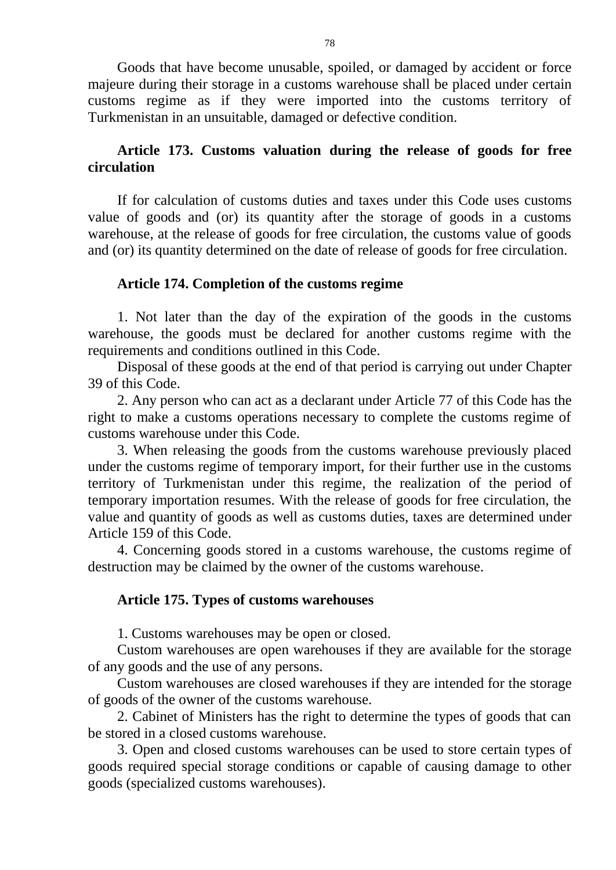Goods that have become unusable, spoiled, or damaged by accident or force majeure during their storage in a customs warehouse shall be placed under certain customs regime as if they were imported into the customs territory of Turkmenistan in an unsuitable, damaged or defective condition.

### **Article 173. Customs valuation during the release of goods for free circulation**

If for calculation of customs duties and taxes under this Code uses customs value of goods and (or) its quantity after the storage of goods in a customs warehouse, at the release of goods for free circulation, the customs value of goods and (or) its quantity determined on the date of release of goods for free circulation.

#### **Article 174. Completion of the customs regime**

1. Not later than the day of the expiration of the goods in the customs warehouse, the goods must be declared for another customs regime with the requirements and conditions outlined in this Code.

Disposal of these goods at the end of that period is carrying out under Chapter 39 of this Code.

2. Any person who can act as a declarant under Article 77 of this Code has the right to make a customs operations necessary to complete the customs regime of customs warehouse under this Code.

3. When releasing the goods from the customs warehouse previously placed under the customs regime of temporary import, for their further use in the customs territory of Turkmenistan under this regime, the realization of the period of temporary importation resumes. With the release of goods for free circulation, the value and quantity of goods as well as customs duties, taxes are determined under Article 159 of this Code.

4. Concerning goods stored in a customs warehouse, the customs regime of destruction may be claimed by the owner of the customs warehouse.

#### **Article 175. Types of customs warehouses**

1. Customs warehouses may be open or closed.

Custom warehouses are open warehouses if they are available for the storage of any goods and the use of any persons.

Custom warehouses are closed warehouses if they are intended for the storage of goods of the owner of the customs warehouse.

2. Cabinet of Ministers has the right to determine the types of goods that can be stored in a closed customs warehouse.

3. Open and closed customs warehouses can be used to store certain types of goods required special storage conditions or capable of causing damage to other goods (specialized customs warehouses).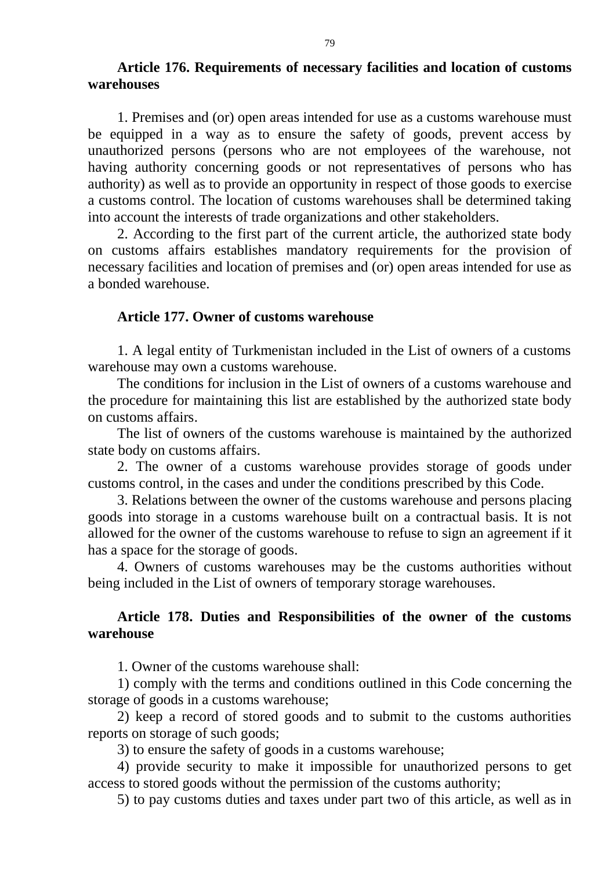### **Article 176. Requirements of necessary facilities and location of customs warehouses**

1. Premises and (or) open areas intended for use as a customs warehouse must be equipped in a way as to ensure the safety of goods, prevent access by unauthorized persons (persons who are not employees of the warehouse, not having authority concerning goods or not representatives of persons who has authority) as well as to provide an opportunity in respect of those goods to exercise a customs control. The location of customs warehouses shall be determined taking into account the interests of trade organizations and other stakeholders.

2. According to the first part of the current article, the authorized state body on customs affairs establishes mandatory requirements for the provision of necessary facilities and location of premises and (or) open areas intended for use as a bonded warehouse.

#### **Article 177. Owner of customs warehouse**

1. A legal entity of Turkmenistan included in the List of owners of a customs warehouse may own a customs warehouse.

The conditions for inclusion in the List of owners of a customs warehouse and the procedure for maintaining this list are established by the authorized state body on customs affairs.

The list of owners of the customs warehouse is maintained by the authorized state body on customs affairs.

2. The owner of a customs warehouse provides storage of goods under customs control, in the cases and under the conditions prescribed by this Code.

3. Relations between the owner of the customs warehouse and persons placing goods into storage in a customs warehouse built on a contractual basis. It is not allowed for the owner of the customs warehouse to refuse to sign an agreement if it has a space for the storage of goods.

4. Owners of customs warehouses may be the customs authorities without being included in the List of owners of temporary storage warehouses.

# **Article 178. Duties and Responsibilities of the owner of the customs warehouse**

1. Owner of the customs warehouse shall:

1) comply with the terms and conditions outlined in this Code concerning the storage of goods in a customs warehouse;

2) keep a record of stored goods and to submit to the customs authorities reports on storage of such goods;

3) to ensure the safety of goods in a customs warehouse;

4) provide security to make it impossible for unauthorized persons to get access to stored goods without the permission of the customs authority;

5) to pay customs duties and taxes under part two of this article, as well as in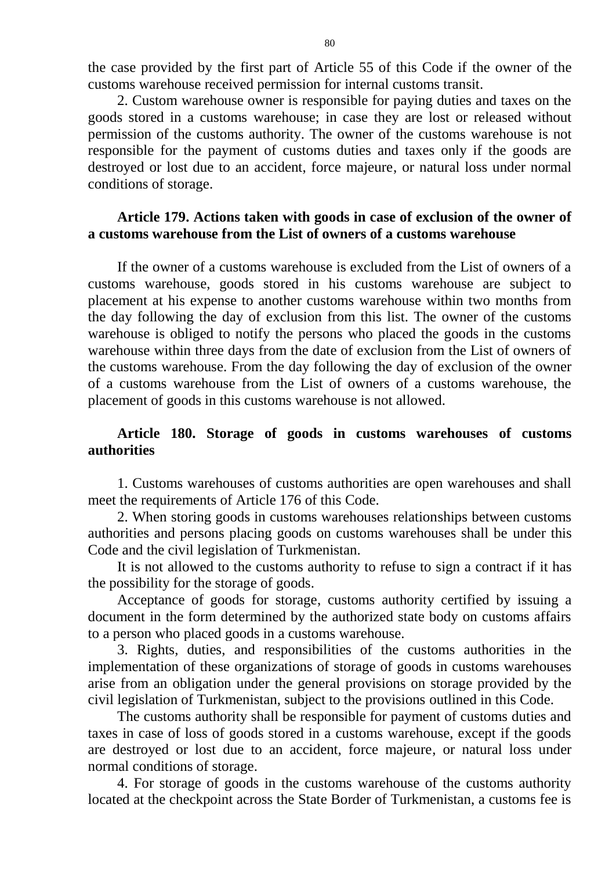the case provided by the first part of Article 55 of this Code if the owner of the customs warehouse received permission for internal customs transit.

2. Custom warehouse owner is responsible for paying duties and taxes on the goods stored in a customs warehouse; in case they are lost or released without permission of the customs authority. The owner of the customs warehouse is not responsible for the payment of customs duties and taxes only if the goods are destroyed or lost due to an accident, force majeure, or natural loss under normal conditions of storage.

### **Article 179. Actions taken with goods in case of exclusion of the owner of a customs warehouse from the List of owners of a customs warehouse**

If the owner of a customs warehouse is excluded from the List of owners of a customs warehouse, goods stored in his customs warehouse are subject to placement at his expense to another customs warehouse within two months from the day following the day of exclusion from this list. The owner of the customs warehouse is obliged to notify the persons who placed the goods in the customs warehouse within three days from the date of exclusion from the List of owners of the customs warehouse. From the day following the day of exclusion of the owner of a customs warehouse from the List of owners of a customs warehouse, the placement of goods in this customs warehouse is not allowed.

### **Article 180. Storage of goods in customs warehouses of customs authorities**

1. Customs warehouses of customs authorities are open warehouses and shall meet the requirements of Article 176 of this Code.

2. When storing goods in customs warehouses relationships between customs authorities and persons placing goods on customs warehouses shall be under this Code and the civil legislation of Turkmenistan.

It is not allowed to the customs authority to refuse to sign a contract if it has the possibility for the storage of goods.

Acceptance of goods for storage, customs authority certified by issuing a document in the form determined by the authorized state body on customs affairs to a person who placed goods in a customs warehouse.

3. Rights, duties, and responsibilities of the customs authorities in the implementation of these organizations of storage of goods in customs warehouses arise from an obligation under the general provisions on storage provided by the civil legislation of Turkmenistan, subject to the provisions outlined in this Code.

The customs authority shall be responsible for payment of customs duties and taxes in case of loss of goods stored in a customs warehouse, except if the goods are destroyed or lost due to an accident, force majeure, or natural loss under normal conditions of storage.

4. For storage of goods in the customs warehouse of the customs authority located at the checkpoint across the State Border of Turkmenistan, a customs fee is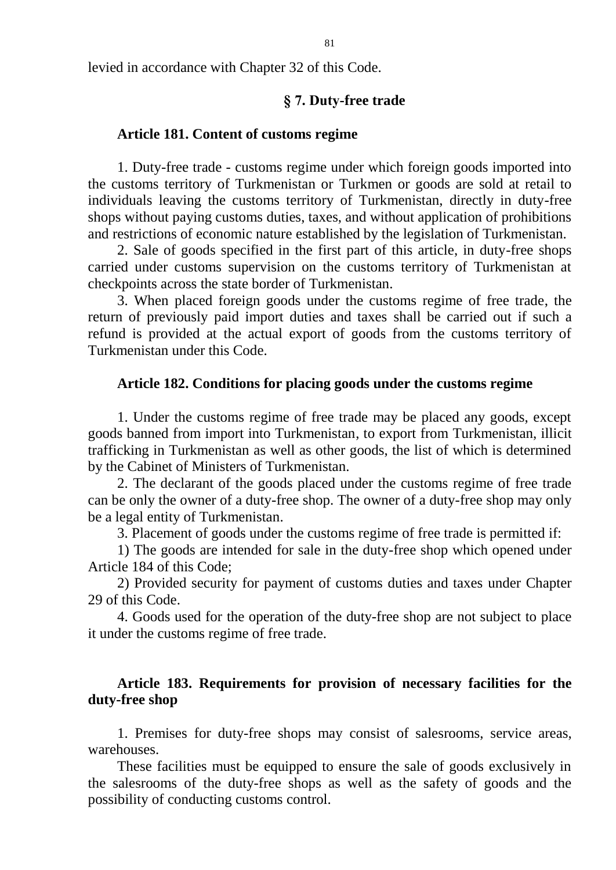levied in accordance with Chapter 32 of this Code.

#### **§ 7. Duty-free trade**

#### **Article 181. Content of customs regime**

1. Duty-free trade - customs regime under which foreign goods imported into the customs territory of Turkmenistan or Turkmen or goods are sold at retail to individuals leaving the customs territory of Turkmenistan, directly in duty-free shops without paying customs duties, taxes, and without application of prohibitions and restrictions of economic nature established by the legislation of Turkmenistan.

2. Sale of goods specified in the first part of this article, in duty-free shops carried under customs supervision on the customs territory of Turkmenistan at checkpoints across the state border of Turkmenistan.

3. When placed foreign goods under the customs regime of free trade, the return of previously paid import duties and taxes shall be carried out if such a refund is provided at the actual export of goods from the customs territory of Turkmenistan under this Code.

#### **Article 182. Conditions for placing goods under the customs regime**

1. Under the customs regime of free trade may be placed any goods, except goods banned from import into Turkmenistan, to export from Turkmenistan, illicit trafficking in Turkmenistan as well as other goods, the list of which is determined by the Cabinet of Ministers of Turkmenistan.

2. The declarant of the goods placed under the customs regime of free trade can be only the owner of a duty-free shop. The owner of a duty-free shop may only be a legal entity of Turkmenistan.

3. Placement of goods under the customs regime of free trade is permitted if:

1) The goods are intended for sale in the duty-free shop which opened under Article 184 of this Code;

2) Provided security for payment of customs duties and taxes under Chapter 29 of this Code.

4. Goods used for the operation of the duty-free shop are not subject to place it under the customs regime of free trade.

#### **Article 183. Requirements for provision of necessary facilities for the duty-free shop**

1. Premises for duty-free shops may consist of salesrooms, service areas, warehouses.

These facilities must be equipped to ensure the sale of goods exclusively in the salesrooms of the duty-free shops as well as the safety of goods and the possibility of conducting customs control.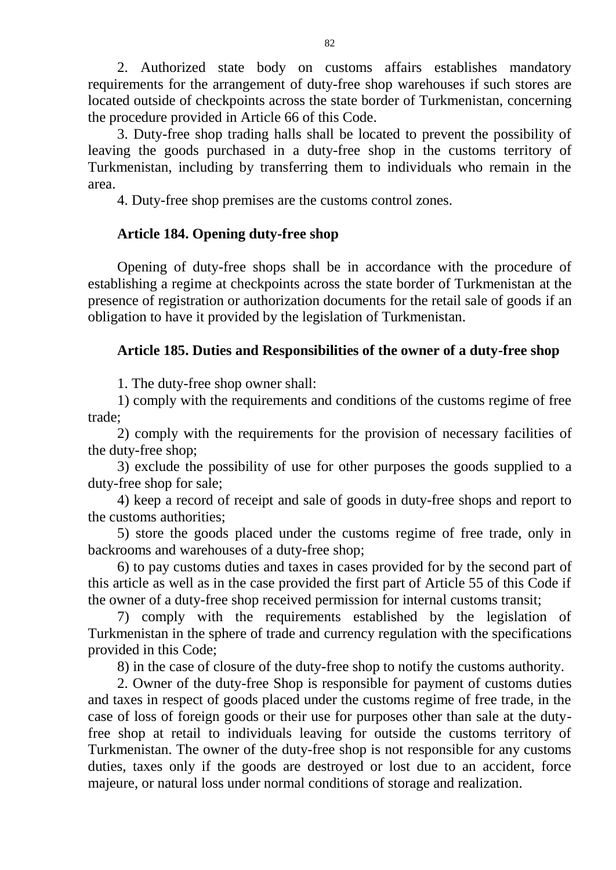2. Authorized state body on customs affairs establishes mandatory requirements for the arrangement of duty-free shop warehouses if such stores are located outside of checkpoints across the state border of Turkmenistan, concerning the procedure provided in Article 66 of this Code.

3. Duty-free shop trading halls shall be located to prevent the possibility of leaving the goods purchased in a duty-free shop in the customs territory of Turkmenistan, including by transferring them to individuals who remain in the area.

4. Duty-free shop premises are the customs control zones.

# **Article 184. Opening duty-free shop**

Opening of duty-free shops shall be in accordance with the procedure of establishing a regime at checkpoints across the state border of Turkmenistan at the presence of registration or authorization documents for the retail sale of goods if an obligation to have it provided by the legislation of Turkmenistan.

# **Article 185. Duties and Responsibilities of the owner of a duty-free shop**

1. The duty-free shop owner shall:

1) comply with the requirements and conditions of the customs regime of free trade;

2) comply with the requirements for the provision of necessary facilities of the duty-free shop;

3) exclude the possibility of use for other purposes the goods supplied to a duty-free shop for sale;

4) keep a record of receipt and sale of goods in duty-free shops and report to the customs authorities;

5) store the goods placed under the customs regime of free trade, only in backrooms and warehouses of a duty-free shop;

6) to pay customs duties and taxes in cases provided for by the second part of this article as well as in the case provided the first part of Article 55 of this Code if the owner of a duty-free shop received permission for internal customs transit;

7) comply with the requirements established by the legislation of Turkmenistan in the sphere of trade and currency regulation with the specifications provided in this Code;

8) in the case of closure of the duty-free shop to notify the customs authority.

2. Owner of the duty-free Shop is responsible for payment of customs duties and taxes in respect of goods placed under the customs regime of free trade, in the case of loss of foreign goods or their use for purposes other than sale at the dutyfree shop at retail to individuals leaving for outside the customs territory of Turkmenistan. The owner of the duty-free shop is not responsible for any customs duties, taxes only if the goods are destroyed or lost due to an accident, force majeure, or natural loss under normal conditions of storage and realization.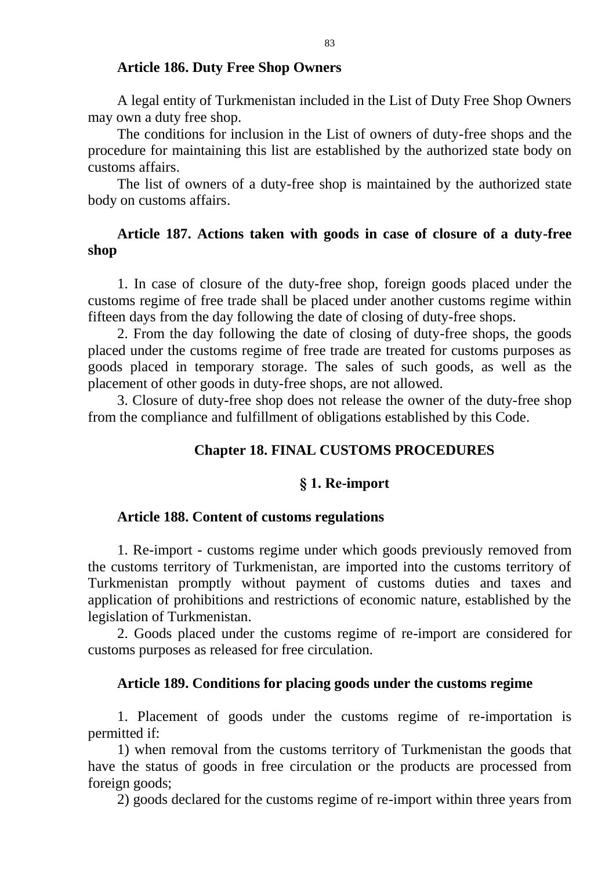#### **Article 186. Duty Free Shop Owners**

A legal entity of Turkmenistan included in the List of Duty Free Shop Owners may own a duty free shop.

The conditions for inclusion in the List of owners of duty-free shops and the procedure for maintaining this list are established by the authorized state body on customs affairs.

The list of owners of a duty-free shop is maintained by the authorized state body on customs affairs.

### **Article 187. Actions taken with goods in case of closure of a duty-free shop**

1. In case of closure of the duty-free shop, foreign goods placed under the customs regime of free trade shall be placed under another customs regime within fifteen days from the day following the date of closing of duty-free shops.

2. From the day following the date of closing of duty-free shops, the goods placed under the customs regime of free trade are treated for customs purposes as goods placed in temporary storage. The sales of such goods, as well as the placement of other goods in duty-free shops, are not allowed.

3. Closure of duty-free shop does not release the owner of the duty-free shop from the compliance and fulfillment of obligations established by this Code.

### **Chapter 18. FINAL CUSTOMS PROCEDURES**

#### **§ 1. Re-import**

### **Article 188. Content of customs regulations**

1. Re-import - customs regime under which goods previously removed from the customs territory of Turkmenistan, are imported into the customs territory of Turkmenistan promptly without payment of customs duties and taxes and application of prohibitions and restrictions of economic nature, established by the legislation of Turkmenistan.

2. Goods placed under the customs regime of re-import are considered for customs purposes as released for free circulation.

#### **Article 189. Conditions for placing goods under the customs regime**

1. Placement of goods under the customs regime of re-importation is permitted if:

1) when removal from the customs territory of Turkmenistan the goods that have the status of goods in free circulation or the products are processed from foreign goods;

2) goods declared for the customs regime of re-import within three years from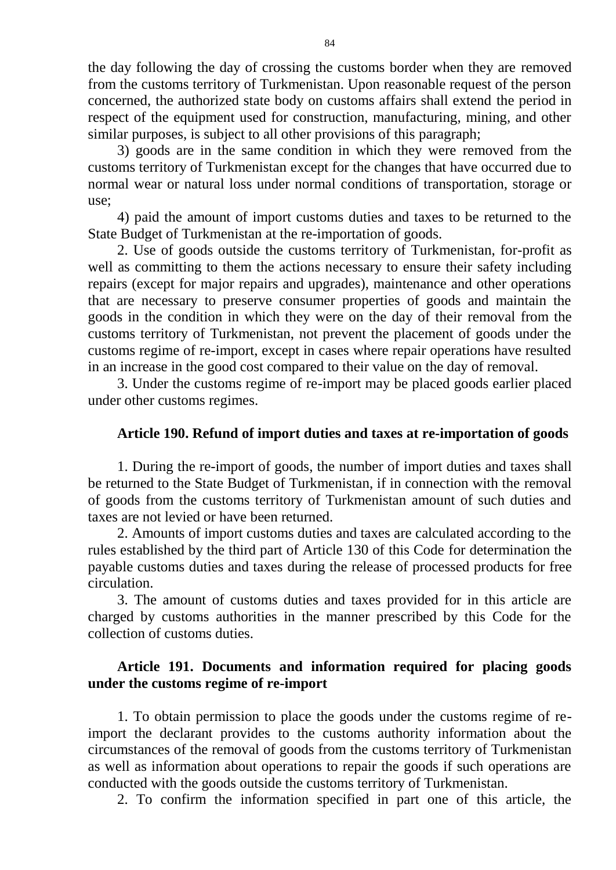the day following the day of crossing the customs border when they are removed from the customs territory of Turkmenistan. Upon reasonable request of the person concerned, the authorized state body on customs affairs shall extend the period in respect of the equipment used for construction, manufacturing, mining, and other similar purposes, is subject to all other provisions of this paragraph;

3) goods are in the same condition in which they were removed from the customs territory of Turkmenistan except for the changes that have occurred due to normal wear or natural loss under normal conditions of transportation, storage or use;

4) paid the amount of import customs duties and taxes to be returned to the State Budget of Turkmenistan at the re-importation of goods.

2. Use of goods outside the customs territory of Turkmenistan, for-profit as well as committing to them the actions necessary to ensure their safety including repairs (except for major repairs and upgrades), maintenance and other operations that are necessary to preserve consumer properties of goods and maintain the goods in the condition in which they were on the day of their removal from the customs territory of Turkmenistan, not prevent the placement of goods under the customs regime of re-import, except in cases where repair operations have resulted in an increase in the good cost compared to their value on the day of removal.

3. Under the customs regime of re-import may be placed goods earlier placed under other customs regimes.

### **Article 190. Refund of import duties and taxes at re-importation of goods**

1. During the re-import of goods, the number of import duties and taxes shall be returned to the State Budget of Turkmenistan, if in connection with the removal of goods from the customs territory of Turkmenistan amount of such duties and taxes are not levied or have been returned.

2. Amounts of import customs duties and taxes are calculated according to the rules established by the third part of Article 130 of this Code for determination the payable customs duties and taxes during the release of processed products for free circulation.

3. The amount of customs duties and taxes provided for in this article are charged by customs authorities in the manner prescribed by this Code for the collection of customs duties.

# **Article 191. Documents and information required for placing goods under the customs regime of re-import**

1. To obtain permission to place the goods under the customs regime of reimport the declarant provides to the customs authority information about the circumstances of the removal of goods from the customs territory of Turkmenistan as well as information about operations to repair the goods if such operations are conducted with the goods outside the customs territory of Turkmenistan.

2. To confirm the information specified in part one of this article, the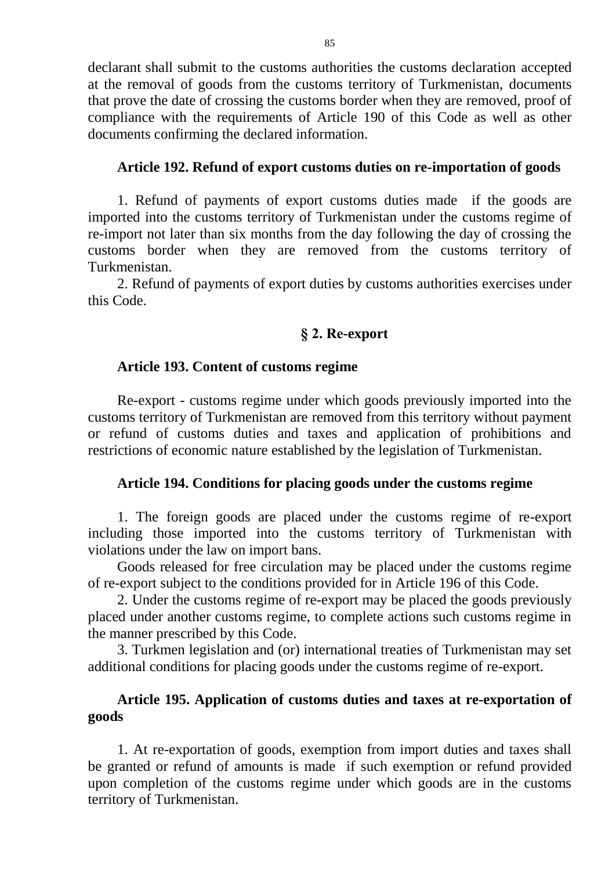declarant shall submit to the customs authorities the customs declaration accepted at the removal of goods from the customs territory of Turkmenistan, documents that prove the date of crossing the customs border when they are removed, proof of compliance with the requirements of Article 190 of this Code as well as other documents confirming the declared information.

#### **Article 192. Refund of export customs duties on re-importation of goods**

1. Refund of payments of export customs duties made if the goods are imported into the customs territory of Turkmenistan under the customs regime of re-import not later than six months from the day following the day of crossing the customs border when they are removed from the customs territory of Turkmenistan.

2. Refund of payments of export duties by customs authorities exercises under this Code.

### **§ 2. Re-export**

#### **Article 193. Content of customs regime**

Re-export - customs regime under which goods previously imported into the customs territory of Turkmenistan are removed from this territory without payment or refund of customs duties and taxes and application of prohibitions and restrictions of economic nature established by the legislation of Turkmenistan.

#### **Article 194. Conditions for placing goods under the customs regime**

1. The foreign goods are placed under the customs regime of re-export including those imported into the customs territory of Turkmenistan with violations under the law on import bans.

Goods released for free circulation may be placed under the customs regime of re-export subject to the conditions provided for in Article 196 of this Code.

2. Under the customs regime of re-export may be placed the goods previously placed under another customs regime, to complete actions such customs regime in the manner prescribed by this Code.

3. Turkmen legislation and (or) international treaties of Turkmenistan may set additional conditions for placing goods under the customs regime of re-export.

### **Article 195. Application of customs duties and taxes at re-exportation of goods**

1. At re-exportation of goods, exemption from import duties and taxes shall be granted or refund of amounts is made if such exemption or refund provided upon completion of the customs regime under which goods are in the customs territory of Turkmenistan.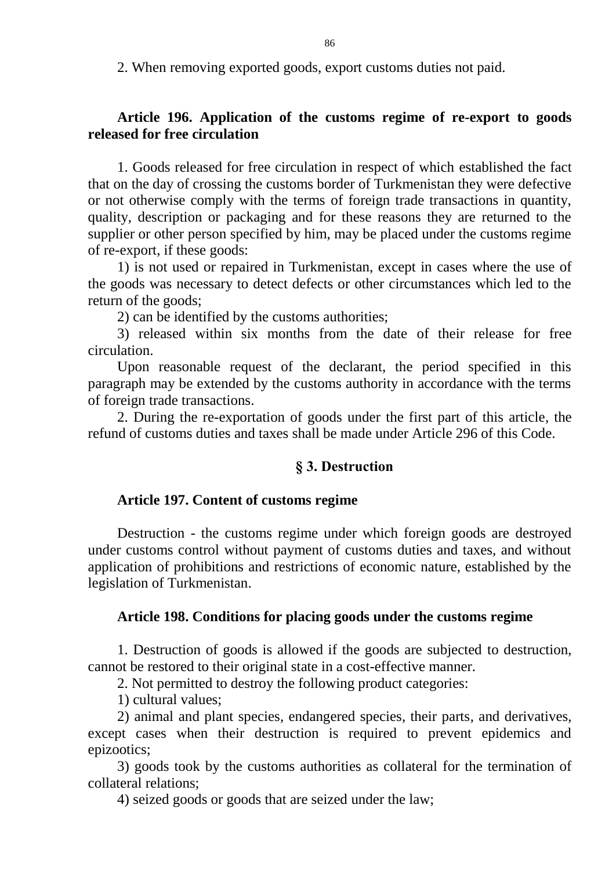2. When removing exported goods, export customs duties not paid.

# **Article 196. Application of the customs regime of re-export to goods released for free circulation**

1. Goods released for free circulation in respect of which established the fact that on the day of crossing the customs border of Turkmenistan they were defective or not otherwise comply with the terms of foreign trade transactions in quantity, quality, description or packaging and for these reasons they are returned to the supplier or other person specified by him, may be placed under the customs regime of re-export, if these goods:

1) is not used or repaired in Turkmenistan, except in cases where the use of the goods was necessary to detect defects or other circumstances which led to the return of the goods;

2) can be identified by the customs authorities;

3) released within six months from the date of their release for free circulation.

Upon reasonable request of the declarant, the period specified in this paragraph may be extended by the customs authority in accordance with the terms of foreign trade transactions.

2. During the re-exportation of goods under the first part of this article, the refund of customs duties and taxes shall be made under Article 296 of this Code.

### **§ 3. Destruction**

### **Article 197. Content of customs regime**

Destruction - the customs regime under which foreign goods are destroyed under customs control without payment of customs duties and taxes, and without application of prohibitions and restrictions of economic nature, established by the legislation of Turkmenistan.

### **Article 198. Conditions for placing goods under the customs regime**

1. Destruction of goods is allowed if the goods are subjected to destruction, cannot be restored to their original state in a cost-effective manner.

2. Not permitted to destroy the following product categories:

1) cultural values;

2) animal and plant species, endangered species, their parts, and derivatives, except cases when their destruction is required to prevent epidemics and epizootics;

3) goods took by the customs authorities as collateral for the termination of collateral relations;

4) seized goods or goods that are seized under the law;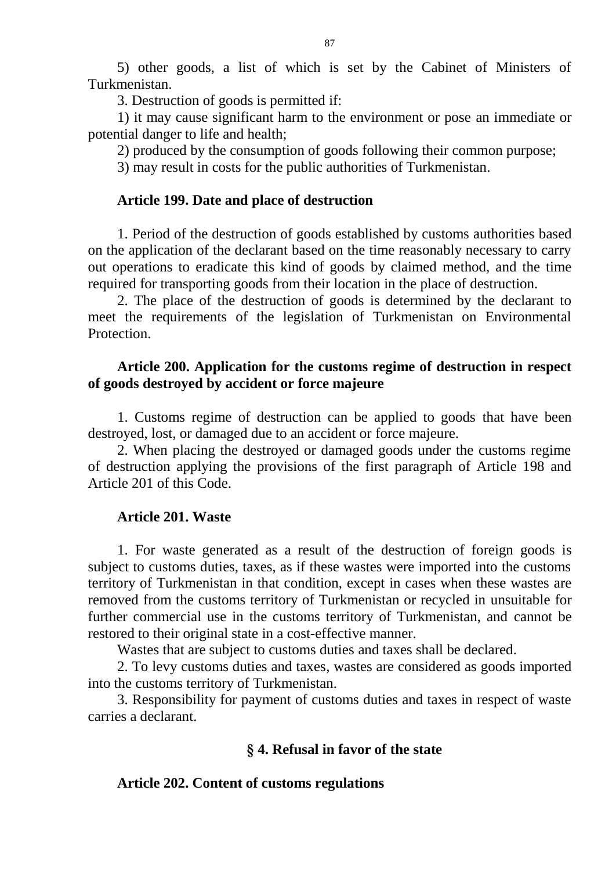5) other goods, a list of which is set by the Cabinet of Ministers of Turkmenistan.

3. Destruction of goods is permitted if:

1) it may cause significant harm to the environment or pose an immediate or potential danger to life and health;

2) produced by the consumption of goods following their common purpose;

3) may result in costs for the public authorities of Turkmenistan.

### **Article 199. Date and place of destruction**

1. Period of the destruction of goods established by customs authorities based on the application of the declarant based on the time reasonably necessary to carry out operations to eradicate this kind of goods by claimed method, and the time required for transporting goods from their location in the place of destruction.

2. The place of the destruction of goods is determined by the declarant to meet the requirements of the legislation of Turkmenistan on Environmental Protection.

### **Article 200. Application for the customs regime of destruction in respect of goods destroyed by accident or force majeure**

1. Customs regime of destruction can be applied to goods that have been destroyed, lost, or damaged due to an accident or force majeure.

2. When placing the destroyed or damaged goods under the customs regime of destruction applying the provisions of the first paragraph of Article 198 and Article 201 of this Code.

# **Article 201. Waste**

1. For waste generated as a result of the destruction of foreign goods is subject to customs duties, taxes, as if these wastes were imported into the customs territory of Turkmenistan in that condition, except in cases when these wastes are removed from the customs territory of Turkmenistan or recycled in unsuitable for further commercial use in the customs territory of Turkmenistan, and cannot be restored to their original state in a cost-effective manner.

Wastes that are subject to customs duties and taxes shall be declared.

2. To levy customs duties and taxes, wastes are considered as goods imported into the customs territory of Turkmenistan.

3. Responsibility for payment of customs duties and taxes in respect of waste carries a declarant.

# **§ 4. Refusal in favor of the state**

# **Article 202. Content of customs regulations**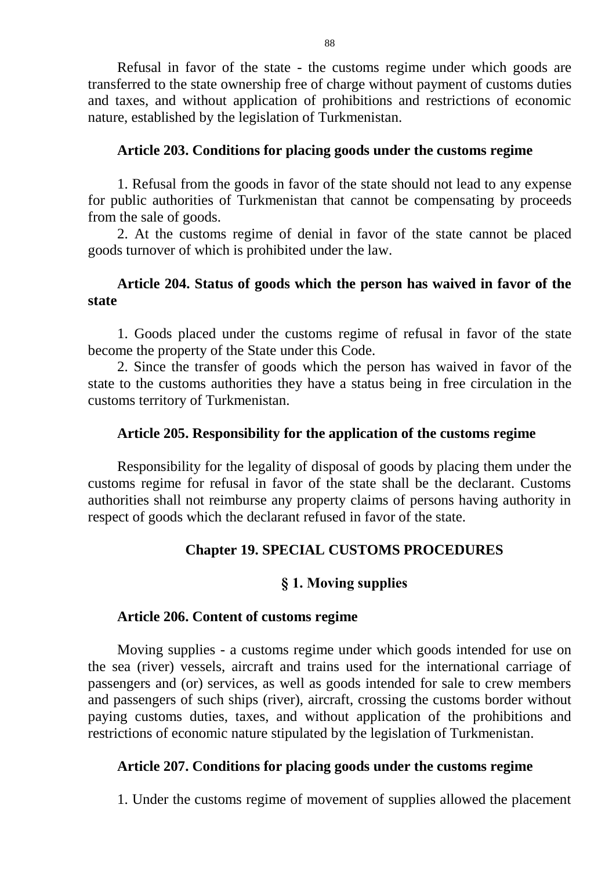Refusal in favor of the state - the customs regime under which goods are transferred to the state ownership free of charge without payment of customs duties and taxes, and without application of prohibitions and restrictions of economic nature, established by the legislation of Turkmenistan.

### **Article 203. Conditions for placing goods under the customs regime**

1. Refusal from the goods in favor of the state should not lead to any expense for public authorities of Turkmenistan that cannot be compensating by proceeds from the sale of goods.

2. At the customs regime of denial in favor of the state cannot be placed goods turnover of which is prohibited under the law.

# **Article 204. Status of goods which the person has waived in favor of the state**

1. Goods placed under the customs regime of refusal in favor of the state become the property of the State under this Code.

2. Since the transfer of goods which the person has waived in favor of the state to the customs authorities they have a status being in free circulation in the customs territory of Turkmenistan.

### **Article 205. Responsibility for the application of the customs regime**

Responsibility for the legality of disposal of goods by placing them under the customs regime for refusal in favor of the state shall be the declarant. Customs authorities shall not reimburse any property claims of persons having authority in respect of goods which the declarant refused in favor of the state.

# **Chapter 19. SPECIAL CUSTOMS PROCEDURES**

### **§ 1. Moving supplies**

### **Article 206. Content of customs regime**

Moving supplies - a customs regime under which goods intended for use on the sea (river) vessels, aircraft and trains used for the international carriage of passengers and (or) services, as well as goods intended for sale to crew members and passengers of such ships (river), aircraft, crossing the customs border without paying customs duties, taxes, and without application of the prohibitions and restrictions of economic nature stipulated by the legislation of Turkmenistan.

### **Article 207. Conditions for placing goods under the customs regime**

1. Under the customs regime of movement of supplies allowed the placement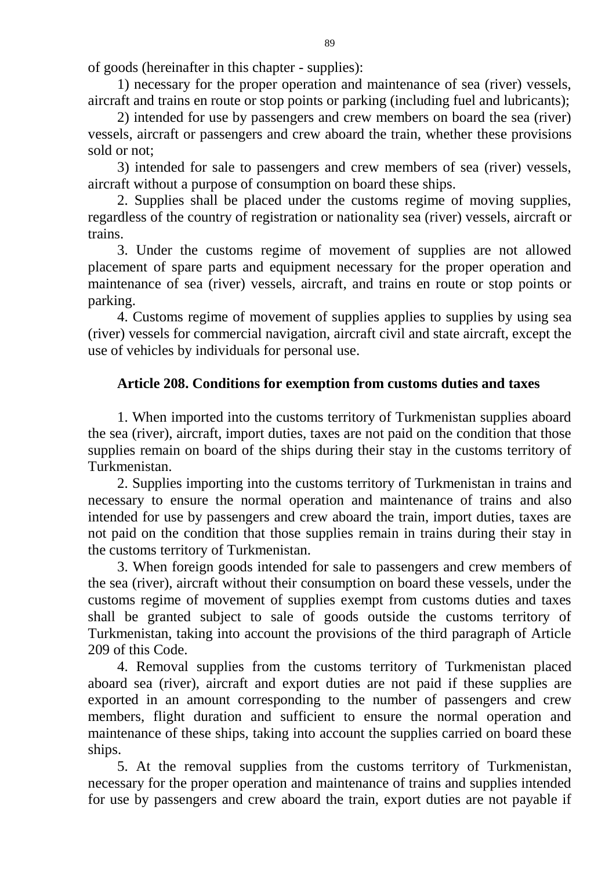of goods (hereinafter in this chapter - supplies):

1) necessary for the proper operation and maintenance of sea (river) vessels, aircraft and trains en route or stop points or parking (including fuel and lubricants);

2) intended for use by passengers and crew members on board the sea (river) vessels, aircraft or passengers and crew aboard the train, whether these provisions sold or not;

3) intended for sale to passengers and crew members of sea (river) vessels, aircraft without a purpose of consumption on board these ships.

2. Supplies shall be placed under the customs regime of moving supplies, regardless of the country of registration or nationality sea (river) vessels, aircraft or trains.

3. Under the customs regime of movement of supplies are not allowed placement of spare parts and equipment necessary for the proper operation and maintenance of sea (river) vessels, aircraft, and trains en route or stop points or parking.

4. Customs regime of movement of supplies applies to supplies by using sea (river) vessels for commercial navigation, aircraft civil and state aircraft, except the use of vehicles by individuals for personal use.

# **Article 208. Conditions for exemption from customs duties and taxes**

1. When imported into the customs territory of Turkmenistan supplies aboard the sea (river), aircraft, import duties, taxes are not paid on the condition that those supplies remain on board of the ships during their stay in the customs territory of Turkmenistan.

2. Supplies importing into the customs territory of Turkmenistan in trains and necessary to ensure the normal operation and maintenance of trains and also intended for use by passengers and crew aboard the train, import duties, taxes are not paid on the condition that those supplies remain in trains during their stay in the customs territory of Turkmenistan.

3. When foreign goods intended for sale to passengers and crew members of the sea (river), aircraft without their consumption on board these vessels, under the customs regime of movement of supplies exempt from customs duties and taxes shall be granted subject to sale of goods outside the customs territory of Turkmenistan, taking into account the provisions of the third paragraph of Article 209 of this Code.

4. Removal supplies from the customs territory of Turkmenistan placed aboard sea (river), aircraft and export duties are not paid if these supplies are exported in an amount corresponding to the number of passengers and crew members, flight duration and sufficient to ensure the normal operation and maintenance of these ships, taking into account the supplies carried on board these ships.

5. At the removal supplies from the customs territory of Turkmenistan, necessary for the proper operation and maintenance of trains and supplies intended for use by passengers and crew aboard the train, export duties are not payable if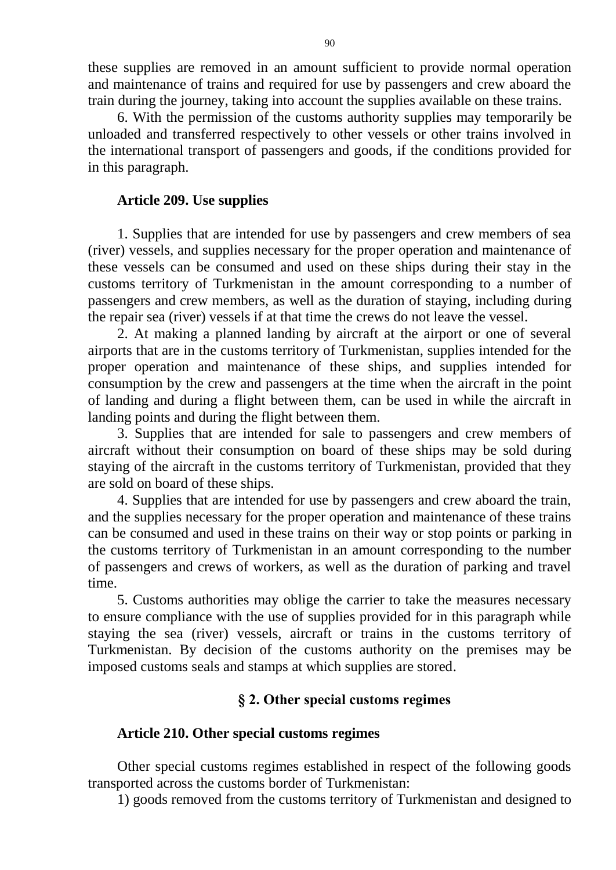these supplies are removed in an amount sufficient to provide normal operation and maintenance of trains and required for use by passengers and crew aboard the train during the journey, taking into account the supplies available on these trains.

6. With the permission of the customs authority supplies may temporarily be unloaded and transferred respectively to other vessels or other trains involved in the international transport of passengers and goods, if the conditions provided for in this paragraph.

### **Article 209. Use supplies**

1. Supplies that are intended for use by passengers and crew members of sea (river) vessels, and supplies necessary for the proper operation and maintenance of these vessels can be consumed and used on these ships during their stay in the customs territory of Turkmenistan in the amount corresponding to a number of passengers and crew members, as well as the duration of staying, including during the repair sea (river) vessels if at that time the crews do not leave the vessel.

2. At making a planned landing by aircraft at the airport or one of several airports that are in the customs territory of Turkmenistan, supplies intended for the proper operation and maintenance of these ships, and supplies intended for consumption by the crew and passengers at the time when the aircraft in the point of landing and during a flight between them, can be used in while the aircraft in landing points and during the flight between them.

3. Supplies that are intended for sale to passengers and crew members of aircraft without their consumption on board of these ships may be sold during staying of the aircraft in the customs territory of Turkmenistan, provided that they are sold on board of these ships.

4. Supplies that are intended for use by passengers and crew aboard the train, and the supplies necessary for the proper operation and maintenance of these trains can be consumed and used in these trains on their way or stop points or parking in the customs territory of Turkmenistan in an amount corresponding to the number of passengers and crews of workers, as well as the duration of parking and travel time.

5. Customs authorities may oblige the carrier to take the measures necessary to ensure compliance with the use of supplies provided for in this paragraph while staying the sea (river) vessels, aircraft or trains in the customs territory of Turkmenistan. By decision of the customs authority on the premises may be imposed customs seals and stamps at which supplies are stored.

### **§ 2. Other special customs regimes**

#### **Article 210. Other special customs regimes**

Other special customs regimes established in respect of the following goods transported across the customs border of Turkmenistan:

1) goods removed from the customs territory of Turkmenistan and designed to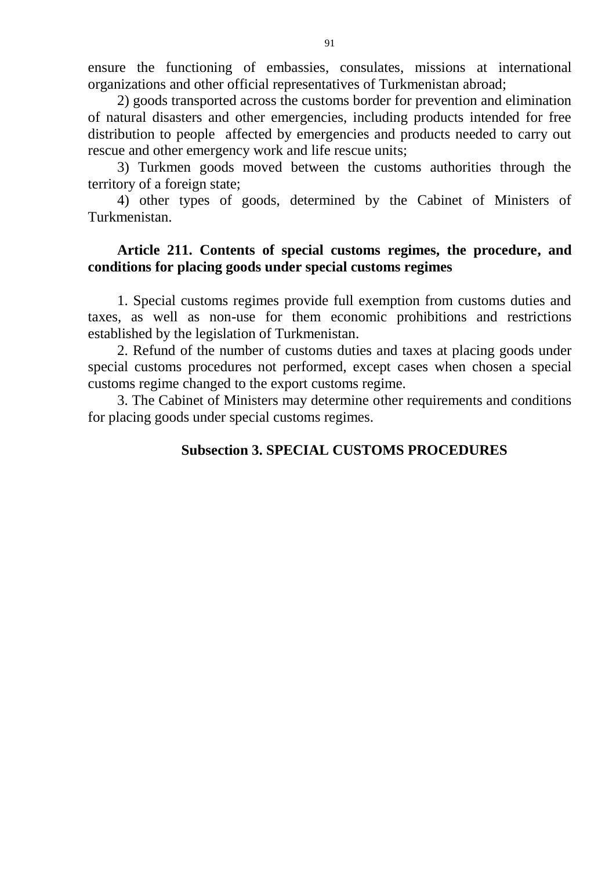ensure the functioning of embassies, consulates, missions at international organizations and other official representatives of Turkmenistan abroad;

2) goods transported across the customs border for prevention and elimination of natural disasters and other emergencies, including products intended for free distribution to people affected by emergencies and products needed to carry out rescue and other emergency work and life rescue units;

3) Turkmen goods moved between the customs authorities through the territory of a foreign state;

4) other types of goods, determined by the Cabinet of Ministers of Turkmenistan.

# **Article 211. Contents of special customs regimes, the procedure, and conditions for placing goods under special customs regimes**

1. Special customs regimes provide full exemption from customs duties and taxes, as well as non-use for them economic prohibitions and restrictions established by the legislation of Turkmenistan.

2. Refund of the number of customs duties and taxes at placing goods under special customs procedures not performed, except cases when chosen a special customs regime changed to the export customs regime.

3. The Cabinet of Ministers may determine other requirements and conditions for placing goods under special customs regimes.

# **Subsection 3. SPECIAL CUSTOMS PROCEDURES**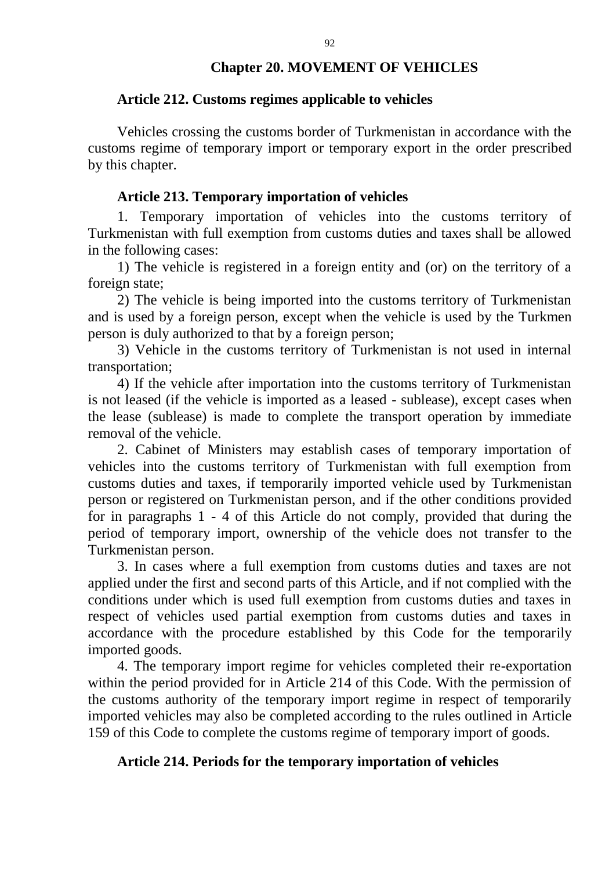#### **Chapter 20. MOVEMENT OF VEHICLES**

#### **Article 212. Customs regimes applicable to vehicles**

Vehicles crossing the customs border of Turkmenistan in accordance with the customs regime of temporary import or temporary export in the order prescribed by this chapter.

#### **Article 213. Temporary importation of vehicles**

1. Temporary importation of vehicles into the customs territory of Turkmenistan with full exemption from customs duties and taxes shall be allowed in the following cases:

1) The vehicle is registered in a foreign entity and (or) on the territory of a foreign state;

2) The vehicle is being imported into the customs territory of Turkmenistan and is used by a foreign person, except when the vehicle is used by the Turkmen person is duly authorized to that by a foreign person;

3) Vehicle in the customs territory of Turkmenistan is not used in internal transportation;

4) If the vehicle after importation into the customs territory of Turkmenistan is not leased (if the vehicle is imported as a leased - sublease), except cases when the lease (sublease) is made to complete the transport operation by immediate removal of the vehicle.

2. Cabinet of Ministers may establish cases of temporary importation of vehicles into the customs territory of Turkmenistan with full exemption from customs duties and taxes, if temporarily imported vehicle used by Turkmenistan person or registered on Turkmenistan person, and if the other conditions provided for in paragraphs 1 - 4 of this Article do not comply, provided that during the period of temporary import, ownership of the vehicle does not transfer to the Turkmenistan person.

3. In cases where a full exemption from customs duties and taxes are not applied under the first and second parts of this Article, and if not complied with the conditions under which is used full exemption from customs duties and taxes in respect of vehicles used partial exemption from customs duties and taxes in accordance with the procedure established by this Code for the temporarily imported goods.

4. The temporary import regime for vehicles completed their re-exportation within the period provided for in Article 214 of this Code. With the permission of the customs authority of the temporary import regime in respect of temporarily imported vehicles may also be completed according to the rules outlined in Article 159 of this Code to complete the customs regime of temporary import of goods.

#### **Article 214. Periods for the temporary importation of vehicles**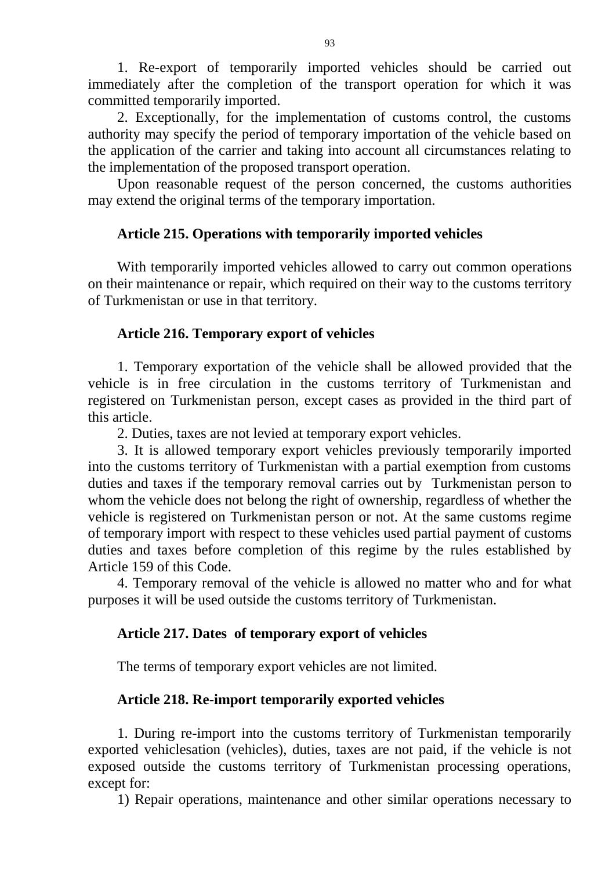1. Re-export of temporarily imported vehicles should be carried out immediately after the completion of the transport operation for which it was committed temporarily imported.

2. Exceptionally, for the implementation of customs control, the customs authority may specify the period of temporary importation of the vehicle based on the application of the carrier and taking into account all circumstances relating to the implementation of the proposed transport operation.

Upon reasonable request of the person concerned, the customs authorities may extend the original terms of the temporary importation.

# **Article 215. Operations with temporarily imported vehicles**

With temporarily imported vehicles allowed to carry out common operations on their maintenance or repair, which required on their way to the customs territory of Turkmenistan or use in that territory.

# **Article 216. Temporary export of vehicles**

1. Temporary exportation of the vehicle shall be allowed provided that the vehicle is in free circulation in the customs territory of Turkmenistan and registered on Turkmenistan person, except cases as provided in the third part of this article.

2. Duties, taxes are not levied at temporary export vehicles.

3. It is allowed temporary export vehicles previously temporarily imported into the customs territory of Turkmenistan with a partial exemption from customs duties and taxes if the temporary removal carries out by Turkmenistan person to whom the vehicle does not belong the right of ownership, regardless of whether the vehicle is registered on Turkmenistan person or not. At the same customs regime of temporary import with respect to these vehicles used partial payment of customs duties and taxes before completion of this regime by the rules established by Article 159 of this Code.

4. Temporary removal of the vehicle is allowed no matter who and for what purposes it will be used outside the customs territory of Turkmenistan.

# **Article 217. Dates of temporary export of vehicles**

The terms of temporary export vehicles are not limited.

# **Article 218. Re-import temporarily exported vehicles**

1. During re-import into the customs territory of Turkmenistan temporarily exported vehiclesation (vehicles), duties, taxes are not paid, if the vehicle is not exposed outside the customs territory of Turkmenistan processing operations, except for:

1) Repair operations, maintenance and other similar operations necessary to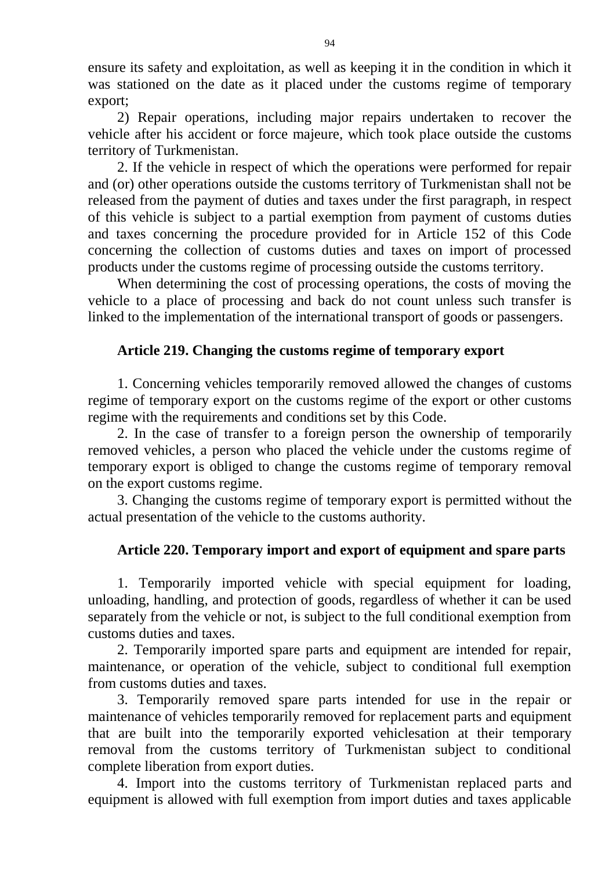ensure its safety and exploitation, as well as keeping it in the condition in which it was stationed on the date as it placed under the customs regime of temporary export;

2) Repair operations, including major repairs undertaken to recover the vehicle after his accident or force majeure, which took place outside the customs territory of Turkmenistan.

2. If the vehicle in respect of which the operations were performed for repair and (or) other operations outside the customs territory of Turkmenistan shall not be released from the payment of duties and taxes under the first paragraph, in respect of this vehicle is subject to a partial exemption from payment of customs duties and taxes concerning the procedure provided for in Article 152 of this Code concerning the collection of customs duties and taxes on import of processed products under the customs regime of processing outside the customs territory.

When determining the cost of processing operations, the costs of moving the vehicle to a place of processing and back do not count unless such transfer is linked to the implementation of the international transport of goods or passengers.

### **Article 219. Changing the customs regime of temporary export**

1. Concerning vehicles temporarily removed allowed the changes of customs regime of temporary export on the customs regime of the export or other customs regime with the requirements and conditions set by this Code.

2. In the case of transfer to a foreign person the ownership of temporarily removed vehicles, a person who placed the vehicle under the customs regime of temporary export is obliged to change the customs regime of temporary removal on the export customs regime.

3. Changing the customs regime of temporary export is permitted without the actual presentation of the vehicle to the customs authority.

# **Article 220. Temporary import and export of equipment and spare parts**

1. Temporarily imported vehicle with special equipment for loading, unloading, handling, and protection of goods, regardless of whether it can be used separately from the vehicle or not, is subject to the full conditional exemption from customs duties and taxes.

2. Temporarily imported spare parts and equipment are intended for repair, maintenance, or operation of the vehicle, subject to conditional full exemption from customs duties and taxes.

3. Temporarily removed spare parts intended for use in the repair or maintenance of vehicles temporarily removed for replacement parts and equipment that are built into the temporarily exported vehiclesation at their temporary removal from the customs territory of Turkmenistan subject to conditional complete liberation from export duties.

4. Import into the customs territory of Turkmenistan replaced parts and equipment is allowed with full exemption from import duties and taxes applicable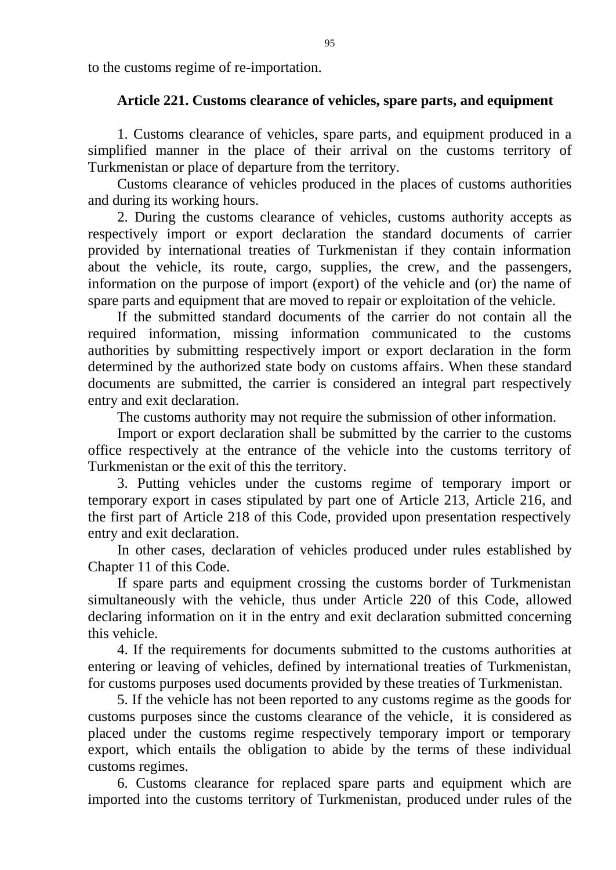to the customs regime of re-importation.

### **Article 221. Customs clearance of vehicles, spare parts, and equipment**

1. Customs clearance of vehicles, spare parts, and equipment produced in a simplified manner in the place of their arrival on the customs territory of Turkmenistan or place of departure from the territory.

Customs clearance of vehicles produced in the places of customs authorities and during its working hours.

2. During the customs clearance of vehicles, customs authority accepts as respectively import or export declaration the standard documents of carrier provided by international treaties of Turkmenistan if they contain information about the vehicle, its route, cargo, supplies, the crew, and the passengers, information on the purpose of import (export) of the vehicle and (or) the name of spare parts and equipment that are moved to repair or exploitation of the vehicle.

If the submitted standard documents of the carrier do not contain all the required information, missing information communicated to the customs authorities by submitting respectively import or export declaration in the form determined by the authorized state body on customs affairs. When these standard documents are submitted, the carrier is considered an integral part respectively entry and exit declaration.

The customs authority may not require the submission of other information.

Import or export declaration shall be submitted by the carrier to the customs office respectively at the entrance of the vehicle into the customs territory of Turkmenistan or the exit of this the territory.

3. Putting vehicles under the customs regime of temporary import or temporary export in cases stipulated by part one of Article 213, Article 216, and the first part of Article 218 of this Code, provided upon presentation respectively entry and exit declaration.

In other cases, declaration of vehicles produced under rules established by Chapter 11 of this Code.

If spare parts and equipment crossing the customs border of Turkmenistan simultaneously with the vehicle, thus under Article 220 of this Code, allowed declaring information on it in the entry and exit declaration submitted concerning this vehicle.

4. If the requirements for documents submitted to the customs authorities at entering or leaving of vehicles, defined by international treaties of Turkmenistan, for customs purposes used documents provided by these treaties of Turkmenistan.

5. If the vehicle has not been reported to any customs regime as the goods for customs purposes since the customs clearance of the vehicle, it is considered as placed under the customs regime respectively temporary import or temporary export, which entails the obligation to abide by the terms of these individual customs regimes.

6. Customs clearance for replaced spare parts and equipment which are imported into the customs territory of Turkmenistan, produced under rules of the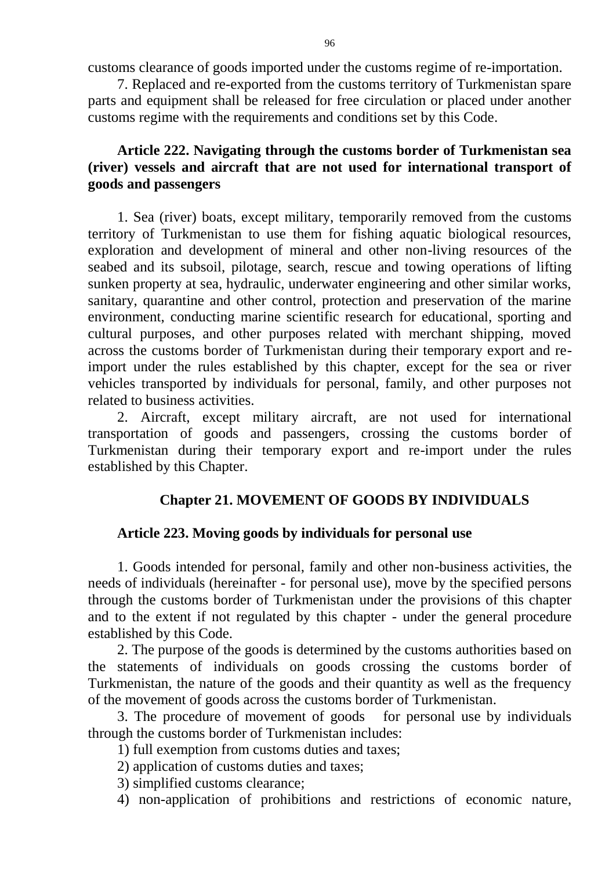customs clearance of goods imported under the customs regime of re-importation.

7. Replaced and re-exported from the customs territory of Turkmenistan spare parts and equipment shall be released for free circulation or placed under another customs regime with the requirements and conditions set by this Code.

# **Article 222. Navigating through the customs border of Turkmenistan sea (river) vessels and aircraft that are not used for international transport of goods and passengers**

1. Sea (river) boats, except military, temporarily removed from the customs territory of Turkmenistan to use them for fishing aquatic biological resources, exploration and development of mineral and other non-living resources of the seabed and its subsoil, pilotage, search, rescue and towing operations of lifting sunken property at sea, hydraulic, underwater engineering and other similar works, sanitary, quarantine and other control, protection and preservation of the marine environment, conducting marine scientific research for educational, sporting and cultural purposes, and other purposes related with merchant shipping, moved across the customs border of Turkmenistan during their temporary export and reimport under the rules established by this chapter, except for the sea or river vehicles transported by individuals for personal, family, and other purposes not related to business activities.

2. Aircraft, except military aircraft, are not used for international transportation of goods and passengers, crossing the customs border of Turkmenistan during their temporary export and re-import under the rules established by this Chapter.

### **Chapter 21. MOVEMENT OF GOODS BY INDIVIDUALS**

#### **Article 223. Moving goods by individuals for personal use**

1. Goods intended for personal, family and other non-business activities, the needs of individuals (hereinafter - for personal use), move by the specified persons through the customs border of Turkmenistan under the provisions of this chapter and to the extent if not regulated by this chapter - under the general procedure established by this Code.

2. The purpose of the goods is determined by the customs authorities based on the statements of individuals on goods crossing the customs border of Turkmenistan, the nature of the goods and their quantity as well as the frequency of the movement of goods across the customs border of Turkmenistan.

3. The procedure of movement of goods for personal use by individuals through the customs border of Turkmenistan includes:

1) full exemption from customs duties and taxes;

2) application of customs duties and taxes;

3) simplified customs clearance;

4) non-application of prohibitions and restrictions of economic nature,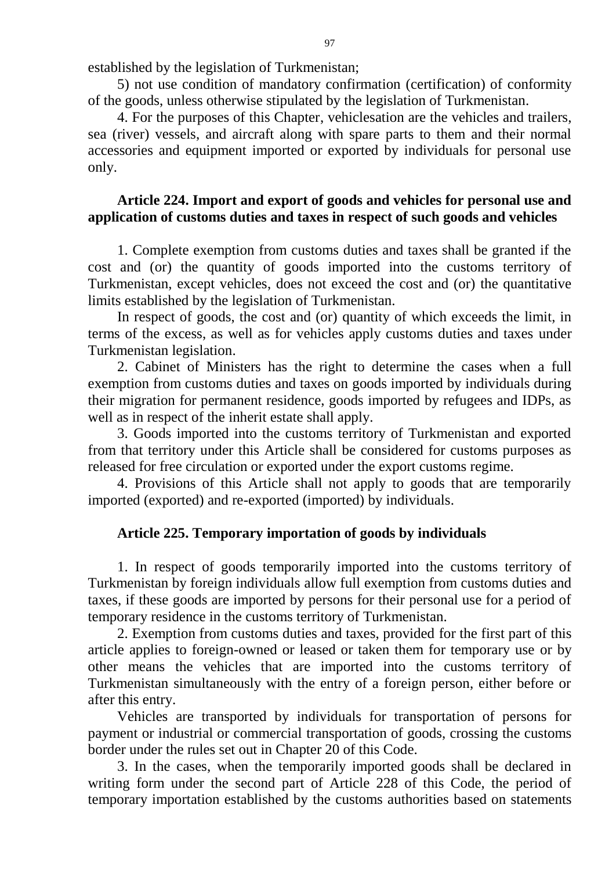established by the legislation of Turkmenistan;

5) not use condition of mandatory confirmation (certification) of conformity of the goods, unless otherwise stipulated by the legislation of Turkmenistan.

4. For the purposes of this Chapter, vehiclesation are the vehicles and trailers, sea (river) vessels, and aircraft along with spare parts to them and their normal accessories and equipment imported or exported by individuals for personal use only.

# **Article 224. Import and export of goods and vehicles for personal use and application of customs duties and taxes in respect of such goods and vehicles**

1. Complete exemption from customs duties and taxes shall be granted if the cost and (or) the quantity of goods imported into the customs territory of Turkmenistan, except vehicles, does not exceed the cost and (or) the quantitative limits established by the legislation of Turkmenistan.

In respect of goods, the cost and (or) quantity of which exceeds the limit, in terms of the excess, as well as for vehicles apply customs duties and taxes under Turkmenistan legislation.

2. Cabinet of Ministers has the right to determine the cases when a full exemption from customs duties and taxes on goods imported by individuals during their migration for permanent residence, goods imported by refugees and IDPs, as well as in respect of the inherit estate shall apply.

3. Goods imported into the customs territory of Turkmenistan and exported from that territory under this Article shall be considered for customs purposes as released for free circulation or exported under the export customs regime.

4. Provisions of this Article shall not apply to goods that are temporarily imported (exported) and re-exported (imported) by individuals.

# **Article 225. Temporary importation of goods by individuals**

1. In respect of goods temporarily imported into the customs territory of Turkmenistan by foreign individuals allow full exemption from customs duties and taxes, if these goods are imported by persons for their personal use for a period of temporary residence in the customs territory of Turkmenistan.

2. Exemption from customs duties and taxes, provided for the first part of this article applies to foreign-owned or leased or taken them for temporary use or by other means the vehicles that are imported into the customs territory of Turkmenistan simultaneously with the entry of a foreign person, either before or after this entry.

Vehicles are transported by individuals for transportation of persons for payment or industrial or commercial transportation of goods, crossing the customs border under the rules set out in Chapter 20 of this Code.

3. In the cases, when the temporarily imported goods shall be declared in writing form under the second part of Article 228 of this Code, the period of temporary importation established by the customs authorities based on statements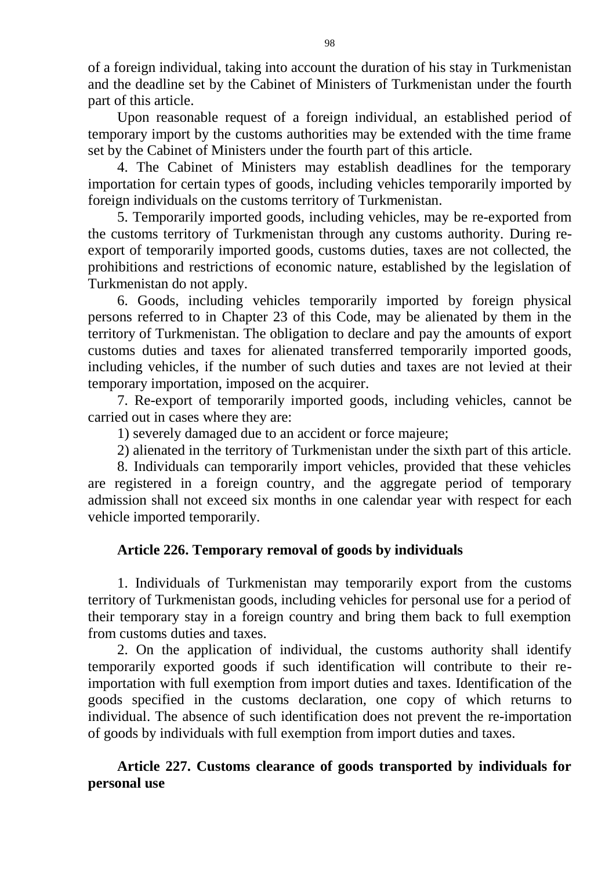of a foreign individual, taking into account the duration of his stay in Turkmenistan and the deadline set by the Cabinet of Ministers of Turkmenistan under the fourth part of this article.

Upon reasonable request of a foreign individual, an established period of temporary import by the customs authorities may be extended with the time frame set by the Cabinet of Ministers under the fourth part of this article.

4. The Cabinet of Ministers may establish deadlines for the temporary importation for certain types of goods, including vehicles temporarily imported by foreign individuals on the customs territory of Turkmenistan.

5. Temporarily imported goods, including vehicles, may be re-exported from the customs territory of Turkmenistan through any customs authority. During reexport of temporarily imported goods, customs duties, taxes are not collected, the prohibitions and restrictions of economic nature, established by the legislation of Turkmenistan do not apply.

6. Goods, including vehicles temporarily imported by foreign physical persons referred to in Chapter 23 of this Code, may be alienated by them in the territory of Turkmenistan. The obligation to declare and pay the amounts of export customs duties and taxes for alienated transferred temporarily imported goods, including vehicles, if the number of such duties and taxes are not levied at their temporary importation, imposed on the acquirer.

7. Re-export of temporarily imported goods, including vehicles, cannot be carried out in cases where they are:

1) severely damaged due to an accident or force majeure;

2) alienated in the territory of Turkmenistan under the sixth part of this article.

8. Individuals can temporarily import vehicles, provided that these vehicles are registered in a foreign country, and the aggregate period of temporary admission shall not exceed six months in one calendar year with respect for each vehicle imported temporarily.

# **Article 226. Temporary removal of goods by individuals**

1. Individuals of Turkmenistan may temporarily export from the customs territory of Turkmenistan goods, including vehicles for personal use for a period of their temporary stay in a foreign country and bring them back to full exemption from customs duties and taxes.

2. On the application of individual, the customs authority shall identify temporarily exported goods if such identification will contribute to their reimportation with full exemption from import duties and taxes. Identification of the goods specified in the customs declaration, one copy of which returns to individual. The absence of such identification does not prevent the re-importation of goods by individuals with full exemption from import duties and taxes.

**Article 227. Customs clearance of goods transported by individuals for personal use**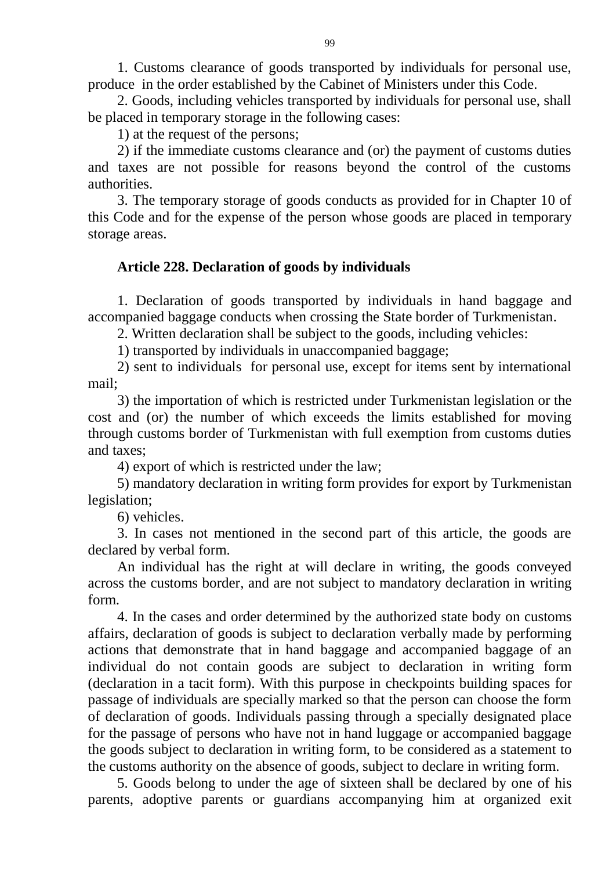1. Customs clearance of goods transported by individuals for personal use, produce in the order established by the Cabinet of Ministers under this Code.

2. Goods, including vehicles transported by individuals for personal use, shall be placed in temporary storage in the following cases:

1) at the request of the persons;

2) if the immediate customs clearance and (or) the payment of customs duties and taxes are not possible for reasons beyond the control of the customs authorities.

3. The temporary storage of goods conducts as provided for in Chapter 10 of this Code and for the expense of the person whose goods are placed in temporary storage areas.

### **Article 228. Declaration of goods by individuals**

1. Declaration of goods transported by individuals in hand baggage and accompanied baggage conducts when crossing the State border of Turkmenistan.

2. Written declaration shall be subject to the goods, including vehicles:

1) transported by individuals in unaccompanied baggage;

2) sent to individuals for personal use, except for items sent by international mail;

3) the importation of which is restricted under Turkmenistan legislation or the cost and (or) the number of which exceeds the limits established for moving through customs border of Turkmenistan with full exemption from customs duties and taxes;

4) export of which is restricted under the law;

5) mandatory declaration in writing form provides for export by Turkmenistan legislation;

6) vehicles.

3. In cases not mentioned in the second part of this article, the goods are declared by verbal form.

An individual has the right at will declare in writing, the goods conveyed across the customs border, and are not subject to mandatory declaration in writing form.

4. In the cases and order determined by the authorized state body on customs affairs, declaration of goods is subject to declaration verbally made by performing actions that demonstrate that in hand baggage and accompanied baggage of an individual do not contain goods are subject to declaration in writing form (declaration in a tacit form). With this purpose in checkpoints building spaces for passage of individuals are specially marked so that the person can choose the form of declaration of goods. Individuals passing through a specially designated place for the passage of persons who have not in hand luggage or accompanied baggage the goods subject to declaration in writing form, to be considered as a statement to the customs authority on the absence of goods, subject to declare in writing form.

5. Goods belong to under the age of sixteen shall be declared by one of his parents, adoptive parents or guardians accompanying him at organized exit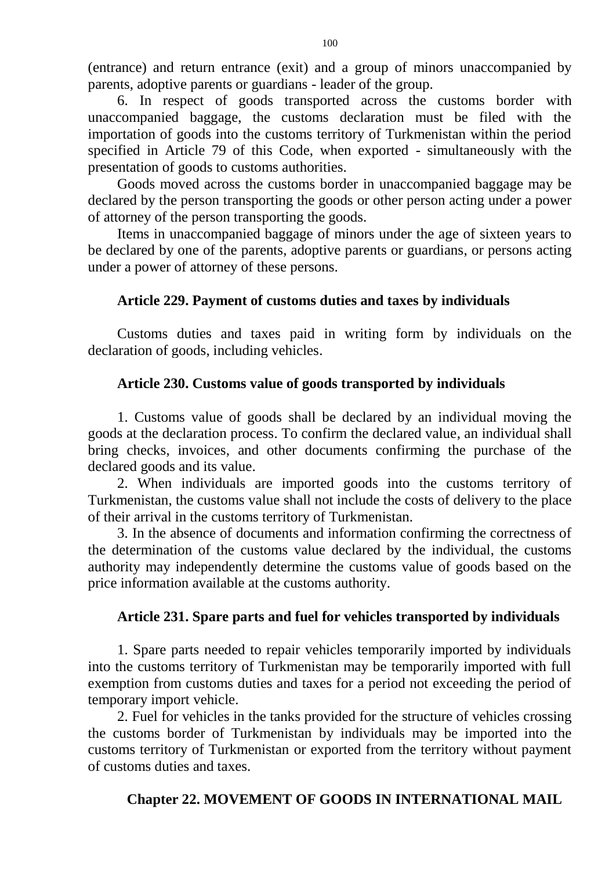(entrance) and return entrance (exit) and a group of minors unaccompanied by parents, adoptive parents or guardians - leader of the group.

6. In respect of goods transported across the customs border with unaccompanied baggage, the customs declaration must be filed with the importation of goods into the customs territory of Turkmenistan within the period specified in Article 79 of this Code, when exported - simultaneously with the presentation of goods to customs authorities.

Goods moved across the customs border in unaccompanied baggage may be declared by the person transporting the goods or other person acting under a power of attorney of the person transporting the goods.

Items in unaccompanied baggage of minors under the age of sixteen years to be declared by one of the parents, adoptive parents or guardians, or persons acting under a power of attorney of these persons.

### **Article 229. Payment of customs duties and taxes by individuals**

Customs duties and taxes paid in writing form by individuals on the declaration of goods, including vehicles.

### **Article 230. Customs value of goods transported by individuals**

1. Customs value of goods shall be declared by an individual moving the goods at the declaration process. To confirm the declared value, an individual shall bring checks, invoices, and other documents confirming the purchase of the declared goods and its value.

2. When individuals are imported goods into the customs territory of Turkmenistan, the customs value shall not include the costs of delivery to the place of their arrival in the customs territory of Turkmenistan.

3. In the absence of documents and information confirming the correctness of the determination of the customs value declared by the individual, the customs authority may independently determine the customs value of goods based on the price information available at the customs authority.

### **Article 231. Spare parts and fuel for vehicles transported by individuals**

1. Spare parts needed to repair vehicles temporarily imported by individuals into the customs territory of Turkmenistan may be temporarily imported with full exemption from customs duties and taxes for a period not exceeding the period of temporary import vehicle.

2. Fuel for vehicles in the tanks provided for the structure of vehicles crossing the customs border of Turkmenistan by individuals may be imported into the customs territory of Turkmenistan or exported from the territory without payment of customs duties and taxes.

# **Chapter 22. MOVEMENT OF GOODS IN INTERNATIONAL MAIL**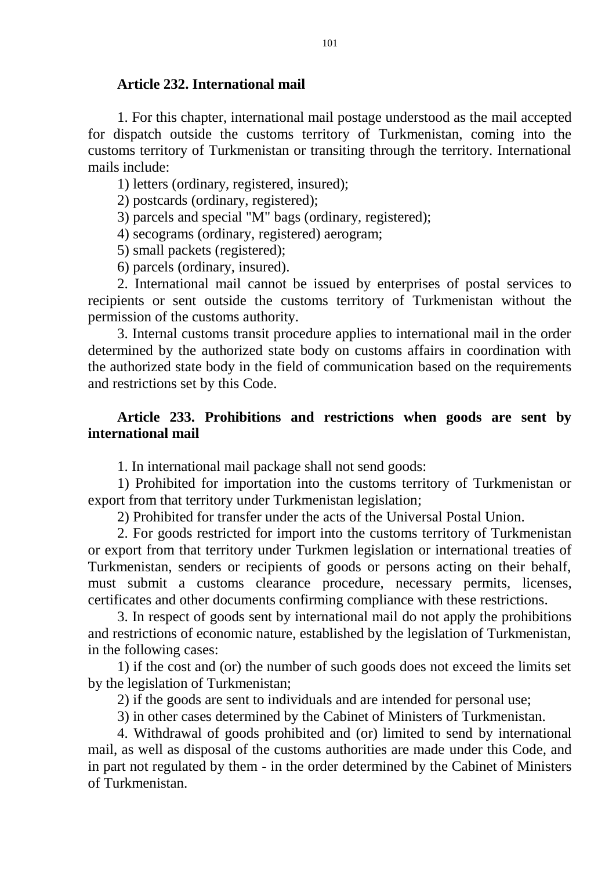#### **Article 232. International mail**

1. For this chapter, international mail postage understood as the mail accepted for dispatch outside the customs territory of Turkmenistan, coming into the customs territory of Turkmenistan or transiting through the territory. International mails include:

1) letters (ordinary, registered, insured);

2) postcards (ordinary, registered);

3) parcels and special "M" bags (ordinary, registered);

4) secograms (ordinary, registered) aerogram;

5) small packets (registered);

6) parcels (ordinary, insured).

2. International mail cannot be issued by enterprises of postal services to recipients or sent outside the customs territory of Turkmenistan without the permission of the customs authority.

3. Internal customs transit procedure applies to international mail in the order determined by the authorized state body on customs affairs in coordination with the authorized state body in the field of communication based on the requirements and restrictions set by this Code.

# **Article 233. Prohibitions and restrictions when goods are sent by international mail**

1. In international mail package shall not send goods:

1) Prohibited for importation into the customs territory of Turkmenistan or export from that territory under Turkmenistan legislation;

2) Prohibited for transfer under the acts of the Universal Postal Union.

2. For goods restricted for import into the customs territory of Turkmenistan or export from that territory under Turkmen legislation or international treaties of Turkmenistan, senders or recipients of goods or persons acting on their behalf, must submit a customs clearance procedure, necessary permits, licenses, certificates and other documents confirming compliance with these restrictions.

3. In respect of goods sent by international mail do not apply the prohibitions and restrictions of economic nature, established by the legislation of Turkmenistan, in the following cases:

1) if the cost and (or) the number of such goods does not exceed the limits set by the legislation of Turkmenistan;

2) if the goods are sent to individuals and are intended for personal use;

3) in other cases determined by the Cabinet of Ministers of Turkmenistan.

4. Withdrawal of goods prohibited and (or) limited to send by international mail, as well as disposal of the customs authorities are made under this Code, and in part not regulated by them - in the order determined by the Cabinet of Ministers of Turkmenistan.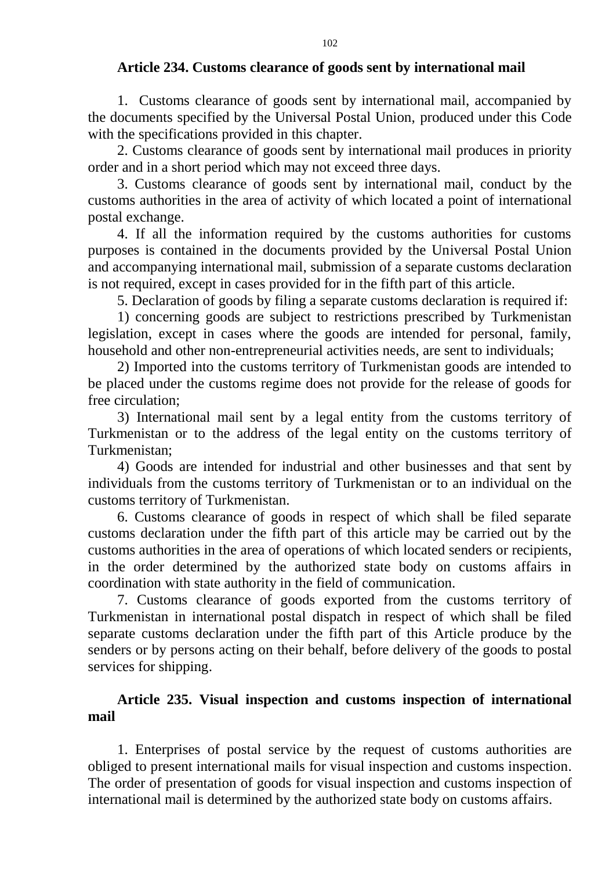### **Article 234. Customs clearance of goods sent by international mail**

1. Customs clearance of goods sent by international mail, accompanied by the documents specified by the Universal Postal Union, produced under this Code with the specifications provided in this chapter.

2. Customs clearance of goods sent by international mail produces in priority order and in a short period which may not exceed three days.

3. Customs clearance of goods sent by international mail, conduct by the customs authorities in the area of activity of which located a point of international postal exchange.

4. If all the information required by the customs authorities for customs purposes is contained in the documents provided by the Universal Postal Union and accompanying international mail, submission of a separate customs declaration is not required, except in cases provided for in the fifth part of this article.

5. Declaration of goods by filing a separate customs declaration is required if:

1) concerning goods are subject to restrictions prescribed by Turkmenistan legislation, except in cases where the goods are intended for personal, family, household and other non-entrepreneurial activities needs, are sent to individuals;

2) Imported into the customs territory of Turkmenistan goods are intended to be placed under the customs regime does not provide for the release of goods for free circulation;

3) International mail sent by a legal entity from the customs territory of Turkmenistan or to the address of the legal entity on the customs territory of Turkmenistan;

4) Goods are intended for industrial and other businesses and that sent by individuals from the customs territory of Turkmenistan or to an individual on the customs territory of Turkmenistan.

6. Customs clearance of goods in respect of which shall be filed separate customs declaration under the fifth part of this article may be carried out by the customs authorities in the area of operations of which located senders or recipients, in the order determined by the authorized state body on customs affairs in coordination with state authority in the field of communication.

7. Customs clearance of goods exported from the customs territory of Turkmenistan in international postal dispatch in respect of which shall be filed separate customs declaration under the fifth part of this Article produce by the senders or by persons acting on their behalf, before delivery of the goods to postal services for shipping.

# **Article 235. Visual inspection and customs inspection of international mail**

1. Enterprises of postal service by the request of customs authorities are obliged to present international mails for visual inspection and customs inspection. The order of presentation of goods for visual inspection and customs inspection of international mail is determined by the authorized state body on customs affairs.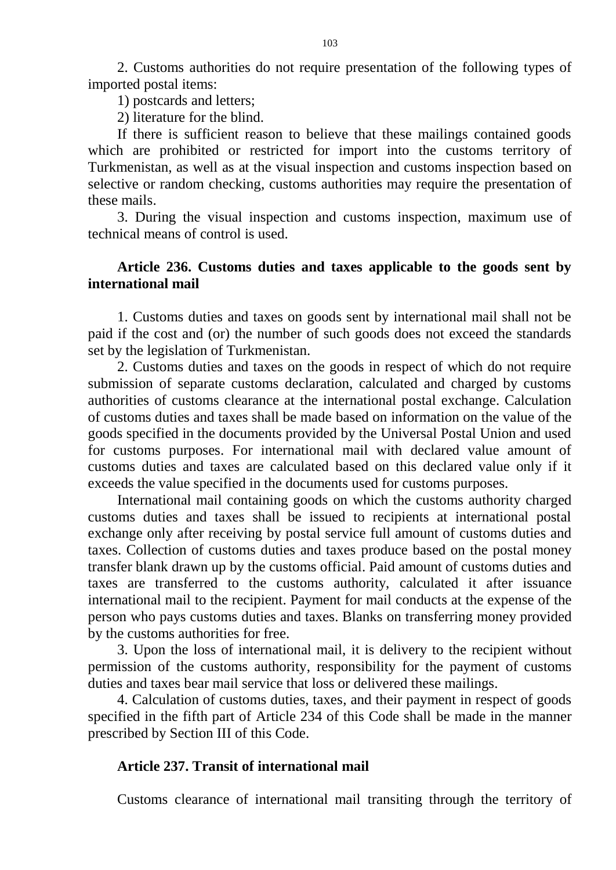2. Customs authorities do not require presentation of the following types of imported postal items:

1) postcards and letters;

2) literature for the blind.

If there is sufficient reason to believe that these mailings contained goods which are prohibited or restricted for import into the customs territory of Turkmenistan, as well as at the visual inspection and customs inspection based on selective or random checking, customs authorities may require the presentation of these mails.

3. During the visual inspection and customs inspection, maximum use of technical means of control is used.

### **Article 236. Customs duties and taxes applicable to the goods sent by international mail**

1. Customs duties and taxes on goods sent by international mail shall not be paid if the cost and (or) the number of such goods does not exceed the standards set by the legislation of Turkmenistan.

2. Customs duties and taxes on the goods in respect of which do not require submission of separate customs declaration, calculated and charged by customs authorities of customs clearance at the international postal exchange. Calculation of customs duties and taxes shall be made based on information on the value of the goods specified in the documents provided by the Universal Postal Union and used for customs purposes. For international mail with declared value amount of customs duties and taxes are calculated based on this declared value only if it exceeds the value specified in the documents used for customs purposes.

International mail containing goods on which the customs authority charged customs duties and taxes shall be issued to recipients at international postal exchange only after receiving by postal service full amount of customs duties and taxes. Collection of customs duties and taxes produce based on the postal money transfer blank drawn up by the customs official. Paid amount of customs duties and taxes are transferred to the customs authority, calculated it after issuance international mail to the recipient. Payment for mail conducts at the expense of the person who pays customs duties and taxes. Blanks on transferring money provided by the customs authorities for free.

3. Upon the loss of international mail, it is delivery to the recipient without permission of the customs authority, responsibility for the payment of customs duties and taxes bear mail service that loss or delivered these mailings.

4. Calculation of customs duties, taxes, and their payment in respect of goods specified in the fifth part of Article 234 of this Code shall be made in the manner prescribed by Section III of this Code.

### **Article 237. Transit of international mail**

Customs clearance of international mail transiting through the territory of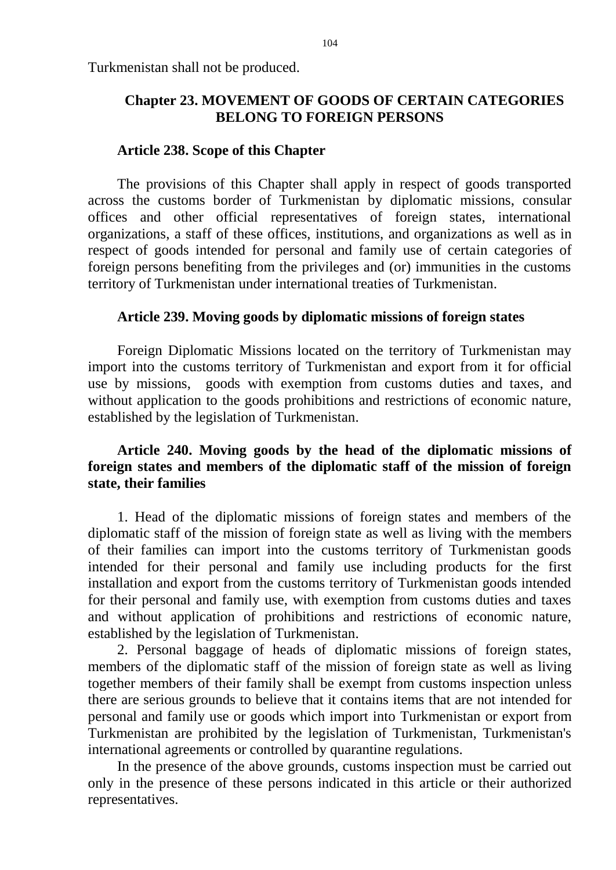Turkmenistan shall not be produced.

# **Chapter 23. MOVEMENT OF GOODS OF CERTAIN CATEGORIES BELONG TO FOREIGN PERSONS**

### **Article 238. Scope of this Chapter**

The provisions of this Chapter shall apply in respect of goods transported across the customs border of Turkmenistan by diplomatic missions, consular offices and other official representatives of foreign states, international organizations, a staff of these offices, institutions, and organizations as well as in respect of goods intended for personal and family use of certain categories of foreign persons benefiting from the privileges and (or) immunities in the customs territory of Turkmenistan under international treaties of Turkmenistan.

### **Article 239. Moving goods by diplomatic missions of foreign states**

Foreign Diplomatic Missions located on the territory of Turkmenistan may import into the customs territory of Turkmenistan and export from it for official use by missions, goods with exemption from customs duties and taxes, and without application to the goods prohibitions and restrictions of economic nature, established by the legislation of Turkmenistan.

# **Article 240. Moving goods by the head of the diplomatic missions of foreign states and members of the diplomatic staff of the mission of foreign state, their families**

1. Head of the diplomatic missions of foreign states and members of the diplomatic staff of the mission of foreign state as well as living with the members of their families can import into the customs territory of Turkmenistan goods intended for their personal and family use including products for the first installation and export from the customs territory of Turkmenistan goods intended for their personal and family use, with exemption from customs duties and taxes and without application of prohibitions and restrictions of economic nature, established by the legislation of Turkmenistan.

2. Personal baggage of heads of diplomatic missions of foreign states, members of the diplomatic staff of the mission of foreign state as well as living together members of their family shall be exempt from customs inspection unless there are serious grounds to believe that it contains items that are not intended for personal and family use or goods which import into Turkmenistan or export from Turkmenistan are prohibited by the legislation of Turkmenistan, Turkmenistan's international agreements or controlled by quarantine regulations.

In the presence of the above grounds, customs inspection must be carried out only in the presence of these persons indicated in this article or their authorized representatives.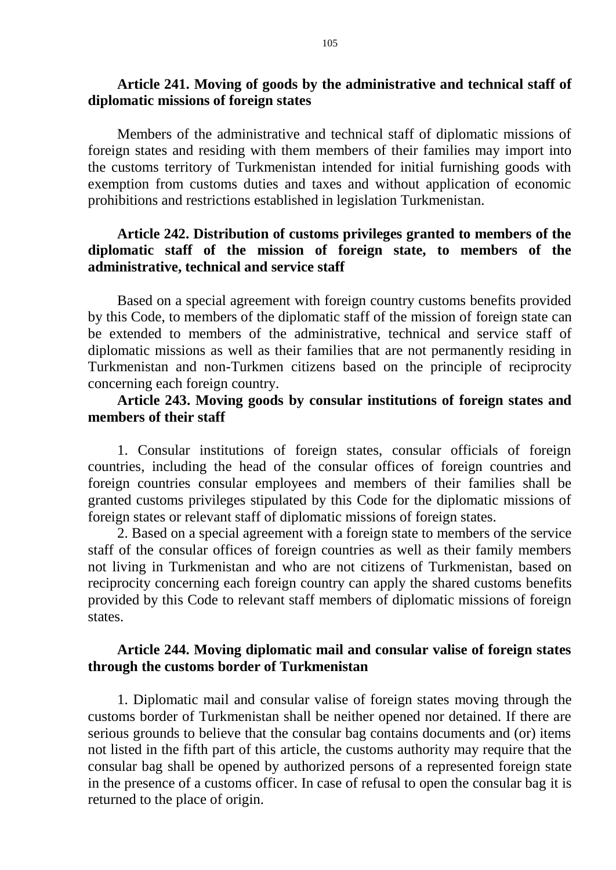#### **Article 241. Moving of goods by the administrative and technical staff of diplomatic missions of foreign states**

Members of the administrative and technical staff of diplomatic missions of foreign states and residing with them members of their families may import into the customs territory of Turkmenistan intended for initial furnishing goods with exemption from customs duties and taxes and without application of economic prohibitions and restrictions established in legislation Turkmenistan.

# **Article 242. Distribution of customs privileges granted to members of the diplomatic staff of the mission of foreign state, to members of the administrative, technical and service staff**

Based on a special agreement with foreign country customs benefits provided by this Code, to members of the diplomatic staff of the mission of foreign state can be extended to members of the administrative, technical and service staff of diplomatic missions as well as their families that are not permanently residing in Turkmenistan and non-Turkmen citizens based on the principle of reciprocity concerning each foreign country.

### **Article 243. Moving goods by consular institutions of foreign states and members of their staff**

1. Consular institutions of foreign states, consular officials of foreign countries, including the head of the consular offices of foreign countries and foreign countries consular employees and members of their families shall be granted customs privileges stipulated by this Code for the diplomatic missions of foreign states or relevant staff of diplomatic missions of foreign states.

2. Based on a special agreement with a foreign state to members of the service staff of the consular offices of foreign countries as well as their family members not living in Turkmenistan and who are not citizens of Turkmenistan, based on reciprocity concerning each foreign country can apply the shared customs benefits provided by this Code to relevant staff members of diplomatic missions of foreign states.

### **Article 244. Moving diplomatic mail and consular valise of foreign states through the customs border of Turkmenistan**

1. Diplomatic mail and consular valise of foreign states moving through the customs border of Turkmenistan shall be neither opened nor detained. If there are serious grounds to believe that the consular bag contains documents and (or) items not listed in the fifth part of this article, the customs authority may require that the consular bag shall be opened by authorized persons of a represented foreign state in the presence of a customs officer. In case of refusal to open the consular bag it is returned to the place of origin.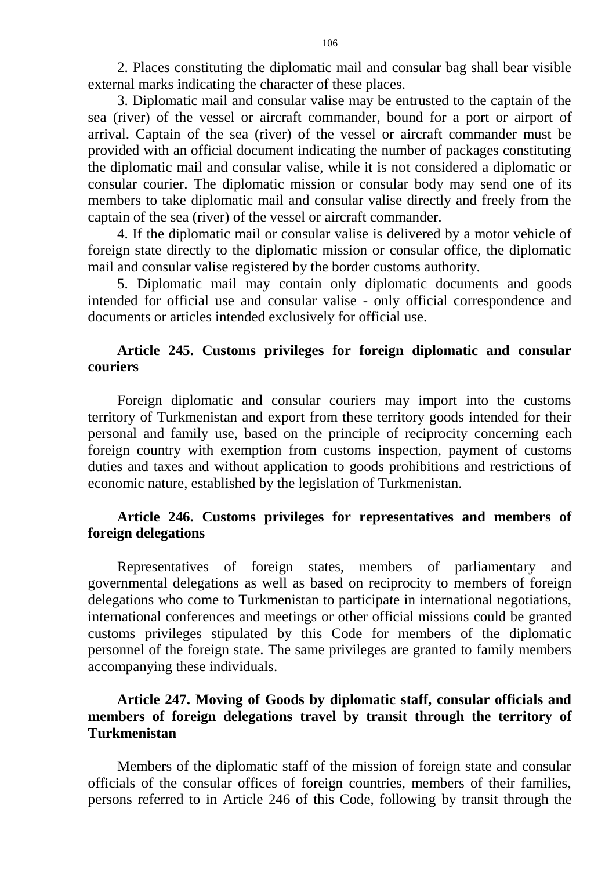2. Places constituting the diplomatic mail and consular bag shall bear visible external marks indicating the character of these places.

3. Diplomatic mail and consular valise may be entrusted to the captain of the sea (river) of the vessel or aircraft commander, bound for a port or airport of arrival. Captain of the sea (river) of the vessel or aircraft commander must be provided with an official document indicating the number of packages constituting the diplomatic mail and consular valise, while it is not considered a diplomatic or consular courier. The diplomatic mission or consular body may send one of its members to take diplomatic mail and consular valise directly and freely from the captain of the sea (river) of the vessel or aircraft commander.

4. If the diplomatic mail or consular valise is delivered by a motor vehicle of foreign state directly to the diplomatic mission or consular office, the diplomatic mail and consular valise registered by the border customs authority.

5. Diplomatic mail may contain only diplomatic documents and goods intended for official use and consular valise - only official correspondence and documents or articles intended exclusively for official use.

### **Article 245. Customs privileges for foreign diplomatic and consular couriers**

Foreign diplomatic and consular couriers may import into the customs territory of Turkmenistan and export from these territory goods intended for their personal and family use, based on the principle of reciprocity concerning each foreign country with exemption from customs inspection, payment of customs duties and taxes and without application to goods prohibitions and restrictions of economic nature, established by the legislation of Turkmenistan.

# **Article 246. Customs privileges for representatives and members of foreign delegations**

Representatives of foreign states, members of parliamentary and governmental delegations as well as based on reciprocity to members of foreign delegations who come to Turkmenistan to participate in international negotiations, international conferences and meetings or other official missions could be granted customs privileges stipulated by this Code for members of the diplomatic personnel of the foreign state. The same privileges are granted to family members accompanying these individuals.

# **Article 247. Moving of Goods by diplomatic staff, consular officials and members of foreign delegations travel by transit through the territory of Turkmenistan**

Members of the diplomatic staff of the mission of foreign state and consular officials of the consular offices of foreign countries, members of their families, persons referred to in Article 246 of this Code, following by transit through the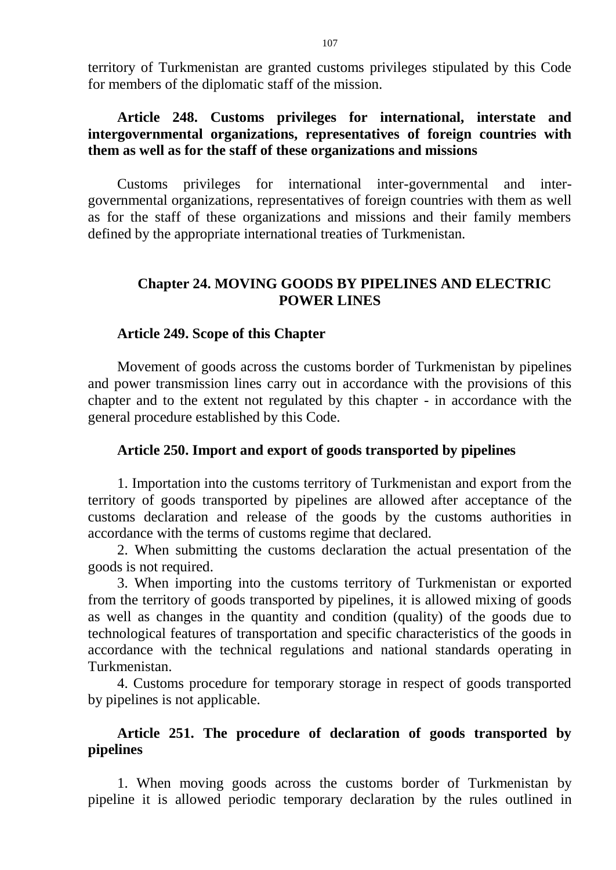territory of Turkmenistan are granted customs privileges stipulated by this Code for members of the diplomatic staff of the mission.

### **Article 248. Customs privileges for international, interstate and intergovernmental organizations, representatives of foreign countries with them as well as for the staff of these organizations and missions**

Customs privileges for international inter-governmental and intergovernmental organizations, representatives of foreign countries with them as well as for the staff of these organizations and missions and their family members defined by the appropriate international treaties of Turkmenistan.

# **Chapter 24. MOVING GOODS BY PIPELINES AND ELECTRIC POWER LINES**

#### **Article 249. Scope of this Chapter**

Movement of goods across the customs border of Turkmenistan by pipelines and power transmission lines carry out in accordance with the provisions of this chapter and to the extent not regulated by this chapter - in accordance with the general procedure established by this Code.

#### **Article 250. Import and export of goods transported by pipelines**

1. Importation into the customs territory of Turkmenistan and export from the territory of goods transported by pipelines are allowed after acceptance of the customs declaration and release of the goods by the customs authorities in accordance with the terms of customs regime that declared.

2. When submitting the customs declaration the actual presentation of the goods is not required.

3. When importing into the customs territory of Turkmenistan or exported from the territory of goods transported by pipelines, it is allowed mixing of goods as well as changes in the quantity and condition (quality) of the goods due to technological features of transportation and specific characteristics of the goods in accordance with the technical regulations and national standards operating in Turkmenistan.

4. Customs procedure for temporary storage in respect of goods transported by pipelines is not applicable.

# **Article 251. The procedure of declaration of goods transported by pipelines**

1. When moving goods across the customs border of Turkmenistan by pipeline it is allowed periodic temporary declaration by the rules outlined in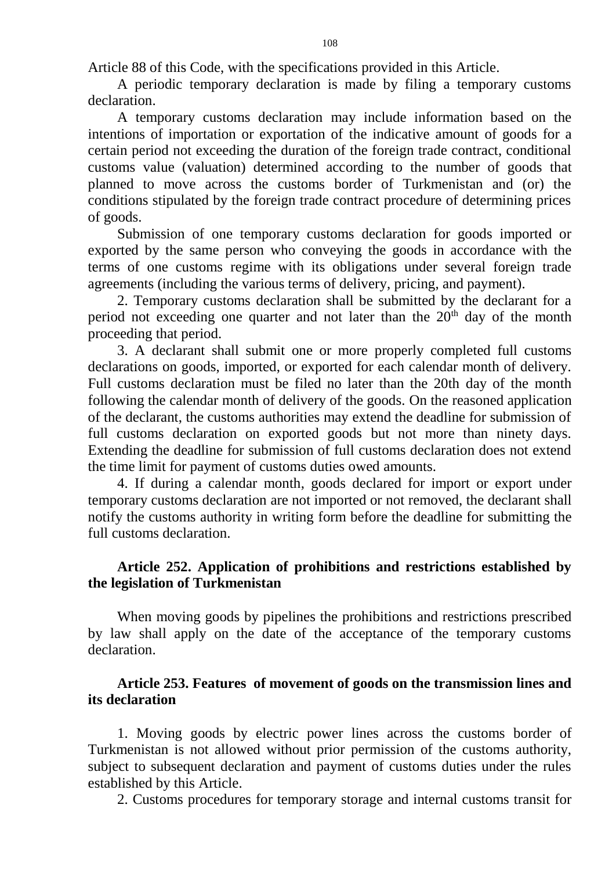Article 88 of this Code, with the specifications provided in this Article.

A periodic temporary declaration is made by filing a temporary customs declaration.

A temporary customs declaration may include information based on the intentions of importation or exportation of the indicative amount of goods for a certain period not exceeding the duration of the foreign trade contract, conditional customs value (valuation) determined according to the number of goods that planned to move across the customs border of Turkmenistan and (or) the conditions stipulated by the foreign trade contract procedure of determining prices of goods.

Submission of one temporary customs declaration for goods imported or exported by the same person who conveying the goods in accordance with the terms of one customs regime with its obligations under several foreign trade agreements (including the various terms of delivery, pricing, and payment).

2. Temporary customs declaration shall be submitted by the declarant for a period not exceeding one quarter and not later than the  $20<sup>th</sup>$  day of the month proceeding that period.

3. A declarant shall submit one or more properly completed full customs declarations on goods, imported, or exported for each calendar month of delivery. Full customs declaration must be filed no later than the 20th day of the month following the calendar month of delivery of the goods. On the reasoned application of the declarant, the customs authorities may extend the deadline for submission of full customs declaration on exported goods but not more than ninety days. Extending the deadline for submission of full customs declaration does not extend the time limit for payment of customs duties owed amounts.

4. If during a calendar month, goods declared for import or export under temporary customs declaration are not imported or not removed, the declarant shall notify the customs authority in writing form before the deadline for submitting the full customs declaration.

### **Article 252. Application of prohibitions and restrictions established by the legislation of Turkmenistan**

When moving goods by pipelines the prohibitions and restrictions prescribed by law shall apply on the date of the acceptance of the temporary customs declaration.

### **Article 253. Features of movement of goods on the transmission lines and its declaration**

1. Moving goods by electric power lines across the customs border of Turkmenistan is not allowed without prior permission of the customs authority, subject to subsequent declaration and payment of customs duties under the rules established by this Article.

2. Customs procedures for temporary storage and internal customs transit for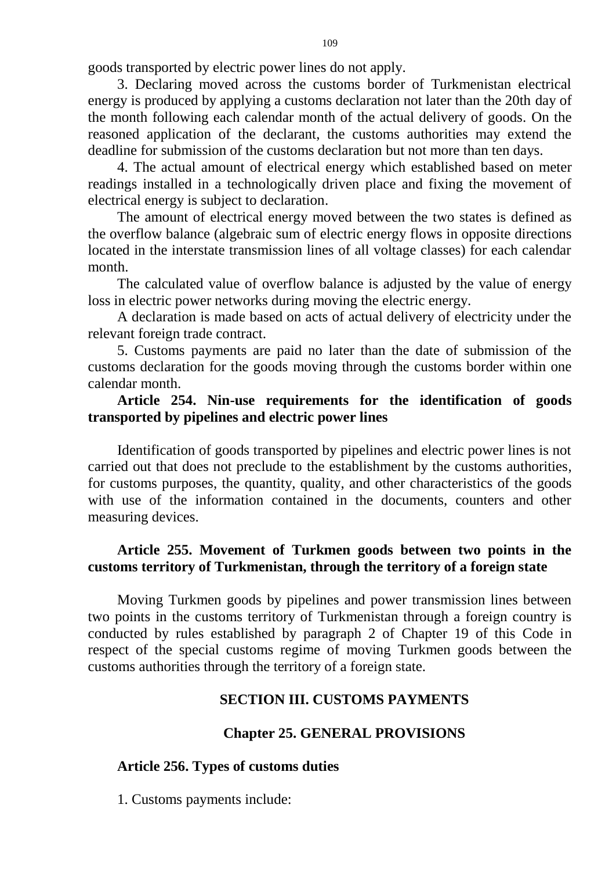goods transported by electric power lines do not apply.

3. Declaring moved across the customs border of Turkmenistan electrical energy is produced by applying a customs declaration not later than the 20th day of the month following each calendar month of the actual delivery of goods. On the reasoned application of the declarant, the customs authorities may extend the deadline for submission of the customs declaration but not more than ten days.

4. The actual amount of electrical energy which established based on meter readings installed in a technologically driven place and fixing the movement of electrical energy is subject to declaration.

The amount of electrical energy moved between the two states is defined as the overflow balance (algebraic sum of electric energy flows in opposite directions located in the interstate transmission lines of all voltage classes) for each calendar month.

The calculated value of overflow balance is adjusted by the value of energy loss in electric power networks during moving the electric energy.

A declaration is made based on acts of actual delivery of electricity under the relevant foreign trade contract.

5. Customs payments are paid no later than the date of submission of the customs declaration for the goods moving through the customs border within one calendar month.

# **Article 254. Nin-use requirements for the identification of goods transported by pipelines and electric power lines**

Identification of goods transported by pipelines and electric power lines is not carried out that does not preclude to the establishment by the customs authorities, for customs purposes, the quantity, quality, and other characteristics of the goods with use of the information contained in the documents, counters and other measuring devices.

# **Article 255. Movement of Turkmen goods between two points in the customs territory of Turkmenistan, through the territory of a foreign state**

Moving Turkmen goods by pipelines and power transmission lines between two points in the customs territory of Turkmenistan through a foreign country is conducted by rules established by paragraph 2 of Chapter 19 of this Code in respect of the special customs regime of moving Turkmen goods between the customs authorities through the territory of a foreign state.

# **SECTION III. CUSTOMS PAYMENTS**

### **Chapter 25. GENERAL PROVISIONS**

# **Article 256. Types of customs duties**

1. Customs payments include: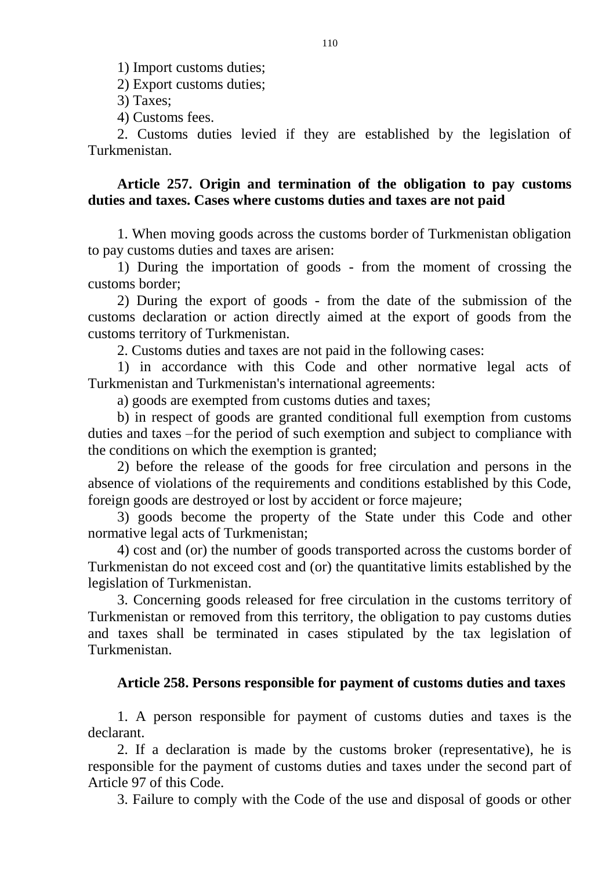1) Import customs duties;

2) Export customs duties;

3) Taxes;

4) Customs fees.

2. Customs duties levied if they are established by the legislation of Turkmenistan.

## **Article 257. Origin and termination of the obligation to pay customs duties and taxes. Cases where customs duties and taxes are not paid**

1. When moving goods across the customs border of Turkmenistan obligation to pay customs duties and taxes are arisen:

1) During the importation of goods - from the moment of crossing the customs border;

2) During the export of goods - from the date of the submission of the customs declaration or action directly aimed at the export of goods from the customs territory of Turkmenistan.

2. Customs duties and taxes are not paid in the following cases:

1) in accordance with this Code and other normative legal acts of Turkmenistan and Turkmenistan's international agreements:

a) goods are exempted from customs duties and taxes;

b) in respect of goods are granted conditional full exemption from customs duties and taxes –for the period of such exemption and subject to compliance with the conditions on which the exemption is granted;

2) before the release of the goods for free circulation and persons in the absence of violations of the requirements and conditions established by this Code, foreign goods are destroyed or lost by accident or force majeure;

3) goods become the property of the State under this Code and other normative legal acts of Turkmenistan;

4) cost and (or) the number of goods transported across the customs border of Turkmenistan do not exceed cost and (or) the quantitative limits established by the legislation of Turkmenistan.

3. Concerning goods released for free circulation in the customs territory of Turkmenistan or removed from this territory, the obligation to pay customs duties and taxes shall be terminated in cases stipulated by the tax legislation of Turkmenistan.

### **Article 258. Persons responsible for payment of customs duties and taxes**

1. A person responsible for payment of customs duties and taxes is the declarant.

2. If a declaration is made by the customs broker (representative), he is responsible for the payment of customs duties and taxes under the second part of Article 97 of this Code.

3. Failure to comply with the Code of the use and disposal of goods or other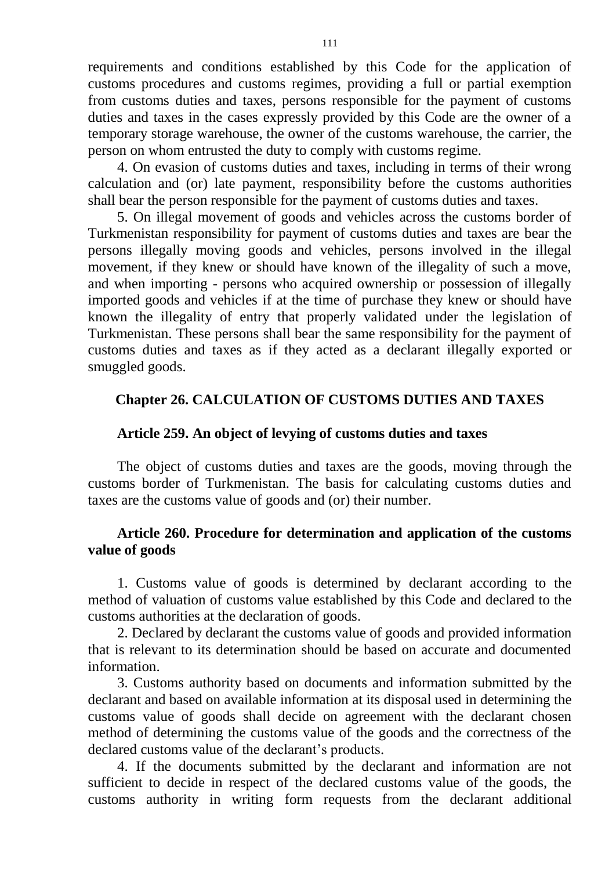requirements and conditions established by this Code for the application of customs procedures and customs regimes, providing a full or partial exemption from customs duties and taxes, persons responsible for the payment of customs duties and taxes in the cases expressly provided by this Code are the owner of a temporary storage warehouse, the owner of the customs warehouse, the carrier, the person on whom entrusted the duty to comply with customs regime.

4. On evasion of customs duties and taxes, including in terms of their wrong calculation and (or) late payment, responsibility before the customs authorities shall bear the person responsible for the payment of customs duties and taxes.

5. On illegal movement of goods and vehicles across the customs border of Turkmenistan responsibility for payment of customs duties and taxes are bear the persons illegally moving goods and vehicles, persons involved in the illegal movement, if they knew or should have known of the illegality of such a move, and when importing - persons who acquired ownership or possession of illegally imported goods and vehicles if at the time of purchase they knew or should have known the illegality of entry that properly validated under the legislation of Turkmenistan. These persons shall bear the same responsibility for the payment of customs duties and taxes as if they acted as a declarant illegally exported or smuggled goods.

# **Chapter 26. CALCULATION OF CUSTOMS DUTIES AND TAXES**

## **Article 259. An object of levying of customs duties and taxes**

The object of customs duties and taxes are the goods, moving through the customs border of Turkmenistan. The basis for calculating customs duties and taxes are the customs value of goods and (or) their number.

# **Article 260. Procedure for determination and application of the customs value of goods**

1. Customs value of goods is determined by declarant according to the method of valuation of customs value established by this Code and declared to the customs authorities at the declaration of goods.

2. Declared by declarant the customs value of goods and provided information that is relevant to its determination should be based on accurate and documented information.

3. Customs authority based on documents and information submitted by the declarant and based on available information at its disposal used in determining the customs value of goods shall decide on agreement with the declarant chosen method of determining the customs value of the goods and the correctness of the declared customs value of the declarant's products.

4. If the documents submitted by the declarant and information are not sufficient to decide in respect of the declared customs value of the goods, the customs authority in writing form requests from the declarant additional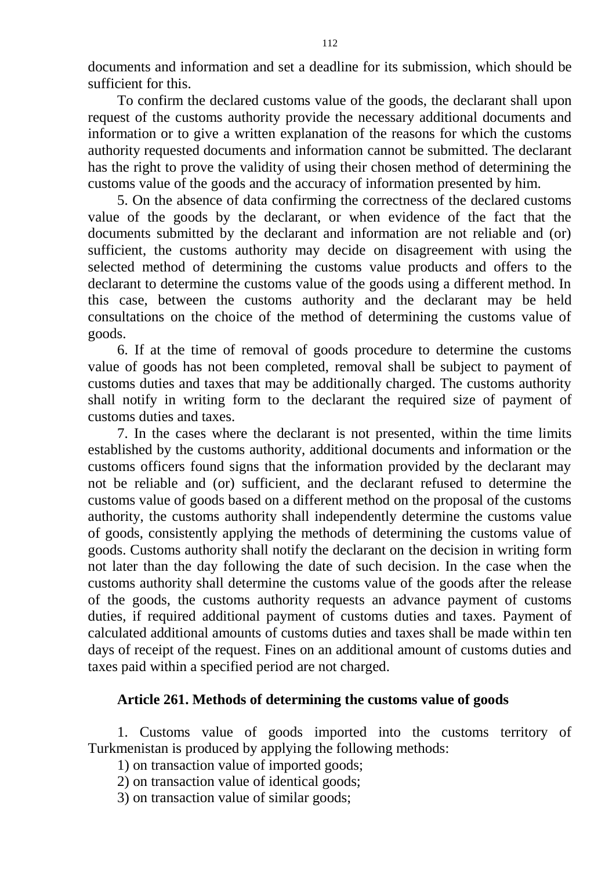documents and information and set a deadline for its submission, which should be sufficient for this.

To confirm the declared customs value of the goods, the declarant shall upon request of the customs authority provide the necessary additional documents and information or to give a written explanation of the reasons for which the customs authority requested documents and information cannot be submitted. The declarant has the right to prove the validity of using their chosen method of determining the customs value of the goods and the accuracy of information presented by him.

5. On the absence of data confirming the correctness of the declared customs value of the goods by the declarant, or when evidence of the fact that the documents submitted by the declarant and information are not reliable and (or) sufficient, the customs authority may decide on disagreement with using the selected method of determining the customs value products and offers to the declarant to determine the customs value of the goods using a different method. In this case, between the customs authority and the declarant may be held consultations on the choice of the method of determining the customs value of goods.

6. If at the time of removal of goods procedure to determine the customs value of goods has not been completed, removal shall be subject to payment of customs duties and taxes that may be additionally charged. The customs authority shall notify in writing form to the declarant the required size of payment of customs duties and taxes.

7. In the cases where the declarant is not presented, within the time limits established by the customs authority, additional documents and information or the customs officers found signs that the information provided by the declarant may not be reliable and (or) sufficient, and the declarant refused to determine the customs value of goods based on a different method on the proposal of the customs authority, the customs authority shall independently determine the customs value of goods, consistently applying the methods of determining the customs value of goods. Customs authority shall notify the declarant on the decision in writing form not later than the day following the date of such decision. In the case when the customs authority shall determine the customs value of the goods after the release of the goods, the customs authority requests an advance payment of customs duties, if required additional payment of customs duties and taxes. Payment of calculated additional amounts of customs duties and taxes shall be made within ten days of receipt of the request. Fines on an additional amount of customs duties and taxes paid within a specified period are not charged.

### **Article 261. Methods of determining the customs value of goods**

1. Customs value of goods imported into the customs territory of Turkmenistan is produced by applying the following methods:

1) on transaction value of imported goods;

- 2) on transaction value of identical goods;
- 3) on transaction value of similar goods;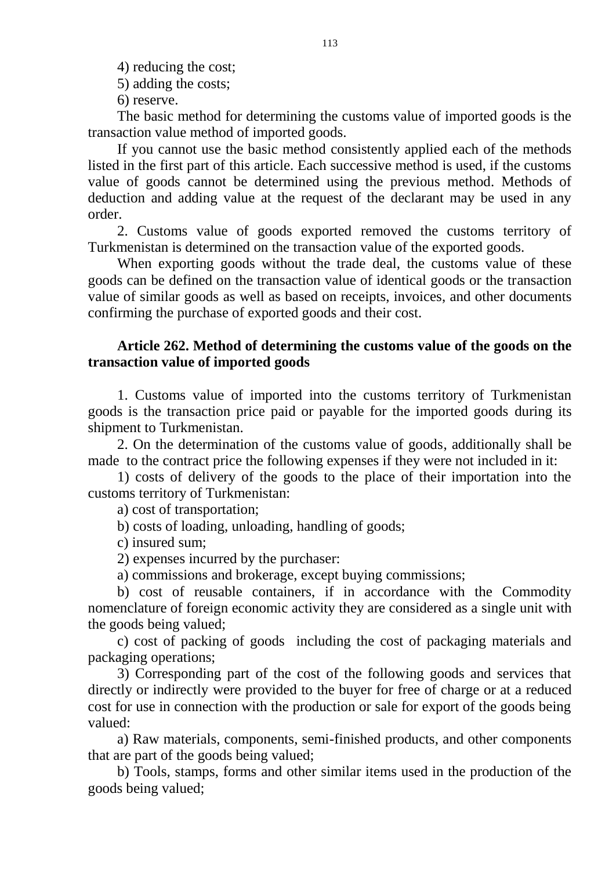4) reducing the cost;

5) adding the costs;

6) reserve.

The basic method for determining the customs value of imported goods is the transaction value method of imported goods.

If you cannot use the basic method consistently applied each of the methods listed in the first part of this article. Each successive method is used, if the customs value of goods cannot be determined using the previous method. Methods of deduction and adding value at the request of the declarant may be used in any order.

2. Customs value of goods exported removed the customs territory of Turkmenistan is determined on the transaction value of the exported goods.

When exporting goods without the trade deal, the customs value of these goods can be defined on the transaction value of identical goods or the transaction value of similar goods as well as based on receipts, invoices, and other documents confirming the purchase of exported goods and their cost.

## **Article 262. Method of determining the customs value of the goods on the transaction value of imported goods**

1. Customs value of imported into the customs territory of Turkmenistan goods is the transaction price paid or payable for the imported goods during its shipment to Turkmenistan.

2. On the determination of the customs value of goods, additionally shall be made to the contract price the following expenses if they were not included in it:

1) costs of delivery of the goods to the place of their importation into the customs territory of Turkmenistan:

a) cost of transportation;

b) costs of loading, unloading, handling of goods;

c) insured sum;

2) expenses incurred by the purchaser:

a) commissions and brokerage, except buying commissions;

b) cost of reusable containers, if in accordance with the Commodity nomenclature of foreign economic activity they are considered as a single unit with the goods being valued;

c) cost of packing of goods including the cost of packaging materials and packaging operations;

3) Corresponding part of the cost of the following goods and services that directly or indirectly were provided to the buyer for free of charge or at a reduced cost for use in connection with the production or sale for export of the goods being valued:

a) Raw materials, components, semi-finished products, and other components that are part of the goods being valued;

b) Tools, stamps, forms and other similar items used in the production of the goods being valued;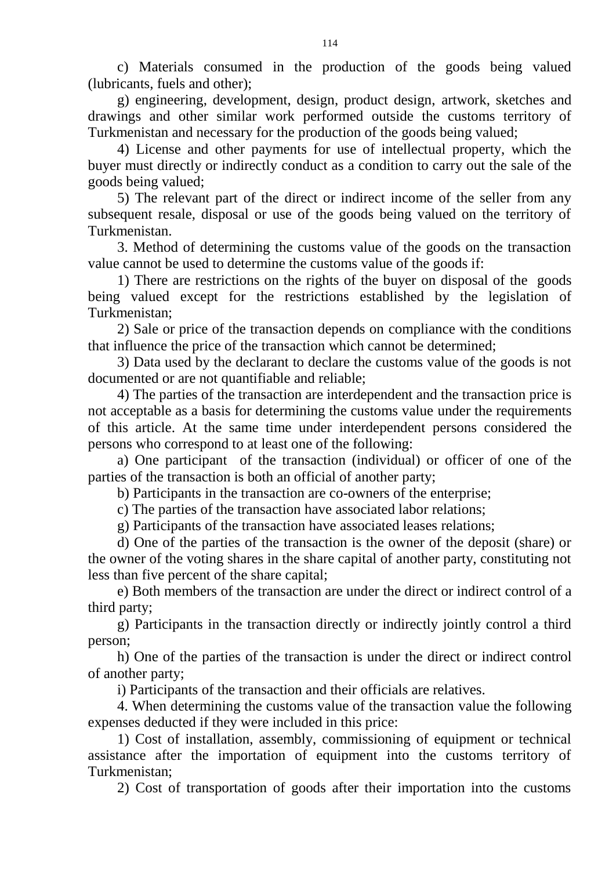c) Materials consumed in the production of the goods being valued (lubricants, fuels and other);

g) engineering, development, design, product design, artwork, sketches and drawings and other similar work performed outside the customs territory of Turkmenistan and necessary for the production of the goods being valued;

4) License and other payments for use of intellectual property, which the buyer must directly or indirectly conduct as a condition to carry out the sale of the goods being valued;

5) The relevant part of the direct or indirect income of the seller from any subsequent resale, disposal or use of the goods being valued on the territory of Turkmenistan.

3. Method of determining the customs value of the goods on the transaction value cannot be used to determine the customs value of the goods if:

1) There are restrictions on the rights of the buyer on disposal of the goods being valued except for the restrictions established by the legislation of Turkmenistan;

2) Sale or price of the transaction depends on compliance with the conditions that influence the price of the transaction which cannot be determined;

3) Data used by the declarant to declare the customs value of the goods is not documented or are not quantifiable and reliable;

4) The parties of the transaction are interdependent and the transaction price is not acceptable as a basis for determining the customs value under the requirements of this article. At the same time under interdependent persons considered the persons who correspond to at least one of the following:

a) One participant of the transaction (individual) or officer of one of the parties of the transaction is both an official of another party;

b) Participants in the transaction are co-owners of the enterprise;

c) The parties of the transaction have associated labor relations;

g) Participants of the transaction have associated leases relations;

d) One of the parties of the transaction is the owner of the deposit (share) or the owner of the voting shares in the share capital of another party, constituting not less than five percent of the share capital;

e) Both members of the transaction are under the direct or indirect control of a third party;

g) Participants in the transaction directly or indirectly jointly control a third person;

h) One of the parties of the transaction is under the direct or indirect control of another party;

i) Participants of the transaction and their officials are relatives.

4. When determining the customs value of the transaction value the following expenses deducted if they were included in this price:

1) Cost of installation, assembly, commissioning of equipment or technical assistance after the importation of equipment into the customs territory of Turkmenistan;

2) Cost of transportation of goods after their importation into the customs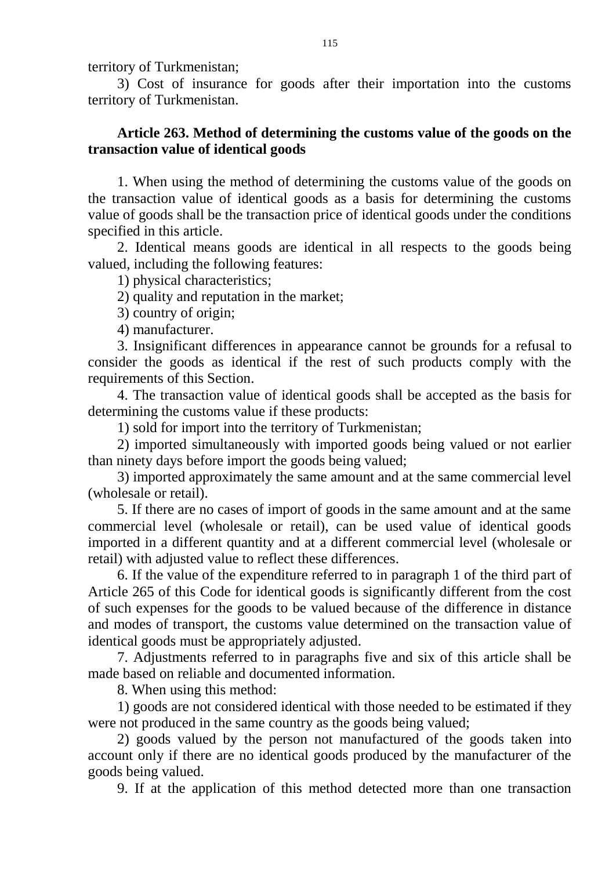territory of Turkmenistan;

3) Cost of insurance for goods after their importation into the customs territory of Turkmenistan.

# **Article 263. Method of determining the customs value of the goods on the transaction value of identical goods**

1. When using the method of determining the customs value of the goods on the transaction value of identical goods as a basis for determining the customs value of goods shall be the transaction price of identical goods under the conditions specified in this article.

2. Identical means goods are identical in all respects to the goods being valued, including the following features:

1) physical characteristics;

2) quality and reputation in the market;

3) country of origin;

4) manufacturer.

3. Insignificant differences in appearance cannot be grounds for a refusal to consider the goods as identical if the rest of such products comply with the requirements of this Section.

4. The transaction value of identical goods shall be accepted as the basis for determining the customs value if these products:

1) sold for import into the territory of Turkmenistan;

2) imported simultaneously with imported goods being valued or not earlier than ninety days before import the goods being valued;

3) imported approximately the same amount and at the same commercial level (wholesale or retail).

5. If there are no cases of import of goods in the same amount and at the same commercial level (wholesale or retail), can be used value of identical goods imported in a different quantity and at a different commercial level (wholesale or retail) with adjusted value to reflect these differences.

6. If the value of the expenditure referred to in paragraph 1 of the third part of Article 265 of this Code for identical goods is significantly different from the cost of such expenses for the goods to be valued because of the difference in distance and modes of transport, the customs value determined on the transaction value of identical goods must be appropriately adjusted.

7. Adjustments referred to in paragraphs five and six of this article shall be made based on reliable and documented information.

8. When using this method:

1) goods are not considered identical with those needed to be estimated if they were not produced in the same country as the goods being valued;

2) goods valued by the person not manufactured of the goods taken into account only if there are no identical goods produced by the manufacturer of the goods being valued.

9. If at the application of this method detected more than one transaction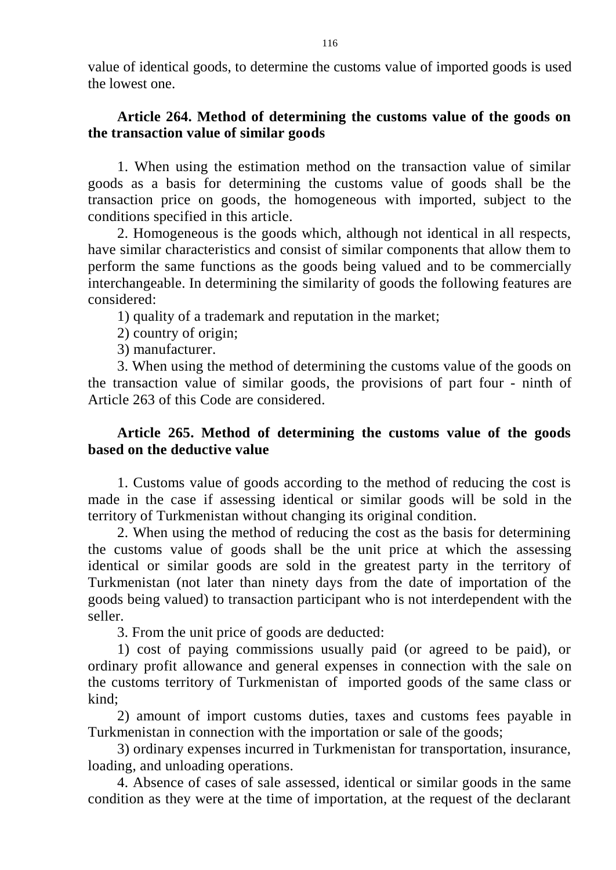value of identical goods, to determine the customs value of imported goods is used the lowest one.

# **Article 264. Method of determining the customs value of the goods on the transaction value of similar goods**

1. When using the estimation method on the transaction value of similar goods as a basis for determining the customs value of goods shall be the transaction price on goods, the homogeneous with imported, subject to the conditions specified in this article.

2. Homogeneous is the goods which, although not identical in all respects, have similar characteristics and consist of similar components that allow them to perform the same functions as the goods being valued and to be commercially interchangeable. In determining the similarity of goods the following features are considered:

1) quality of a trademark and reputation in the market;

2) country of origin;

3) manufacturer.

3. When using the method of determining the customs value of the goods on the transaction value of similar goods, the provisions of part four - ninth of Article 263 of this Code are considered.

# **Article 265. Method of determining the customs value of the goods based on the deductive value**

1. Customs value of goods according to the method of reducing the cost is made in the case if assessing identical or similar goods will be sold in the territory of Turkmenistan without changing its original condition.

2. When using the method of reducing the cost as the basis for determining the customs value of goods shall be the unit price at which the assessing identical or similar goods are sold in the greatest party in the territory of Turkmenistan (not later than ninety days from the date of importation of the goods being valued) to transaction participant who is not interdependent with the seller.

3. From the unit price of goods are deducted:

1) cost of paying commissions usually paid (or agreed to be paid), or ordinary profit allowance and general expenses in connection with the sale on the customs territory of Turkmenistan of imported goods of the same class or kind;

2) amount of import customs duties, taxes and customs fees payable in Turkmenistan in connection with the importation or sale of the goods;

3) ordinary expenses incurred in Turkmenistan for transportation, insurance, loading, and unloading operations.

4. Absence of cases of sale assessed, identical or similar goods in the same condition as they were at the time of importation, at the request of the declarant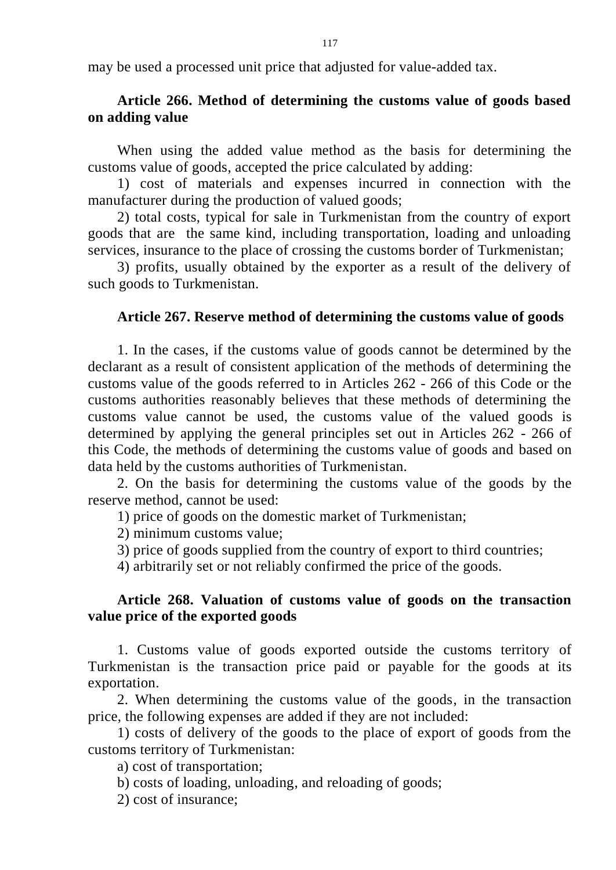may be used a processed unit price that adjusted for value-added tax.

# **Article 266. Method of determining the customs value of goods based on adding value**

When using the added value method as the basis for determining the customs value of goods, accepted the price calculated by adding:

1) cost of materials and expenses incurred in connection with the manufacturer during the production of valued goods;

2) total costs, typical for sale in Turkmenistan from the country of export goods that are the same kind, including transportation, loading and unloading services, insurance to the place of crossing the customs border of Turkmenistan;

3) profits, usually obtained by the exporter as a result of the delivery of such goods to Turkmenistan.

#### **Article 267. Reserve method of determining the customs value of goods**

1. In the cases, if the customs value of goods cannot be determined by the declarant as a result of consistent application of the methods of determining the customs value of the goods referred to in Articles 262 - 266 of this Code or the customs authorities reasonably believes that these methods of determining the customs value cannot be used, the customs value of the valued goods is determined by applying the general principles set out in Articles 262 - 266 of this Code, the methods of determining the customs value of goods and based on data held by the customs authorities of Turkmenistan.

2. On the basis for determining the customs value of the goods by the reserve method, cannot be used:

1) price of goods on the domestic market of Turkmenistan;

2) minimum customs value;

3) price of goods supplied from the country of export to third countries;

4) arbitrarily set or not reliably confirmed the price of the goods.

### **Article 268. Valuation of customs value of goods on the transaction value price of the exported goods**

1. Customs value of goods exported outside the customs territory of Turkmenistan is the transaction price paid or payable for the goods at its exportation.

2. When determining the customs value of the goods, in the transaction price, the following expenses are added if they are not included:

1) costs of delivery of the goods to the place of export of goods from the customs territory of Turkmenistan:

a) cost of transportation;

- b) costs of loading, unloading, and reloading of goods;
- 2) cost of insurance;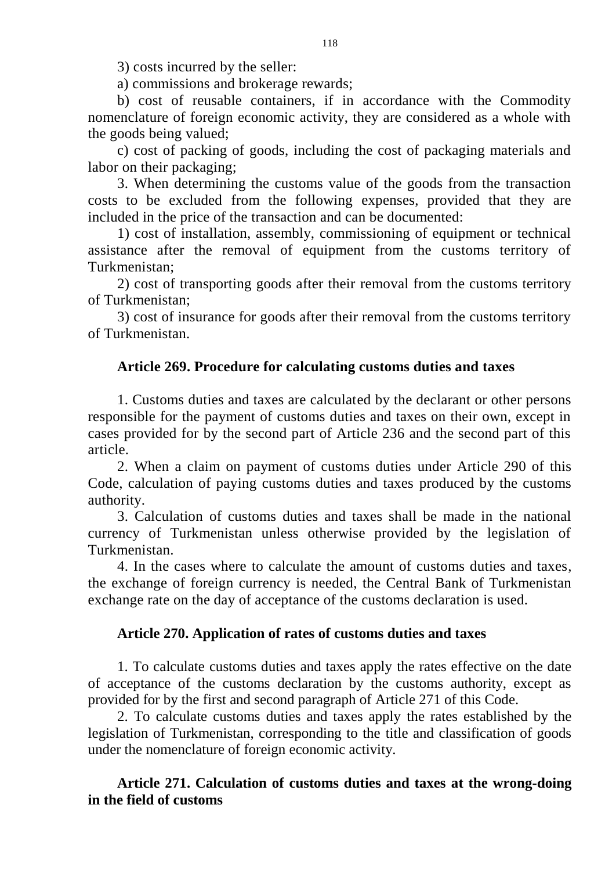3) costs incurred by the seller:

a) commissions and brokerage rewards;

b) cost of reusable containers, if in accordance with the Commodity nomenclature of foreign economic activity, they are considered as a whole with the goods being valued;

c) cost of packing of goods, including the cost of packaging materials and labor on their packaging;

3. When determining the customs value of the goods from the transaction costs to be excluded from the following expenses, provided that they are included in the price of the transaction and can be documented:

1) cost of installation, assembly, commissioning of equipment or technical assistance after the removal of equipment from the customs territory of Turkmenistan;

2) cost of transporting goods after their removal from the customs territory of Turkmenistan;

3) cost of insurance for goods after their removal from the customs territory of Turkmenistan.

# **Article 269. Procedure for calculating customs duties and taxes**

1. Customs duties and taxes are calculated by the declarant or other persons responsible for the payment of customs duties and taxes on their own, except in cases provided for by the second part of Article 236 and the second part of this article.

2. When a claim on payment of customs duties under Article 290 of this Code, calculation of paying customs duties and taxes produced by the customs authority.

3. Calculation of customs duties and taxes shall be made in the national currency of Turkmenistan unless otherwise provided by the legislation of Turkmenistan.

4. In the cases where to calculate the amount of customs duties and taxes, the exchange of foreign currency is needed, the Central Bank of Turkmenistan exchange rate on the day of acceptance of the customs declaration is used.

### **Article 270. Application of rates of customs duties and taxes**

1. To calculate customs duties and taxes apply the rates effective on the date of acceptance of the customs declaration by the customs authority, except as provided for by the first and second paragraph of Article 271 of this Code.

2. To calculate customs duties and taxes apply the rates established by the legislation of Turkmenistan, corresponding to the title and classification of goods under the nomenclature of foreign economic activity.

# **Article 271. Calculation of customs duties and taxes at the wrong-doing in the field of customs**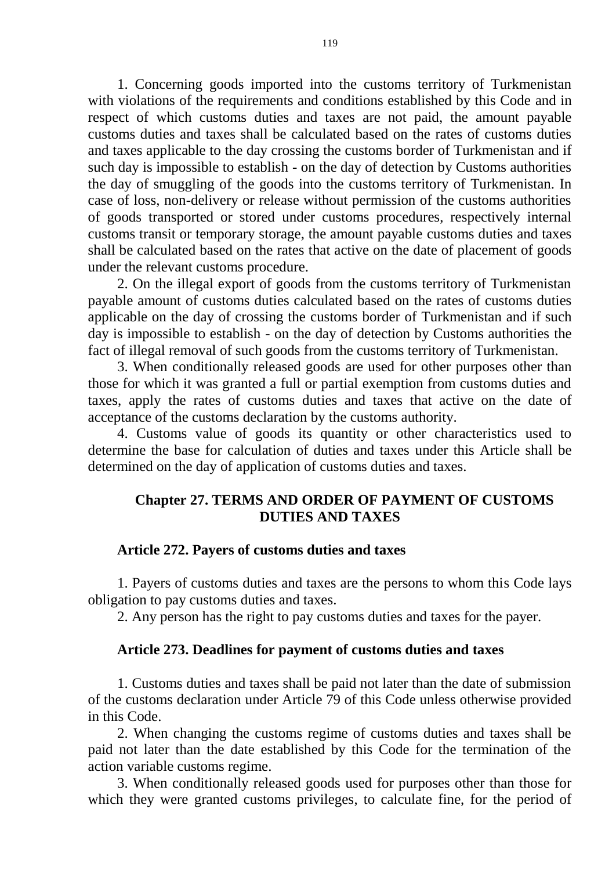1. Concerning goods imported into the customs territory of Turkmenistan with violations of the requirements and conditions established by this Code and in respect of which customs duties and taxes are not paid, the amount payable customs duties and taxes shall be calculated based on the rates of customs duties and taxes applicable to the day crossing the customs border of Turkmenistan and if such day is impossible to establish - on the day of detection by Customs authorities the day of smuggling of the goods into the customs territory of Turkmenistan. In case of loss, non-delivery or release without permission of the customs authorities of goods transported or stored under customs procedures, respectively internal customs transit or temporary storage, the amount payable customs duties and taxes shall be calculated based on the rates that active on the date of placement of goods under the relevant customs procedure.

2. On the illegal export of goods from the customs territory of Turkmenistan payable amount of customs duties calculated based on the rates of customs duties applicable on the day of crossing the customs border of Turkmenistan and if such day is impossible to establish - on the day of detection by Customs authorities the fact of illegal removal of such goods from the customs territory of Turkmenistan.

3. When conditionally released goods are used for other purposes other than those for which it was granted a full or partial exemption from customs duties and taxes, apply the rates of customs duties and taxes that active on the date of acceptance of the customs declaration by the customs authority.

4. Customs value of goods its quantity or other characteristics used to determine the base for calculation of duties and taxes under this Article shall be determined on the day of application of customs duties and taxes.

# **Chapter 27. TERMS AND ORDER OF PAYMENT OF CUSTOMS DUTIES AND TAXES**

## **Article 272. Payers of customs duties and taxes**

1. Payers of customs duties and taxes are the persons to whom this Code lays obligation to pay customs duties and taxes.

2. Any person has the right to pay customs duties and taxes for the payer.

### **Article 273. Deadlines for payment of customs duties and taxes**

1. Customs duties and taxes shall be paid not later than the date of submission of the customs declaration under Article 79 of this Code unless otherwise provided in this Code.

2. When changing the customs regime of customs duties and taxes shall be paid not later than the date established by this Code for the termination of the action variable customs regime.

3. When conditionally released goods used for purposes other than those for which they were granted customs privileges, to calculate fine, for the period of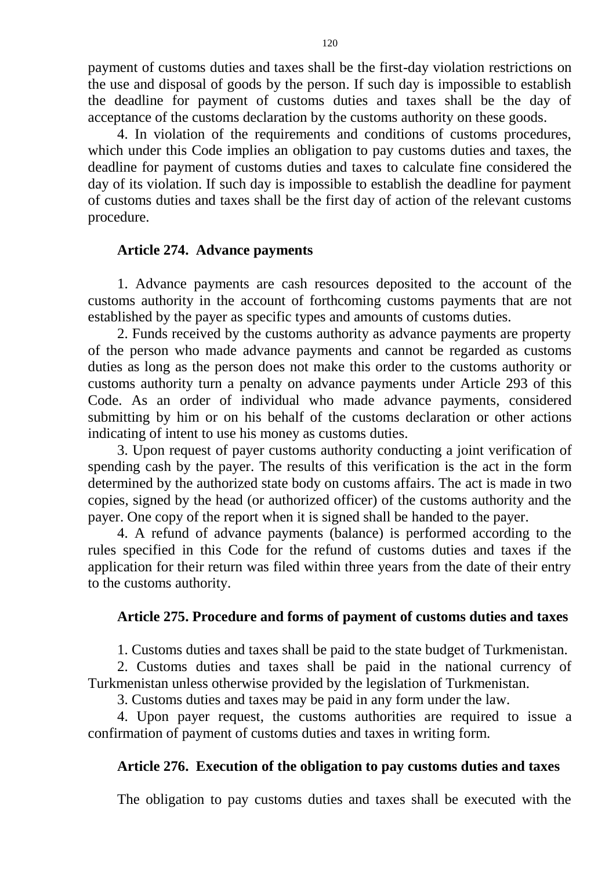payment of customs duties and taxes shall be the first-day violation restrictions on the use and disposal of goods by the person. If such day is impossible to establish the deadline for payment of customs duties and taxes shall be the day of acceptance of the customs declaration by the customs authority on these goods.

4. In violation of the requirements and conditions of customs procedures, which under this Code implies an obligation to pay customs duties and taxes, the deadline for payment of customs duties and taxes to calculate fine considered the day of its violation. If such day is impossible to establish the deadline for payment of customs duties and taxes shall be the first day of action of the relevant customs procedure.

### **Article 274. Advance payments**

1. Advance payments are cash resources deposited to the account of the customs authority in the account of forthcoming customs payments that are not established by the payer as specific types and amounts of customs duties.

2. Funds received by the customs authority as advance payments are property of the person who made advance payments and cannot be regarded as customs duties as long as the person does not make this order to the customs authority or customs authority turn a penalty on advance payments under Article 293 of this Code. As an order of individual who made advance payments, considered submitting by him or on his behalf of the customs declaration or other actions indicating of intent to use his money as customs duties.

3. Upon request of payer customs authority conducting a joint verification of spending cash by the payer. The results of this verification is the act in the form determined by the authorized state body on customs affairs. The act is made in two copies, signed by the head (or authorized officer) of the customs authority and the payer. One copy of the report when it is signed shall be handed to the payer.

4. A refund of advance payments (balance) is performed according to the rules specified in this Code for the refund of customs duties and taxes if the application for their return was filed within three years from the date of their entry to the customs authority.

### **Article 275. Procedure and forms of payment of customs duties and taxes**

1. Customs duties and taxes shall be paid to the state budget of Turkmenistan.

2. Customs duties and taxes shall be paid in the national currency of Turkmenistan unless otherwise provided by the legislation of Turkmenistan.

3. Customs duties and taxes may be paid in any form under the law.

4. Upon payer request, the customs authorities are required to issue a confirmation of payment of customs duties and taxes in writing form.

### **Article 276. Execution of the obligation to pay customs duties and taxes**

The obligation to pay customs duties and taxes shall be executed with the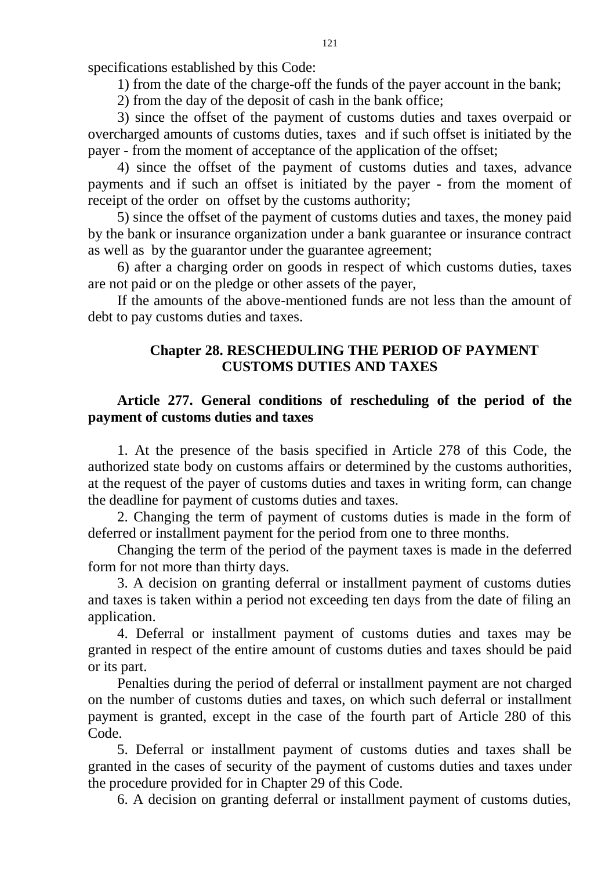specifications established by this Code:

1) from the date of the charge-off the funds of the payer account in the bank;

2) from the day of the deposit of cash in the bank office;

3) since the offset of the payment of customs duties and taxes overpaid or overcharged amounts of customs duties, taxes and if such offset is initiated by the payer - from the moment of acceptance of the application of the offset;

4) since the offset of the payment of customs duties and taxes, advance payments and if such an offset is initiated by the payer - from the moment of receipt of the order on offset by the customs authority;

5) since the offset of the payment of customs duties and taxes, the money paid by the bank or insurance organization under a bank guarantee or insurance contract as well as by the guarantor under the guarantee agreement;

6) after a charging order on goods in respect of which customs duties, taxes are not paid or on the pledge or other assets of the payer,

If the amounts of the above-mentioned funds are not less than the amount of debt to pay customs duties and taxes.

# **Chapter 28. RESCHEDULING THE PERIOD OF PAYMENT CUSTOMS DUTIES AND TAXES**

# **Article 277. General conditions of rescheduling of the period of the payment of customs duties and taxes**

1. At the presence of the basis specified in Article 278 of this Code, the authorized state body on customs affairs or determined by the customs authorities, at the request of the payer of customs duties and taxes in writing form, can change the deadline for payment of customs duties and taxes.

2. Changing the term of payment of customs duties is made in the form of deferred or installment payment for the period from one to three months.

Changing the term of the period of the payment taxes is made in the deferred form for not more than thirty days.

3. A decision on granting deferral or installment payment of customs duties and taxes is taken within a period not exceeding ten days from the date of filing an application.

4. Deferral or installment payment of customs duties and taxes may be granted in respect of the entire amount of customs duties and taxes should be paid or its part.

Penalties during the period of deferral or installment payment are not charged on the number of customs duties and taxes, on which such deferral or installment payment is granted, except in the case of the fourth part of Article 280 of this Code.

5. Deferral or installment payment of customs duties and taxes shall be granted in the cases of security of the payment of customs duties and taxes under the procedure provided for in Chapter 29 of this Code.

6. A decision on granting deferral or installment payment of customs duties,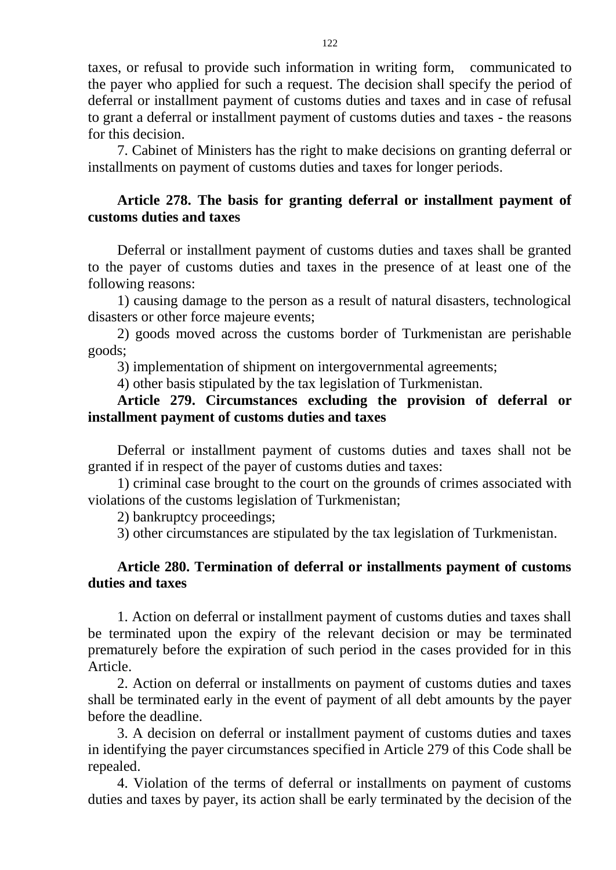taxes, or refusal to provide such information in writing form, communicated to the payer who applied for such a request. The decision shall specify the period of deferral or installment payment of customs duties and taxes and in case of refusal to grant a deferral or installment payment of customs duties and taxes - the reasons for this decision.

7. Cabinet of Ministers has the right to make decisions on granting deferral or installments on payment of customs duties and taxes for longer periods.

# **Article 278. The basis for granting deferral or installment payment of customs duties and taxes**

Deferral or installment payment of customs duties and taxes shall be granted to the payer of customs duties and taxes in the presence of at least one of the following reasons:

1) causing damage to the person as a result of natural disasters, technological disasters or other force majeure events;

2) goods moved across the customs border of Turkmenistan are perishable goods;

3) implementation of shipment on intergovernmental agreements;

4) other basis stipulated by the tax legislation of Turkmenistan.

# **Article 279. Circumstances excluding the provision of deferral or installment payment of customs duties and taxes**

Deferral or installment payment of customs duties and taxes shall not be granted if in respect of the payer of customs duties and taxes:

1) criminal case brought to the court on the grounds of crimes associated with violations of the customs legislation of Turkmenistan;

2) bankruptcy proceedings;

3) other circumstances are stipulated by the tax legislation of Turkmenistan.

# **Article 280. Termination of deferral or installments payment of customs duties and taxes**

1. Action on deferral or installment payment of customs duties and taxes shall be terminated upon the expiry of the relevant decision or may be terminated prematurely before the expiration of such period in the cases provided for in this Article.

2. Action on deferral or installments on payment of customs duties and taxes shall be terminated early in the event of payment of all debt amounts by the payer before the deadline.

3. A decision on deferral or installment payment of customs duties and taxes in identifying the payer circumstances specified in Article 279 of this Code shall be repealed.

4. Violation of the terms of deferral or installments on payment of customs duties and taxes by payer, its action shall be early terminated by the decision of the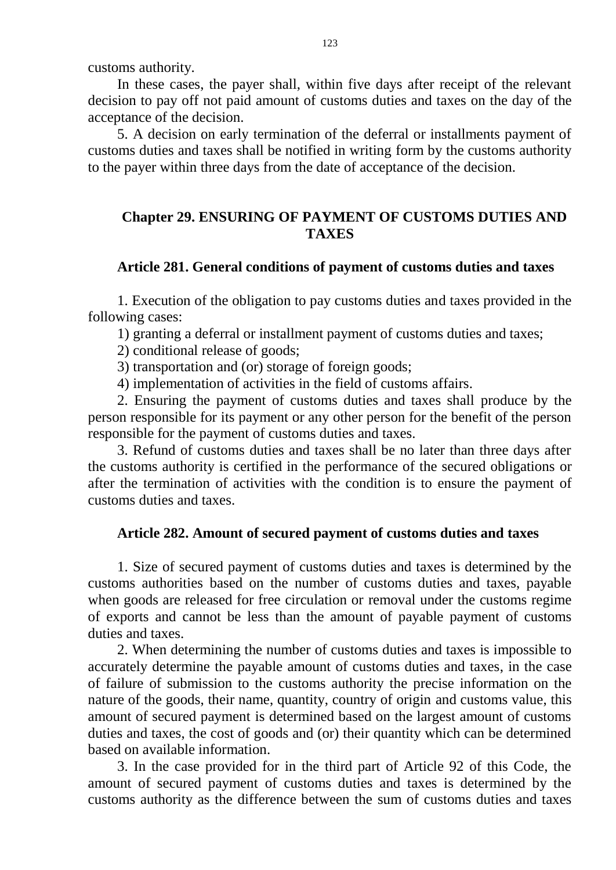customs authority.

In these cases, the payer shall, within five days after receipt of the relevant decision to pay off not paid amount of customs duties and taxes on the day of the acceptance of the decision.

5. A decision on early termination of the deferral or installments payment of customs duties and taxes shall be notified in writing form by the customs authority to the payer within three days from the date of acceptance of the decision.

# **Chapter 29. ENSURING OF PAYMENT OF CUSTOMS DUTIES AND TAXES**

### **Article 281. General conditions of payment of customs duties and taxes**

1. Execution of the obligation to pay customs duties and taxes provided in the following cases:

1) granting a deferral or installment payment of customs duties and taxes;

2) conditional release of goods;

3) transportation and (or) storage of foreign goods;

4) implementation of activities in the field of customs affairs.

2. Ensuring the payment of customs duties and taxes shall produce by the person responsible for its payment or any other person for the benefit of the person responsible for the payment of customs duties and taxes.

3. Refund of customs duties and taxes shall be no later than three days after the customs authority is certified in the performance of the secured obligations or after the termination of activities with the condition is to ensure the payment of customs duties and taxes.

# **Article 282. Amount of secured payment of customs duties and taxes**

1. Size of secured payment of customs duties and taxes is determined by the customs authorities based on the number of customs duties and taxes, payable when goods are released for free circulation or removal under the customs regime of exports and cannot be less than the amount of payable payment of customs duties and taxes.

2. When determining the number of customs duties and taxes is impossible to accurately determine the payable amount of customs duties and taxes, in the case of failure of submission to the customs authority the precise information on the nature of the goods, their name, quantity, country of origin and customs value, this amount of secured payment is determined based on the largest amount of customs duties and taxes, the cost of goods and (or) their quantity which can be determined based on available information.

3. In the case provided for in the third part of Article 92 of this Code, the amount of secured payment of customs duties and taxes is determined by the customs authority as the difference between the sum of customs duties and taxes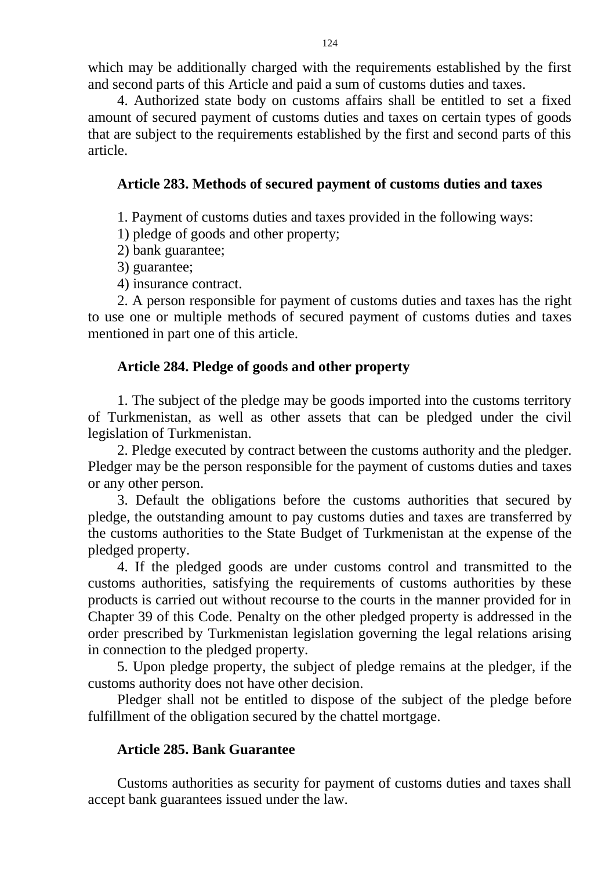which may be additionally charged with the requirements established by the first and second parts of this Article and paid a sum of customs duties and taxes.

4. Authorized state body on customs affairs shall be entitled to set a fixed amount of secured payment of customs duties and taxes on certain types of goods that are subject to the requirements established by the first and second parts of this article.

## **Article 283. Methods of secured payment of customs duties and taxes**

1. Payment of customs duties and taxes provided in the following ways:

1) pledge of goods and other property;

2) bank guarantee;

3) guarantee;

4) insurance contract.

2. A person responsible for payment of customs duties and taxes has the right to use one or multiple methods of secured payment of customs duties and taxes mentioned in part one of this article.

# **Article 284. Pledge of goods and other property**

1. The subject of the pledge may be goods imported into the customs territory of Turkmenistan, as well as other assets that can be pledged under the civil legislation of Turkmenistan.

2. Pledge executed by contract between the customs authority and the pledger. Pledger may be the person responsible for the payment of customs duties and taxes or any other person.

3. Default the obligations before the customs authorities that secured by pledge, the outstanding amount to pay customs duties and taxes are transferred by the customs authorities to the State Budget of Turkmenistan at the expense of the pledged property.

4. If the pledged goods are under customs control and transmitted to the customs authorities, satisfying the requirements of customs authorities by these products is carried out without recourse to the courts in the manner provided for in Chapter 39 of this Code. Penalty on the other pledged property is addressed in the order prescribed by Turkmenistan legislation governing the legal relations arising in connection to the pledged property.

5. Upon pledge property, the subject of pledge remains at the pledger, if the customs authority does not have other decision.

Pledger shall not be entitled to dispose of the subject of the pledge before fulfillment of the obligation secured by the chattel mortgage.

# **Article 285. Bank Guarantee**

Customs authorities as security for payment of customs duties and taxes shall accept bank guarantees issued under the law.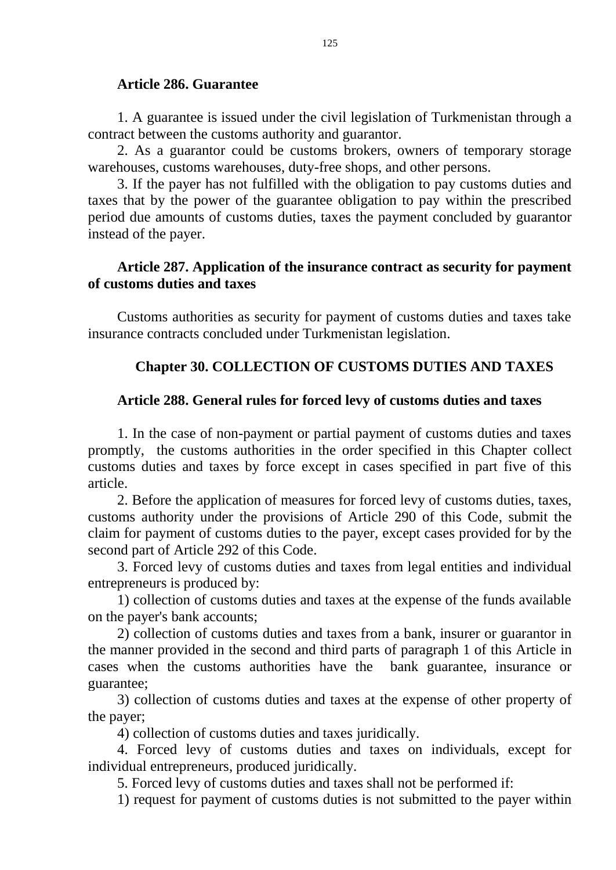#### **Article 286. Guarantee**

1. A guarantee is issued under the civil legislation of Turkmenistan through a contract between the customs authority and guarantor.

2. As a guarantor could be customs brokers, owners of temporary storage warehouses, customs warehouses, duty-free shops, and other persons.

3. If the payer has not fulfilled with the obligation to pay customs duties and taxes that by the power of the guarantee obligation to pay within the prescribed period due amounts of customs duties, taxes the payment concluded by guarantor instead of the payer.

### **Article 287. Application of the insurance contract as security for payment of customs duties and taxes**

Customs authorities as security for payment of customs duties and taxes take insurance contracts concluded under Turkmenistan legislation.

# **Chapter 30. COLLECTION OF CUSTOMS DUTIES AND TAXES**

#### **Article 288. General rules for forced levy of customs duties and taxes**

1. In the case of non-payment or partial payment of customs duties and taxes promptly, the customs authorities in the order specified in this Chapter collect customs duties and taxes by force except in cases specified in part five of this article.

2. Before the application of measures for forced levy of customs duties, taxes, customs authority under the provisions of Article 290 of this Code, submit the claim for payment of customs duties to the payer, except cases provided for by the second part of Article 292 of this Code.

3. Forced levy of customs duties and taxes from legal entities and individual entrepreneurs is produced by:

1) collection of customs duties and taxes at the expense of the funds available on the payer's bank accounts;

2) collection of customs duties and taxes from a bank, insurer or guarantor in the manner provided in the second and third parts of paragraph 1 of this Article in cases when the customs authorities have the bank guarantee, insurance or guarantee;

3) collection of customs duties and taxes at the expense of other property of the payer;

4) collection of customs duties and taxes juridically.

4. Forced levy of customs duties and taxes on individuals, except for individual entrepreneurs, produced juridically.

5. Forced levy of customs duties and taxes shall not be performed if:

1) request for payment of customs duties is not submitted to the payer within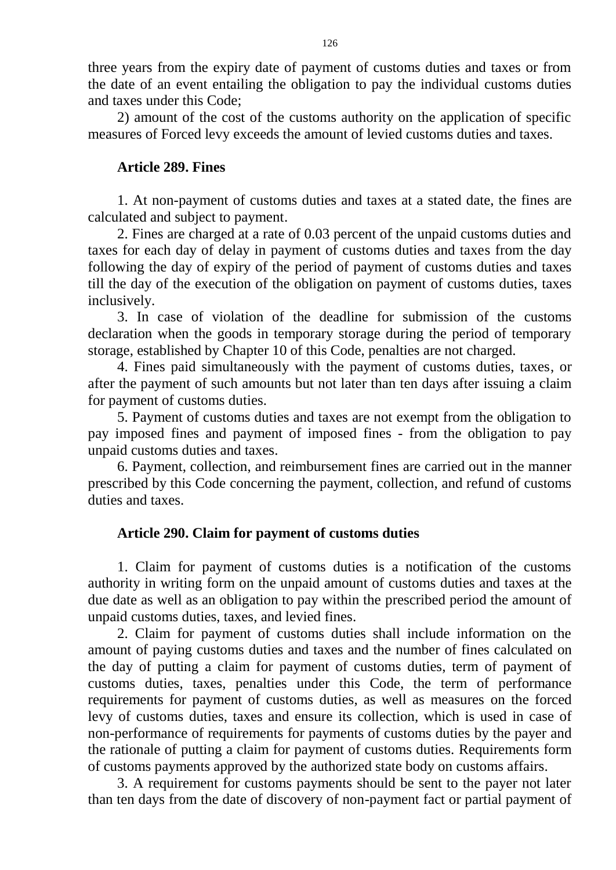three years from the expiry date of payment of customs duties and taxes or from the date of an event entailing the obligation to pay the individual customs duties and taxes under this Code;

2) amount of the cost of the customs authority on the application of specific measures of Forced levy exceeds the amount of levied customs duties and taxes.

# **Article 289. Fines**

1. At non-payment of customs duties and taxes at a stated date, the fines are calculated and subject to payment.

2. Fines are charged at a rate of 0.03 percent of the unpaid customs duties and taxes for each day of delay in payment of customs duties and taxes from the day following the day of expiry of the period of payment of customs duties and taxes till the day of the execution of the obligation on payment of customs duties, taxes inclusively.

3. In case of violation of the deadline for submission of the customs declaration when the goods in temporary storage during the period of temporary storage, established by Chapter 10 of this Code, penalties are not charged.

4. Fines paid simultaneously with the payment of customs duties, taxes, or after the payment of such amounts but not later than ten days after issuing a claim for payment of customs duties.

5. Payment of customs duties and taxes are not exempt from the obligation to pay imposed fines and payment of imposed fines - from the obligation to pay unpaid customs duties and taxes.

6. Payment, collection, and reimbursement fines are carried out in the manner prescribed by this Code concerning the payment, collection, and refund of customs duties and taxes.

### **Article 290. Claim for payment of customs duties**

1. Claim for payment of customs duties is a notification of the customs authority in writing form on the unpaid amount of customs duties and taxes at the due date as well as an obligation to pay within the prescribed period the amount of unpaid customs duties, taxes, and levied fines.

2. Claim for payment of customs duties shall include information on the amount of paying customs duties and taxes and the number of fines calculated on the day of putting a claim for payment of customs duties, term of payment of customs duties, taxes, penalties under this Code, the term of performance requirements for payment of customs duties, as well as measures on the forced levy of customs duties, taxes and ensure its collection, which is used in case of non-performance of requirements for payments of customs duties by the payer and the rationale of putting a claim for payment of customs duties. Requirements form of customs payments approved by the authorized state body on customs affairs.

3. A requirement for customs payments should be sent to the payer not later than ten days from the date of discovery of non-payment fact or partial payment of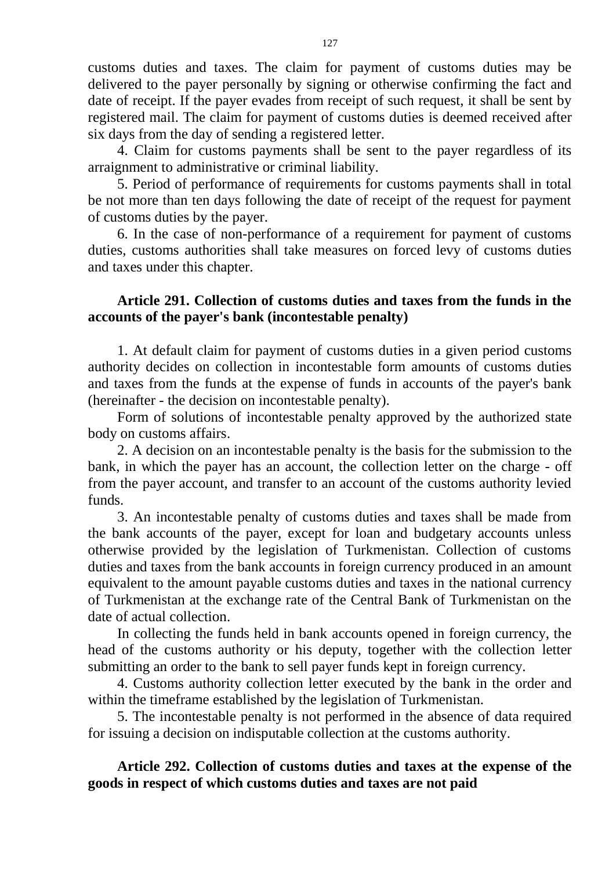customs duties and taxes. The claim for payment of customs duties may be delivered to the payer personally by signing or otherwise confirming the fact and date of receipt. If the payer evades from receipt of such request, it shall be sent by registered mail. The claim for payment of customs duties is deemed received after six days from the day of sending a registered letter.

4. Claim for customs payments shall be sent to the payer regardless of its arraignment to administrative or criminal liability.

5. Period of performance of requirements for customs payments shall in total be not more than ten days following the date of receipt of the request for payment of customs duties by the payer.

6. In the case of non-performance of a requirement for payment of customs duties, customs authorities shall take measures on forced levy of customs duties and taxes under this chapter.

# **Article 291. Collection of customs duties and taxes from the funds in the accounts of the payer's bank (incontestable penalty)**

1. At default claim for payment of customs duties in a given period customs authority decides on collection in incontestable form amounts of customs duties and taxes from the funds at the expense of funds in accounts of the payer's bank (hereinafter - the decision on incontestable penalty).

Form of solutions of incontestable penalty approved by the authorized state body on customs affairs.

2. A decision on an incontestable penalty is the basis for the submission to the bank, in which the payer has an account, the collection letter on the charge - off from the payer account, and transfer to an account of the customs authority levied funds.

3. An incontestable penalty of customs duties and taxes shall be made from the bank accounts of the payer, except for loan and budgetary accounts unless otherwise provided by the legislation of Turkmenistan. Collection of customs duties and taxes from the bank accounts in foreign currency produced in an amount equivalent to the amount payable customs duties and taxes in the national currency of Turkmenistan at the exchange rate of the Central Bank of Turkmenistan on the date of actual collection.

In collecting the funds held in bank accounts opened in foreign currency, the head of the customs authority or his deputy, together with the collection letter submitting an order to the bank to sell payer funds kept in foreign currency.

4. Customs authority collection letter executed by the bank in the order and within the timeframe established by the legislation of Turkmenistan.

5. The incontestable penalty is not performed in the absence of data required for issuing a decision on indisputable collection at the customs authority.

# **Article 292. Collection of customs duties and taxes at the expense of the goods in respect of which customs duties and taxes are not paid**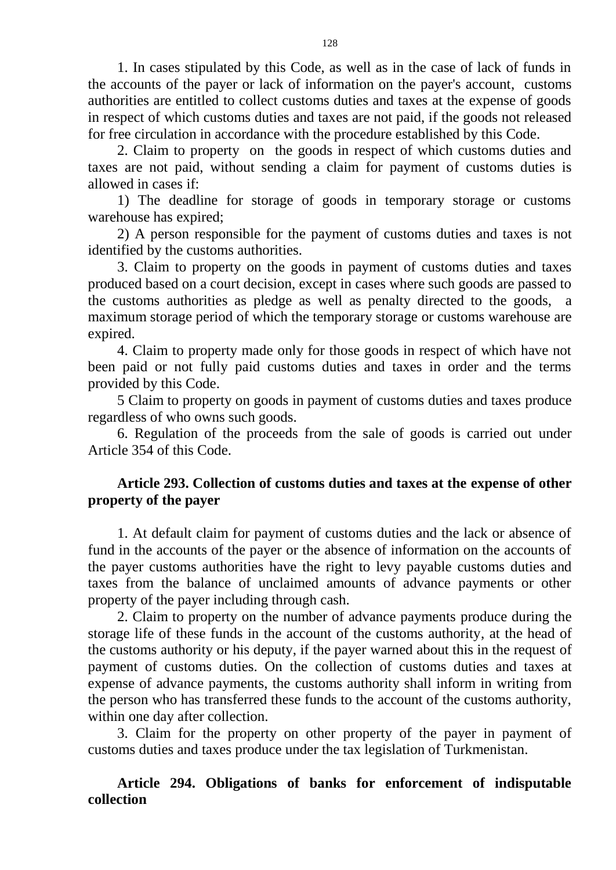1. In cases stipulated by this Code, as well as in the case of lack of funds in the accounts of the payer or lack of information on the payer's account, customs authorities are entitled to collect customs duties and taxes at the expense of goods in respect of which customs duties and taxes are not paid, if the goods not released for free circulation in accordance with the procedure established by this Code.

2. Claim to property on the goods in respect of which customs duties and taxes are not paid, without sending a claim for payment of customs duties is allowed in cases if:

1) The deadline for storage of goods in temporary storage or customs warehouse has expired;

2) A person responsible for the payment of customs duties and taxes is not identified by the customs authorities.

3. Claim to property on the goods in payment of customs duties and taxes produced based on a court decision, except in cases where such goods are passed to the customs authorities as pledge as well as penalty directed to the goods, a maximum storage period of which the temporary storage or customs warehouse are expired.

4. Claim to property made only for those goods in respect of which have not been paid or not fully paid customs duties and taxes in order and the terms provided by this Code.

5 Claim to property on goods in payment of customs duties and taxes produce regardless of who owns such goods.

6. Regulation of the proceeds from the sale of goods is carried out under Article 354 of this Code.

# **Article 293. Collection of customs duties and taxes at the expense of other property of the payer**

1. At default claim for payment of customs duties and the lack or absence of fund in the accounts of the payer or the absence of information on the accounts of the payer customs authorities have the right to levy payable customs duties and taxes from the balance of unclaimed amounts of advance payments or other property of the payer including through cash.

2. Claim to property on the number of advance payments produce during the storage life of these funds in the account of the customs authority, at the head of the customs authority or his deputy, if the payer warned about this in the request of payment of customs duties. On the collection of customs duties and taxes at expense of advance payments, the customs authority shall inform in writing from the person who has transferred these funds to the account of the customs authority, within one day after collection.

3. Claim for the property on other property of the payer in payment of customs duties and taxes produce under the tax legislation of Turkmenistan.

**Article 294. Obligations of banks for enforcement of indisputable collection**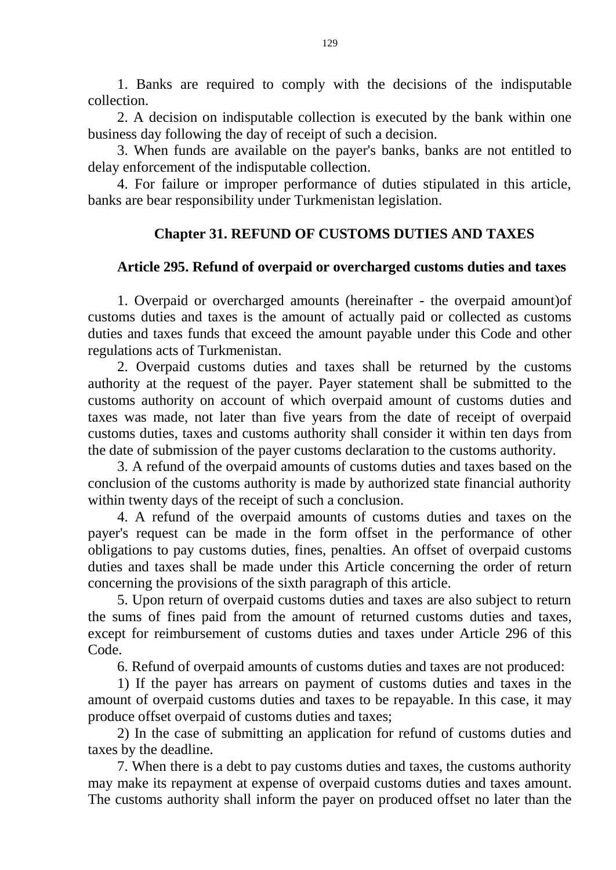1. Banks are required to comply with the decisions of the indisputable collection.

2. A decision on indisputable collection is executed by the bank within one business day following the day of receipt of such a decision.

3. When funds are available on the payer's banks, banks are not entitled to delay enforcement of the indisputable collection.

4. For failure or improper performance of duties stipulated in this article, banks are bear responsibility under Turkmenistan legislation.

# **Chapter 31. REFUND OF CUSTOMS DUTIES AND TAXES**

# **Article 295. Refund of overpaid or overcharged customs duties and taxes**

1. Overpaid or overcharged amounts (hereinafter - the overpaid amount)of customs duties and taxes is the amount of actually paid or collected as customs duties and taxes funds that exceed the amount payable under this Code and other regulations acts of Turkmenistan.

2. Overpaid customs duties and taxes shall be returned by the customs authority at the request of the payer. Payer statement shall be submitted to the customs authority on account of which overpaid amount of customs duties and taxes was made, not later than five years from the date of receipt of overpaid customs duties, taxes and customs authority shall consider it within ten days from the date of submission of the payer customs declaration to the customs authority.

3. A refund of the overpaid amounts of customs duties and taxes based on the conclusion of the customs authority is made by authorized state financial authority within twenty days of the receipt of such a conclusion.

4. A refund of the overpaid amounts of customs duties and taxes on the payer's request can be made in the form offset in the performance of other obligations to pay customs duties, fines, penalties. An offset of overpaid customs duties and taxes shall be made under this Article concerning the order of return concerning the provisions of the sixth paragraph of this article.

5. Upon return of overpaid customs duties and taxes are also subject to return the sums of fines paid from the amount of returned customs duties and taxes, except for reimbursement of customs duties and taxes under Article 296 of this Code.

6. Refund of overpaid amounts of customs duties and taxes are not produced:

1) If the payer has arrears on payment of customs duties and taxes in the amount of overpaid customs duties and taxes to be repayable. In this case, it may produce offset overpaid of customs duties and taxes;

2) In the case of submitting an application for refund of customs duties and taxes by the deadline.

7. When there is a debt to pay customs duties and taxes, the customs authority may make its repayment at expense of overpaid customs duties and taxes amount. The customs authority shall inform the payer on produced offset no later than the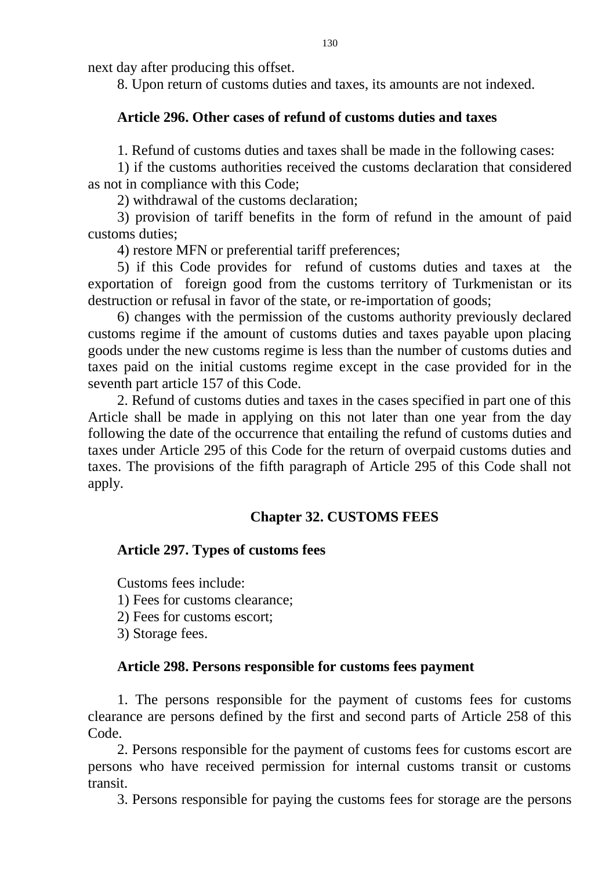next day after producing this offset.

8. Upon return of customs duties and taxes, its amounts are not indexed.

# **Article 296. Other cases of refund of customs duties and taxes**

1. Refund of customs duties and taxes shall be made in the following cases:

1) if the customs authorities received the customs declaration that considered as not in compliance with this Code;

2) withdrawal of the customs declaration;

3) provision of tariff benefits in the form of refund in the amount of paid customs duties;

4) restore MFN or preferential tariff preferences;

5) if this Code provides for refund of customs duties and taxes at the exportation of foreign good from the customs territory of Turkmenistan or its destruction or refusal in favor of the state, or re-importation of goods;

6) changes with the permission of the customs authority previously declared customs regime if the amount of customs duties and taxes payable upon placing goods under the new customs regime is less than the number of customs duties and taxes paid on the initial customs regime except in the case provided for in the seventh part article 157 of this Code.

2. Refund of customs duties and taxes in the cases specified in part one of this Article shall be made in applying on this not later than one year from the day following the date of the occurrence that entailing the refund of customs duties and taxes under Article 295 of this Code for the return of overpaid customs duties and taxes. The provisions of the fifth paragraph of Article 295 of this Code shall not apply.

# **Chapter 32. CUSTOMS FEES**

# **Article 297. Types of customs fees**

Customs fees include:

1) Fees for customs clearance;

2) Fees for customs escort;

3) Storage fees.

### **Article 298. Persons responsible for customs fees payment**

1. The persons responsible for the payment of customs fees for customs clearance are persons defined by the first and second parts of Article 258 of this Code.

2. Persons responsible for the payment of customs fees for customs escort are persons who have received permission for internal customs transit or customs transit.

3. Persons responsible for paying the customs fees for storage are the persons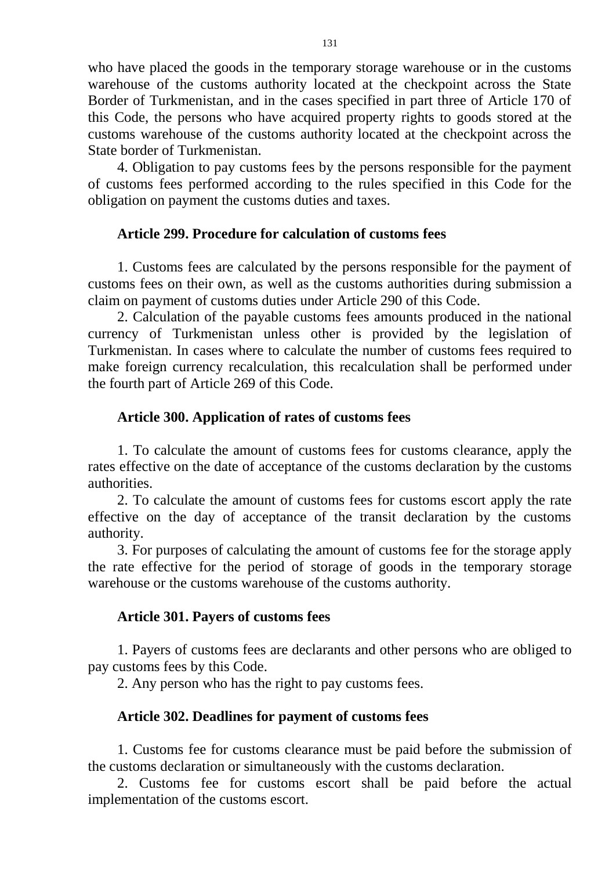who have placed the goods in the temporary storage warehouse or in the customs warehouse of the customs authority located at the checkpoint across the State Border of Turkmenistan, and in the cases specified in part three of Article 170 of this Code, the persons who have acquired property rights to goods stored at the customs warehouse of the customs authority located at the checkpoint across the State border of Turkmenistan.

4. Obligation to pay customs fees by the persons responsible for the payment of customs fees performed according to the rules specified in this Code for the obligation on payment the customs duties and taxes.

## **Article 299. Procedure for calculation of customs fees**

1. Customs fees are calculated by the persons responsible for the payment of customs fees on their own, as well as the customs authorities during submission a claim on payment of customs duties under Article 290 of this Code.

2. Calculation of the payable customs fees amounts produced in the national currency of Turkmenistan unless other is provided by the legislation of Turkmenistan. In cases where to calculate the number of customs fees required to make foreign currency recalculation, this recalculation shall be performed under the fourth part of Article 269 of this Code.

### **Article 300. Application of rates of customs fees**

1. To calculate the amount of customs fees for customs clearance, apply the rates effective on the date of acceptance of the customs declaration by the customs authorities.

2. To calculate the amount of customs fees for customs escort apply the rate effective on the day of acceptance of the transit declaration by the customs authority.

3. For purposes of calculating the amount of customs fee for the storage apply the rate effective for the period of storage of goods in the temporary storage warehouse or the customs warehouse of the customs authority.

### **Article 301. Payers of customs fees**

1. Payers of customs fees are declarants and other persons who are obliged to pay customs fees by this Code.

2. Any person who has the right to pay customs fees.

### **Article 302. Deadlines for payment of customs fees**

1. Customs fee for customs clearance must be paid before the submission of the customs declaration or simultaneously with the customs declaration.

2. Customs fee for customs escort shall be paid before the actual implementation of the customs escort.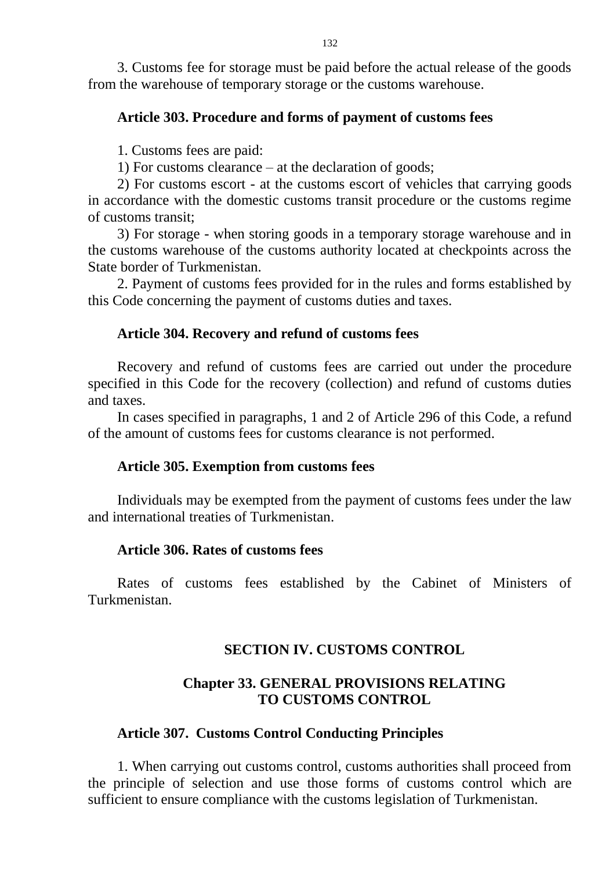3. Customs fee for storage must be paid before the actual release of the goods from the warehouse of temporary storage or the customs warehouse.

### **Article 303. Procedure and forms of payment of customs fees**

1. Customs fees are paid:

1) For customs clearance – at the declaration of goods;

2) For customs escort - at the customs escort of vehicles that carrying goods in accordance with the domestic customs transit procedure or the customs regime of customs transit;

3) For storage - when storing goods in a temporary storage warehouse and in the customs warehouse of the customs authority located at checkpoints across the State border of Turkmenistan.

2. Payment of customs fees provided for in the rules and forms established by this Code concerning the payment of customs duties and taxes.

### **Article 304. Recovery and refund of customs fees**

Recovery and refund of customs fees are carried out under the procedure specified in this Code for the recovery (collection) and refund of customs duties and taxes.

In cases specified in paragraphs, 1 and 2 of Article 296 of this Code, a refund of the amount of customs fees for customs clearance is not performed.

#### **Article 305. Exemption from customs fees**

Individuals may be exempted from the payment of customs fees under the law and international treaties of Turkmenistan.

### **Article 306. Rates of customs fees**

Rates of customs fees established by the Cabinet of Ministers of Turkmenistan.

# **SECTION IV. CUSTOMS CONTROL**

# **Chapter 33. GENERAL PROVISIONS RELATING TO CUSTOMS CONTROL**

### **Article 307. Customs Control Conducting Principles**

1. When carrying out customs control, customs authorities shall proceed from the principle of selection and use those forms of customs control which are sufficient to ensure compliance with the customs legislation of Turkmenistan.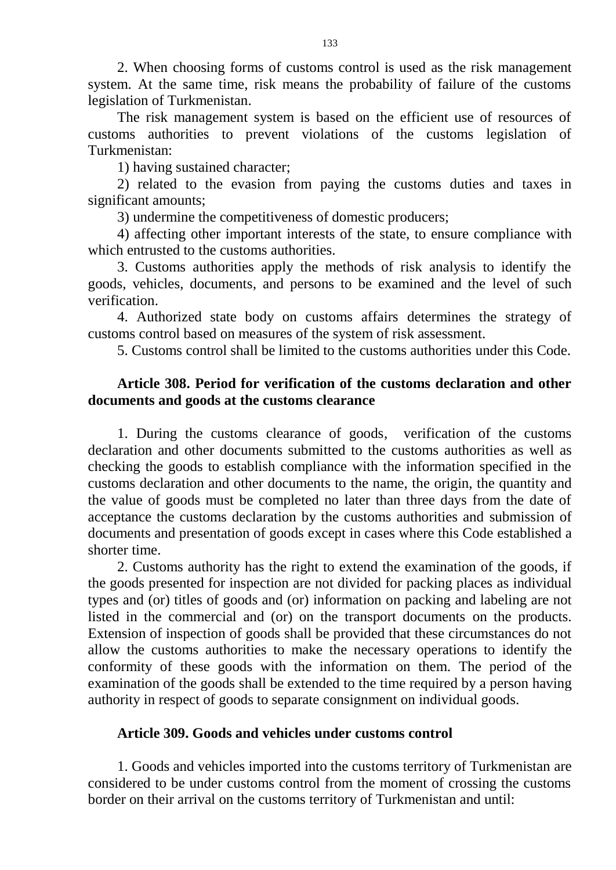2. When choosing forms of customs control is used as the risk management system. At the same time, risk means the probability of failure of the customs legislation of Turkmenistan.

The risk management system is based on the efficient use of resources of customs authorities to prevent violations of the customs legislation of Turkmenistan:

1) having sustained character;

2) related to the evasion from paying the customs duties and taxes in significant amounts;

3) undermine the competitiveness of domestic producers;

4) affecting other important interests of the state, to ensure compliance with which entrusted to the customs authorities.

3. Customs authorities apply the methods of risk analysis to identify the goods, vehicles, documents, and persons to be examined and the level of such verification.

4. Authorized state body on customs affairs determines the strategy of customs control based on measures of the system of risk assessment.

5. Customs control shall be limited to the customs authorities under this Code.

# **Article 308. Period for verification of the customs declaration and other documents and goods at the customs clearance**

1. During the customs clearance of goods, verification of the customs declaration and other documents submitted to the customs authorities as well as checking the goods to establish compliance with the information specified in the customs declaration and other documents to the name, the origin, the quantity and the value of goods must be completed no later than three days from the date of acceptance the customs declaration by the customs authorities and submission of documents and presentation of goods except in cases where this Code established a shorter time.

2. Customs authority has the right to extend the examination of the goods, if the goods presented for inspection are not divided for packing places as individual types and (or) titles of goods and (or) information on packing and labeling are not listed in the commercial and (or) on the transport documents on the products. Extension of inspection of goods shall be provided that these circumstances do not allow the customs authorities to make the necessary operations to identify the conformity of these goods with the information on them. The period of the examination of the goods shall be extended to the time required by a person having authority in respect of goods to separate consignment on individual goods.

### **Article 309. Goods and vehicles under customs control**

1. Goods and vehicles imported into the customs territory of Turkmenistan are considered to be under customs control from the moment of crossing the customs border on their arrival on the customs territory of Turkmenistan and until: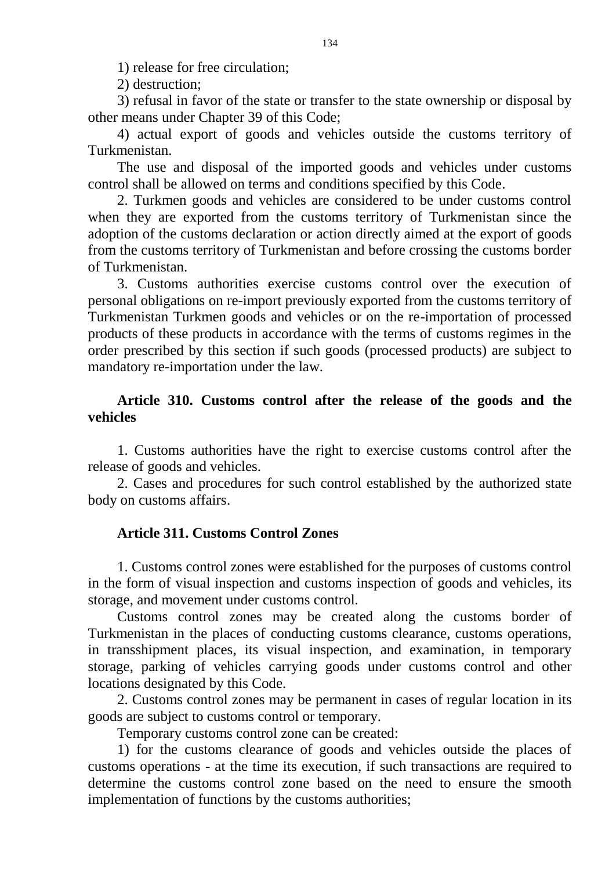1) release for free circulation;

2) destruction;

3) refusal in favor of the state or transfer to the state ownership or disposal by other means under Chapter 39 of this Code;

4) actual export of goods and vehicles outside the customs territory of Turkmenistan.

The use and disposal of the imported goods and vehicles under customs control shall be allowed on terms and conditions specified by this Code.

2. Turkmen goods and vehicles are considered to be under customs control when they are exported from the customs territory of Turkmenistan since the adoption of the customs declaration or action directly aimed at the export of goods from the customs territory of Turkmenistan and before crossing the customs border of Turkmenistan.

3. Customs authorities exercise customs control over the execution of personal obligations on re-import previously exported from the customs territory of Turkmenistan Turkmen goods and vehicles or on the re-importation of processed products of these products in accordance with the terms of customs regimes in the order prescribed by this section if such goods (processed products) are subject to mandatory re-importation under the law.

# **Article 310. Customs control after the release of the goods and the vehicles**

1. Customs authorities have the right to exercise customs control after the release of goods and vehicles.

2. Cases and procedures for such control established by the authorized state body on customs affairs.

# **Article 311. Customs Control Zones**

1. Customs control zones were established for the purposes of customs control in the form of visual inspection and customs inspection of goods and vehicles, its storage, and movement under customs control.

Customs control zones may be created along the customs border of Turkmenistan in the places of conducting customs clearance, customs operations, in transshipment places, its visual inspection, and examination, in temporary storage, parking of vehicles carrying goods under customs control and other locations designated by this Code.

2. Customs control zones may be permanent in cases of regular location in its goods are subject to customs control or temporary.

Temporary customs control zone can be created:

1) for the customs clearance of goods and vehicles outside the places of customs operations - at the time its execution, if such transactions are required to determine the customs control zone based on the need to ensure the smooth implementation of functions by the customs authorities;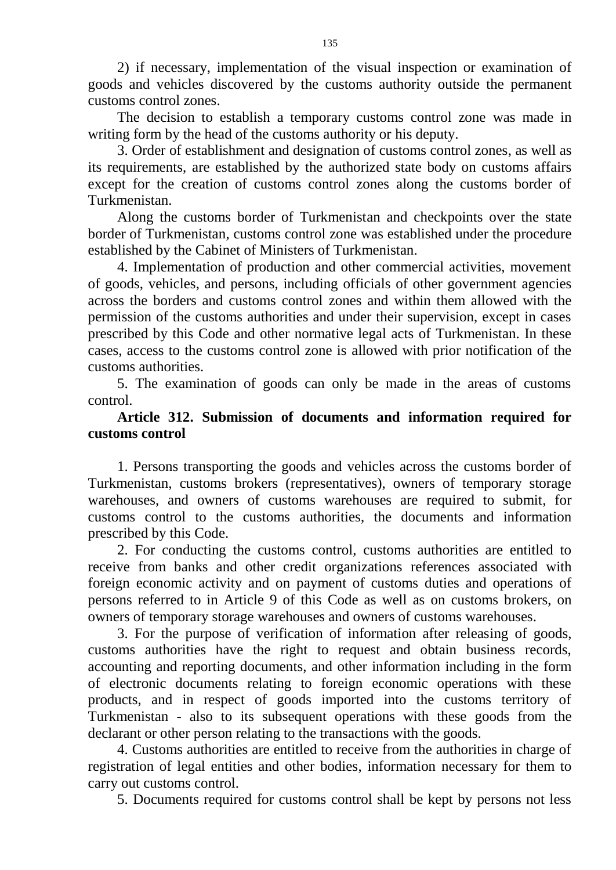2) if necessary, implementation of the visual inspection or examination of goods and vehicles discovered by the customs authority outside the permanent customs control zones.

The decision to establish a temporary customs control zone was made in writing form by the head of the customs authority or his deputy.

3. Order of establishment and designation of customs control zones, as well as its requirements, are established by the authorized state body on customs affairs except for the creation of customs control zones along the customs border of Turkmenistan.

Along the customs border of Turkmenistan and checkpoints over the state border of Turkmenistan, customs control zone was established under the procedure established by the Cabinet of Ministers of Turkmenistan.

4. Implementation of production and other commercial activities, movement of goods, vehicles, and persons, including officials of other government agencies across the borders and customs control zones and within them allowed with the permission of the customs authorities and under their supervision, except in cases prescribed by this Code and other normative legal acts of Turkmenistan. In these cases, access to the customs control zone is allowed with prior notification of the customs authorities.

5. The examination of goods can only be made in the areas of customs control.

# **Article 312. Submission of documents and information required for customs control**

1. Persons transporting the goods and vehicles across the customs border of Turkmenistan, customs brokers (representatives), owners of temporary storage warehouses, and owners of customs warehouses are required to submit, for customs control to the customs authorities, the documents and information prescribed by this Code.

2. For conducting the customs control, customs authorities are entitled to receive from banks and other credit organizations references associated with foreign economic activity and on payment of customs duties and operations of persons referred to in Article 9 of this Code as well as on customs brokers, on owners of temporary storage warehouses and owners of customs warehouses.

3. For the purpose of verification of information after releasing of goods, customs authorities have the right to request and obtain business records, accounting and reporting documents, and other information including in the form of electronic documents relating to foreign economic operations with these products, and in respect of goods imported into the customs territory of Turkmenistan - also to its subsequent operations with these goods from the declarant or other person relating to the transactions with the goods.

4. Customs authorities are entitled to receive from the authorities in charge of registration of legal entities and other bodies, information necessary for them to carry out customs control.

5. Documents required for customs control shall be kept by persons not less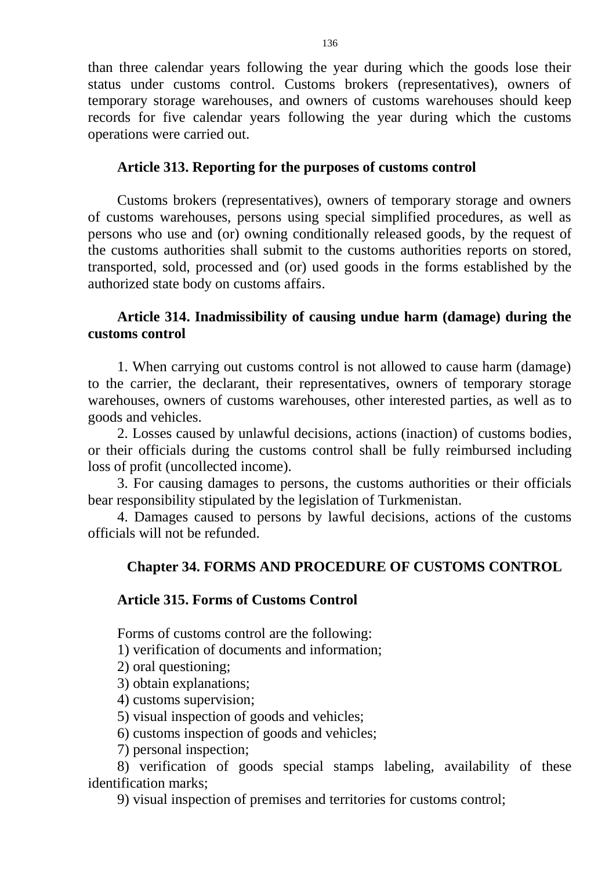than three calendar years following the year during which the goods lose their status under customs control. Customs brokers (representatives), owners of temporary storage warehouses, and owners of customs warehouses should keep records for five calendar years following the year during which the customs operations were carried out.

# **Article 313. Reporting for the purposes of customs control**

Customs brokers (representatives), owners of temporary storage and owners of customs warehouses, persons using special simplified procedures, as well as persons who use and (or) owning conditionally released goods, by the request of the customs authorities shall submit to the customs authorities reports on stored, transported, sold, processed and (or) used goods in the forms established by the authorized state body on customs affairs.

# **Article 314. Inadmissibility of causing undue harm (damage) during the customs control**

1. When carrying out customs control is not allowed to cause harm (damage) to the carrier, the declarant, their representatives, owners of temporary storage warehouses, owners of customs warehouses, other interested parties, as well as to goods and vehicles.

2. Losses caused by unlawful decisions, actions (inaction) of customs bodies, or their officials during the customs control shall be fully reimbursed including loss of profit (uncollected income).

3. For causing damages to persons, the customs authorities or their officials bear responsibility stipulated by the legislation of Turkmenistan.

4. Damages caused to persons by lawful decisions, actions of the customs officials will not be refunded.

# **Chapter 34. FORMS AND PROCEDURE OF CUSTOMS CONTROL**

### **Article 315. Forms of Customs Control**

Forms of customs control are the following:

1) verification of documents and information;

- 2) oral questioning;
- 3) obtain explanations;
- 4) customs supervision;
- 5) visual inspection of goods and vehicles;
- 6) customs inspection of goods and vehicles;

7) personal inspection;

8) verification of goods special stamps labeling, availability of these identification marks;

9) visual inspection of premises and territories for customs control;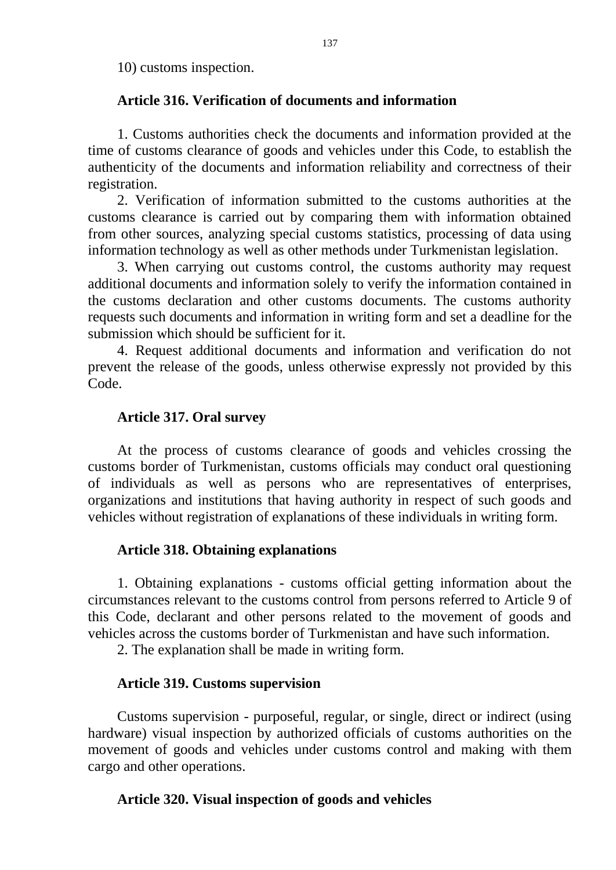10) customs inspection.

# **Article 316. Verification of documents and information**

1. Customs authorities check the documents and information provided at the time of customs clearance of goods and vehicles under this Code, to establish the authenticity of the documents and information reliability and correctness of their registration.

2. Verification of information submitted to the customs authorities at the customs clearance is carried out by comparing them with information obtained from other sources, analyzing special customs statistics, processing of data using information technology as well as other methods under Turkmenistan legislation.

3. When carrying out customs control, the customs authority may request additional documents and information solely to verify the information contained in the customs declaration and other customs documents. The customs authority requests such documents and information in writing form and set a deadline for the submission which should be sufficient for it.

4. Request additional documents and information and verification do not prevent the release of the goods, unless otherwise expressly not provided by this Code.

# **Article 317. Oral survey**

At the process of customs clearance of goods and vehicles crossing the customs border of Turkmenistan, customs officials may conduct oral questioning of individuals as well as persons who are representatives of enterprises, organizations and institutions that having authority in respect of such goods and vehicles without registration of explanations of these individuals in writing form.

### **Article 318. Obtaining explanations**

1. Obtaining explanations - customs official getting information about the circumstances relevant to the customs control from persons referred to Article 9 of this Code, declarant and other persons related to the movement of goods and vehicles across the customs border of Turkmenistan and have such information.

2. The explanation shall be made in writing form.

### **Article 319. Customs supervision**

Customs supervision - purposeful, regular, or single, direct or indirect (using hardware) visual inspection by authorized officials of customs authorities on the movement of goods and vehicles under customs control and making with them cargo and other operations.

### **Article 320. Visual inspection of goods and vehicles**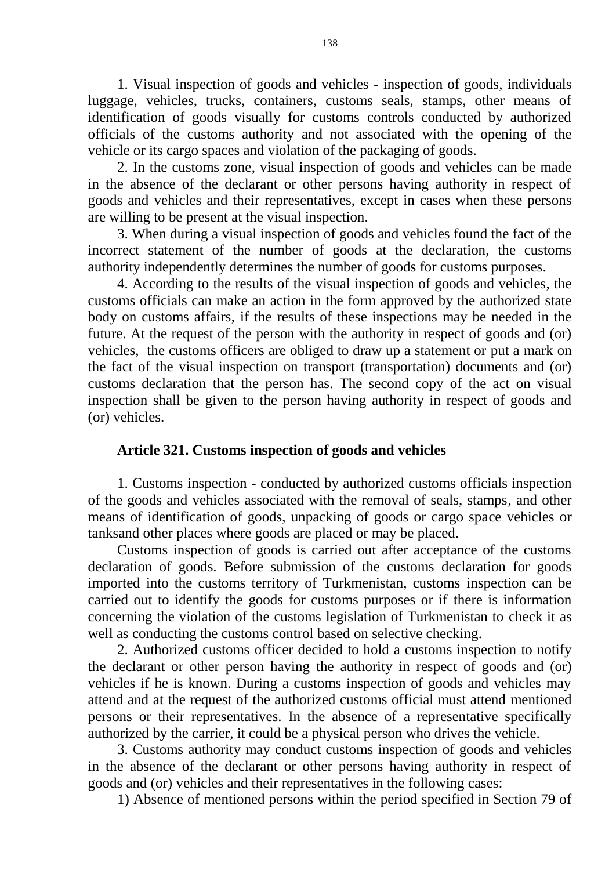1. Visual inspection of goods and vehicles - inspection of goods, individuals luggage, vehicles, trucks, containers, customs seals, stamps, other means of identification of goods visually for customs controls conducted by authorized officials of the customs authority and not associated with the opening of the vehicle or its cargo spaces and violation of the packaging of goods.

2. In the customs zone, visual inspection of goods and vehicles can be made in the absence of the declarant or other persons having authority in respect of goods and vehicles and their representatives, except in cases when these persons are willing to be present at the visual inspection.

3. When during a visual inspection of goods and vehicles found the fact of the incorrect statement of the number of goods at the declaration, the customs authority independently determines the number of goods for customs purposes.

4. According to the results of the visual inspection of goods and vehicles, the customs officials can make an action in the form approved by the authorized state body on customs affairs, if the results of these inspections may be needed in the future. At the request of the person with the authority in respect of goods and (or) vehicles, the customs officers are obliged to draw up a statement or put a mark on the fact of the visual inspection on transport (transportation) documents and (or) customs declaration that the person has. The second copy of the act on visual inspection shall be given to the person having authority in respect of goods and (or) vehicles.

### **Article 321. Customs inspection of goods and vehicles**

1. Customs inspection - conducted by authorized customs officials inspection of the goods and vehicles associated with the removal of seals, stamps, and other means of identification of goods, unpacking of goods or cargo space vehicles or tanksand other places where goods are placed or may be placed.

Customs inspection of goods is carried out after acceptance of the customs declaration of goods. Before submission of the customs declaration for goods imported into the customs territory of Turkmenistan, customs inspection can be carried out to identify the goods for customs purposes or if there is information concerning the violation of the customs legislation of Turkmenistan to check it as well as conducting the customs control based on selective checking.

2. Authorized customs officer decided to hold a customs inspection to notify the declarant or other person having the authority in respect of goods and (or) vehicles if he is known. During a customs inspection of goods and vehicles may attend and at the request of the authorized customs official must attend mentioned persons or their representatives. In the absence of a representative specifically authorized by the carrier, it could be a physical person who drives the vehicle.

3. Customs authority may conduct customs inspection of goods and vehicles in the absence of the declarant or other persons having authority in respect of goods and (or) vehicles and their representatives in the following cases:

1) Absence of mentioned persons within the period specified in Section 79 of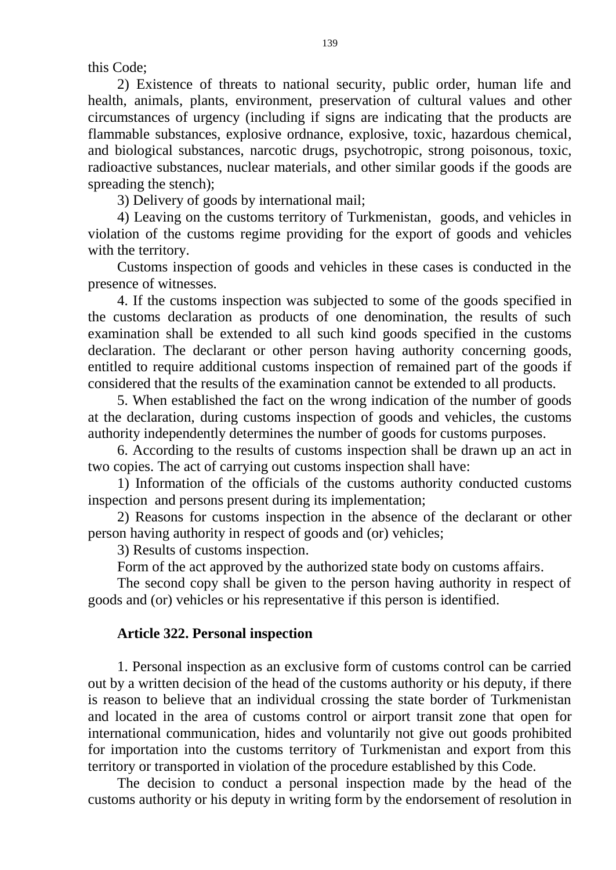this Code;

2) Existence of threats to national security, public order, human life and health, animals, plants, environment, preservation of cultural values and other circumstances of urgency (including if signs are indicating that the products are flammable substances, explosive ordnance, explosive, toxic, hazardous chemical, and biological substances, narcotic drugs, psychotropic, strong poisonous, toxic, radioactive substances, nuclear materials, and other similar goods if the goods are spreading the stench);

3) Delivery of goods by international mail;

4) Leaving on the customs territory of Turkmenistan, goods, and vehicles in violation of the customs regime providing for the export of goods and vehicles with the territory.

Customs inspection of goods and vehicles in these cases is conducted in the presence of witnesses.

4. If the customs inspection was subjected to some of the goods specified in the customs declaration as products of one denomination, the results of such examination shall be extended to all such kind goods specified in the customs declaration. The declarant or other person having authority concerning goods, entitled to require additional customs inspection of remained part of the goods if considered that the results of the examination cannot be extended to all products.

5. When established the fact on the wrong indication of the number of goods at the declaration, during customs inspection of goods and vehicles, the customs authority independently determines the number of goods for customs purposes.

6. According to the results of customs inspection shall be drawn up an act in two copies. The act of carrying out customs inspection shall have:

1) Information of the officials of the customs authority conducted customs inspection and persons present during its implementation;

2) Reasons for customs inspection in the absence of the declarant or other person having authority in respect of goods and (or) vehicles;

3) Results of customs inspection.

Form of the act approved by the authorized state body on customs affairs.

The second copy shall be given to the person having authority in respect of goods and (or) vehicles or his representative if this person is identified.

### **Article 322. Personal inspection**

1. Personal inspection as an exclusive form of customs control can be carried out by a written decision of the head of the customs authority or his deputy, if there is reason to believe that an individual crossing the state border of Turkmenistan and located in the area of customs control or airport transit zone that open for international communication, hides and voluntarily not give out goods prohibited for importation into the customs territory of Turkmenistan and export from this territory or transported in violation of the procedure established by this Code.

The decision to conduct a personal inspection made by the head of the customs authority or his deputy in writing form by the endorsement of resolution in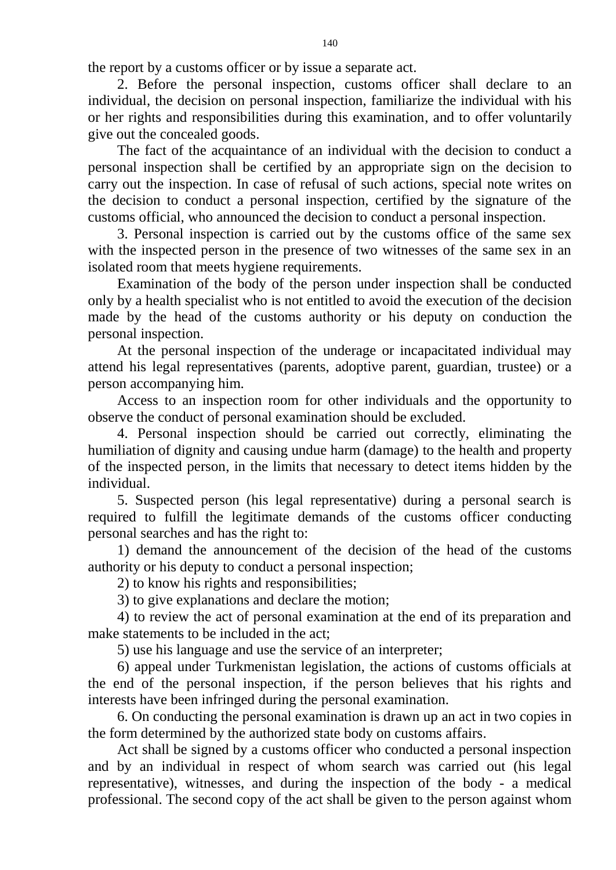the report by a customs officer or by issue a separate act.

2. Before the personal inspection, customs officer shall declare to an individual, the decision on personal inspection, familiarize the individual with his or her rights and responsibilities during this examination, and to offer voluntarily give out the concealed goods.

The fact of the acquaintance of an individual with the decision to conduct a personal inspection shall be certified by an appropriate sign on the decision to carry out the inspection. In case of refusal of such actions, special note writes on the decision to conduct a personal inspection, certified by the signature of the customs official, who announced the decision to conduct a personal inspection.

3. Personal inspection is carried out by the customs office of the same sex with the inspected person in the presence of two witnesses of the same sex in an isolated room that meets hygiene requirements.

Examination of the body of the person under inspection shall be conducted only by a health specialist who is not entitled to avoid the execution of the decision made by the head of the customs authority or his deputy on conduction the personal inspection.

At the personal inspection of the underage or incapacitated individual may attend his legal representatives (parents, adoptive parent, guardian, trustee) or a person accompanying him.

Access to an inspection room for other individuals and the opportunity to observe the conduct of personal examination should be excluded.

4. Personal inspection should be carried out correctly, eliminating the humiliation of dignity and causing undue harm (damage) to the health and property of the inspected person, in the limits that necessary to detect items hidden by the individual.

5. Suspected person (his legal representative) during a personal search is required to fulfill the legitimate demands of the customs officer conducting personal searches and has the right to:

1) demand the announcement of the decision of the head of the customs authority or his deputy to conduct a personal inspection;

2) to know his rights and responsibilities;

3) to give explanations and declare the motion;

4) to review the act of personal examination at the end of its preparation and make statements to be included in the act;

5) use his language and use the service of an interpreter;

6) appeal under Turkmenistan legislation, the actions of customs officials at the end of the personal inspection, if the person believes that his rights and interests have been infringed during the personal examination.

6. On conducting the personal examination is drawn up an act in two copies in the form determined by the authorized state body on customs affairs.

Act shall be signed by a customs officer who conducted a personal inspection and by an individual in respect of whom search was carried out (his legal representative), witnesses, and during the inspection of the body - a medical professional. The second copy of the act shall be given to the person against whom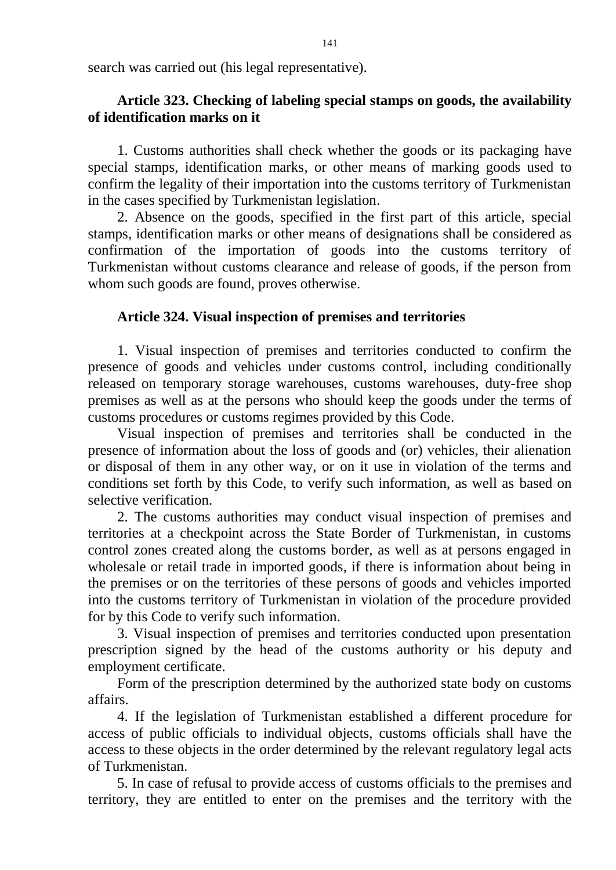search was carried out (his legal representative).

# **Article 323. Checking of labeling special stamps on goods, the availability of identification marks on it**

1. Customs authorities shall check whether the goods or its packaging have special stamps, identification marks, or other means of marking goods used to confirm the legality of their importation into the customs territory of Turkmenistan in the cases specified by Turkmenistan legislation.

2. Absence on the goods, specified in the first part of this article, special stamps, identification marks or other means of designations shall be considered as confirmation of the importation of goods into the customs territory of Turkmenistan without customs clearance and release of goods, if the person from whom such goods are found, proves otherwise.

# **Article 324. Visual inspection of premises and territories**

1. Visual inspection of premises and territories conducted to confirm the presence of goods and vehicles under customs control, including conditionally released on temporary storage warehouses, customs warehouses, duty-free shop premises as well as at the persons who should keep the goods under the terms of customs procedures or customs regimes provided by this Code.

Visual inspection of premises and territories shall be conducted in the presence of information about the loss of goods and (or) vehicles, their alienation or disposal of them in any other way, or on it use in violation of the terms and conditions set forth by this Code, to verify such information, as well as based on selective verification.

2. The customs authorities may conduct visual inspection of premises and territories at a checkpoint across the State Border of Turkmenistan, in customs control zones created along the customs border, as well as at persons engaged in wholesale or retail trade in imported goods, if there is information about being in the premises or on the territories of these persons of goods and vehicles imported into the customs territory of Turkmenistan in violation of the procedure provided for by this Code to verify such information.

3. Visual inspection of premises and territories conducted upon presentation prescription signed by the head of the customs authority or his deputy and employment certificate.

Form of the prescription determined by the authorized state body on customs affairs.

4. If the legislation of Turkmenistan established a different procedure for access of public officials to individual objects, customs officials shall have the access to these objects in the order determined by the relevant regulatory legal acts of Turkmenistan.

5. In case of refusal to provide access of customs officials to the premises and territory, they are entitled to enter on the premises and the territory with the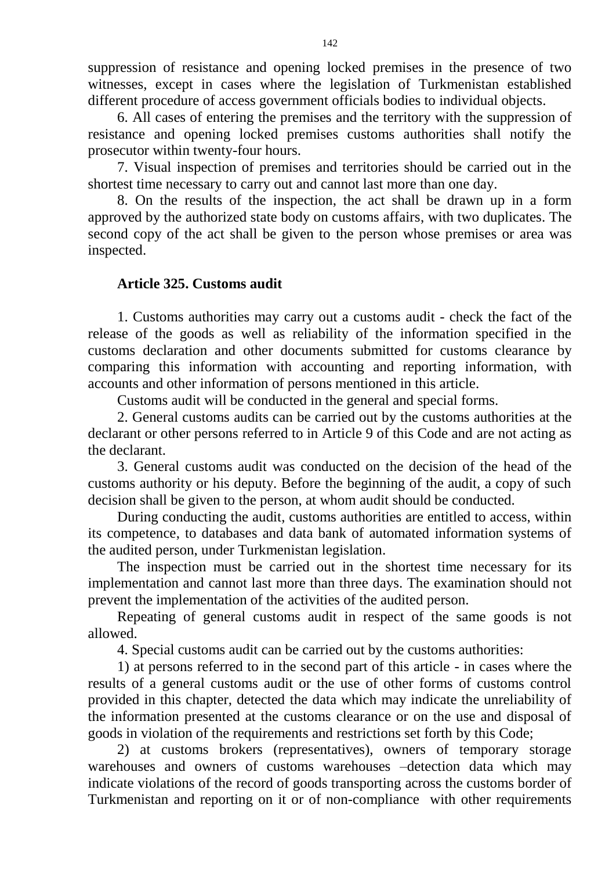suppression of resistance and opening locked premises in the presence of two witnesses, except in cases where the legislation of Turkmenistan established different procedure of access government officials bodies to individual objects.

6. All cases of entering the premises and the territory with the suppression of resistance and opening locked premises customs authorities shall notify the prosecutor within twenty-four hours.

7. Visual inspection of premises and territories should be carried out in the shortest time necessary to carry out and cannot last more than one day.

8. On the results of the inspection, the act shall be drawn up in a form approved by the authorized state body on customs affairs, with two duplicates. The second copy of the act shall be given to the person whose premises or area was inspected.

# **Article 325. Customs audit**

1. Customs authorities may carry out a customs audit - check the fact of the release of the goods as well as reliability of the information specified in the customs declaration and other documents submitted for customs clearance by comparing this information with accounting and reporting information, with accounts and other information of persons mentioned in this article.

Customs audit will be conducted in the general and special forms.

2. General customs audits can be carried out by the customs authorities at the declarant or other persons referred to in Article 9 of this Code and are not acting as the declarant.

3. General customs audit was conducted on the decision of the head of the customs authority or his deputy. Before the beginning of the audit, a copy of such decision shall be given to the person, at whom audit should be conducted.

During conducting the audit, customs authorities are entitled to access, within its competence, to databases and data bank of automated information systems of the audited person, under Turkmenistan legislation.

The inspection must be carried out in the shortest time necessary for its implementation and cannot last more than three days. The examination should not prevent the implementation of the activities of the audited person.

Repeating of general customs audit in respect of the same goods is not allowed.

4. Special customs audit can be carried out by the customs authorities:

1) at persons referred to in the second part of this article - in cases where the results of a general customs audit or the use of other forms of customs control provided in this chapter, detected the data which may indicate the unreliability of the information presented at the customs clearance or on the use and disposal of goods in violation of the requirements and restrictions set forth by this Code;

2) at customs brokers (representatives), owners of temporary storage warehouses and owners of customs warehouses –detection data which may indicate violations of the record of goods transporting across the customs border of Turkmenistan and reporting on it or of non-compliance with other requirements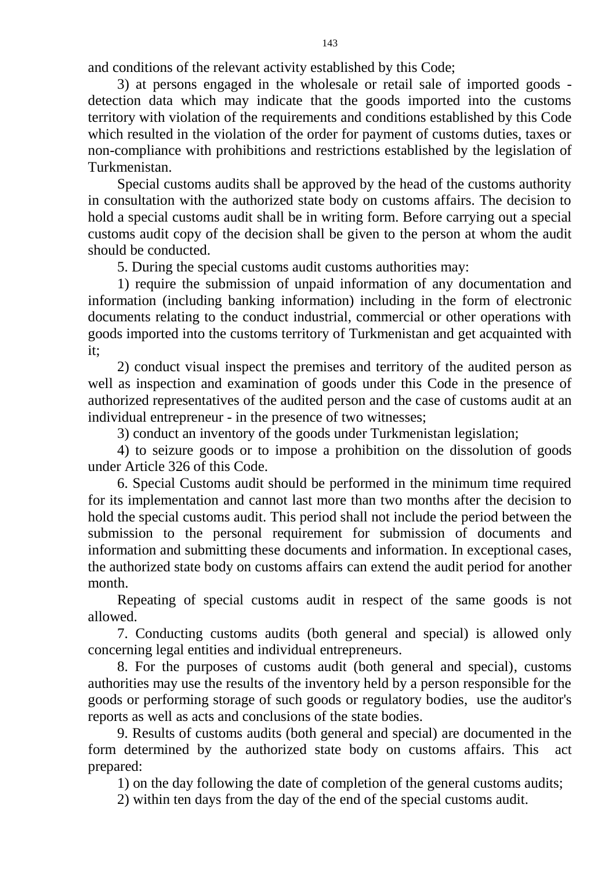and conditions of the relevant activity established by this Code;

3) at persons engaged in the wholesale or retail sale of imported goods detection data which may indicate that the goods imported into the customs territory with violation of the requirements and conditions established by this Code which resulted in the violation of the order for payment of customs duties, taxes or non-compliance with prohibitions and restrictions established by the legislation of Turkmenistan.

Special customs audits shall be approved by the head of the customs authority in consultation with the authorized state body on customs affairs. The decision to hold a special customs audit shall be in writing form. Before carrying out a special customs audit copy of the decision shall be given to the person at whom the audit should be conducted.

5. During the special customs audit customs authorities may:

1) require the submission of unpaid information of any documentation and information (including banking information) including in the form of electronic documents relating to the conduct industrial, commercial or other operations with goods imported into the customs territory of Turkmenistan and get acquainted with it;

2) conduct visual inspect the premises and territory of the audited person as well as inspection and examination of goods under this Code in the presence of authorized representatives of the audited person and the case of customs audit at an individual entrepreneur - in the presence of two witnesses;

3) conduct an inventory of the goods under Turkmenistan legislation;

4) to seizure goods or to impose a prohibition on the dissolution of goods under Article 326 of this Code.

6. Special Customs audit should be performed in the minimum time required for its implementation and cannot last more than two months after the decision to hold the special customs audit. This period shall not include the period between the submission to the personal requirement for submission of documents and information and submitting these documents and information. In exceptional cases, the authorized state body on customs affairs can extend the audit period for another month.

Repeating of special customs audit in respect of the same goods is not allowed.

7. Conducting customs audits (both general and special) is allowed only concerning legal entities and individual entrepreneurs.

8. For the purposes of customs audit (both general and special), customs authorities may use the results of the inventory held by a person responsible for the goods or performing storage of such goods or regulatory bodies, use the auditor's reports as well as acts and conclusions of the state bodies.

9. Results of customs audits (both general and special) are documented in the form determined by the authorized state body on customs affairs. This act prepared:

1) on the day following the date of completion of the general customs audits;

2) within ten days from the day of the end of the special customs audit.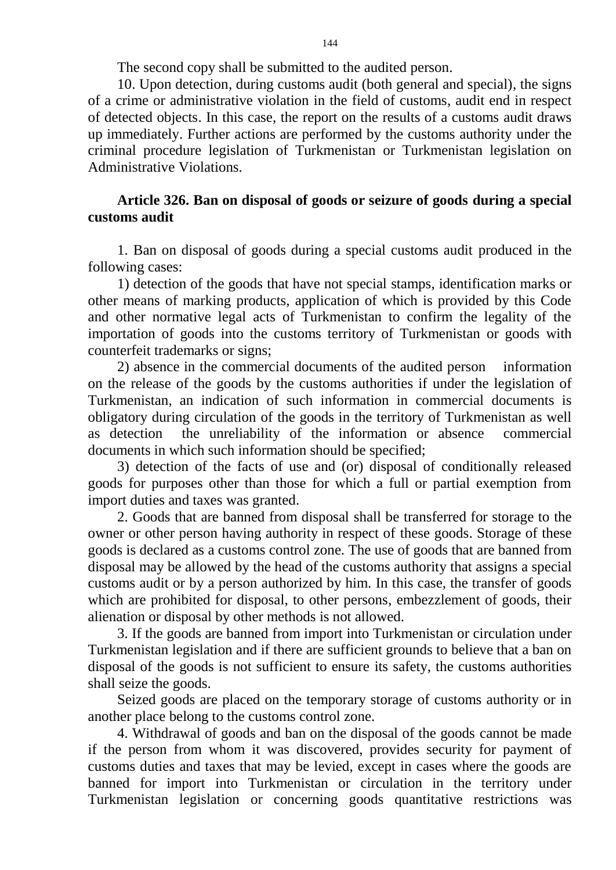The second copy shall be submitted to the audited person.

10. Upon detection, during customs audit (both general and special), the signs of a crime or administrative violation in the field of customs, audit end in respect of detected objects. In this case, the report on the results of a customs audit draws up immediately. Further actions are performed by the customs authority under the criminal procedure legislation of Turkmenistan or Turkmenistan legislation on Administrative Violations.

## **Article 326. Ban on disposal of goods or seizure of goods during a special customs audit**

1. Ban on disposal of goods during a special customs audit produced in the following cases:

1) detection of the goods that have not special stamps, identification marks or other means of marking products, application of which is provided by this Code and other normative legal acts of Turkmenistan to confirm the legality of the importation of goods into the customs territory of Turkmenistan or goods with counterfeit trademarks or signs;

2) absence in the commercial documents of the audited person information on the release of the goods by the customs authorities if under the legislation of Turkmenistan, an indication of such information in commercial documents is obligatory during circulation of the goods in the territory of Turkmenistan as well as detection the unreliability of the information or absence commercial documents in which such information should be specified;

3) detection of the facts of use and (or) disposal of conditionally released goods for purposes other than those for which a full or partial exemption from import duties and taxes was granted.

2. Goods that are banned from disposal shall be transferred for storage to the owner or other person having authority in respect of these goods. Storage of these goods is declared as a customs control zone. The use of goods that are banned from disposal may be allowed by the head of the customs authority that assigns a special customs audit or by a person authorized by him. In this case, the transfer of goods which are prohibited for disposal, to other persons, embezzlement of goods, their alienation or disposal by other methods is not allowed.

3. If the goods are banned from import into Turkmenistan or circulation under Turkmenistan legislation and if there are sufficient grounds to believe that a ban on disposal of the goods is not sufficient to ensure its safety, the customs authorities shall seize the goods.

Seized goods are placed on the temporary storage of customs authority or in another place belong to the customs control zone.

4. Withdrawal of goods and ban on the disposal of the goods cannot be made if the person from whom it was discovered, provides security for payment of customs duties and taxes that may be levied, except in cases where the goods are banned for import into Turkmenistan or circulation in the territory under Turkmenistan legislation or concerning goods quantitative restrictions was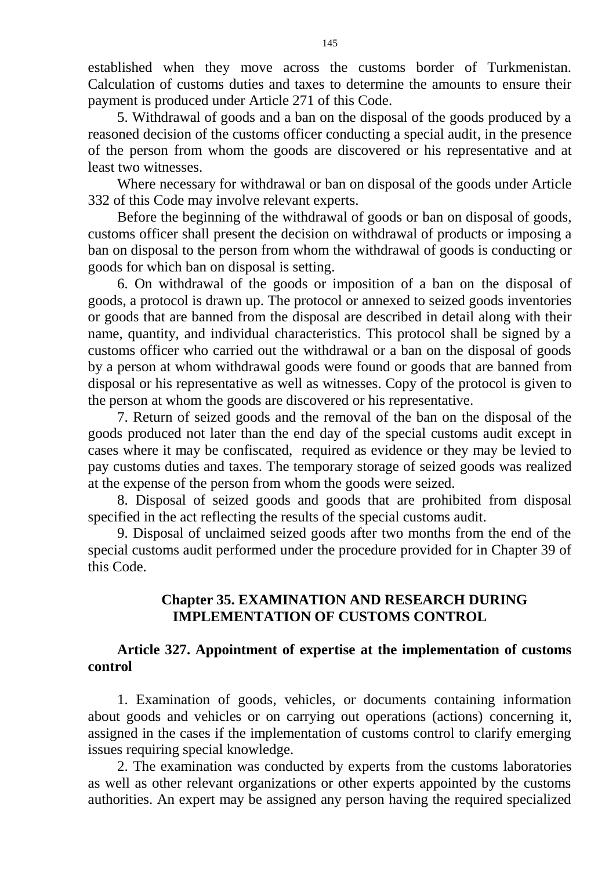established when they move across the customs border of Turkmenistan. Calculation of customs duties and taxes to determine the amounts to ensure their payment is produced under Article 271 of this Code.

5. Withdrawal of goods and a ban on the disposal of the goods produced by a reasoned decision of the customs officer conducting a special audit, in the presence of the person from whom the goods are discovered or his representative and at least two witnesses.

Where necessary for withdrawal or ban on disposal of the goods under Article 332 of this Code may involve relevant experts.

Before the beginning of the withdrawal of goods or ban on disposal of goods, customs officer shall present the decision on withdrawal of products or imposing a ban on disposal to the person from whom the withdrawal of goods is conducting or goods for which ban on disposal is setting.

6. On withdrawal of the goods or imposition of a ban on the disposal of goods, a protocol is drawn up. The protocol or annexed to seized goods inventories or goods that are banned from the disposal are described in detail along with their name, quantity, and individual characteristics. This protocol shall be signed by a customs officer who carried out the withdrawal or a ban on the disposal of goods by a person at whom withdrawal goods were found or goods that are banned from disposal or his representative as well as witnesses. Copy of the protocol is given to the person at whom the goods are discovered or his representative.

7. Return of seized goods and the removal of the ban on the disposal of the goods produced not later than the end day of the special customs audit except in cases where it may be confiscated, required as evidence or they may be levied to pay customs duties and taxes. The temporary storage of seized goods was realized at the expense of the person from whom the goods were seized.

8. Disposal of seized goods and goods that are prohibited from disposal specified in the act reflecting the results of the special customs audit.

9. Disposal of unclaimed seized goods after two months from the end of the special customs audit performed under the procedure provided for in Chapter 39 of this Code.

### **Chapter 35. EXAMINATION AND RESEARCH DURING IMPLEMENTATION OF CUSTOMS CONTROL**

### **Article 327. Appointment of expertise at the implementation of customs control**

1. Examination of goods, vehicles, or documents containing information about goods and vehicles or on carrying out operations (actions) concerning it, assigned in the cases if the implementation of customs control to clarify emerging issues requiring special knowledge.

2. The examination was conducted by experts from the customs laboratories as well as other relevant organizations or other experts appointed by the customs authorities. An expert may be assigned any person having the required specialized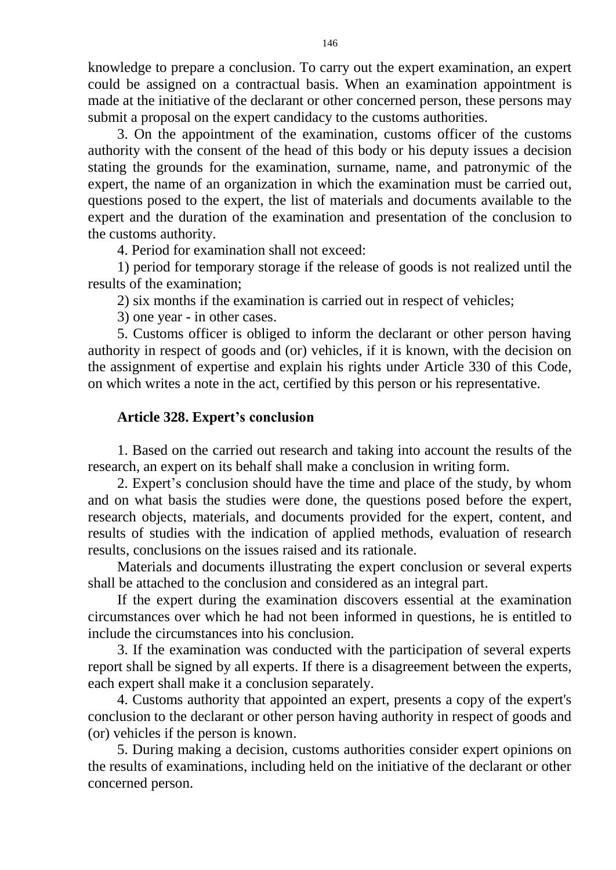knowledge to prepare a conclusion. To carry out the expert examination, an expert could be assigned on a contractual basis. When an examination appointment is made at the initiative of the declarant or other concerned person, these persons may submit a proposal on the expert candidacy to the customs authorities.

3. On the appointment of the examination, customs officer of the customs authority with the consent of the head of this body or his deputy issues a decision stating the grounds for the examination, surname, name, and patronymic of the expert, the name of an organization in which the examination must be carried out, questions posed to the expert, the list of materials and documents available to the expert and the duration of the examination and presentation of the conclusion to the customs authority.

4. Period for examination shall not exceed:

1) period for temporary storage if the release of goods is not realized until the results of the examination;

2) six months if the examination is carried out in respect of vehicles;

3) one year - in other cases.

5. Customs officer is obliged to inform the declarant or other person having authority in respect of goods and (or) vehicles, if it is known, with the decision on the assignment of expertise and explain his rights under Article 330 of this Code, on which writes a note in the act, certified by this person or his representative.

# **Article 328. Expert's conclusion**

1. Based on the carried out research and taking into account the results of the research, an expert on its behalf shall make a conclusion in writing form.

2. Expert's conclusion should have the time and place of the study, by whom and on what basis the studies were done, the questions posed before the expert, research objects, materials, and documents provided for the expert, content, and results of studies with the indication of applied methods, evaluation of research results, conclusions on the issues raised and its rationale.

Materials and documents illustrating the expert conclusion or several experts shall be attached to the conclusion and considered as an integral part.

If the expert during the examination discovers essential at the examination circumstances over which he had not been informed in questions, he is entitled to include the circumstances into his conclusion.

3. If the examination was conducted with the participation of several experts report shall be signed by all experts. If there is a disagreement between the experts, each expert shall make it a conclusion separately.

4. Customs authority that appointed an expert, presents a copy of the expert's conclusion to the declarant or other person having authority in respect of goods and (or) vehicles if the person is known.

5. During making a decision, customs authorities consider expert opinions on the results of examinations, including held on the initiative of the declarant or other concerned person.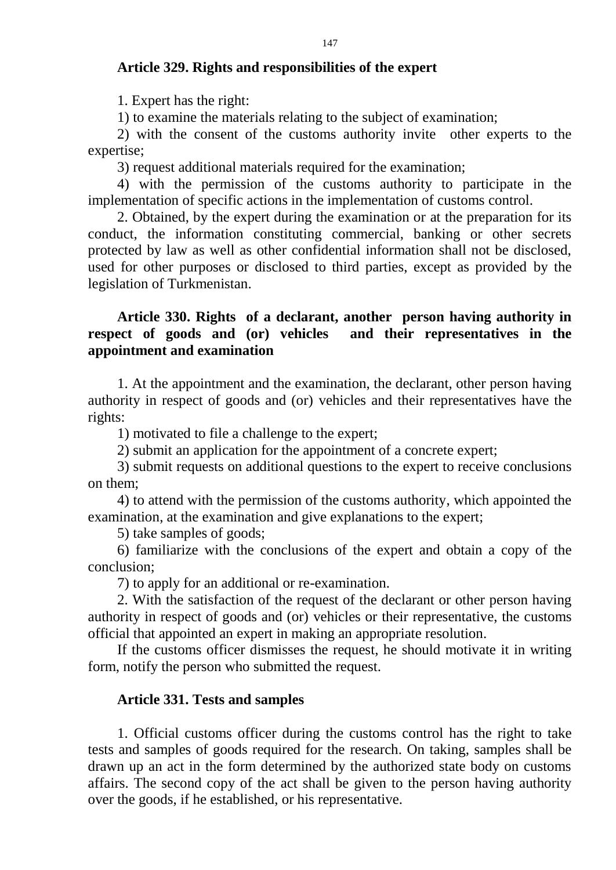#### **Article 329. Rights and responsibilities of the expert**

1. Expert has the right:

1) to examine the materials relating to the subject of examination;

2) with the consent of the customs authority invite other experts to the expertise;

3) request additional materials required for the examination;

4) with the permission of the customs authority to participate in the implementation of specific actions in the implementation of customs control.

2. Obtained, by the expert during the examination or at the preparation for its conduct, the information constituting commercial, banking or other secrets protected by law as well as other confidential information shall not be disclosed, used for other purposes or disclosed to third parties, except as provided by the legislation of Turkmenistan.

### **Article 330. Rights of a declarant, another person having authority in respect of goods and (or) vehicles and their representatives in the appointment and examination**

1. At the appointment and the examination, the declarant, other person having authority in respect of goods and (or) vehicles and their representatives have the rights:

1) motivated to file a challenge to the expert;

2) submit an application for the appointment of a concrete expert;

3) submit requests on additional questions to the expert to receive conclusions on them;

4) to attend with the permission of the customs authority, which appointed the examination, at the examination and give explanations to the expert;

5) take samples of goods;

6) familiarize with the conclusions of the expert and obtain a copy of the conclusion;

7) to apply for an additional or re-examination.

2. With the satisfaction of the request of the declarant or other person having authority in respect of goods and (or) vehicles or their representative, the customs official that appointed an expert in making an appropriate resolution.

If the customs officer dismisses the request, he should motivate it in writing form, notify the person who submitted the request.

#### **Article 331. Tests and samples**

1. Official customs officer during the customs control has the right to take tests and samples of goods required for the research. On taking, samples shall be drawn up an act in the form determined by the authorized state body on customs affairs. The second copy of the act shall be given to the person having authority over the goods, if he established, or his representative.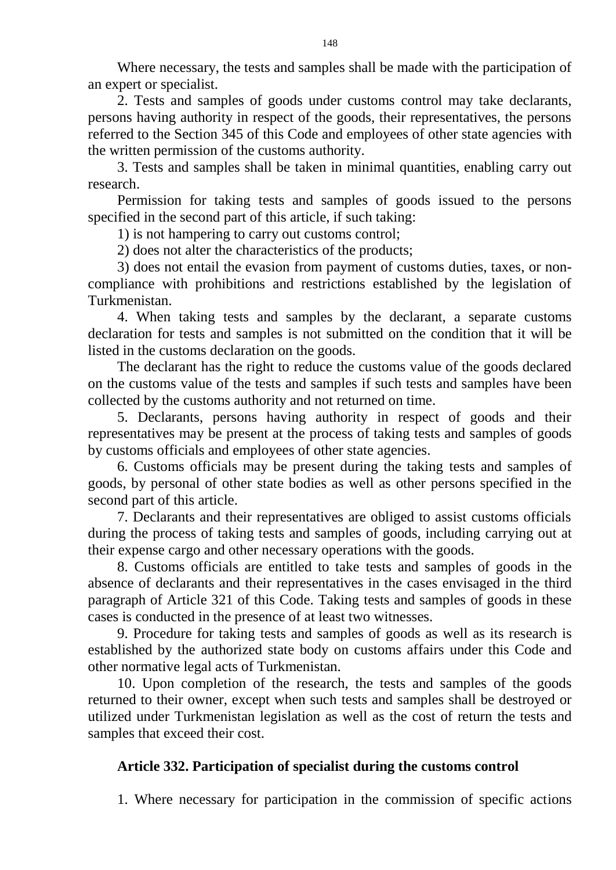Where necessary, the tests and samples shall be made with the participation of an expert or specialist.

2. Tests and samples of goods under customs control may take declarants, persons having authority in respect of the goods, their representatives, the persons referred to the Section 345 of this Code and employees of other state agencies with the written permission of the customs authority.

3. Tests and samples shall be taken in minimal quantities, enabling carry out research.

Permission for taking tests and samples of goods issued to the persons specified in the second part of this article, if such taking:

1) is not hampering to carry out customs control;

2) does not alter the characteristics of the products;

3) does not entail the evasion from payment of customs duties, taxes, or noncompliance with prohibitions and restrictions established by the legislation of Turkmenistan.

4. When taking tests and samples by the declarant, a separate customs declaration for tests and samples is not submitted on the condition that it will be listed in the customs declaration on the goods.

The declarant has the right to reduce the customs value of the goods declared on the customs value of the tests and samples if such tests and samples have been collected by the customs authority and not returned on time.

5. Declarants, persons having authority in respect of goods and their representatives may be present at the process of taking tests and samples of goods by customs officials and employees of other state agencies.

6. Customs officials may be present during the taking tests and samples of goods, by personal of other state bodies as well as other persons specified in the second part of this article.

7. Declarants and their representatives are obliged to assist customs officials during the process of taking tests and samples of goods, including carrying out at their expense cargo and other necessary operations with the goods.

8. Customs officials are entitled to take tests and samples of goods in the absence of declarants and their representatives in the cases envisaged in the third paragraph of Article 321 of this Code. Taking tests and samples of goods in these cases is conducted in the presence of at least two witnesses.

9. Procedure for taking tests and samples of goods as well as its research is established by the authorized state body on customs affairs under this Code and other normative legal acts of Turkmenistan.

10. Upon completion of the research, the tests and samples of the goods returned to their owner, except when such tests and samples shall be destroyed or utilized under Turkmenistan legislation as well as the cost of return the tests and samples that exceed their cost.

## **Article 332. Participation of specialist during the customs control**

1. Where necessary for participation in the commission of specific actions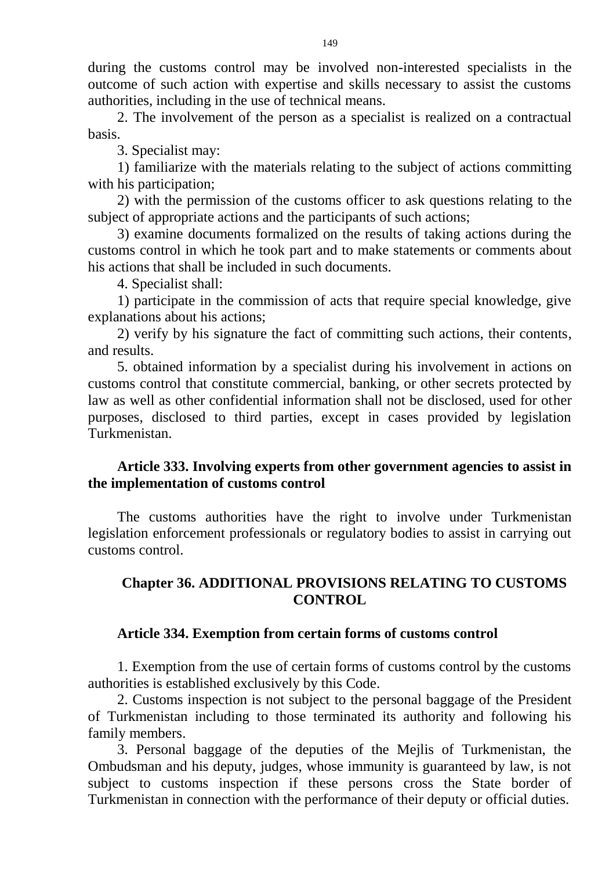during the customs control may be involved non-interested specialists in the outcome of such action with expertise and skills necessary to assist the customs authorities, including in the use of technical means.

2. The involvement of the person as a specialist is realized on a contractual basis.

3. Specialist may:

1) familiarize with the materials relating to the subject of actions committing with his participation;

2) with the permission of the customs officer to ask questions relating to the subject of appropriate actions and the participants of such actions;

3) examine documents formalized on the results of taking actions during the customs control in which he took part and to make statements or comments about his actions that shall be included in such documents.

4. Specialist shall:

1) participate in the commission of acts that require special knowledge, give explanations about his actions;

2) verify by his signature the fact of committing such actions, their contents, and results.

5. obtained information by a specialist during his involvement in actions on customs control that constitute commercial, banking, or other secrets protected by law as well as other confidential information shall not be disclosed, used for other purposes, disclosed to third parties, except in cases provided by legislation Turkmenistan.

# **Article 333. Involving experts from other government agencies to assist in the implementation of customs control**

The customs authorities have the right to involve under Turkmenistan legislation enforcement professionals or regulatory bodies to assist in carrying out customs control.

# **Chapter 36. ADDITIONAL PROVISIONS RELATING TO CUSTOMS CONTROL**

## **Article 334. Exemption from certain forms of customs control**

1. Exemption from the use of certain forms of customs control by the customs authorities is established exclusively by this Code.

2. Customs inspection is not subject to the personal baggage of the President of Turkmenistan including to those terminated its authority and following his family members.

3. Personal baggage of the deputies of the Mejlis of Turkmenistan, the Ombudsman and his deputy, judges, whose immunity is guaranteed by law, is not subject to customs inspection if these persons cross the State border of Turkmenistan in connection with the performance of their deputy or official duties.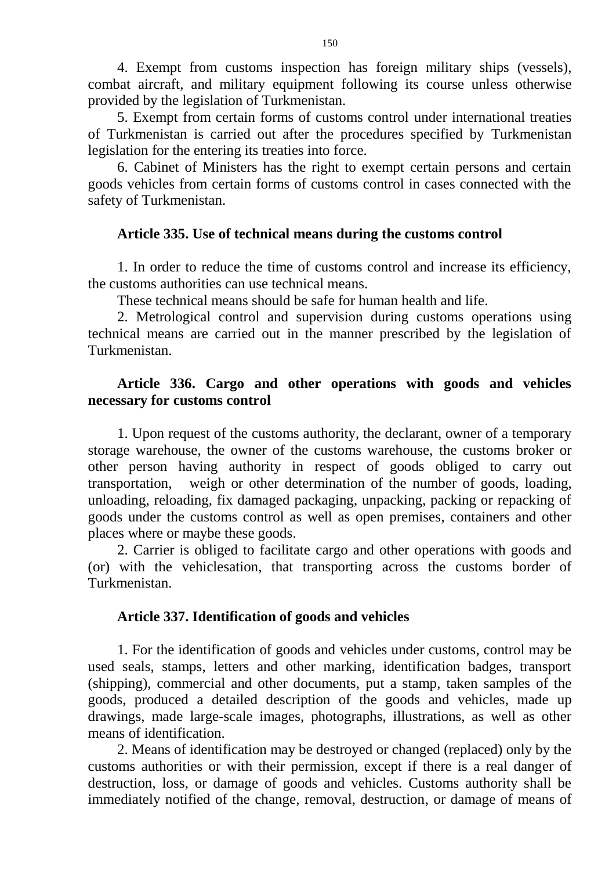4. Exempt from customs inspection has foreign military ships (vessels), combat aircraft, and military equipment following its course unless otherwise provided by the legislation of Turkmenistan.

5. Exempt from certain forms of customs control under international treaties of Turkmenistan is carried out after the procedures specified by Turkmenistan legislation for the entering its treaties into force.

6. Cabinet of Ministers has the right to exempt certain persons and certain goods vehicles from certain forms of customs control in cases connected with the safety of Turkmenistan.

### **Article 335. Use of technical means during the customs control**

1. In order to reduce the time of customs control and increase its efficiency, the customs authorities can use technical means.

These technical means should be safe for human health and life.

2. Metrological control and supervision during customs operations using technical means are carried out in the manner prescribed by the legislation of Turkmenistan.

## **Article 336. Cargo and other operations with goods and vehicles necessary for customs control**

1. Upon request of the customs authority, the declarant, owner of a temporary storage warehouse, the owner of the customs warehouse, the customs broker or other person having authority in respect of goods obliged to carry out transportation, weigh or other determination of the number of goods, loading, unloading, reloading, fix damaged packaging, unpacking, packing or repacking of goods under the customs control as well as open premises, containers and other places where or maybe these goods.

2. Carrier is obliged to facilitate cargo and other operations with goods and (or) with the vehiclesation, that transporting across the customs border of Turkmenistan.

## **Article 337. Identification of goods and vehicles**

1. For the identification of goods and vehicles under customs, control may be used seals, stamps, letters and other marking, identification badges, transport (shipping), commercial and other documents, put a stamp, taken samples of the goods, produced a detailed description of the goods and vehicles, made up drawings, made large-scale images, photographs, illustrations, as well as other means of identification.

2. Means of identification may be destroyed or changed (replaced) only by the customs authorities or with their permission, except if there is a real danger of destruction, loss, or damage of goods and vehicles. Customs authority shall be immediately notified of the change, removal, destruction, or damage of means of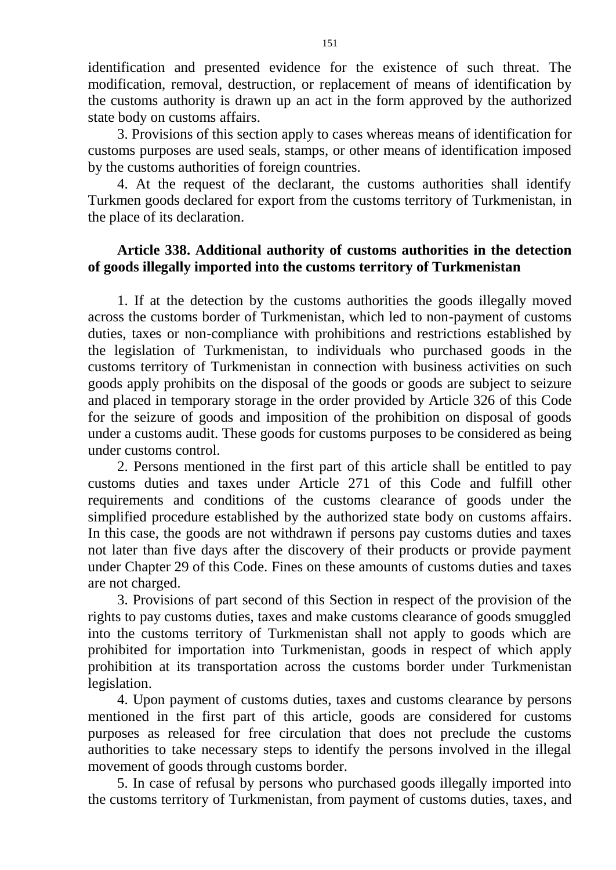identification and presented evidence for the existence of such threat. The modification, removal, destruction, or replacement of means of identification by the customs authority is drawn up an act in the form approved by the authorized state body on customs affairs.

3. Provisions of this section apply to cases whereas means of identification for customs purposes are used seals, stamps, or other means of identification imposed by the customs authorities of foreign countries.

4. At the request of the declarant, the customs authorities shall identify Turkmen goods declared for export from the customs territory of Turkmenistan, in the place of its declaration.

## **Article 338. Additional authority of customs authorities in the detection of goods illegally imported into the customs territory of Turkmenistan**

1. If at the detection by the customs authorities the goods illegally moved across the customs border of Turkmenistan, which led to non-payment of customs duties, taxes or non-compliance with prohibitions and restrictions established by the legislation of Turkmenistan, to individuals who purchased goods in the customs territory of Turkmenistan in connection with business activities on such goods apply prohibits on the disposal of the goods or goods are subject to seizure and placed in temporary storage in the order provided by Article 326 of this Code for the seizure of goods and imposition of the prohibition on disposal of goods under a customs audit. These goods for customs purposes to be considered as being under customs control.

2. Persons mentioned in the first part of this article shall be entitled to pay customs duties and taxes under Article 271 of this Code and fulfill other requirements and conditions of the customs clearance of goods under the simplified procedure established by the authorized state body on customs affairs. In this case, the goods are not withdrawn if persons pay customs duties and taxes not later than five days after the discovery of their products or provide payment under Chapter 29 of this Code. Fines on these amounts of customs duties and taxes are not charged.

3. Provisions of part second of this Section in respect of the provision of the rights to pay customs duties, taxes and make customs clearance of goods smuggled into the customs territory of Turkmenistan shall not apply to goods which are prohibited for importation into Turkmenistan, goods in respect of which apply prohibition at its transportation across the customs border under Turkmenistan legislation.

4. Upon payment of customs duties, taxes and customs clearance by persons mentioned in the first part of this article, goods are considered for customs purposes as released for free circulation that does not preclude the customs authorities to take necessary steps to identify the persons involved in the illegal movement of goods through customs border.

5. In case of refusal by persons who purchased goods illegally imported into the customs territory of Turkmenistan, from payment of customs duties, taxes, and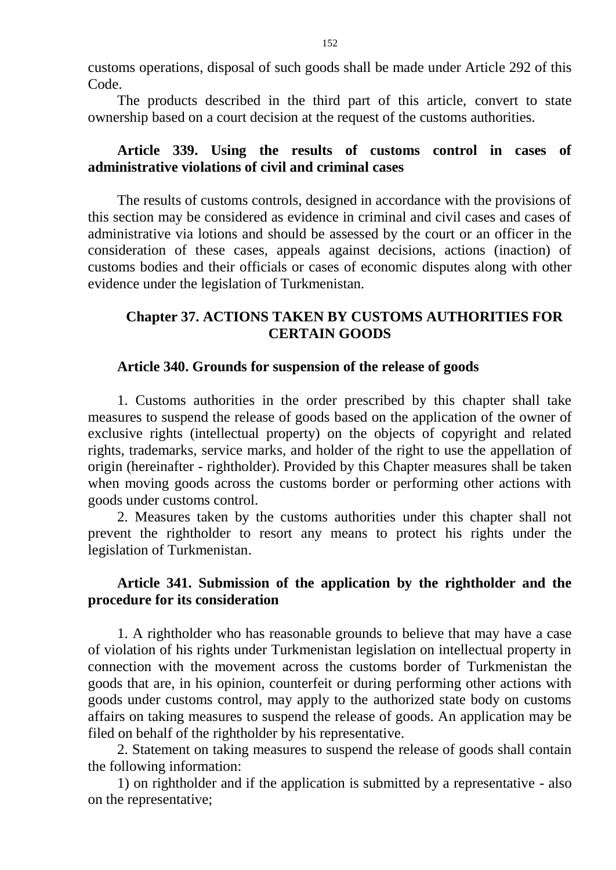customs operations, disposal of such goods shall be made under Article 292 of this Code.

The products described in the third part of this article, convert to state ownership based on a court decision at the request of the customs authorities.

### **Article 339. Using the results of customs control in cases of administrative violations of civil and criminal cases**

The results of customs controls, designed in accordance with the provisions of this section may be considered as evidence in criminal and civil cases and cases of administrative via lotions and should be assessed by the court or an officer in the consideration of these cases, appeals against decisions, actions (inaction) of customs bodies and their officials or cases of economic disputes along with other evidence under the legislation of Turkmenistan.

## **Chapter 37. ACTIONS TAKEN BY CUSTOMS AUTHORITIES FOR CERTAIN GOODS**

#### **Article 340. Grounds for suspension of the release of goods**

1. Customs authorities in the order prescribed by this chapter shall take measures to suspend the release of goods based on the application of the owner of exclusive rights (intellectual property) on the objects of copyright and related rights, trademarks, service marks, and holder of the right to use the appellation of origin (hereinafter - rightholder). Provided by this Chapter measures shall be taken when moving goods across the customs border or performing other actions with goods under customs control.

2. Measures taken by the customs authorities under this chapter shall not prevent the rightholder to resort any means to protect his rights under the legislation of Turkmenistan.

## **Article 341. Submission of the application by the rightholder and the procedure for its consideration**

1. A rightholder who has reasonable grounds to believe that may have a case of violation of his rights under Turkmenistan legislation on intellectual property in connection with the movement across the customs border of Turkmenistan the goods that are, in his opinion, counterfeit or during performing other actions with goods under customs control, may apply to the authorized state body on customs affairs on taking measures to suspend the release of goods. An application may be filed on behalf of the rightholder by his representative.

2. Statement on taking measures to suspend the release of goods shall contain the following information:

1) on rightholder and if the application is submitted by a representative - also on the representative;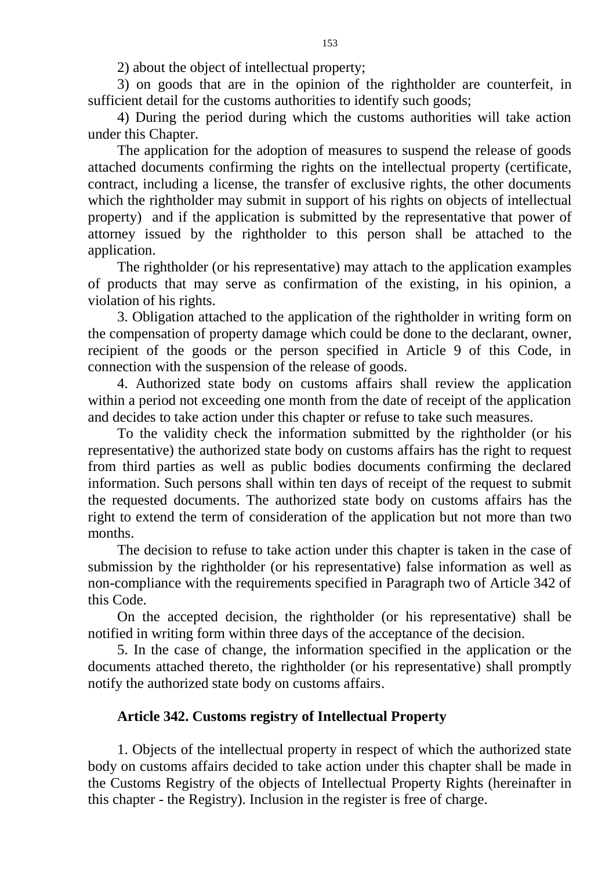2) about the object of intellectual property;

3) on goods that are in the opinion of the rightholder are counterfeit, in sufficient detail for the customs authorities to identify such goods;

4) During the period during which the customs authorities will take action under this Chapter.

The application for the adoption of measures to suspend the release of goods attached documents confirming the rights on the intellectual property (certificate, contract, including a license, the transfer of exclusive rights, the other documents which the rightholder may submit in support of his rights on objects of intellectual property) and if the application is submitted by the representative that power of attorney issued by the rightholder to this person shall be attached to the application.

The rightholder (or his representative) may attach to the application examples of products that may serve as confirmation of the existing, in his opinion, a violation of his rights.

3. Obligation attached to the application of the rightholder in writing form on the compensation of property damage which could be done to the declarant, owner, recipient of the goods or the person specified in Article 9 of this Code, in connection with the suspension of the release of goods.

4. Authorized state body on customs affairs shall review the application within a period not exceeding one month from the date of receipt of the application and decides to take action under this chapter or refuse to take such measures.

To the validity check the information submitted by the rightholder (or his representative) the authorized state body on customs affairs has the right to request from third parties as well as public bodies documents confirming the declared information. Such persons shall within ten days of receipt of the request to submit the requested documents. The authorized state body on customs affairs has the right to extend the term of consideration of the application but not more than two months.

The decision to refuse to take action under this chapter is taken in the case of submission by the rightholder (or his representative) false information as well as non-compliance with the requirements specified in Paragraph two of Article 342 of this Code.

On the accepted decision, the rightholder (or his representative) shall be notified in writing form within three days of the acceptance of the decision.

5. In the case of change, the information specified in the application or the documents attached thereto, the rightholder (or his representative) shall promptly notify the authorized state body on customs affairs.

### **Article 342. Customs registry of Intellectual Property**

1. Objects of the intellectual property in respect of which the authorized state body on customs affairs decided to take action under this chapter shall be made in the Customs Registry of the objects of Intellectual Property Rights (hereinafter in this chapter - the Registry). Inclusion in the register is free of charge.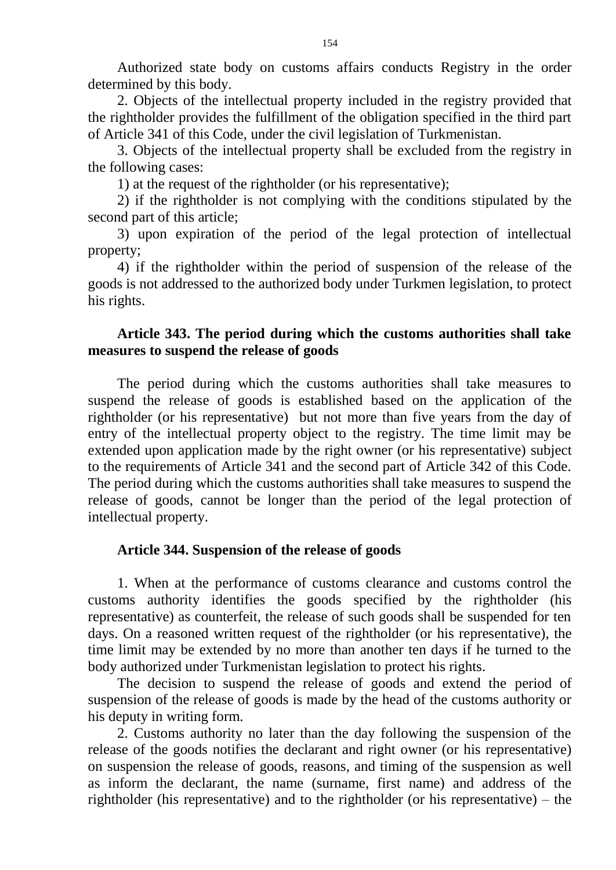Authorized state body on customs affairs conducts Registry in the order determined by this body.

2. Objects of the intellectual property included in the registry provided that the rightholder provides the fulfillment of the obligation specified in the third part of Article 341 of this Code, under the civil legislation of Turkmenistan.

3. Objects of the intellectual property shall be excluded from the registry in the following cases:

1) at the request of the rightholder (or his representative);

2) if the rightholder is not complying with the conditions stipulated by the second part of this article;

3) upon expiration of the period of the legal protection of intellectual property;

4) if the rightholder within the period of suspension of the release of the goods is not addressed to the authorized body under Turkmen legislation, to protect his rights.

## **Article 343. The period during which the customs authorities shall take measures to suspend the release of goods**

The period during which the customs authorities shall take measures to suspend the release of goods is established based on the application of the rightholder (or his representative) but not more than five years from the day of entry of the intellectual property object to the registry. The time limit may be extended upon application made by the right owner (or his representative) subject to the requirements of Article 341 and the second part of Article 342 of this Code. The period during which the customs authorities shall take measures to suspend the release of goods, cannot be longer than the period of the legal protection of intellectual property.

### **Article 344. Suspension of the release of goods**

1. When at the performance of customs clearance and customs control the customs authority identifies the goods specified by the rightholder (his representative) as counterfeit, the release of such goods shall be suspended for ten days. On a reasoned written request of the rightholder (or his representative), the time limit may be extended by no more than another ten days if he turned to the body authorized under Turkmenistan legislation to protect his rights.

The decision to suspend the release of goods and extend the period of suspension of the release of goods is made by the head of the customs authority or his deputy in writing form.

2. Customs authority no later than the day following the suspension of the release of the goods notifies the declarant and right owner (or his representative) on suspension the release of goods, reasons, and timing of the suspension as well as inform the declarant, the name (surname, first name) and address of the rightholder (his representative) and to the rightholder (or his representative) – the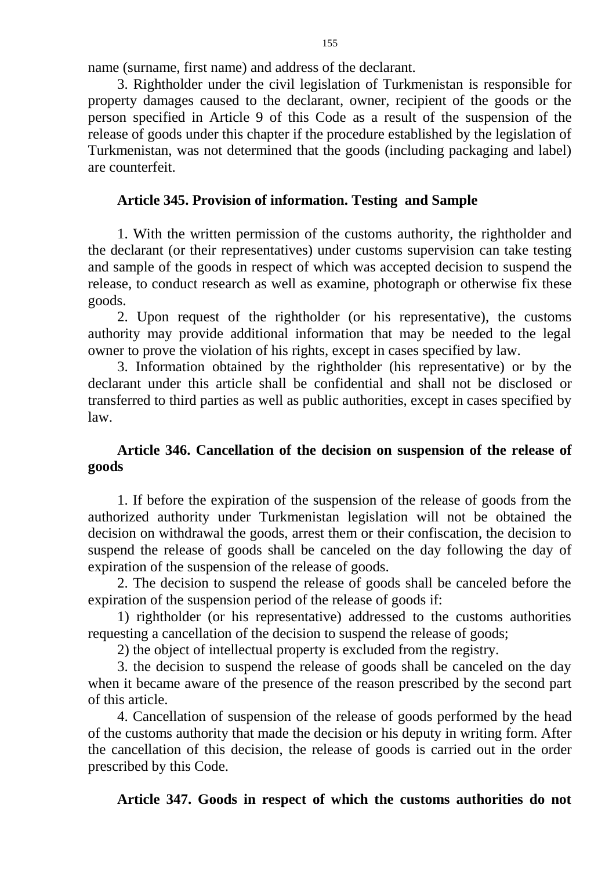name (surname, first name) and address of the declarant.

3. Rightholder under the civil legislation of Turkmenistan is responsible for property damages caused to the declarant, owner, recipient of the goods or the person specified in Article 9 of this Code as a result of the suspension of the release of goods under this chapter if the procedure established by the legislation of Turkmenistan, was not determined that the goods (including packaging and label) are counterfeit.

## **Article 345. Provision of information. Testing and Sample**

1. With the written permission of the customs authority, the rightholder and the declarant (or their representatives) under customs supervision can take testing and sample of the goods in respect of which was accepted decision to suspend the release, to conduct research as well as examine, photograph or otherwise fix these goods.

2. Upon request of the rightholder (or his representative), the customs authority may provide additional information that may be needed to the legal owner to prove the violation of his rights, except in cases specified by law.

3. Information obtained by the rightholder (his representative) or by the declarant under this article shall be confidential and shall not be disclosed or transferred to third parties as well as public authorities, except in cases specified by law.

# **Article 346. Cancellation of the decision on suspension of the release of goods**

1. If before the expiration of the suspension of the release of goods from the authorized authority under Turkmenistan legislation will not be obtained the decision on withdrawal the goods, arrest them or their confiscation, the decision to suspend the release of goods shall be canceled on the day following the day of expiration of the suspension of the release of goods.

2. The decision to suspend the release of goods shall be canceled before the expiration of the suspension period of the release of goods if:

1) rightholder (or his representative) addressed to the customs authorities requesting a cancellation of the decision to suspend the release of goods;

2) the object of intellectual property is excluded from the registry.

3. the decision to suspend the release of goods shall be canceled on the day when it became aware of the presence of the reason prescribed by the second part of this article.

4. Cancellation of suspension of the release of goods performed by the head of the customs authority that made the decision or his deputy in writing form. After the cancellation of this decision, the release of goods is carried out in the order prescribed by this Code.

# **Article 347. Goods in respect of which the customs authorities do not**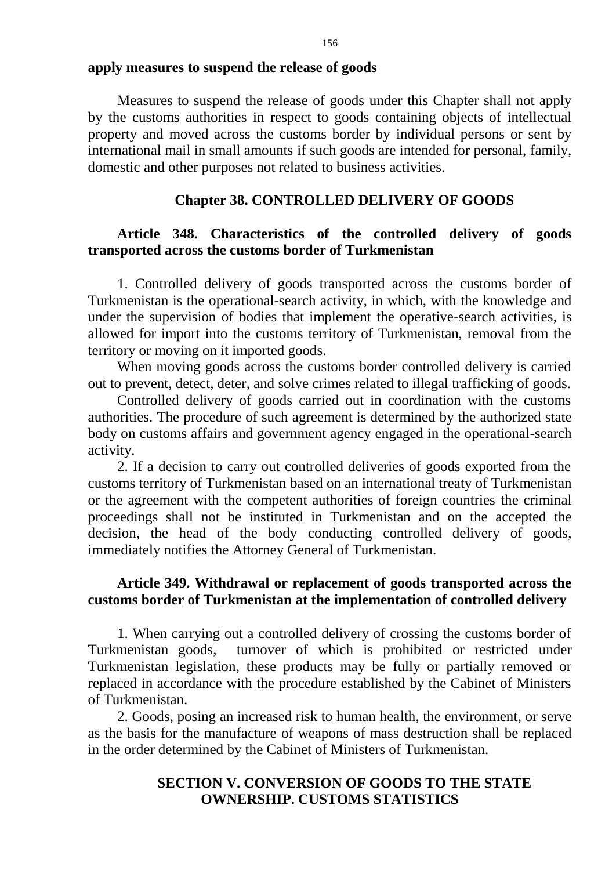Measures to suspend the release of goods under this Chapter shall not apply by the customs authorities in respect to goods containing objects of intellectual property and moved across the customs border by individual persons or sent by international mail in small amounts if such goods are intended for personal, family, domestic and other purposes not related to business activities.

### **Chapter 38. CONTROLLED DELIVERY OF GOODS**

## **Article 348. Characteristics of the controlled delivery of goods transported across the customs border of Turkmenistan**

1. Controlled delivery of goods transported across the customs border of Turkmenistan is the operational-search activity, in which, with the knowledge and under the supervision of bodies that implement the operative-search activities, is allowed for import into the customs territory of Turkmenistan, removal from the territory or moving on it imported goods.

When moving goods across the customs border controlled delivery is carried out to prevent, detect, deter, and solve crimes related to illegal trafficking of goods.

Controlled delivery of goods carried out in coordination with the customs authorities. The procedure of such agreement is determined by the authorized state body on customs affairs and government agency engaged in the operational-search activity.

2. If a decision to carry out controlled deliveries of goods exported from the customs territory of Turkmenistan based on an international treaty of Turkmenistan or the agreement with the competent authorities of foreign countries the criminal proceedings shall not be instituted in Turkmenistan and on the accepted the decision, the head of the body conducting controlled delivery of goods, immediately notifies the Attorney General of Turkmenistan.

## **Article 349. Withdrawal or replacement of goods transported across the customs border of Turkmenistan at the implementation of controlled delivery**

1. When carrying out a controlled delivery of crossing the customs border of Turkmenistan goods, turnover of which is prohibited or restricted under Turkmenistan legislation, these products may be fully or partially removed or replaced in accordance with the procedure established by the Cabinet of Ministers of Turkmenistan.

2. Goods, posing an increased risk to human health, the environment, or serve as the basis for the manufacture of weapons of mass destruction shall be replaced in the order determined by the Cabinet of Ministers of Turkmenistan.

## **SECTION V. CONVERSION OF GOODS TO THE STATE OWNERSHIP. CUSTOMS STATISTICS**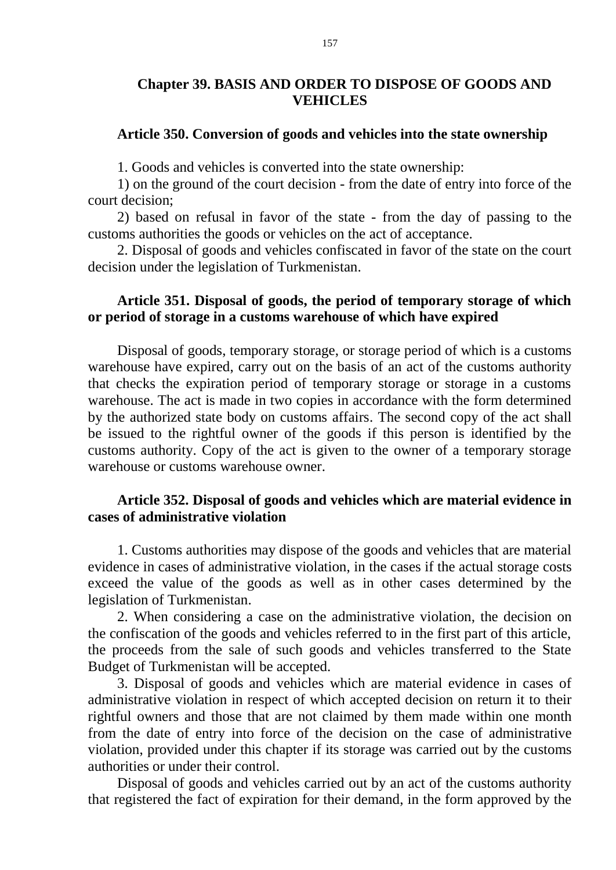## **Chapter 39. BASIS AND ORDER TO DISPOSE OF GOODS AND VEHICLES**

#### **Article 350. Conversion of goods and vehicles into the state ownership**

1. Goods and vehicles is converted into the state ownership:

1) on the ground of the court decision - from the date of entry into force of the court decision;

2) based on refusal in favor of the state - from the day of passing to the customs authorities the goods or vehicles on the act of acceptance.

2. Disposal of goods and vehicles confiscated in favor of the state on the court decision under the legislation of Turkmenistan.

### **Article 351. Disposal of goods, the period of temporary storage of which or period of storage in a customs warehouse of which have expired**

Disposal of goods, temporary storage, or storage period of which is a customs warehouse have expired, carry out on the basis of an act of the customs authority that checks the expiration period of temporary storage or storage in a customs warehouse. The act is made in two copies in accordance with the form determined by the authorized state body on customs affairs. The second copy of the act shall be issued to the rightful owner of the goods if this person is identified by the customs authority. Copy of the act is given to the owner of a temporary storage warehouse or customs warehouse owner.

### **Article 352. Disposal of goods and vehicles which are material evidence in cases of administrative violation**

1. Customs authorities may dispose of the goods and vehicles that are material evidence in cases of administrative violation, in the cases if the actual storage costs exceed the value of the goods as well as in other cases determined by the legislation of Turkmenistan.

2. When considering a case on the administrative violation, the decision on the confiscation of the goods and vehicles referred to in the first part of this article, the proceeds from the sale of such goods and vehicles transferred to the State Budget of Turkmenistan will be accepted.

3. Disposal of goods and vehicles which are material evidence in cases of administrative violation in respect of which accepted decision on return it to their rightful owners and those that are not claimed by them made within one month from the date of entry into force of the decision on the case of administrative violation, provided under this chapter if its storage was carried out by the customs authorities or under their control.

Disposal of goods and vehicles carried out by an act of the customs authority that registered the fact of expiration for their demand, in the form approved by the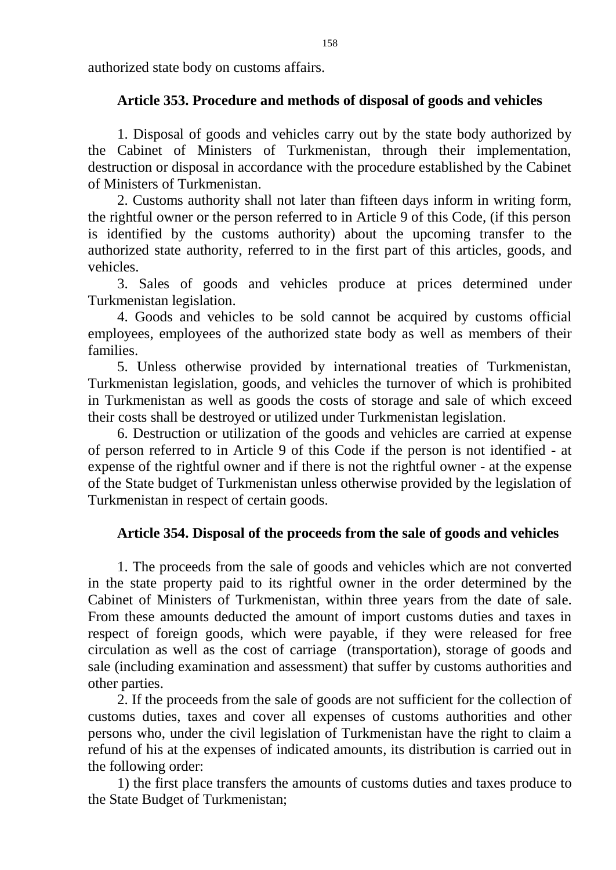authorized state body on customs affairs.

# **Article 353. Procedure and methods of disposal of goods and vehicles**

1. Disposal of goods and vehicles carry out by the state body authorized by the Cabinet of Ministers of Turkmenistan, through their implementation, destruction or disposal in accordance with the procedure established by the Cabinet of Ministers of Turkmenistan.

2. Customs authority shall not later than fifteen days inform in writing form, the rightful owner or the person referred to in Article 9 of this Code, (if this person is identified by the customs authority) about the upcoming transfer to the authorized state authority, referred to in the first part of this articles, goods, and vehicles.

3. Sales of goods and vehicles produce at prices determined under Turkmenistan legislation.

4. Goods and vehicles to be sold cannot be acquired by customs official employees, employees of the authorized state body as well as members of their families.

5. Unless otherwise provided by international treaties of Turkmenistan, Turkmenistan legislation, goods, and vehicles the turnover of which is prohibited in Turkmenistan as well as goods the costs of storage and sale of which exceed their costs shall be destroyed or utilized under Turkmenistan legislation.

6. Destruction or utilization of the goods and vehicles are carried at expense of person referred to in Article 9 of this Code if the person is not identified - at expense of the rightful owner and if there is not the rightful owner - at the expense of the State budget of Turkmenistan unless otherwise provided by the legislation of Turkmenistan in respect of certain goods.

## **Article 354. Disposal of the proceeds from the sale of goods and vehicles**

1. The proceeds from the sale of goods and vehicles which are not converted in the state property paid to its rightful owner in the order determined by the Cabinet of Ministers of Turkmenistan, within three years from the date of sale. From these amounts deducted the amount of import customs duties and taxes in respect of foreign goods, which were payable, if they were released for free circulation as well as the cost of carriage (transportation), storage of goods and sale (including examination and assessment) that suffer by customs authorities and other parties.

2. If the proceeds from the sale of goods are not sufficient for the collection of customs duties, taxes and cover all expenses of customs authorities and other persons who, under the civil legislation of Turkmenistan have the right to claim a refund of his at the expenses of indicated amounts, its distribution is carried out in the following order:

1) the first place transfers the amounts of customs duties and taxes produce to the State Budget of Turkmenistan;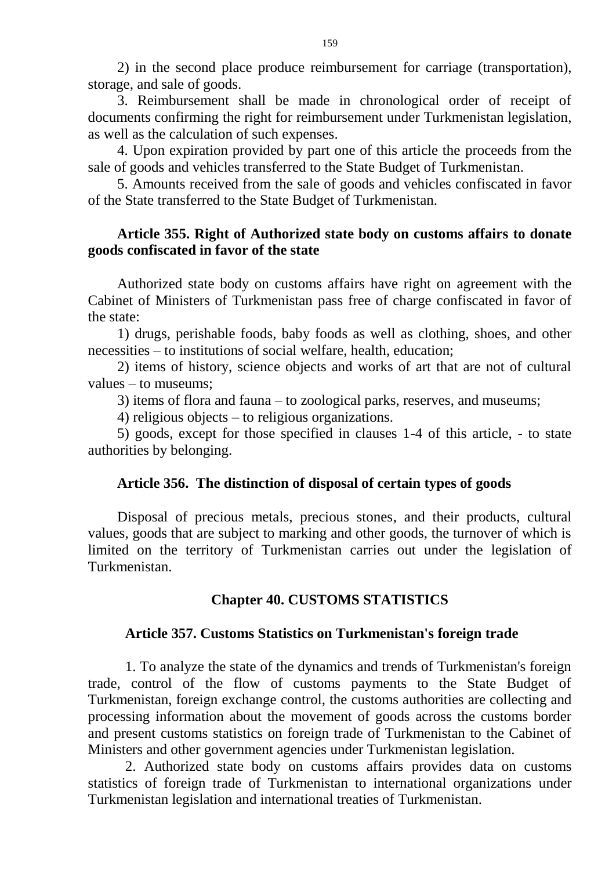2) in the second place produce reimbursement for carriage (transportation), storage, and sale of goods.

3. Reimbursement shall be made in chronological order of receipt of documents confirming the right for reimbursement under Turkmenistan legislation, as well as the calculation of such expenses.

4. Upon expiration provided by part one of this article the proceeds from the sale of goods and vehicles transferred to the State Budget of Turkmenistan.

5. Amounts received from the sale of goods and vehicles confiscated in favor of the State transferred to the State Budget of Turkmenistan.

## **Article 355. Right of Authorized state body on customs affairs to donate goods confiscated in favor of the state**

Authorized state body on customs affairs have right on agreement with the Cabinet of Ministers of Turkmenistan pass free of charge confiscated in favor of the state:

1) drugs, perishable foods, baby foods as well as clothing, shoes, and other necessities – to institutions of social welfare, health, education;

2) items of history, science objects and works of art that are not of cultural values – to museums;

3) items of flora and fauna – to zoological parks, reserves, and museums;

4) religious objects – to religious organizations.

5) goods, except for those specified in clauses 1-4 of this article, - to state authorities by belonging.

## **Article 356. The distinction of disposal of certain types of goods**

Disposal of precious metals, precious stones, and their products, cultural values, goods that are subject to marking and other goods, the turnover of which is limited on the territory of Turkmenistan carries out under the legislation of Turkmenistan.

# **Chapter 40. CUSTOMS STATISTICS**

## **Article 357. Customs Statistics on Turkmenistan's foreign trade**

1. To analyze the state of the dynamics and trends of Turkmenistan's foreign trade, control of the flow of customs payments to the State Budget of Turkmenistan, foreign exchange control, the customs authorities are collecting and processing information about the movement of goods across the customs border and present customs statistics on foreign trade of Turkmenistan to the Cabinet of Ministers and other government agencies under Turkmenistan legislation.

2. Authorized state body on customs affairs provides data on customs statistics of foreign trade of Turkmenistan to international organizations under Turkmenistan legislation and international treaties of Turkmenistan.